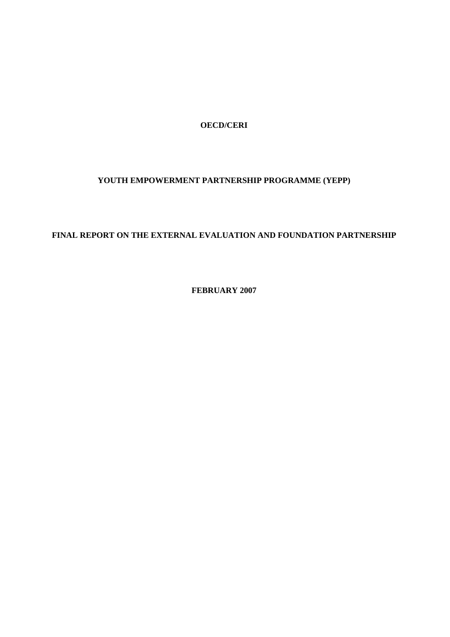**OECD/CERI** 

# **YOUTH EMPOWERMENT PARTNERSHIP PROGRAMME (YEPP)**

# **FINAL REPORT ON THE EXTERNAL EVALUATION AND FOUNDATION PARTNERSHIP**

**FEBRUARY 2007**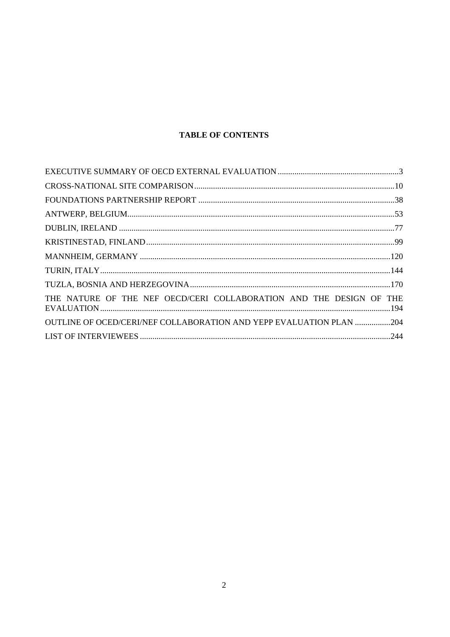# **TABLE OF CONTENTS**

| THE NATURE OF THE NEF OECD/CERI COLLABORATION AND THE DESIGN OF THE |  |
|---------------------------------------------------------------------|--|
| OUTLINE OF OCED/CERI/NEF COLLABORATION AND YEPP EVALUATION PLAN 204 |  |
|                                                                     |  |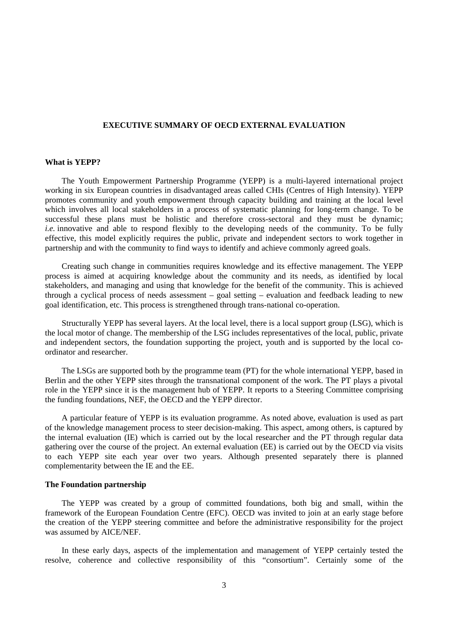## **EXECUTIVE SUMMARY OF OECD EXTERNAL EVALUATION**

# **What is YEPP?**

The Youth Empowerment Partnership Programme (YEPP) is a multi-layered international project working in six European countries in disadvantaged areas called CHIs (Centres of High Intensity). YEPP promotes community and youth empowerment through capacity building and training at the local level which involves all local stakeholders in a process of systematic planning for long-term change. To be successful these plans must be holistic and therefore cross-sectoral and they must be dynamic; *i.e.* innovative and able to respond flexibly to the developing needs of the community. To be fully effective, this model explicitly requires the public, private and independent sectors to work together in partnership and with the community to find ways to identify and achieve commonly agreed goals.

Creating such change in communities requires knowledge and its effective management. The YEPP process is aimed at acquiring knowledge about the community and its needs, as identified by local stakeholders, and managing and using that knowledge for the benefit of the community. This is achieved through a cyclical process of needs assessment – goal setting – evaluation and feedback leading to new goal identification, etc. This process is strengthened through trans-national co-operation.

Structurally YEPP has several layers. At the local level, there is a local support group (LSG), which is the local motor of change. The membership of the LSG includes representatives of the local, public, private and independent sectors, the foundation supporting the project, youth and is supported by the local coordinator and researcher.

The LSGs are supported both by the programme team (PT) for the whole international YEPP, based in Berlin and the other YEPP sites through the transnational component of the work. The PT plays a pivotal role in the YEPP since it is the management hub of YEPP. It reports to a Steering Committee comprising the funding foundations, NEF, the OECD and the YEPP director.

A particular feature of YEPP is its evaluation programme. As noted above, evaluation is used as part of the knowledge management process to steer decision-making. This aspect, among others, is captured by the internal evaluation (IE) which is carried out by the local researcher and the PT through regular data gathering over the course of the project. An external evaluation (EE) is carried out by the OECD via visits to each YEPP site each year over two years. Although presented separately there is planned complementarity between the IE and the EE.

## **The Foundation partnership**

The YEPP was created by a group of committed foundations, both big and small, within the framework of the European Foundation Centre (EFC). OECD was invited to join at an early stage before the creation of the YEPP steering committee and before the administrative responsibility for the project was assumed by AICE/NEF.

In these early days, aspects of the implementation and management of YEPP certainly tested the resolve, coherence and collective responsibility of this "consortium". Certainly some of the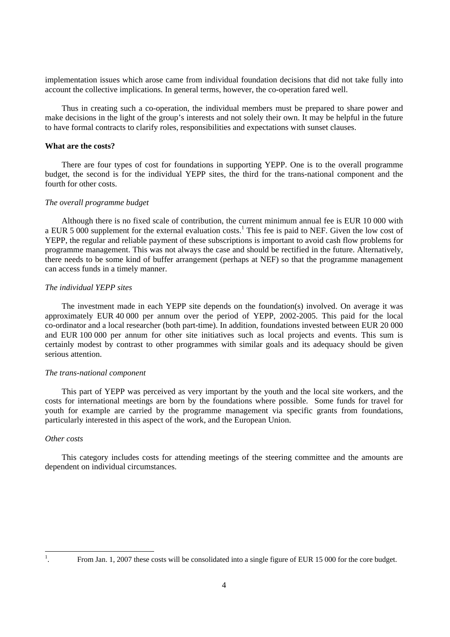implementation issues which arose came from individual foundation decisions that did not take fully into account the collective implications. In general terms, however, the co-operation fared well.

Thus in creating such a co-operation, the individual members must be prepared to share power and make decisions in the light of the group's interests and not solely their own. It may be helpful in the future to have formal contracts to clarify roles, responsibilities and expectations with sunset clauses.

# **What are the costs?**

There are four types of cost for foundations in supporting YEPP. One is to the overall programme budget, the second is for the individual YEPP sites, the third for the trans-national component and the fourth for other costs.

# *The overall programme budget*

Although there is no fixed scale of contribution, the current minimum annual fee is EUR 10 000 with a EUR 5 000 supplement for the external evaluation costs.<sup>1</sup> This fee is paid to NEF. Given the low cost of YEPP, the regular and reliable payment of these subscriptions is important to avoid cash flow problems for programme management. This was not always the case and should be rectified in the future. Alternatively, there needs to be some kind of buffer arrangement (perhaps at NEF) so that the programme management can access funds in a timely manner.

# *The individual YEPP sites*

The investment made in each YEPP site depends on the foundation(s) involved. On average it was approximately EUR 40 000 per annum over the period of YEPP, 2002-2005. This paid for the local co-ordinator and a local researcher (both part-time). In addition, foundations invested between EUR 20 000 and EUR 100 000 per annum for other site initiatives such as local projects and events. This sum is certainly modest by contrast to other programmes with similar goals and its adequacy should be given serious attention.

#### *The trans-national component*

This part of YEPP was perceived as very important by the youth and the local site workers, and the costs for international meetings are born by the foundations where possible. Some funds for travel for youth for example are carried by the programme management via specific grants from foundations, particularly interested in this aspect of the work, and the European Union.

#### *Other costs*

This category includes costs for attending meetings of the steering committee and the amounts are dependent on individual circumstances.

 $\frac{1}{1}$ 

<sup>.</sup> From Jan. 1, 2007 these costs will be consolidated into a single figure of EUR 15 000 for the core budget.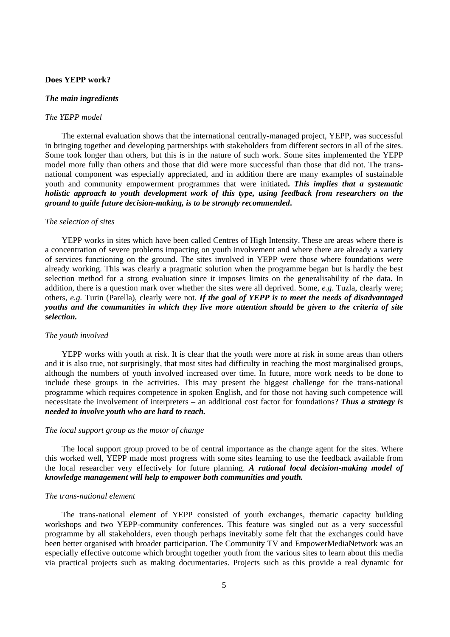# **Does YEPP work?**

#### *The main ingredients*

#### *The YEPP model*

The external evaluation shows that the international centrally-managed project, YEPP, was successful in bringing together and developing partnerships with stakeholders from different sectors in all of the sites. Some took longer than others, but this is in the nature of such work. Some sites implemented the YEPP model more fully than others and those that did were more successful than those that did not. The transnational component was especially appreciated, and in addition there are many examples of sustainable youth and community empowerment programmes that were initiated**.** *This implies that a systematic holistic approach to youth development work of this type, using feedback from researchers on the ground to guide future decision-making, is to be strongly recommended***.** 

#### *The selection of sites*

YEPP works in sites which have been called Centres of High Intensity. These are areas where there is a concentration of severe problems impacting on youth involvement and where there are already a variety of services functioning on the ground. The sites involved in YEPP were those where foundations were already working. This was clearly a pragmatic solution when the programme began but is hardly the best selection method for a strong evaluation since it imposes limits on the generalisability of the data. In addition, there is a question mark over whether the sites were all deprived. Some, *e.g*. Tuzla, clearly were; others, *e.g.* Turin (Parella), clearly were not. *If the goal of YEPP is to meet the needs of disadvantaged youths and the communities in which they live more attention should be given to the criteria of site selection.* 

#### *The youth involved*

YEPP works with youth at risk. It is clear that the youth were more at risk in some areas than others and it is also true, not surprisingly, that most sites had difficulty in reaching the most marginalised groups, although the numbers of youth involved increased over time. In future, more work needs to be done to include these groups in the activities. This may present the biggest challenge for the trans-national programme which requires competence in spoken English, and for those not having such competence will necessitate the involvement of interpreters – an additional cost factor for foundations? *Thus a strategy is needed to involve youth who are hard to reach.*

#### *The local support group as the motor of change*

The local support group proved to be of central importance as the change agent for the sites. Where this worked well, YEPP made most progress with some sites learning to use the feedback available from the local researcher very effectively for future planning. *A rational local decision-making model of knowledge management will help to empower both communities and youth.*

#### *The trans-national element*

The trans-national element of YEPP consisted of youth exchanges, thematic capacity building workshops and two YEPP-community conferences. This feature was singled out as a very successful programme by all stakeholders, even though perhaps inevitably some felt that the exchanges could have been better organised with broader participation. The Community TV and EmpowerMediaNetwork was an especially effective outcome which brought together youth from the various sites to learn about this media via practical projects such as making documentaries. Projects such as this provide a real dynamic for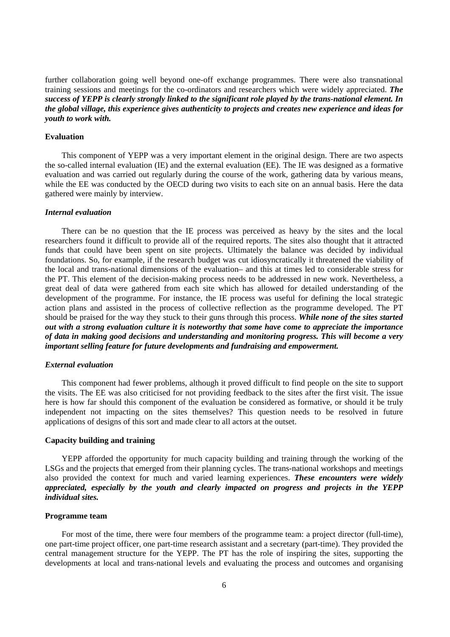further collaboration going well beyond one-off exchange programmes. There were also transnational training sessions and meetings for the co-ordinators and researchers which were widely appreciated. *The success of YEPP is clearly strongly linked to the significant role played by the trans-national element. In the global village, this experience gives authenticity to projects and creates new experience and ideas for youth to work with.* 

# **Evaluation**

This component of YEPP was a very important element in the original design. There are two aspects the so-called internal evaluation (IE) and the external evaluation (EE). The IE was designed as a formative evaluation and was carried out regularly during the course of the work, gathering data by various means, while the EE was conducted by the OECD during two visits to each site on an annual basis. Here the data gathered were mainly by interview.

#### *Internal evaluation*

There can be no question that the IE process was perceived as heavy by the sites and the local researchers found it difficult to provide all of the required reports. The sites also thought that it attracted funds that could have been spent on site projects. Ultimately the balance was decided by individual foundations. So, for example, if the research budget was cut idiosyncratically it threatened the viability of the local and trans-national dimensions of the evaluation– and this at times led to considerable stress for the PT. This element of the decision-making process needs to be addressed in new work. Nevertheless, a great deal of data were gathered from each site which has allowed for detailed understanding of the development of the programme. For instance, the IE process was useful for defining the local strategic action plans and assisted in the process of collective reflection as the programme developed. The PT should be praised for the way they stuck to their guns through this process. *While none of the sites started out with a strong evaluation culture it is noteworthy that some have come to appreciate the importance of data in making good decisions and understanding and monitoring progress. This will become a very important selling feature for future developments and fundraising and empowerment.* 

#### *External evaluation*

This component had fewer problems, although it proved difficult to find people on the site to support the visits. The EE was also criticised for not providing feedback to the sites after the first visit. The issue here is how far should this component of the evaluation be considered as formative, or should it be truly independent not impacting on the sites themselves? This question needs to be resolved in future applications of designs of this sort and made clear to all actors at the outset.

# **Capacity building and training**

YEPP afforded the opportunity for much capacity building and training through the working of the LSGs and the projects that emerged from their planning cycles. The trans-national workshops and meetings also provided the context for much and varied learning experiences. *These encounters were widely appreciated, especially by the youth and clearly impacted on progress and projects in the YEPP individual sites.* 

#### **Programme team**

For most of the time, there were four members of the programme team: a project director (full-time), one part-time project officer, one part-time research assistant and a secretary (part-time). They provided the central management structure for the YEPP. The PT has the role of inspiring the sites, supporting the developments at local and trans-national levels and evaluating the process and outcomes and organising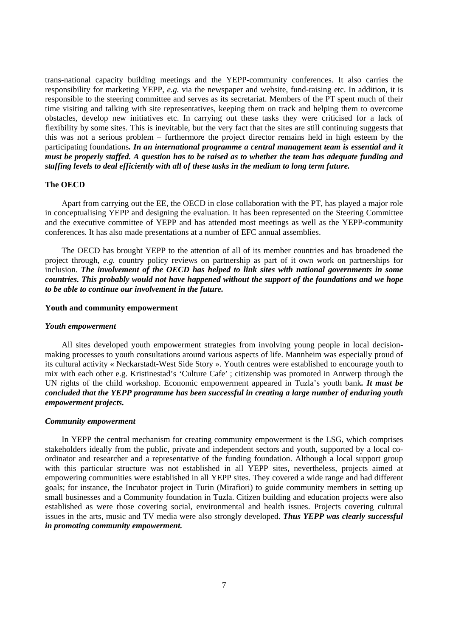trans-national capacity building meetings and the YEPP-community conferences. It also carries the responsibility for marketing YEPP, *e.g.* via the newspaper and website, fund-raising etc. In addition, it is responsible to the steering committee and serves as its secretariat. Members of the PT spent much of their time visiting and talking with site representatives, keeping them on track and helping them to overcome obstacles, develop new initiatives etc. In carrying out these tasks they were criticised for a lack of flexibility by some sites. This is inevitable, but the very fact that the sites are still continuing suggests that this was not a serious problem – furthermore the project director remains held in high esteem by the participating foundations*. In an international programme a central management team is essential and it must be properly staffed. A question has to be raised as to whether the team has adequate funding and staffing levels to deal efficiently with all of these tasks in the medium to long term future.* 

#### **The OECD**

Apart from carrying out the EE, the OECD in close collaboration with the PT, has played a major role in conceptualising YEPP and designing the evaluation. It has been represented on the Steering Committee and the executive committee of YEPP and has attended most meetings as well as the YEPP-community conferences. It has also made presentations at a number of EFC annual assemblies.

The OECD has brought YEPP to the attention of all of its member countries and has broadened the project through, *e.g.* country policy reviews on partnership as part of it own work on partnerships for inclusion. *The involvement of the OECD has helped to link sites with national governments in some countries. This probably would not have happened without the support of the foundations and we hope to be able to continue our involvement in the future.* 

#### **Youth and community empowerment**

#### *Youth empowerment*

All sites developed youth empowerment strategies from involving young people in local decisionmaking processes to youth consultations around various aspects of life. Mannheim was especially proud of its cultural activity « Neckarstadt-West Side Story ». Youth centres were established to encourage youth to mix with each other e.g. Kristinestad's 'Culture Cafe' ; citizenship was promoted in Antwerp through the UN rights of the child workshop. Economic empowerment appeared in Tuzla's youth bank*. It must be concluded that the YEPP programme has been successful in creating a large number of enduring youth empowerment projects.* 

#### *Community empowerment*

In YEPP the central mechanism for creating community empowerment is the LSG, which comprises stakeholders ideally from the public, private and independent sectors and youth, supported by a local coordinator and researcher and a representative of the funding foundation. Although a local support group with this particular structure was not established in all YEPP sites, nevertheless, projects aimed at empowering communities were established in all YEPP sites. They covered a wide range and had different goals; for instance, the Incubator project in Turin (Mirafiori) to guide community members in setting up small businesses and a Community foundation in Tuzla. Citizen building and education projects were also established as were those covering social, environmental and health issues. Projects covering cultural issues in the arts, music and TV media were also strongly developed. *Thus YEPP was clearly successful in promoting community empowerment.*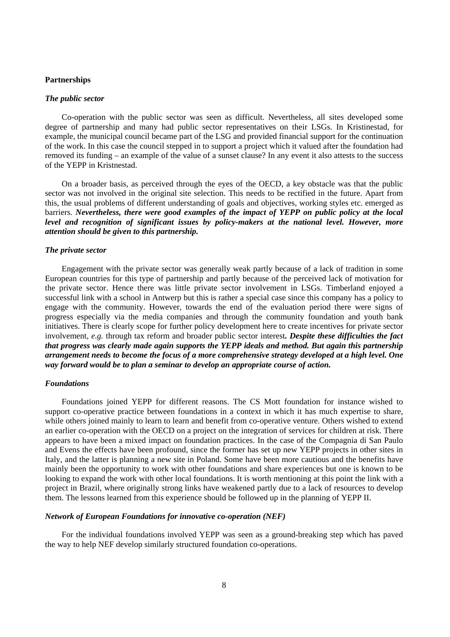# **Partnerships**

#### *The public sector*

Co-operation with the public sector was seen as difficult. Nevertheless, all sites developed some degree of partnership and many had public sector representatives on their LSGs. In Kristinestad, for example, the municipal council became part of the LSG and provided financial support for the continuation of the work. In this case the council stepped in to support a project which it valued after the foundation had removed its funding – an example of the value of a sunset clause? In any event it also attests to the success of the YEPP in Kristnestad.

On a broader basis, as perceived through the eyes of the OECD, a key obstacle was that the public sector was not involved in the original site selection. This needs to be rectified in the future. Apart from this, the usual problems of different understanding of goals and objectives, working styles etc. emerged as barriers. *Nevertheless, there were good examples of the impact of YEPP on public policy at the local level and recognition of significant issues by policy-makers at the national level. However, more attention should be given to this partnership.* 

#### *The private sector*

Engagement with the private sector was generally weak partly because of a lack of tradition in some European countries for this type of partnership and partly because of the perceived lack of motivation for the private sector. Hence there was little private sector involvement in LSGs. Timberland enjoyed a successful link with a school in Antwerp but this is rather a special case since this company has a policy to engage with the community. However, towards the end of the evaluation period there were signs of progress especially via the media companies and through the community foundation and youth bank initiatives. There is clearly scope for further policy development here to create incentives for private sector involvement, *e.g.* through tax reform and broader public sector interest*. Despite these difficulties the fact that progress was clearly made again supports the YEPP ideals and method. But again this partnership arrangement needs to become the focus of a more comprehensive strategy developed at a high level. One way forward would be to plan a seminar to develop an appropriate course of action.* 

#### *Foundations*

Foundations joined YEPP for different reasons. The CS Mott foundation for instance wished to support co-operative practice between foundations in a context in which it has much expertise to share, while others joined mainly to learn to learn and benefit from co-operative venture. Others wished to extend an earlier co-operation with the OECD on a project on the integration of services for children at risk. There appears to have been a mixed impact on foundation practices. In the case of the Compagnia di San Paulo and Evens the effects have been profound, since the former has set up new YEPP projects in other sites in Italy, and the latter is planning a new site in Poland. Some have been more cautious and the benefits have mainly been the opportunity to work with other foundations and share experiences but one is known to be looking to expand the work with other local foundations. It is worth mentioning at this point the link with a project in Brazil, where originally strong links have weakened partly due to a lack of resources to develop them. The lessons learned from this experience should be followed up in the planning of YEPP II.

### *Network of European Foundations for innovative co-operation (NEF)*

For the individual foundations involved YEPP was seen as a ground-breaking step which has paved the way to help NEF develop similarly structured foundation co-operations.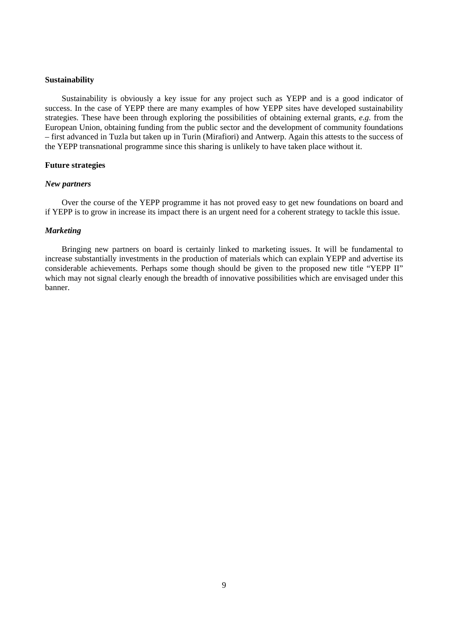#### **Sustainability**

Sustainability is obviously a key issue for any project such as YEPP and is a good indicator of success. In the case of YEPP there are many examples of how YEPP sites have developed sustainability strategies. These have been through exploring the possibilities of obtaining external grants, *e.g.* from the European Union, obtaining funding from the public sector and the development of community foundations – first advanced in Tuzla but taken up in Turin (Mirafiori) and Antwerp. Again this attests to the success of the YEPP transnational programme since this sharing is unlikely to have taken place without it.

# **Future strategies**

#### *New partners*

Over the course of the YEPP programme it has not proved easy to get new foundations on board and if YEPP is to grow in increase its impact there is an urgent need for a coherent strategy to tackle this issue.

# *Marketing*

Bringing new partners on board is certainly linked to marketing issues. It will be fundamental to increase substantially investments in the production of materials which can explain YEPP and advertise its considerable achievements. Perhaps some though should be given to the proposed new title "YEPP II" which may not signal clearly enough the breadth of innovative possibilities which are envisaged under this banner.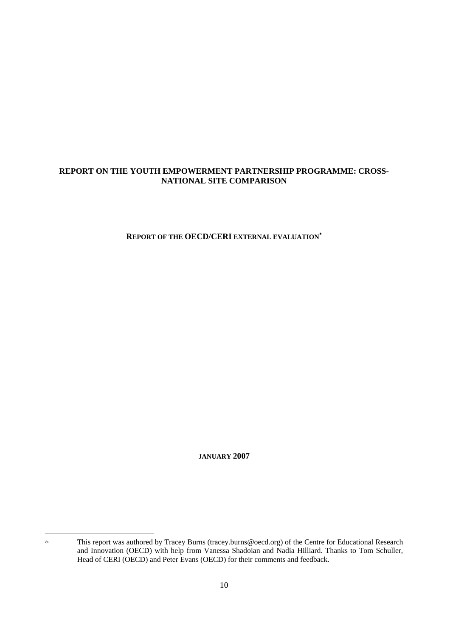# **REPORT ON THE YOUTH EMPOWERMENT PARTNERSHIP PROGRAMME: CROSS-NATIONAL SITE COMPARISON**

**REPORT OF THE OECD/CERI EXTERNAL EVALUATION**<sup>∗</sup>

**JANUARY 2007** 

 $\ddot{\phantom{a}}$ 

<sup>∗</sup> This report was authored by Tracey Burns (tracey.burns@oecd.org) of the Centre for Educational Research and Innovation (OECD) with help from Vanessa Shadoian and Nadia Hilliard. Thanks to Tom Schuller, Head of CERI (OECD) and Peter Evans (OECD) for their comments and feedback.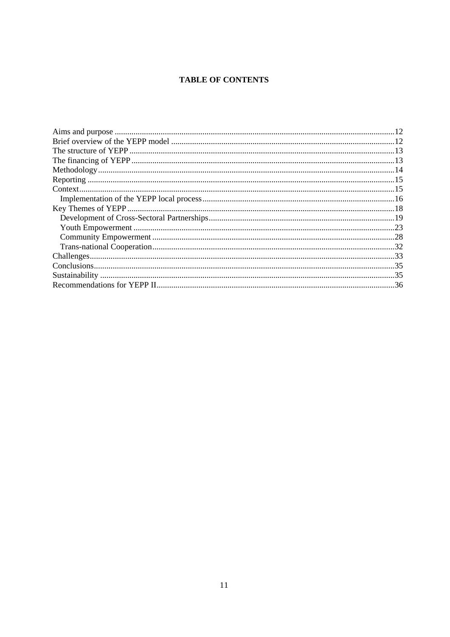# **TABLE OF CONTENTS**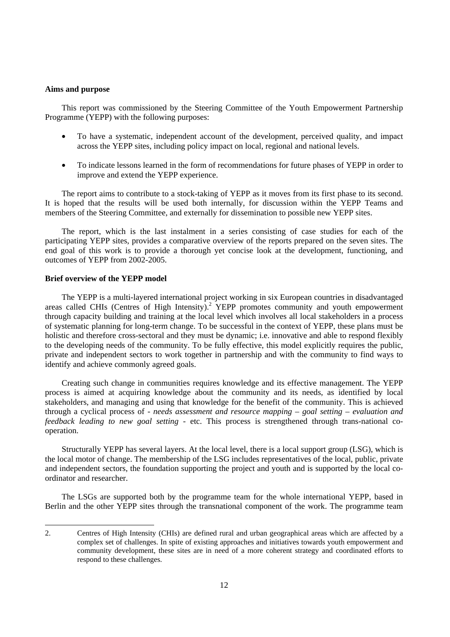### **Aims and purpose**

This report was commissioned by the Steering Committee of the Youth Empowerment Partnership Programme (YEPP) with the following purposes:

- To have a systematic, independent account of the development, perceived quality, and impact across the YEPP sites, including policy impact on local, regional and national levels.
- To indicate lessons learned in the form of recommendations for future phases of YEPP in order to improve and extend the YEPP experience.

The report aims to contribute to a stock-taking of YEPP as it moves from its first phase to its second. It is hoped that the results will be used both internally, for discussion within the YEPP Teams and members of the Steering Committee, and externally for dissemination to possible new YEPP sites.

The report, which is the last instalment in a series consisting of case studies for each of the participating YEPP sites, provides a comparative overview of the reports prepared on the seven sites. The end goal of this work is to provide a thorough yet concise look at the development, functioning, and outcomes of YEPP from 2002-2005.

# **Brief overview of the YEPP model**

 $\overline{a}$ 

The YEPP is a multi-layered international project working in six European countries in disadvantaged areas called CHIs (Centres of High Intensity).<sup>2</sup> YEPP promotes community and youth empowerment through capacity building and training at the local level which involves all local stakeholders in a process of systematic planning for long-term change. To be successful in the context of YEPP, these plans must be holistic and therefore cross-sectoral and they must be dynamic; i.e. innovative and able to respond flexibly to the developing needs of the community. To be fully effective, this model explicitly requires the public, private and independent sectors to work together in partnership and with the community to find ways to identify and achieve commonly agreed goals.

Creating such change in communities requires knowledge and its effective management. The YEPP process is aimed at acquiring knowledge about the community and its needs, as identified by local stakeholders, and managing and using that knowledge for the benefit of the community. This is achieved through a cyclical process of - *needs assessment and resource mapping – goal setting – evaluation and feedback leading to new goal setting -* etc. This process is strengthened through trans-national cooperation.

Structurally YEPP has several layers. At the local level, there is a local support group (LSG), which is the local motor of change. The membership of the LSG includes representatives of the local, public, private and independent sectors, the foundation supporting the project and youth and is supported by the local coordinator and researcher.

The LSGs are supported both by the programme team for the whole international YEPP, based in Berlin and the other YEPP sites through the transnational component of the work. The programme team

<sup>2.</sup> Centres of High Intensity (CHIs) are defined rural and urban geographical areas which are affected by a complex set of challenges. In spite of existing approaches and initiatives towards youth empowerment and community development, these sites are in need of a more coherent strategy and coordinated efforts to respond to these challenges.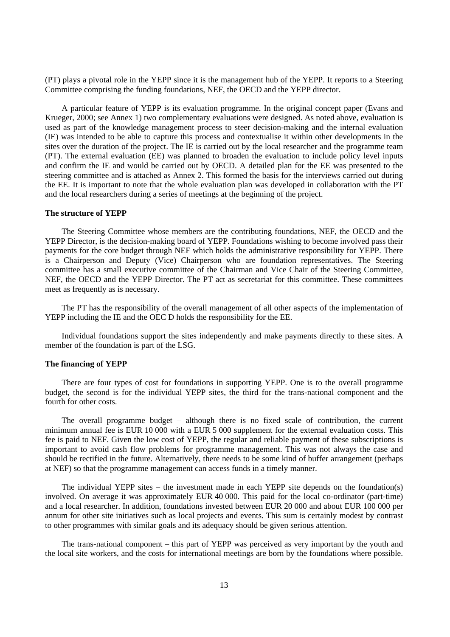(PT) plays a pivotal role in the YEPP since it is the management hub of the YEPP. It reports to a Steering Committee comprising the funding foundations, NEF, the OECD and the YEPP director.

A particular feature of YEPP is its evaluation programme. In the original concept paper (Evans and Krueger, 2000; see Annex 1) two complementary evaluations were designed. As noted above, evaluation is used as part of the knowledge management process to steer decision-making and the internal evaluation (IE) was intended to be able to capture this process and contextualise it within other developments in the sites over the duration of the project. The IE is carried out by the local researcher and the programme team (PT). The external evaluation (EE) was planned to broaden the evaluation to include policy level inputs and confirm the IE and would be carried out by OECD. A detailed plan for the EE was presented to the steering committee and is attached as Annex 2. This formed the basis for the interviews carried out during the EE. It is important to note that the whole evaluation plan was developed in collaboration with the PT and the local researchers during a series of meetings at the beginning of the project.

# **The structure of YEPP**

The Steering Committee whose members are the contributing foundations, NEF, the OECD and the YEPP Director, is the decision-making board of YEPP. Foundations wishing to become involved pass their payments for the core budget through NEF which holds the administrative responsibility for YEPP. There is a Chairperson and Deputy (Vice) Chairperson who are foundation representatives. The Steering committee has a small executive committee of the Chairman and Vice Chair of the Steering Committee, NEF, the OECD and the YEPP Director. The PT act as secretariat for this committee. These committees meet as frequently as is necessary.

The PT has the responsibility of the overall management of all other aspects of the implementation of YEPP including the IE and the OEC D holds the responsibility for the EE.

Individual foundations support the sites independently and make payments directly to these sites. A member of the foundation is part of the LSG.

#### **The financing of YEPP**

There are four types of cost for foundations in supporting YEPP. One is to the overall programme budget, the second is for the individual YEPP sites, the third for the trans-national component and the fourth for other costs.

The overall programme budget – although there is no fixed scale of contribution, the current minimum annual fee is EUR 10 000 with a EUR 5 000 supplement for the external evaluation costs. This fee is paid to NEF. Given the low cost of YEPP, the regular and reliable payment of these subscriptions is important to avoid cash flow problems for programme management. This was not always the case and should be rectified in the future. Alternatively, there needs to be some kind of buffer arrangement (perhaps at NEF) so that the programme management can access funds in a timely manner.

The individual YEPP sites – the investment made in each YEPP site depends on the foundation(s) involved. On average it was approximately EUR 40 000. This paid for the local co-ordinator (part-time) and a local researcher. In addition, foundations invested between EUR 20 000 and about EUR 100 000 per annum for other site initiatives such as local projects and events. This sum is certainly modest by contrast to other programmes with similar goals and its adequacy should be given serious attention.

The trans-national component – this part of YEPP was perceived as very important by the youth and the local site workers, and the costs for international meetings are born by the foundations where possible.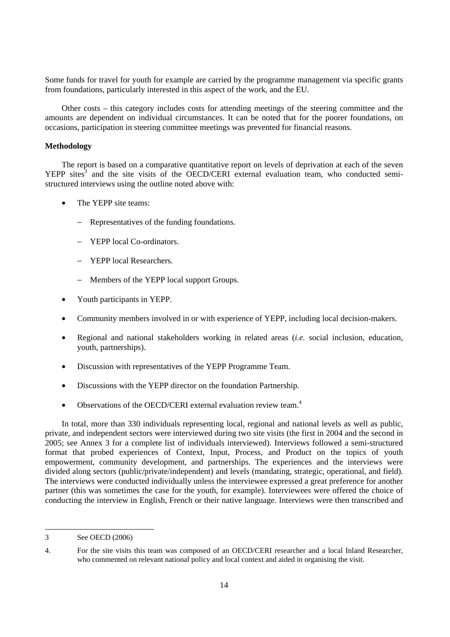Some funds for travel for youth for example are carried by the programme management via specific grants from foundations, particularly interested in this aspect of the work, and the EU.

Other costs – this category includes costs for attending meetings of the steering committee and the amounts are dependent on individual circumstances. It can be noted that for the poorer foundations, on occasions, participation in steering committee meetings was prevented for financial reasons.

# **Methodology**

The report is based on a comparative quantitative report on levels of deprivation at each of the seven  $YEPP$  sites<sup>3</sup> and the site visits of the OECD/CERI external evaluation team, who conducted semistructured interviews using the outline noted above with:

- The YEPP site teams:
	- − Representatives of the funding foundations.
	- − YEPP local Co-ordinators.
	- − YEPP local Researchers.
	- − Members of the YEPP local support Groups.
- Youth participants in YEPP.
- Community members involved in or with experience of YEPP, including local decision-makers.
- Regional and national stakeholders working in related areas (*i.e.* social inclusion, education, youth, partnerships).
- Discussion with representatives of the YEPP Programme Team.
- Discussions with the YEPP director on the foundation Partnership.
- Observations of the OECD/CERI external evaluation review team.<sup>4</sup>

In total, more than 330 individuals representing local, regional and national levels as well as public, private, and independent sectors were interviewed during two site visits (the first in 2004 and the second in 2005; see Annex 3 for a complete list of individuals interviewed). Interviews followed a semi-structured format that probed experiences of Context, Input, Process, and Product on the topics of youth empowerment, community development, and partnerships. The experiences and the interviews were divided along sectors (public/private/independent) and levels (mandating, strategic, operational, and field). The interviews were conducted individually unless the interviewee expressed a great preference for another partner (this was sometimes the case for the youth, for example). Interviewees were offered the choice of conducting the interview in English, French or their native language. Interviews were then transcribed and

 $\overline{a}$ 

<sup>3</sup> See OECD (2006)

<sup>4.</sup> For the site visits this team was composed of an OECD/CERI researcher and a local Inland Researcher, who commented on relevant national policy and local context and aided in organising the visit.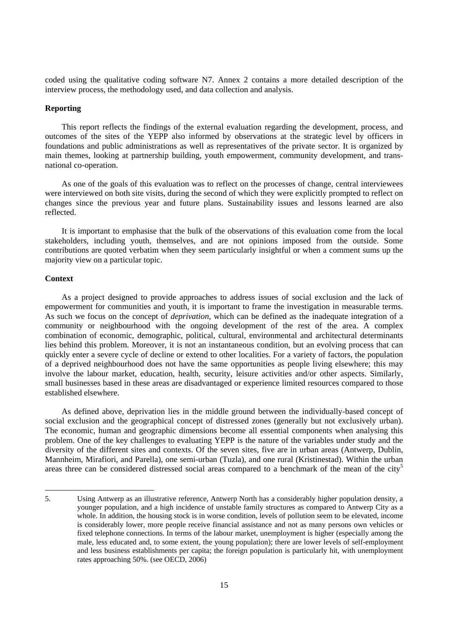coded using the qualitative coding software N7. Annex 2 contains a more detailed description of the interview process, the methodology used, and data collection and analysis.

# **Reporting**

This report reflects the findings of the external evaluation regarding the development, process, and outcomes of the sites of the YEPP also informed by observations at the strategic level by officers in foundations and public administrations as well as representatives of the private sector. It is organized by main themes, looking at partnership building, youth empowerment, community development, and transnational co-operation.

As one of the goals of this evaluation was to reflect on the processes of change, central interviewees were interviewed on both site visits, during the second of which they were explicitly prompted to reflect on changes since the previous year and future plans. Sustainability issues and lessons learned are also reflected.

It is important to emphasise that the bulk of the observations of this evaluation come from the local stakeholders, including youth, themselves, and are not opinions imposed from the outside. Some contributions are quoted verbatim when they seem particularly insightful or when a comment sums up the majority view on a particular topic.

# **Context**

 $\overline{a}$ 

As a project designed to provide approaches to address issues of social exclusion and the lack of empowerment for communities and youth, it is important to frame the investigation in measurable terms. As such we focus on the concept of *deprivation*, which can be defined as the inadequate integration of a community or neighbourhood with the ongoing development of the rest of the area. A complex combination of economic, demographic, political, cultural, environmental and architectural determinants lies behind this problem. Moreover, it is not an instantaneous condition, but an evolving process that can quickly enter a severe cycle of decline or extend to other localities. For a variety of factors, the population of a deprived neighbourhood does not have the same opportunities as people living elsewhere; this may involve the labour market, education, health, security, leisure activities and/or other aspects. Similarly, small businesses based in these areas are disadvantaged or experience limited resources compared to those established elsewhere.

As defined above, deprivation lies in the middle ground between the individually-based concept of social exclusion and the geographical concept of distressed zones (generally but not exclusively urban). The economic, human and geographic dimensions become all essential components when analysing this problem. One of the key challenges to evaluating YEPP is the nature of the variables under study and the diversity of the different sites and contexts. Of the seven sites, five are in urban areas (Antwerp, Dublin, Mannheim, Mirafiori, and Parella), one semi-urban (Tuzla), and one rural (Kristinestad). Within the urban areas three can be considered distressed social areas compared to a benchmark of the mean of the city<sup>5</sup>

<sup>5.</sup> Using Antwerp as an illustrative reference, Antwerp North has a considerably higher population density, a younger population, and a high incidence of unstable family structures as compared to Antwerp City as a whole. In addition, the housing stock is in worse condition, levels of pollution seem to be elevated, income is considerably lower, more people receive financial assistance and not as many persons own vehicles or fixed telephone connections. In terms of the labour market, unemployment is higher (especially among the male, less educated and, to some extent, the young population); there are lower levels of self-employment and less business establishments per capita; the foreign population is particularly hit, with unemployment rates approaching 50%. (see OECD, 2006)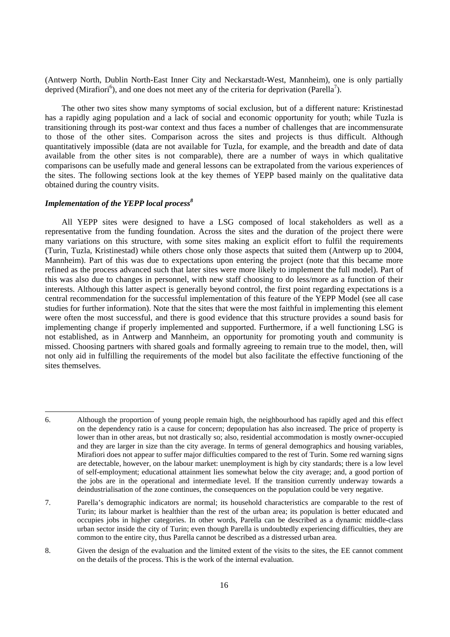(Antwerp North, Dublin North-East Inner City and Neckarstadt-West, Mannheim), one is only partially deprived (Mirafiori<sup>6</sup>), and one does not meet any of the criteria for deprivation (Parella<sup>7</sup>).

The other two sites show many symptoms of social exclusion, but of a different nature: Kristinestad has a rapidly aging population and a lack of social and economic opportunity for youth; while Tuzla is transitioning through its post-war context and thus faces a number of challenges that are incommensurate to those of the other sites. Comparison across the sites and projects is thus difficult. Although quantitatively impossible (data are not available for Tuzla, for example, and the breadth and date of data available from the other sites is not comparable), there are a number of ways in which qualitative comparisons can be usefully made and general lessons can be extrapolated from the various experiences of the sites. The following sections look at the key themes of YEPP based mainly on the qualitative data obtained during the country visits.

# *Implementation of the YEPP local process<sup>8</sup>*

 $\overline{a}$ 

All YEPP sites were designed to have a LSG composed of local stakeholders as well as a representative from the funding foundation. Across the sites and the duration of the project there were many variations on this structure, with some sites making an explicit effort to fulfil the requirements (Turin, Tuzla, Kristinestad) while others chose only those aspects that suited them (Antwerp up to 2004, Mannheim). Part of this was due to expectations upon entering the project (note that this became more refined as the process advanced such that later sites were more likely to implement the full model). Part of this was also due to changes in personnel, with new staff choosing to do less/more as a function of their interests. Although this latter aspect is generally beyond control, the first point regarding expectations is a central recommendation for the successful implementation of this feature of the YEPP Model (see all case studies for further information). Note that the sites that were the most faithful in implementing this element were often the most successful, and there is good evidence that this structure provides a sound basis for implementing change if properly implemented and supported. Furthermore, if a well functioning LSG is not established, as in Antwerp and Mannheim, an opportunity for promoting youth and community is missed. Choosing partners with shared goals and formally agreeing to remain true to the model, then, will not only aid in fulfilling the requirements of the model but also facilitate the effective functioning of the sites themselves.

7. Parella's demographic indicators are normal; its household characteristics are comparable to the rest of Turin; its labour market is healthier than the rest of the urban area; its population is better educated and occupies jobs in higher categories. In other words, Parella can be described as a dynamic middle-class urban sector inside the city of Turin; even though Parella is undoubtedly experiencing difficulties, they are common to the entire city, thus Parella cannot be described as a distressed urban area.

8. Given the design of the evaluation and the limited extent of the visits to the sites, the EE cannot comment on the details of the process. This is the work of the internal evaluation.

<sup>6.</sup> Although the proportion of young people remain high, the neighbourhood has rapidly aged and this effect on the dependency ratio is a cause for concern; depopulation has also increased. The price of property is lower than in other areas, but not drastically so; also, residential accommodation is mostly owner-occupied and they are larger in size than the city average. In terms of general demographics and housing variables, Mirafiori does not appear to suffer major difficulties compared to the rest of Turin. Some red warning signs are detectable, however, on the labour market: unemployment is high by city standards; there is a low level of self-employment; educational attainment lies somewhat below the city average; and, a good portion of the jobs are in the operational and intermediate level. If the transition currently underway towards a deindustrialisation of the zone continues, the consequences on the population could be very negative.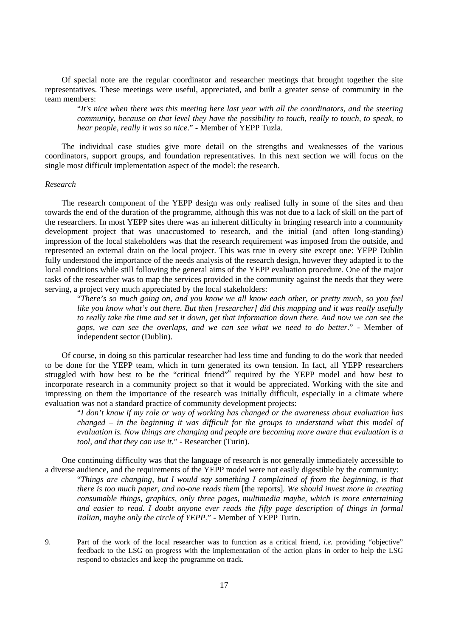Of special note are the regular coordinator and researcher meetings that brought together the site representatives. These meetings were useful, appreciated, and built a greater sense of community in the team members:

"*It's nice when there was this meeting here last year with all the coordinators, and the steering community, because on that level they have the possibility to touch, really to touch, to speak, to hear people, really it was so nice*." - Member of YEPP Tuzla.

The individual case studies give more detail on the strengths and weaknesses of the various coordinators, support groups, and foundation representatives. In this next section we will focus on the single most difficult implementation aspect of the model: the research.

#### *Research*

 $\overline{a}$ 

The research component of the YEPP design was only realised fully in some of the sites and then towards the end of the duration of the programme, although this was not due to a lack of skill on the part of the researchers. In most YEPP sites there was an inherent difficulty in bringing research into a community development project that was unaccustomed to research, and the initial (and often long-standing) impression of the local stakeholders was that the research requirement was imposed from the outside, and represented an external drain on the local project. This was true in every site except one: YEPP Dublin fully understood the importance of the needs analysis of the research design, however they adapted it to the local conditions while still following the general aims of the YEPP evaluation procedure. One of the major tasks of the researcher was to map the services provided in the community against the needs that they were serving, a project very much appreciated by the local stakeholders:

"*There's so much going on, and you know we all know each other, or pretty much, so you feel like you know what's out there. But then [researcher] did this mapping and it was really usefully to really take the time and set it down, get that information down there. And now we can see the gaps, we can see the overlaps, and we can see what we need to do better*." - Member of independent sector (Dublin).

Of course, in doing so this particular researcher had less time and funding to do the work that needed to be done for the YEPP team, which in turn generated its own tension. In fact, all YEPP researchers struggled with how best to be the "critical friend" required by the YEPP model and how best to incorporate research in a community project so that it would be appreciated. Working with the site and impressing on them the importance of the research was initially difficult, especially in a climate where evaluation was not a standard practice of community development projects:

"*I don't know if my role or way of working has changed or the awareness about evaluation has changed – in the beginning it was difficult for the groups to understand what this model of evaluation is. Now things are changing and people are becoming more aware that evaluation is a tool, and that they can use it.*" - Researcher (Turin).

One continuing difficulty was that the language of research is not generally immediately accessible to a diverse audience, and the requirements of the YEPP model were not easily digestible by the community:

"*Things are changing, but I would say something I complained of from the beginning, is that there is too much paper, and no-one reads them* [the reports]*. We should invest more in creating consumable things, graphics, only three pages, multimedia maybe, which is more entertaining and easier to read. I doubt anyone ever reads the fifty page description of things in formal Italian, maybe only the circle of YEPP.*" - Member of YEPP Turin.

<sup>9.</sup> Part of the work of the local researcher was to function as a critical friend, *i.e.* providing "objective" feedback to the LSG on progress with the implementation of the action plans in order to help the LSG respond to obstacles and keep the programme on track.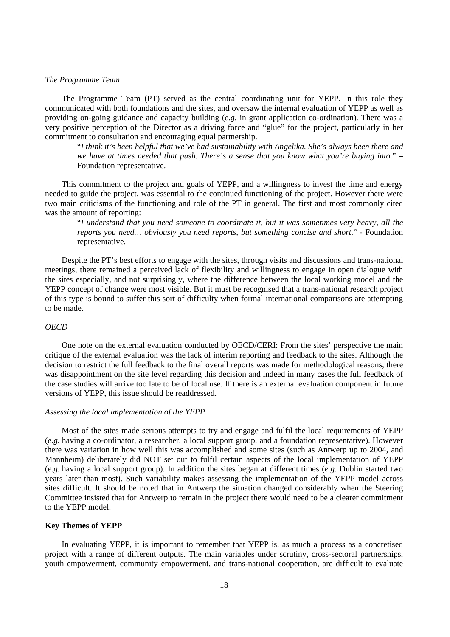#### *The Programme Team*

The Programme Team (PT) served as the central coordinating unit for YEPP. In this role they communicated with both foundations and the sites, and oversaw the internal evaluation of YEPP as well as providing on-going guidance and capacity building (*e.g.* in grant application co-ordination). There was a very positive perception of the Director as a driving force and "glue" for the project, particularly in her commitment to consultation and encouraging equal partnership.

"*I think it's been helpful that we've had sustainability with Angelika. She's always been there and we have at times needed that push. There's a sense that you know what you're buying into*." – Foundation representative.

This commitment to the project and goals of YEPP, and a willingness to invest the time and energy needed to guide the project, was essential to the continued functioning of the project. However there were two main criticisms of the functioning and role of the PT in general. The first and most commonly cited was the amount of reporting:

"*I understand that you need someone to coordinate it, but it was sometimes very heavy, all the reports you need… obviously you need reports, but something concise and short*." - Foundation representative.

Despite the PT's best efforts to engage with the sites, through visits and discussions and trans-national meetings, there remained a perceived lack of flexibility and willingness to engage in open dialogue with the sites especially, and not surprisingly, where the difference between the local working model and the YEPP concept of change were most visible. But it must be recognised that a trans-national research project of this type is bound to suffer this sort of difficulty when formal international comparisons are attempting to be made.

# *OECD*

One note on the external evaluation conducted by OECD/CERI: From the sites' perspective the main critique of the external evaluation was the lack of interim reporting and feedback to the sites. Although the decision to restrict the full feedback to the final overall reports was made for methodological reasons, there was disappointment on the site level regarding this decision and indeed in many cases the full feedback of the case studies will arrive too late to be of local use. If there is an external evaluation component in future versions of YEPP, this issue should be readdressed.

# *Assessing the local implementation of the YEPP*

Most of the sites made serious attempts to try and engage and fulfil the local requirements of YEPP (*e.g.* having a co-ordinator, a researcher, a local support group, and a foundation representative). However there was variation in how well this was accomplished and some sites (such as Antwerp up to 2004, and Mannheim) deliberately did NOT set out to fulfil certain aspects of the local implementation of YEPP (*e.g.* having a local support group). In addition the sites began at different times (*e.g.* Dublin started two years later than most). Such variability makes assessing the implementation of the YEPP model across sites difficult. It should be noted that in Antwerp the situation changed considerably when the Steering Committee insisted that for Antwerp to remain in the project there would need to be a clearer commitment to the YEPP model.

# **Key Themes of YEPP**

In evaluating YEPP, it is important to remember that YEPP is, as much a process as a concretised project with a range of different outputs. The main variables under scrutiny, cross-sectoral partnerships, youth empowerment, community empowerment, and trans-national cooperation, are difficult to evaluate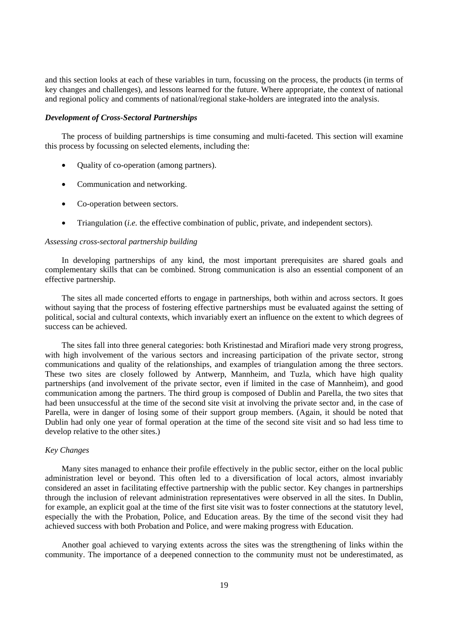and this section looks at each of these variables in turn, focussing on the process, the products (in terms of key changes and challenges), and lessons learned for the future. Where appropriate, the context of national and regional policy and comments of national/regional stake-holders are integrated into the analysis.

### *Development of Cross-Sectoral Partnerships*

The process of building partnerships is time consuming and multi-faceted. This section will examine this process by focussing on selected elements, including the:

- Quality of co-operation (among partners).
- Communication and networking.
- Co-operation between sectors.
- Triangulation (*i.e.* the effective combination of public, private, and independent sectors).

#### *Assessing cross-sectoral partnership building*

In developing partnerships of any kind, the most important prerequisites are shared goals and complementary skills that can be combined. Strong communication is also an essential component of an effective partnership.

The sites all made concerted efforts to engage in partnerships, both within and across sectors. It goes without saying that the process of fostering effective partnerships must be evaluated against the setting of political, social and cultural contexts, which invariably exert an influence on the extent to which degrees of success can be achieved.

The sites fall into three general categories: both Kristinestad and Mirafiori made very strong progress, with high involvement of the various sectors and increasing participation of the private sector, strong communications and quality of the relationships, and examples of triangulation among the three sectors. These two sites are closely followed by Antwerp, Mannheim, and Tuzla, which have high quality partnerships (and involvement of the private sector, even if limited in the case of Mannheim), and good communication among the partners. The third group is composed of Dublin and Parella, the two sites that had been unsuccessful at the time of the second site visit at involving the private sector and, in the case of Parella, were in danger of losing some of their support group members. (Again, it should be noted that Dublin had only one year of formal operation at the time of the second site visit and so had less time to develop relative to the other sites.)

# *Key Changes*

Many sites managed to enhance their profile effectively in the public sector, either on the local public administration level or beyond. This often led to a diversification of local actors, almost invariably considered an asset in facilitating effective partnership with the public sector. Key changes in partnerships through the inclusion of relevant administration representatives were observed in all the sites. In Dublin, for example, an explicit goal at the time of the first site visit was to foster connections at the statutory level, especially the with the Probation, Police, and Education areas. By the time of the second visit they had achieved success with both Probation and Police, and were making progress with Education.

Another goal achieved to varying extents across the sites was the strengthening of links within the community. The importance of a deepened connection to the community must not be underestimated, as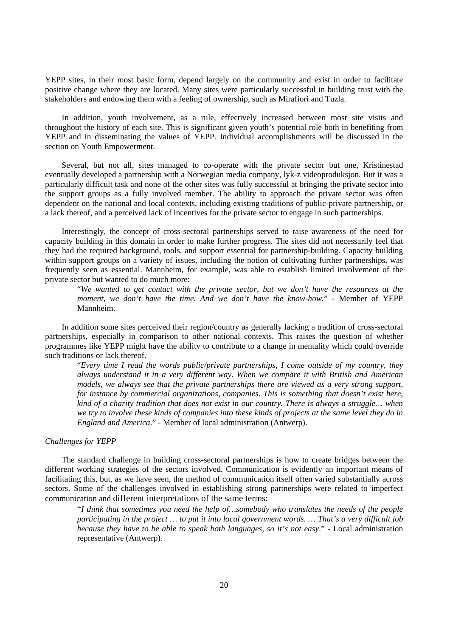YEPP sites, in their most basic form, depend largely on the community and exist in order to facilitate positive change where they are located. Many sites were particularly successful in building trust with the stakeholders and endowing them with a feeling of ownership, such as Mirafiori and Tuzla.

In addition, youth involvement, as a rule, effectively increased between most site visits and throughout the history of each site. This is significant given youth's potential role both in benefiting from YEPP and in disseminating the values of YEPP. Individual accomplishments will be discussed in the section on Youth Empowerment.

Several, but not all, sites managed to co-operate with the private sector but one, Kristinestad eventually developed a partnership with a Norwegian media company, lyk-z videoproduksjon. But it was a particularly difficult task and none of the other sites was fully successful at bringing the private sector into the support groups as a fully involved member. The ability to approach the private sector was often dependent on the national and local contexts, including existing traditions of public-private partnership, or a lack thereof, and a perceived lack of incentives for the private sector to engage in such partnerships.

Interestingly, the concept of cross-sectoral partnerships served to raise awareness of the need for capacity building in this domain in order to make further progress. The sites did not necessarily feel that they had the required background, tools, and support essential for partnership-building. Capacity building within support groups on a variety of issues, including the notion of cultivating further partnerships, was frequently seen as essential. Mannheim, for example, was able to establish limited involvement of the private sector but wanted to do much more:

"*We wanted to get contact with the private sector, but we don't have the resources at the moment, we don't have the time. And we don't have the know-how.*" - Member of YEPP Mannheim.

In addition some sites perceived their region/country as generally lacking a tradition of cross-sectoral partnerships, especially in comparison to other national contexts. This raises the question of whether programmes like YEPP might have the ability to contribute to a change in mentality which could override such traditions or lack thereof.

"*Every time I read the words public/private partnerships, I come outside of my country, they always understand it in a very different way. When we compare it with British and American models, we always see that the private partnerships there are viewed as a very strong support, for instance by commercial organizations, companies. This is something that doesn't exist here, kind of a charity tradition that does not exist in our country. There is always a struggle… when we try to involve these kinds of companies into these kinds of projects at the same level they do in England and America*." - Member of local administration (Antwerp).

# *Challenges for YEPP*

The standard challenge in building cross-sectoral partnerships is how to create bridges between the different working strategies of the sectors involved. Communication is evidently an important means of facilitating this, but, as we have seen, the method of communication itself often varied substantially across sectors. Some of the challenges involved in establishing strong partnerships were related to imperfect communication and different interpretations of the same terms:

"*I think that sometimes you need the help of…somebody who translates the needs of the people participating in the project … to put it into local government words. … That's a very difficult job because they have to be able to speak both languages, so it's not easy*." - Local administration representative (Antwerp).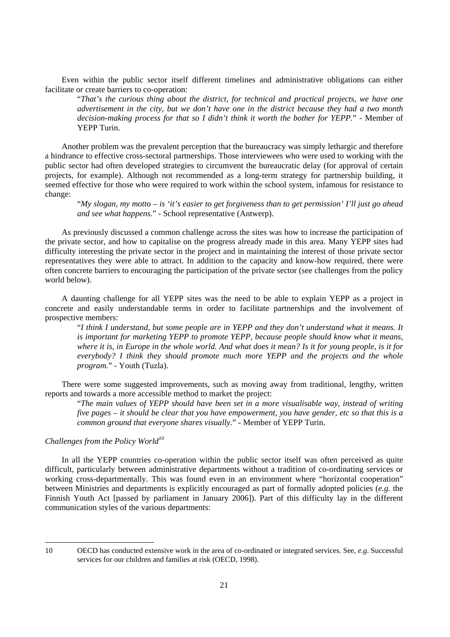Even within the public sector itself different timelines and administrative obligations can either facilitate or create barriers to co-operation:

"*That's the curious thing about the district, for technical and practical projects, we have one advertisement in the city, but we don't have one in the district because they had a two month decision-making process for that so I didn't think it worth the bother for YEPP.*" - Member of YEPP Turin.

Another problem was the prevalent perception that the bureaucracy was simply lethargic and therefore a hindrance to effective cross-sectoral partnerships. Those interviewees who were used to working with the public sector had often developed strategies to circumvent the bureaucratic delay (for approval of certain projects, for example). Although not recommended as a long-term strategy for partnership building, it seemed effective for those who were required to work within the school system, infamous for resistance to change:

"*My slogan, my motto – is 'it's easier to get forgiveness than to get permission' I'll just go ahead and see what happens*." - School representative (Antwerp).

As previously discussed a common challenge across the sites was how to increase the participation of the private sector, and how to capitalise on the progress already made in this area. Many YEPP sites had difficulty interesting the private sector in the project and in maintaining the interest of those private sector representatives they were able to attract. In addition to the capacity and know-how required, there were often concrete barriers to encouraging the participation of the private sector (see challenges from the policy world below).

A daunting challenge for all YEPP sites was the need to be able to explain YEPP as a project in concrete and easily understandable terms in order to facilitate partnerships and the involvement of prospective members:

"*I think I understand, but some people are in YEPP and they don't understand what it means. It is important for marketing YEPP to promote YEPP, because people should know what it means, where it is, in Europe in the whole world. And what does it mean? Is it for young people, is it for everybody? I think they should promote much more YEPP and the projects and the whole program.*" - Youth (Tuzla).

There were some suggested improvements, such as moving away from traditional, lengthy, written reports and towards a more accessible method to market the project:

"*The main values of YEPP should have been set in a more visualisable way, instead of writing five pages – it should be clear that you have empowerment, you have gender, etc so that this is a common ground that everyone shares visually.*" - Member of YEPP Turin.

# *Challenges from the Policy World<sup>10</sup>*

In all the YEPP countries co-operation within the public sector itself was often perceived as quite difficult, particularly between administrative departments without a tradition of co-ordinating services or working cross-departmentally. This was found even in an environment where "horizontal cooperation" between Ministries and departments is explicitly encouraged as part of formally adopted policies (*e.g.* the Finnish Youth Act [passed by parliament in January 2006]). Part of this difficulty lay in the different communication styles of the various departments:

 $\overline{a}$ 

<sup>10</sup> OECD has conducted extensive work in the area of co-ordinated or integrated services. See, *e.g*. Successful services for our children and families at risk (OECD, 1998).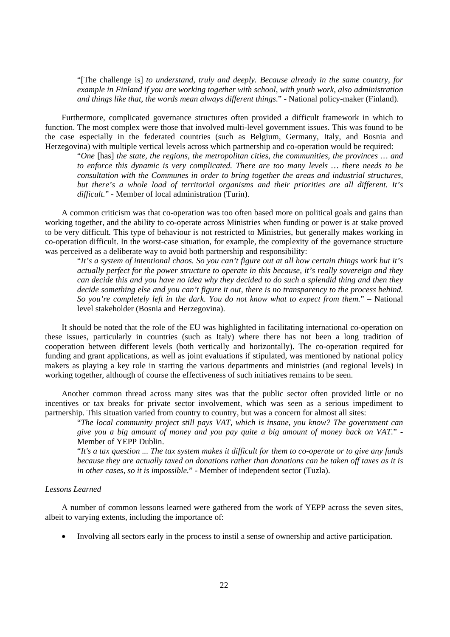"[The challenge is] *to understand, truly and deeply. Because already in the same country, for example in Finland if you are working together with school, with youth work, also administration and things like that, the words mean always different things*." - National policy-maker (Finland).

Furthermore, complicated governance structures often provided a difficult framework in which to function. The most complex were those that involved multi-level government issues. This was found to be the case especially in the federated countries (such as Belgium, Germany, Italy, and Bosnia and Herzegovina) with multiple vertical levels across which partnership and co-operation would be required:

"*One* [has] *the state, the regions, the metropolitan cities, the communities, the provinces … and to enforce this dynamic is very complicated. There are too many levels … there needs to be consultation with the Communes in order to bring together the areas and industrial structures, but there's a whole load of territorial organisms and their priorities are all different. It's difficult.*" - Member of local administration (Turin).

A common criticism was that co-operation was too often based more on political goals and gains than working together, and the ability to co-operate across Ministries when funding or power is at stake proved to be very difficult. This type of behaviour is not restricted to Ministries, but generally makes working in co-operation difficult. In the worst-case situation, for example, the complexity of the governance structure was perceived as a deliberate way to avoid both partnership and responsibility:

"*It's a system of intentional chaos. So you can't figure out at all how certain things work but it's actually perfect for the power structure to operate in this because, it's really sovereign and they can decide this and you have no idea why they decided to do such a splendid thing and then they decide something else and you can't figure it out, there is no transparency to the process behind. So you're completely left in the dark. You do not know what to expect from them.*" – National level stakeholder (Bosnia and Herzegovina).

It should be noted that the role of the EU was highlighted in facilitating international co-operation on these issues, particularly in countries (such as Italy) where there has not been a long tradition of cooperation between different levels (both vertically and horizontally). The co-operation required for funding and grant applications, as well as joint evaluations if stipulated, was mentioned by national policy makers as playing a key role in starting the various departments and ministries (and regional levels) in working together, although of course the effectiveness of such initiatives remains to be seen.

Another common thread across many sites was that the public sector often provided little or no incentives or tax breaks for private sector involvement, which was seen as a serious impediment to partnership. This situation varied from country to country, but was a concern for almost all sites:

"*The local community project still pays VAT, which is insane, you know? The government can give you a big amount of money and you pay quite a big amount of money back on VAT.*" - Member of YEPP Dublin.

"*It's a tax question ... The tax system makes it difficult for them to co-operate or to give any funds because they are actually taxed on donations rather than donations can be taken off taxes as it is in other cases, so it is impossible.*" - Member of independent sector (Tuzla).

# *Lessons Learned*

A number of common lessons learned were gathered from the work of YEPP across the seven sites, albeit to varying extents, including the importance of:

• Involving all sectors early in the process to instil a sense of ownership and active participation.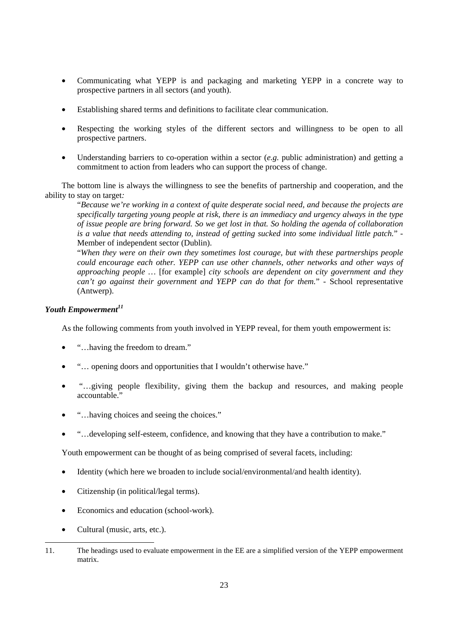- Communicating what YEPP is and packaging and marketing YEPP in a concrete way to prospective partners in all sectors (and youth).
- Establishing shared terms and definitions to facilitate clear communication.
- Respecting the working styles of the different sectors and willingness to be open to all prospective partners.
- Understanding barriers to co-operation within a sector (*e.g.* public administration) and getting a commitment to action from leaders who can support the process of change.

The bottom line is always the willingness to see the benefits of partnership and cooperation, and the ability to stay on target*:* 

"*Because we're working in a context of quite desperate social need, and because the projects are specifically targeting young people at risk, there is an immediacy and urgency always in the type of issue people are bring forward. So we get lost in that. So holding the agenda of collaboration is a value that needs attending to, instead of getting sucked into some individual little patch.*" - Member of independent sector (Dublin).

"*When they were on their own they sometimes lost courage, but with these partnerships people could encourage each other. YEPP can use other channels, other networks and other ways of approaching people …* [for example] *city schools are dependent on city government and they can't go against their government and YEPP can do that for them.*" - School representative (Antwerp).

# *Youth Empowerment<sup>11</sup>*

As the following comments from youth involved in YEPP reveal, for them youth empowerment is:

- "...b having the freedom to dream."
- "... opening doors and opportunities that I wouldn't otherwise have."
- "…giving people flexibility, giving them the backup and resources, and making people accountable."
- "…having choices and seeing the choices."
- "…developing self-esteem, confidence, and knowing that they have a contribution to make."

Youth empowerment can be thought of as being comprised of several facets, including:

- Identity (which here we broaden to include social/environmental/and health identity).
- Citizenship (in political/legal terms).
- Economics and education (school-work).
- Cultural (music, arts, etc.).

 $\overline{a}$ 11. The headings used to evaluate empowerment in the EE are a simplified version of the YEPP empowerment matrix.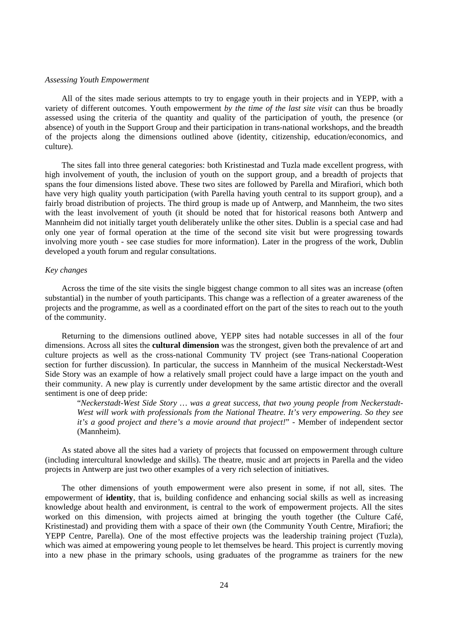### *Assessing Youth Empowerment*

All of the sites made serious attempts to try to engage youth in their projects and in YEPP, with a variety of different outcomes. Youth empowerment *by the time of the last site visit* can thus be broadly assessed using the criteria of the quantity and quality of the participation of youth, the presence (or absence) of youth in the Support Group and their participation in trans-national workshops, and the breadth of the projects along the dimensions outlined above (identity, citizenship, education/economics, and culture).

The sites fall into three general categories: both Kristinestad and Tuzla made excellent progress, with high involvement of youth, the inclusion of youth on the support group, and a breadth of projects that spans the four dimensions listed above. These two sites are followed by Parella and Mirafiori, which both have very high quality youth participation (with Parella having youth central to its support group), and a fairly broad distribution of projects. The third group is made up of Antwerp, and Mannheim, the two sites with the least involvement of youth (it should be noted that for historical reasons both Antwerp and Mannheim did not initially target youth deliberately unlike the other sites. Dublin is a special case and had only one year of formal operation at the time of the second site visit but were progressing towards involving more youth - see case studies for more information). Later in the progress of the work, Dublin developed a youth forum and regular consultations.

# *Key changes*

Across the time of the site visits the single biggest change common to all sites was an increase (often substantial) in the number of youth participants. This change was a reflection of a greater awareness of the projects and the programme, as well as a coordinated effort on the part of the sites to reach out to the youth of the community.

Returning to the dimensions outlined above, YEPP sites had notable successes in all of the four dimensions. Across all sites the **cultural dimension** was the strongest, given both the prevalence of art and culture projects as well as the cross-national Community TV project (see Trans-national Cooperation section for further discussion). In particular, the success in Mannheim of the musical Neckerstadt-West Side Story was an example of how a relatively small project could have a large impact on the youth and their community. A new play is currently under development by the same artistic director and the overall sentiment is one of deep pride:

"*Neckerstadt-West Side Story … was a great success, that two young people from Neckerstadt-West will work with professionals from the National Theatre. It's very empowering. So they see it's a good project and there's a movie around that project!*" - Member of independent sector (Mannheim).

As stated above all the sites had a variety of projects that focussed on empowerment through culture (including intercultural knowledge and skills). The theatre, music and art projects in Parella and the video projects in Antwerp are just two other examples of a very rich selection of initiatives.

The other dimensions of youth empowerment were also present in some, if not all, sites. The empowerment of **identity**, that is, building confidence and enhancing social skills as well as increasing knowledge about health and environment, is central to the work of empowerment projects. All the sites worked on this dimension, with projects aimed at bringing the youth together (the Culture Café, Kristinestad) and providing them with a space of their own (the Community Youth Centre, Mirafiori; the YEPP Centre, Parella). One of the most effective projects was the leadership training project (Tuzla), which was aimed at empowering young people to let themselves be heard. This project is currently moving into a new phase in the primary schools, using graduates of the programme as trainers for the new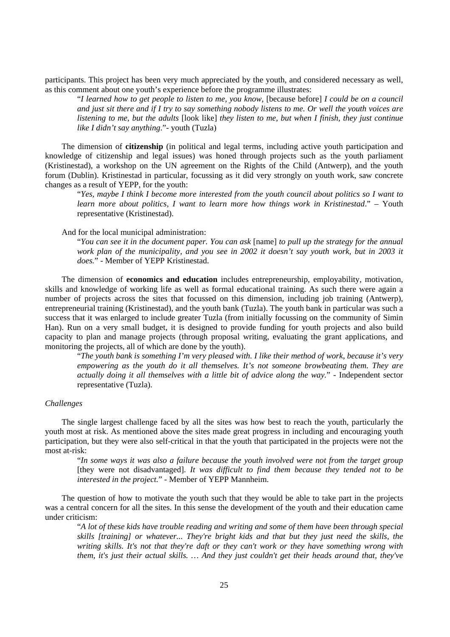participants. This project has been very much appreciated by the youth, and considered necessary as well, as this comment about one youth's experience before the programme illustrates:

"*I learned how to get people to listen to me, you know,* [because before] *I could be on a council and just sit there and if I try to say something nobody listens to me. Or well the youth voices are listening to me, but the adults* [look like] *they listen to me, but when I finish, they just continue like I didn't say anything*."- youth (Tuzla)

The dimension of **citizenship** (in political and legal terms, including active youth participation and knowledge of citizenship and legal issues) was honed through projects such as the youth parliament (Kristinestad), a workshop on the UN agreement on the Rights of the Child (Antwerp), and the youth forum (Dublin). Kristinestad in particular, focussing as it did very strongly on youth work, saw concrete changes as a result of YEPP, for the youth:

"*Yes, maybe I think I become more interested from the youth council about politics so I want to learn more about politics, I want to learn more how things work in Kristinestad*." – Youth representative (Kristinestad).

And for the local municipal administration:

"*You can see it in the document paper. You can ask* [name] *to pull up the strategy for the annual work plan of the municipality, and you see in 2002 it doesn't say youth work, but in 2003 it does.*" - Member of YEPP Kristinestad.

The dimension of **economics and education** includes entrepreneurship, employability, motivation, skills and knowledge of working life as well as formal educational training. As such there were again a number of projects across the sites that focussed on this dimension, including job training (Antwerp), entrepreneurial training (Kristinestad), and the youth bank (Tuzla). The youth bank in particular was such a success that it was enlarged to include greater Tuzla (from initially focussing on the community of Simin Han). Run on a very small budget, it is designed to provide funding for youth projects and also build capacity to plan and manage projects (through proposal writing, evaluating the grant applications, and monitoring the projects, all of which are done by the youth).

"*The youth bank is something I'm very pleased with. I like their method of work, because it's very empowering as the youth do it all themselves. It's not someone browbeating them. They are actually doing it all themselves with a little bit of advice along the way.*" - Independent sector representative (Tuzla).

### *Challenges*

The single largest challenge faced by all the sites was how best to reach the youth, particularly the youth most at risk. As mentioned above the sites made great progress in including and encouraging youth participation, but they were also self-critical in that the youth that participated in the projects were not the most at-risk:

"*In some ways it was also a failure because the youth involved were not from the target group*  [they were not disadvantaged]. *It was difficult to find them because they tended not to be interested in the project.*" - Member of YEPP Mannheim.

The question of how to motivate the youth such that they would be able to take part in the projects was a central concern for all the sites. In this sense the development of the youth and their education came under criticism:

"*A lot of these kids have trouble reading and writing and some of them have been through special skills [training] or whatever... They're bright kids and that but they just need the skills, the writing skills. It's not that they're daft or they can't work or they have something wrong with them, it's just their actual skills. … And they just couldn't get their heads around that, they've*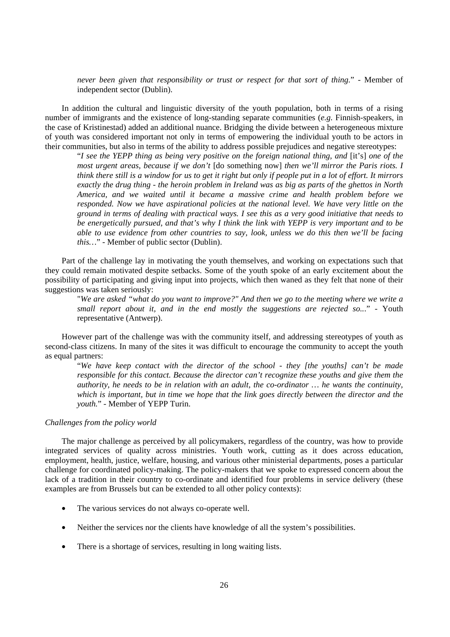*never been given that responsibility or trust or respect for that sort of thing.*" - Member of independent sector (Dublin).

In addition the cultural and linguistic diversity of the youth population, both in terms of a rising number of immigrants and the existence of long-standing separate communities (*e.g.* Finnish-speakers, in the case of Kristinestad) added an additional nuance. Bridging the divide between a heterogeneous mixture of youth was considered important not only in terms of empowering the individual youth to be actors in their communities, but also in terms of the ability to address possible prejudices and negative stereotypes:

"*I see the YEPP thing as being very positive on the foreign national thing, and* [it's] *one of the most urgent areas, because if we don't* [do something now] *then we'll mirror the Paris riots. I think there still is a window for us to get it right but only if people put in a lot of effort. It mirrors exactly the drug thing - the heroin problem in Ireland was as big as parts of the ghettos in North America, and we waited until it became a massive crime and health problem before we responded. Now we have aspirational policies at the national level. We have very little on the ground in terms of dealing with practical ways. I see this as a very good initiative that needs to be energetically pursued, and that's why I think the link with YEPP is very important and to be able to use evidence from other countries to say, look, unless we do this then we'll be facing this…*" - Member of public sector (Dublin).

Part of the challenge lay in motivating the youth themselves, and working on expectations such that they could remain motivated despite setbacks. Some of the youth spoke of an early excitement about the possibility of participating and giving input into projects, which then waned as they felt that none of their suggestions was taken seriously:

"*We are asked "what do you want to improve?" And then we go to the meeting where we write a small report about it, and in the end mostly the suggestions are rejected so..*." - Youth representative (Antwerp).

However part of the challenge was with the community itself, and addressing stereotypes of youth as second-class citizens. In many of the sites it was difficult to encourage the community to accept the youth as equal partners:

"*We have keep contact with the director of the school - they [the youths] can't be made responsible for this contact. Because the director can't recognize these youths and give them the authority, he needs to be in relation with an adult, the co-ordinator … he wants the continuity, which is important, but in time we hope that the link goes directly between the director and the youth.*" - Member of YEPP Turin.

### *Challenges from the policy world*

The major challenge as perceived by all policymakers, regardless of the country, was how to provide integrated services of quality across ministries. Youth work, cutting as it does across education, employment, health, justice, welfare, housing, and various other ministerial departments, poses a particular challenge for coordinated policy-making. The policy-makers that we spoke to expressed concern about the lack of a tradition in their country to co-ordinate and identified four problems in service delivery (these examples are from Brussels but can be extended to all other policy contexts):

- The various services do not always co-operate well.
- Neither the services nor the clients have knowledge of all the system's possibilities.
- There is a shortage of services, resulting in long waiting lists.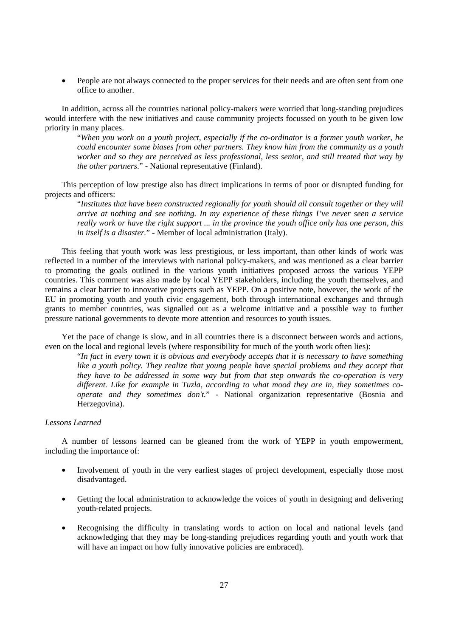• People are not always connected to the proper services for their needs and are often sent from one office to another.

In addition, across all the countries national policy-makers were worried that long-standing prejudices would interfere with the new initiatives and cause community projects focussed on youth to be given low priority in many places.

"*When you work on a youth project, especially if the co-ordinator is a former youth worker, he could encounter some biases from other partners. They know him from the community as a youth worker and so they are perceived as less professional, less senior, and still treated that way by the other partners*." - National representative (Finland).

This perception of low prestige also has direct implications in terms of poor or disrupted funding for projects and officers:

"*Institutes that have been constructed regionally for youth should all consult together or they will arrive at nothing and see nothing. In my experience of these things I've never seen a service really work or have the right support ... in the province the youth office only has one person, this in itself is a disaster.*" - Member of local administration (Italy).

This feeling that youth work was less prestigious, or less important, than other kinds of work was reflected in a number of the interviews with national policy-makers, and was mentioned as a clear barrier to promoting the goals outlined in the various youth initiatives proposed across the various YEPP countries. This comment was also made by local YEPP stakeholders, including the youth themselves, and remains a clear barrier to innovative projects such as YEPP. On a positive note, however, the work of the EU in promoting youth and youth civic engagement, both through international exchanges and through grants to member countries, was signalled out as a welcome initiative and a possible way to further pressure national governments to devote more attention and resources to youth issues.

Yet the pace of change is slow, and in all countries there is a disconnect between words and actions, even on the local and regional levels (where responsibility for much of the youth work often lies):

"*In fact in every town it is obvious and everybody accepts that it is necessary to have something like a youth policy. They realize that young people have special problems and they accept that they have to be addressed in some way but from that step onwards the co-operation is very different. Like for example in Tuzla, according to what mood they are in, they sometimes cooperate and they sometimes don't.*" - National organization representative (Bosnia and Herzegovina).

# *Lessons Learned*

A number of lessons learned can be gleaned from the work of YEPP in youth empowerment, including the importance of:

- Involvement of youth in the very earliest stages of project development, especially those most disadvantaged.
- Getting the local administration to acknowledge the voices of youth in designing and delivering youth-related projects.
- Recognising the difficulty in translating words to action on local and national levels (and acknowledging that they may be long-standing prejudices regarding youth and youth work that will have an impact on how fully innovative policies are embraced).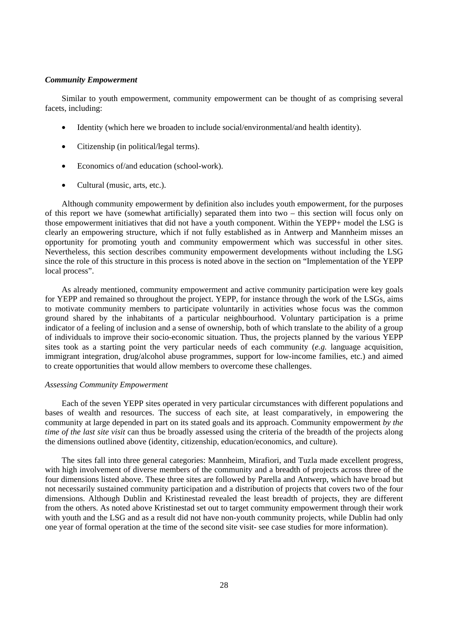#### *Community Empowerment*

Similar to youth empowerment, community empowerment can be thought of as comprising several facets, including:

- Identity (which here we broaden to include social/environmental/and health identity).
- Citizenship (in political/legal terms).
- Economics of/and education (school-work).
- Cultural (music, arts, etc.).

Although community empowerment by definition also includes youth empowerment, for the purposes of this report we have (somewhat artificially) separated them into two – this section will focus only on those empowerment initiatives that did not have a youth component. Within the YEPP+ model the LSG is clearly an empowering structure, which if not fully established as in Antwerp and Mannheim misses an opportunity for promoting youth and community empowerment which was successful in other sites. Nevertheless, this section describes community empowerment developments without including the LSG since the role of this structure in this process is noted above in the section on "Implementation of the YEPP local process".

As already mentioned, community empowerment and active community participation were key goals for YEPP and remained so throughout the project. YEPP, for instance through the work of the LSGs, aims to motivate community members to participate voluntarily in activities whose focus was the common ground shared by the inhabitants of a particular neighbourhood. Voluntary participation is a prime indicator of a feeling of inclusion and a sense of ownership, both of which translate to the ability of a group of individuals to improve their socio-economic situation. Thus, the projects planned by the various YEPP sites took as a starting point the very particular needs of each community (*e.g.* language acquisition, immigrant integration, drug/alcohol abuse programmes, support for low-income families, etc.) and aimed to create opportunities that would allow members to overcome these challenges.

### *Assessing Community Empowerment*

Each of the seven YEPP sites operated in very particular circumstances with different populations and bases of wealth and resources. The success of each site, at least comparatively, in empowering the community at large depended in part on its stated goals and its approach. Community empowerment *by the time of the last site visit* can thus be broadly assessed using the criteria of the breadth of the projects along the dimensions outlined above (identity, citizenship, education/economics, and culture).

The sites fall into three general categories: Mannheim, Mirafiori, and Tuzla made excellent progress, with high involvement of diverse members of the community and a breadth of projects across three of the four dimensions listed above. These three sites are followed by Parella and Antwerp, which have broad but not necessarily sustained community participation and a distribution of projects that covers two of the four dimensions. Although Dublin and Kristinestad revealed the least breadth of projects, they are different from the others. As noted above Kristinestad set out to target community empowerment through their work with youth and the LSG and as a result did not have non-youth community projects, while Dublin had only one year of formal operation at the time of the second site visit- see case studies for more information).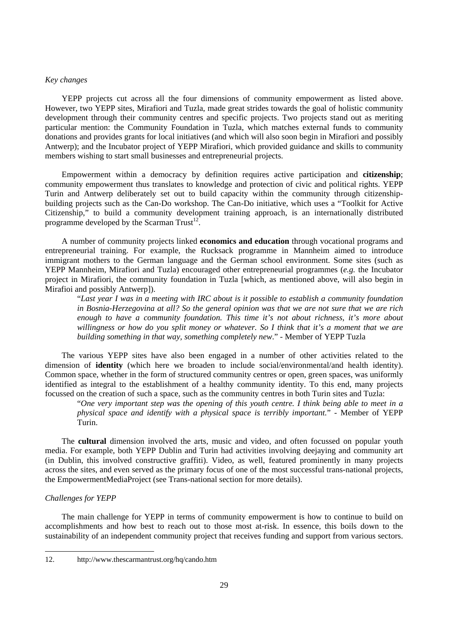# *Key changes*

YEPP projects cut across all the four dimensions of community empowerment as listed above. However, two YEPP sites, Mirafiori and Tuzla, made great strides towards the goal of holistic community development through their community centres and specific projects. Two projects stand out as meriting particular mention: the Community Foundation in Tuzla, which matches external funds to community donations and provides grants for local initiatives (and which will also soon begin in Mirafiori and possibly Antwerp); and the Incubator project of YEPP Mirafiori, which provided guidance and skills to community members wishing to start small businesses and entrepreneurial projects.

Empowerment within a democracy by definition requires active participation and **citizenship**; community empowerment thus translates to knowledge and protection of civic and political rights. YEPP Turin and Antwerp deliberately set out to build capacity within the community through citizenshipbuilding projects such as the Can-Do workshop. The Can-Do initiative, which uses a "Toolkit for Active Citizenship," to build a community development training approach, is an internationally distributed programme developed by the Scarman Trust<sup>12</sup>.

A number of community projects linked **economics and education** through vocational programs and entrepreneurial training. For example, the Rucksack programme in Mannheim aimed to introduce immigrant mothers to the German language and the German school environment. Some sites (such as YEPP Mannheim, Mirafiori and Tuzla) encouraged other entrepreneurial programmes (*e.g.* the Incubator project in Mirafiori, the community foundation in Tuzla [which, as mentioned above, will also begin in Mirafioi and possibly Antwerp]).

"*Last year I was in a meeting with IRC about is it possible to establish a community foundation in Bosnia-Herzegovina at all? So the general opinion was that we are not sure that we are rich enough to have a community foundation. This time it's not about richness, it's more about willingness or how do you split money or whatever. So I think that it's a moment that we are building something in that way, something completely new*." - Member of YEPP Tuzla

The various YEPP sites have also been engaged in a number of other activities related to the dimension of **identity** (which here we broaden to include social/environmental/and health identity). Common space, whether in the form of structured community centres or open, green spaces, was uniformly identified as integral to the establishment of a healthy community identity. To this end, many projects focussed on the creation of such a space, such as the community centres in both Turin sites and Tuzla:

"*One very important step was the opening of this youth centre. I think being able to meet in a physical space and identify with a physical space is terribly important.*" - Member of YEPP Turin.

The **cultural** dimension involved the arts, music and video, and often focussed on popular youth media. For example, both YEPP Dublin and Turin had activities involving deejaying and community art (in Dublin, this involved constructive graffiti). Video, as well, featured prominently in many projects across the sites, and even served as the primary focus of one of the most successful trans-national projects, the EmpowermentMediaProject (see Trans-national section for more details).

# *Challenges for YEPP*

 $\overline{a}$ 

The main challenge for YEPP in terms of community empowerment is how to continue to build on accomplishments and how best to reach out to those most at-risk. In essence, this boils down to the sustainability of an independent community project that receives funding and support from various sectors.

<sup>12.</sup> http://www.thescarmantrust.org/hq/cando.htm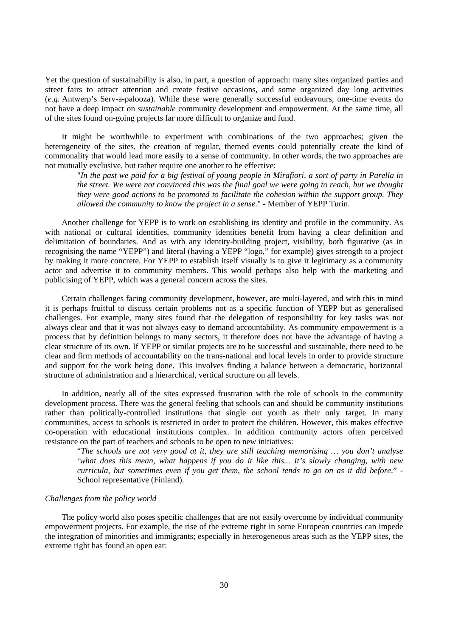Yet the question of sustainability is also, in part, a question of approach: many sites organized parties and street fairs to attract attention and create festive occasions, and some organized day long activities (*e.g.* Antwerp's Serv-a-palooza). While these were generally successful endeavours, one-time events do not have a deep impact on *sustainable* community development and empowerment. At the same time, all of the sites found on-going projects far more difficult to organize and fund.

It might be worthwhile to experiment with combinations of the two approaches; given the heterogeneity of the sites, the creation of regular, themed events could potentially create the kind of commonality that would lead more easily to a sense of community. In other words, the two approaches are not mutually exclusive, but rather require one another to be effective:

"*In the past we paid for a big festival of young people in Mirafiori, a sort of party in Parella in the street. We were not convinced this was the final goal we were going to reach, but we thought they were good actions to be promoted to facilitate the cohesion within the support group. They allowed the community to know the project in a sense.*" - Member of YEPP Turin.

Another challenge for YEPP is to work on establishing its identity and profile in the community. As with national or cultural identities, community identities benefit from having a clear definition and delimitation of boundaries. And as with any identity-building project, visibility, both figurative (as in recognising the name "YEPP") and literal (having a YEPP "logo," for example) gives strength to a project by making it more concrete. For YEPP to establish itself visually is to give it legitimacy as a community actor and advertise it to community members. This would perhaps also help with the marketing and publicising of YEPP, which was a general concern across the sites.

Certain challenges facing community development, however, are multi-layered, and with this in mind it is perhaps fruitful to discuss certain problems not as a specific function of YEPP but as generalised challenges. For example, many sites found that the delegation of responsibility for key tasks was not always clear and that it was not always easy to demand accountability. As community empowerment is a process that by definition belongs to many sectors, it therefore does not have the advantage of having a clear structure of its own. If YEPP or similar projects are to be successful and sustainable, there need to be clear and firm methods of accountability on the trans-national and local levels in order to provide structure and support for the work being done. This involves finding a balance between a democratic, horizontal structure of administration and a hierarchical, vertical structure on all levels.

In addition, nearly all of the sites expressed frustration with the role of schools in the community development process. There was the general feeling that schools can and should be community institutions rather than politically-controlled institutions that single out youth as their only target. In many communities, access to schools is restricted in order to protect the children. However, this makes effective co-operation with educational institutions complex. In addition community actors often perceived resistance on the part of teachers and schools to be open to new initiatives:

"*The schools are not very good at it, they are still teaching memorising … you don't analyse 'what does this mean, what happens if you do it like this... It's slowly changing, with new curricula, but sometimes even if you get them, the school tends to go on as it did before*." - School representative (Finland).

#### *Challenges from the policy world*

The policy world also poses specific challenges that are not easily overcome by individual community empowerment projects. For example, the rise of the extreme right in some European countries can impede the integration of minorities and immigrants; especially in heterogeneous areas such as the YEPP sites, the extreme right has found an open ear: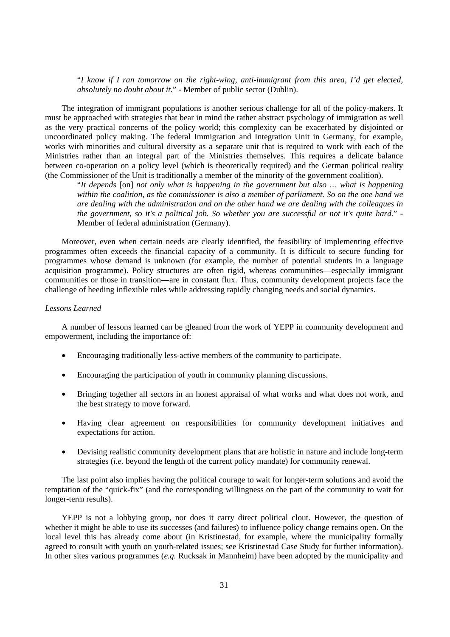"*I know if I ran tomorrow on the right-wing, anti-immigrant from this area, I'd get elected, absolutely no doubt about it.*" - Member of public sector (Dublin).

The integration of immigrant populations is another serious challenge for all of the policy-makers. It must be approached with strategies that bear in mind the rather abstract psychology of immigration as well as the very practical concerns of the policy world; this complexity can be exacerbated by disjointed or uncoordinated policy making. The federal Immigration and Integration Unit in Germany, for example, works with minorities and cultural diversity as a separate unit that is required to work with each of the Ministries rather than an integral part of the Ministries themselves. This requires a delicate balance between co-operation on a policy level (which is theoretically required) and the German political reality (the Commissioner of the Unit is traditionally a member of the minority of the government coalition).

"*It depends* [on] *not only what is happening in the government but also … what is happening within the coalition, as the commissioner is also a member of parliament. So on the one hand we are dealing with the administration and on the other hand we are dealing with the colleagues in the government, so it's a political job. So whether you are successful or not it's quite hard.*" - Member of federal administration (Germany).

Moreover, even when certain needs are clearly identified, the feasibility of implementing effective programmes often exceeds the financial capacity of a community. It is difficult to secure funding for programmes whose demand is unknown (for example, the number of potential students in a language acquisition programme). Policy structures are often rigid, whereas communities—especially immigrant communities or those in transition—are in constant flux. Thus, community development projects face the challenge of heeding inflexible rules while addressing rapidly changing needs and social dynamics.

#### *Lessons Learned*

A number of lessons learned can be gleaned from the work of YEPP in community development and empowerment, including the importance of:

- Encouraging traditionally less-active members of the community to participate.
- Encouraging the participation of youth in community planning discussions.
- Bringing together all sectors in an honest appraisal of what works and what does not work, and the best strategy to move forward.
- Having clear agreement on responsibilities for community development initiatives and expectations for action.
- Devising realistic community development plans that are holistic in nature and include long-term strategies (*i.e.* beyond the length of the current policy mandate) for community renewal.

The last point also implies having the political courage to wait for longer-term solutions and avoid the temptation of the "quick-fix" (and the corresponding willingness on the part of the community to wait for longer-term results).

YEPP is not a lobbying group, nor does it carry direct political clout. However, the question of whether it might be able to use its successes (and failures) to influence policy change remains open. On the local level this has already come about (in Kristinestad, for example, where the municipality formally agreed to consult with youth on youth-related issues; see Kristinestad Case Study for further information). In other sites various programmes (*e.g.* Rucksak in Mannheim) have been adopted by the municipality and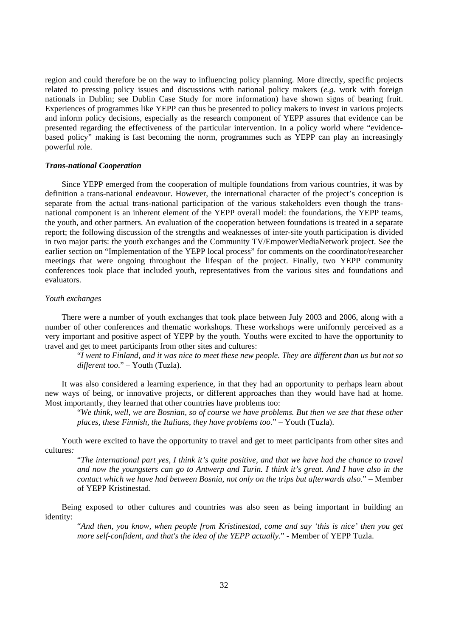region and could therefore be on the way to influencing policy planning. More directly, specific projects related to pressing policy issues and discussions with national policy makers (*e.g.* work with foreign nationals in Dublin; see Dublin Case Study for more information) have shown signs of bearing fruit. Experiences of programmes like YEPP can thus be presented to policy makers to invest in various projects and inform policy decisions, especially as the research component of YEPP assures that evidence can be presented regarding the effectiveness of the particular intervention. In a policy world where "evidencebased policy" making is fast becoming the norm, programmes such as YEPP can play an increasingly powerful role.

#### *Trans-national Cooperation*

Since YEPP emerged from the cooperation of multiple foundations from various countries, it was by definition a trans-national endeavour. However, the international character of the project's conception is separate from the actual trans-national participation of the various stakeholders even though the transnational component is an inherent element of the YEPP overall model: the foundations, the YEPP teams, the youth, and other partners. An evaluation of the cooperation between foundations is treated in a separate report; the following discussion of the strengths and weaknesses of inter-site youth participation is divided in two major parts: the youth exchanges and the Community TV/EmpowerMediaNetwork project. See the earlier section on "Implementation of the YEPP local process" for comments on the coordinator/researcher meetings that were ongoing throughout the lifespan of the project. Finally, two YEPP community conferences took place that included youth, representatives from the various sites and foundations and evaluators.

#### *Youth exchanges*

There were a number of youth exchanges that took place between July 2003 and 2006, along with a number of other conferences and thematic workshops. These workshops were uniformly perceived as a very important and positive aspect of YEPP by the youth. Youths were excited to have the opportunity to travel and get to meet participants from other sites and cultures:

"*I went to Finland, and it was nice to meet these new people. They are different than us but not so different too*." – Youth (Tuzla).

It was also considered a learning experience, in that they had an opportunity to perhaps learn about new ways of being, or innovative projects, or different approaches than they would have had at home. Most importantly, they learned that other countries have problems too:

"*We think, well, we are Bosnian, so of course we have problems. But then we see that these other places, these Finnish, the Italians, they have problems too*." – Youth (Tuzla).

Youth were excited to have the opportunity to travel and get to meet participants from other sites and cultures*:* 

"*The international part yes, I think it's quite positive, and that we have had the chance to travel and now the youngsters can go to Antwerp and Turin. I think it's great. And I have also in the contact which we have had between Bosnia, not only on the trips but afterwards also.*" – Member of YEPP Kristinestad.

Being exposed to other cultures and countries was also seen as being important in building an identity:

"*And then, you know, when people from Kristinestad, come and say 'this is nice' then you get more self-confident, and that's the idea of the YEPP actually*." - Member of YEPP Tuzla.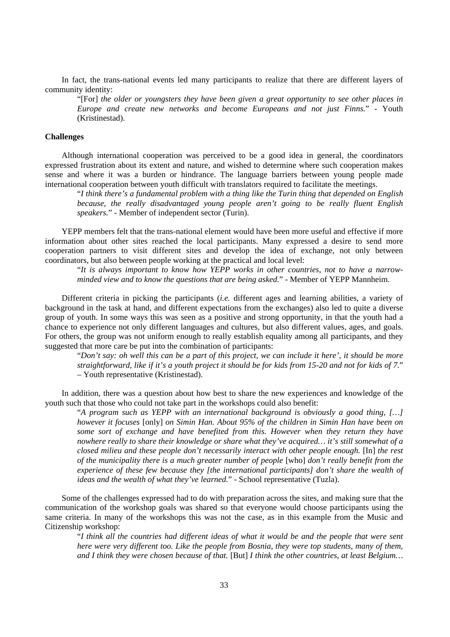In fact, the trans-national events led many participants to realize that there are different layers of community identity:

"[For] *the older or youngsters they have been given a great opportunity to see other places in Europe and create new networks and become Europeans and not just Finns.*" - Youth (Kristinestad).

#### **Challenges**

Although international cooperation was perceived to be a good idea in general, the coordinators expressed frustration about its extent and nature, and wished to determine where such cooperation makes sense and where it was a burden or hindrance. The language barriers between young people made international cooperation between youth difficult with translators required to facilitate the meetings.

"*I think there's a fundamental problem with a thing like the Turin thing that depended on English because, the really disadvantaged young people aren't going to be really fluent English speakers.*" - Member of independent sector (Turin).

YEPP members felt that the trans-national element would have been more useful and effective if more information about other sites reached the local participants. Many expressed a desire to send more cooperation partners to visit different sites and develop the idea of exchange, not only between coordinators, but also between people working at the practical and local level:

"*It is always important to know how YEPP works in other countries, not to have a narrowminded view and to know the questions that are being asked.*" - Member of YEPP Mannheim.

Different criteria in picking the participants (*i.e.* different ages and learning abilities, a variety of background in the task at hand, and different expectations from the exchanges) also led to quite a diverse group of youth. In some ways this was seen as a positive and strong opportunity, in that the youth had a chance to experience not only different languages and cultures, but also different values, ages, and goals. For others, the group was not uniform enough to really establish equality among all participants, and they suggested that more care be put into the combination of participants:

"*Don't say: oh well this can be a part of this project, we can include it here', it should be more straightforward, like if it's a youth project it should be for kids from 15-20 and not for kids of 7*." – Youth representative (Kristinestad).

In addition, there was a question about how best to share the new experiences and knowledge of the youth such that those who could not take part in the workshops could also benefit:

"*A program such as YEPP with an international background is obviously a good thing, […] however it focuses* [only] *on Simin Han. About 95% of the children in Simin Han have been on some sort of exchange and have benefited from this. However when they return they have nowhere really to share their knowledge or share what they've acquired… it's still somewhat of a closed milieu and these people don't necessarily interact with other people enough.* [In] *the rest of the municipality there is a much greater number of people* [who] *don't really benefit from the experience of these few because they [the international participants] don't share the wealth of ideas and the wealth of what they've learned.*" - School representative (Tuzla).

Some of the challenges expressed had to do with preparation across the sites, and making sure that the communication of the workshop goals was shared so that everyone would choose participants using the same criteria. In many of the workshops this was not the case, as in this example from the Music and Citizenship workshop:

"*I think all the countries had different ideas of what it would be and the people that were sent here were very different too. Like the people from Bosnia, they were top students, many of them, and I think they were chosen because of that.* [But] *I think the other countries, at least Belgium…*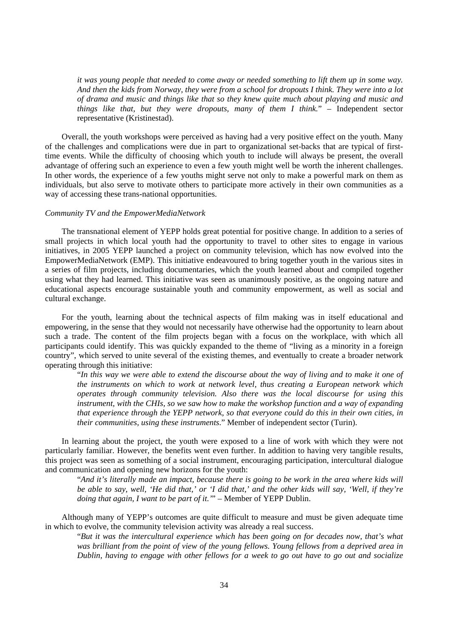*it was young people that needed to come away or needed something to lift them up in some way. And then the kids from Norway, they were from a school for dropouts I think. They were into a lot of drama and music and things like that so they knew quite much about playing and music and things like that, but they were dropouts, many of them I think.*" – Independent sector representative (Kristinestad).

Overall, the youth workshops were perceived as having had a very positive effect on the youth. Many of the challenges and complications were due in part to organizational set-backs that are typical of firsttime events. While the difficulty of choosing which youth to include will always be present, the overall advantage of offering such an experience to even a few youth might well be worth the inherent challenges. In other words, the experience of a few youths might serve not only to make a powerful mark on them as individuals, but also serve to motivate others to participate more actively in their own communities as a way of accessing these trans-national opportunities.

# *Community TV and the EmpowerMediaNetwork*

The transnational element of YEPP holds great potential for positive change. In addition to a series of small projects in which local youth had the opportunity to travel to other sites to engage in various initiatives, in 2005 YEPP launched a project on community television, which has now evolved into the EmpowerMediaNetwork (EMP). This initiative endeavoured to bring together youth in the various sites in a series of film projects, including documentaries, which the youth learned about and compiled together using what they had learned. This initiative was seen as unanimously positive, as the ongoing nature and educational aspects encourage sustainable youth and community empowerment, as well as social and cultural exchange.

For the youth, learning about the technical aspects of film making was in itself educational and empowering, in the sense that they would not necessarily have otherwise had the opportunity to learn about such a trade. The content of the film projects began with a focus on the workplace, with which all participants could identify. This was quickly expanded to the theme of "living as a minority in a foreign country", which served to unite several of the existing themes, and eventually to create a broader network operating through this initiative:

"*In this way we were able to extend the discourse about the way of living and to make it one of the instruments on which to work at network level, thus creating a European network which operates through community television. Also there was the local discourse for using this instrument, with the CHIs, so we saw how to make the workshop function and a way of expanding that experience through the YEPP network, so that everyone could do this in their own cities, in their communities, using these instruments*." Member of independent sector (Turin).

In learning about the project, the youth were exposed to a line of work with which they were not particularly familiar. However, the benefits went even further. In addition to having very tangible results, this project was seen as something of a social instrument, encouraging participation, intercultural dialogue and communication and opening new horizons for the youth:

"*And it's literally made an impact, because there is going to be work in the area where kids will be able to say, well, 'He did that,' or 'I did that,' and the other kids will say, 'Well, if they're doing that again, I want to be part of it.'*" – Member of YEPP Dublin.

Although many of YEPP's outcomes are quite difficult to measure and must be given adequate time in which to evolve, the community television activity was already a real success.

"*But it was the intercultural experience which has been going on for decades now, that's what was brilliant from the point of view of the young fellows. Young fellows from a deprived area in Dublin, having to engage with other fellows for a week to go out have to go out and socialize*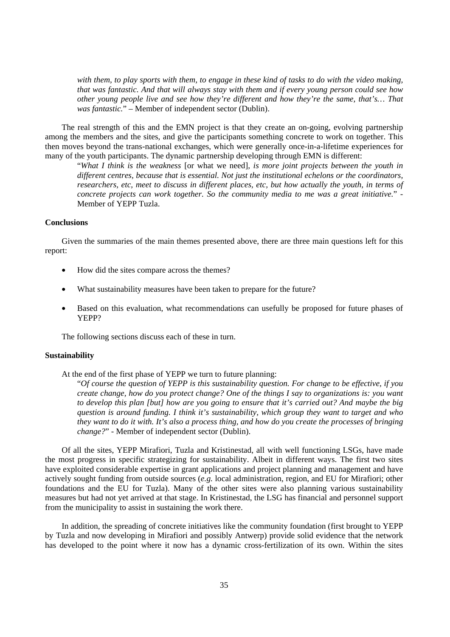*with them, to play sports with them, to engage in these kind of tasks to do with the video making, that was fantastic. And that will always stay with them and if every young person could see how other young people live and see how they're different and how they're the same, that's… That was fantastic.*" – Member of independent sector (Dublin).

The real strength of this and the EMN project is that they create an on-going, evolving partnership among the members and the sites, and give the participants something concrete to work on together. This then moves beyond the trans-national exchanges, which were generally once-in-a-lifetime experiences for many of the youth participants. The dynamic partnership developing through EMN is different:

"*What I think is the weakness* [or what we need]*, is more joint projects between the youth in different centres, because that is essential. Not just the institutional echelons or the coordinators, researchers, etc, meet to discuss in different places, etc, but how actually the youth, in terms of concrete projects can work together. So the community media to me was a great initiative.*" - Member of YEPP Tuzla.

## **Conclusions**

Given the summaries of the main themes presented above, there are three main questions left for this report:

- How did the sites compare across the themes?
- What sustainability measures have been taken to prepare for the future?
- Based on this evaluation, what recommendations can usefully be proposed for future phases of YEPP?

The following sections discuss each of these in turn.

#### **Sustainability**

At the end of the first phase of YEPP we turn to future planning:

"*Of course the question of YEPP is this sustainability question. For change to be effective, if you create change, how do you protect change? One of the things I say to organizations is: you want to develop this plan [but] how are you going to ensure that it's carried out? And maybe the big question is around funding. I think it's sustainability, which group they want to target and who they want to do it with. It's also a process thing, and how do you create the processes of bringing change?*" - Member of independent sector (Dublin).

Of all the sites, YEPP Mirafiori, Tuzla and Kristinestad, all with well functioning LSGs, have made the most progress in specific strategizing for sustainability. Albeit in different ways. The first two sites have exploited considerable expertise in grant applications and project planning and management and have actively sought funding from outside sources (*e.g.* local administration, region, and EU for Mirafiori; other foundations and the EU for Tuzla). Many of the other sites were also planning various sustainability measures but had not yet arrived at that stage. In Kristinestad, the LSG has financial and personnel support from the municipality to assist in sustaining the work there.

In addition, the spreading of concrete initiatives like the community foundation (first brought to YEPP by Tuzla and now developing in Mirafiori and possibly Antwerp) provide solid evidence that the network has developed to the point where it now has a dynamic cross-fertilization of its own. Within the sites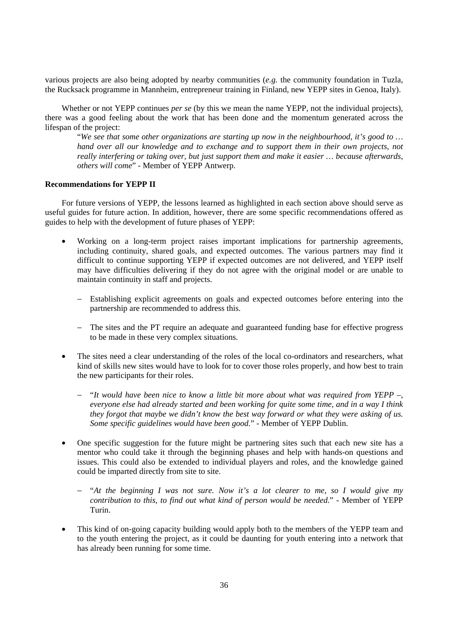various projects are also being adopted by nearby communities (*e.g.* the community foundation in Tuzla, the Rucksack programme in Mannheim, entrepreneur training in Finland, new YEPP sites in Genoa, Italy).

Whether or not YEPP continues *per se* (by this we mean the name YEPP, not the individual projects), there was a good feeling about the work that has been done and the momentum generated across the lifespan of the project:

"*We see that some other organizations are starting up now in the neighbourhood, it's good to … hand over all our knowledge and to exchange and to support them in their own projects, not really interfering or taking over, but just support them and make it easier … because afterwards, others will come*" - Member of YEPP Antwerp.

#### **Recommendations for YEPP II**

For future versions of YEPP, the lessons learned as highlighted in each section above should serve as useful guides for future action. In addition, however, there are some specific recommendations offered as guides to help with the development of future phases of YEPP:

- Working on a long-term project raises important implications for partnership agreements, including continuity, shared goals, and expected outcomes. The various partners may find it difficult to continue supporting YEPP if expected outcomes are not delivered, and YEPP itself may have difficulties delivering if they do not agree with the original model or are unable to maintain continuity in staff and projects.
	- Establishing explicit agreements on goals and expected outcomes before entering into the partnership are recommended to address this.
	- − The sites and the PT require an adequate and guaranteed funding base for effective progress to be made in these very complex situations.
- The sites need a clear understanding of the roles of the local co-ordinators and researchers, what kind of skills new sites would have to look for to cover those roles properly, and how best to train the new participants for their roles.
	- − "*It would have been nice to know a little bit more about what was required from YEPP –, everyone else had already started and been working for quite some time, and in a way I think they forgot that maybe we didn't know the best way forward or what they were asking of us. Some specific guidelines would have been good.*" - Member of YEPP Dublin.
- One specific suggestion for the future might be partnering sites such that each new site has a mentor who could take it through the beginning phases and help with hands-on questions and issues. This could also be extended to individual players and roles, and the knowledge gained could be imparted directly from site to site.
	- − "*At the beginning I was not sure. Now it's a lot clearer to me, so I would give my contribution to this, to find out what kind of person would be needed.*" - Member of YEPP Turin.
- This kind of on-going capacity building would apply both to the members of the YEPP team and to the youth entering the project, as it could be daunting for youth entering into a network that has already been running for some time.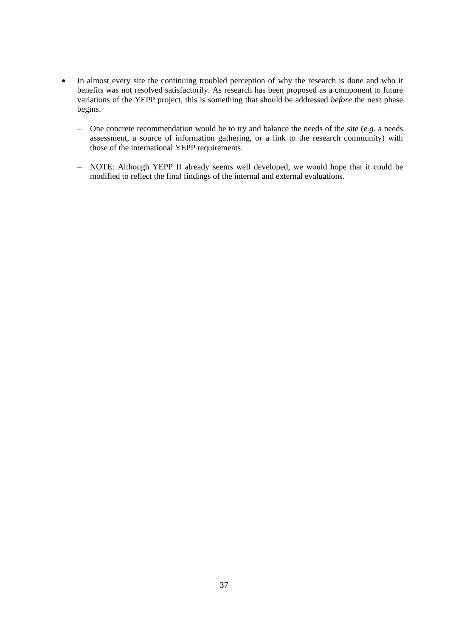- In almost every site the continuing troubled perception of why the research is done and who it benefits was not resolved satisfactorily. As research has been proposed as a component to future variations of the YEPP project, this is something that should be addressed *before* the next phase begins.
	- − One concrete recommendation would be to try and balance the needs of the site (*e.g.* a needs assessment, a source of information gathering, or a link to the research community) with those of the international YEPP requirements.
	- − NOTE: Although YEPP II already seems well developed, we would hope that it could be modified to reflect the final findings of the internal and external evaluations.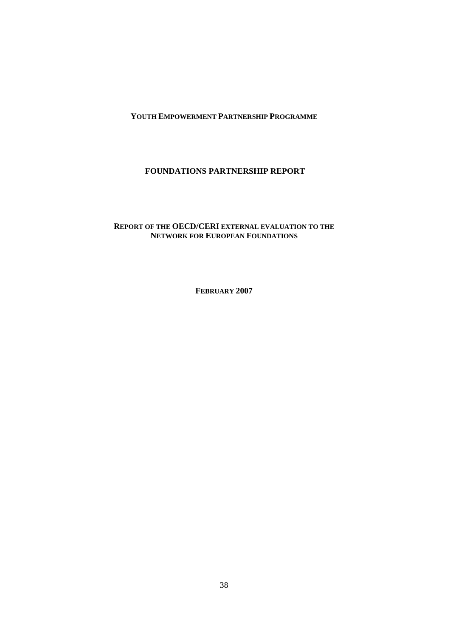## **YOUTH EMPOWERMENT PARTNERSHIP PROGRAMME**

# **FOUNDATIONS PARTNERSHIP REPORT**

# **REPORT OF THE OECD/CERI EXTERNAL EVALUATION TO THE NETWORK FOR EUROPEAN FOUNDATIONS**

**FEBRUARY 2007**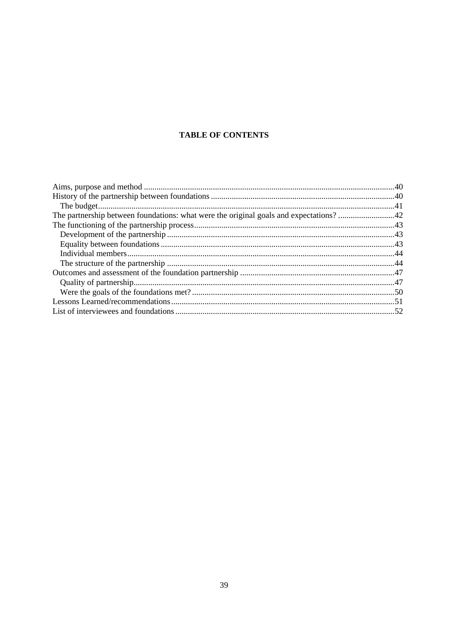# **TABLE OF CONTENTS**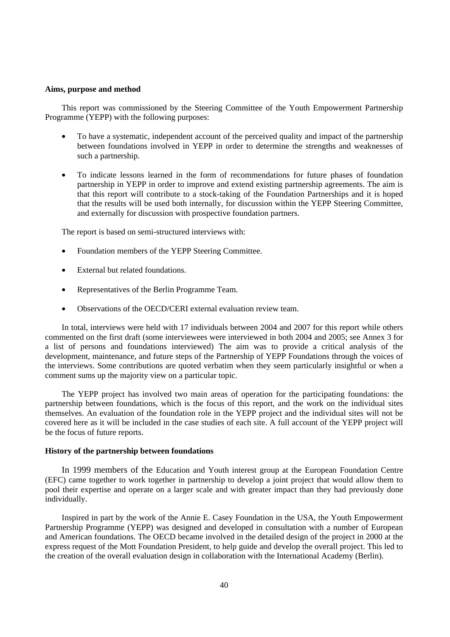### **Aims, purpose and method**

This report was commissioned by the Steering Committee of the Youth Empowerment Partnership Programme (YEPP) with the following purposes:

- To have a systematic, independent account of the perceived quality and impact of the partnership between foundations involved in YEPP in order to determine the strengths and weaknesses of such a partnership.
- To indicate lessons learned in the form of recommendations for future phases of foundation partnership in YEPP in order to improve and extend existing partnership agreements. The aim is that this report will contribute to a stock-taking of the Foundation Partnerships and it is hoped that the results will be used both internally, for discussion within the YEPP Steering Committee, and externally for discussion with prospective foundation partners.

The report is based on semi-structured interviews with:

- Foundation members of the YEPP Steering Committee.
- External but related foundations.
- Representatives of the Berlin Programme Team.
- Observations of the OECD/CERI external evaluation review team.

In total, interviews were held with 17 individuals between 2004 and 2007 for this report while others commented on the first draft (some interviewees were interviewed in both 2004 and 2005; see Annex 3 for a list of persons and foundations interviewed) The aim was to provide a critical analysis of the development, maintenance, and future steps of the Partnership of YEPP Foundations through the voices of the interviews. Some contributions are quoted verbatim when they seem particularly insightful or when a comment sums up the majority view on a particular topic.

The YEPP project has involved two main areas of operation for the participating foundations: the partnership between foundations, which is the focus of this report, and the work on the individual sites themselves. An evaluation of the foundation role in the YEPP project and the individual sites will not be covered here as it will be included in the case studies of each site. A full account of the YEPP project will be the focus of future reports.

## **History of the partnership between foundations**

In 1999 members of the Education and Youth interest group at the European Foundation Centre (EFC) came together to work together in partnership to develop a joint project that would allow them to pool their expertise and operate on a larger scale and with greater impact than they had previously done individually.

Inspired in part by the work of the Annie E. Casey Foundation in the USA, the Youth Empowerment Partnership Programme (YEPP) was designed and developed in consultation with a number of European and American foundations. The OECD became involved in the detailed design of the project in 2000 at the express request of the Mott Foundation President, to help guide and develop the overall project. This led to the creation of the overall evaluation design in collaboration with the International Academy (Berlin).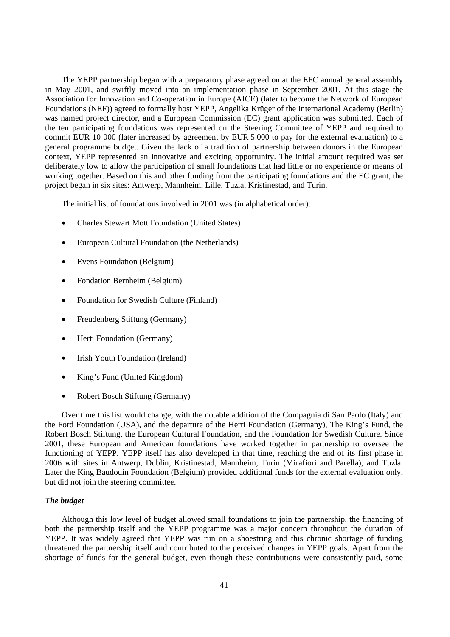The YEPP partnership began with a preparatory phase agreed on at the EFC annual general assembly in May 2001, and swiftly moved into an implementation phase in September 2001. At this stage the Association for Innovation and Co-operation in Europe (AICE) (later to become the Network of European Foundations (NEF)) agreed to formally host YEPP, Angelika Krüger of the International Academy (Berlin) was named project director, and a European Commission (EC) grant application was submitted. Each of the ten participating foundations was represented on the Steering Committee of YEPP and required to commit EUR 10 000 (later increased by agreement by EUR 5 000 to pay for the external evaluation) to a general programme budget. Given the lack of a tradition of partnership between donors in the European context, YEPP represented an innovative and exciting opportunity. The initial amount required was set deliberately low to allow the participation of small foundations that had little or no experience or means of working together. Based on this and other funding from the participating foundations and the EC grant, the project began in six sites: Antwerp, Mannheim, Lille, Tuzla, Kristinestad, and Turin.

The initial list of foundations involved in 2001 was (in alphabetical order):

- Charles Stewart Mott Foundation (United States)
- European Cultural Foundation (the Netherlands)
- Evens Foundation (Belgium)
- Fondation Bernheim (Belgium)
- Foundation for Swedish Culture (Finland)
- Freudenberg Stiftung (Germany)
- Herti Foundation (Germany)
- Irish Youth Foundation (Ireland)
- King's Fund (United Kingdom)
- Robert Bosch Stiftung (Germany)

Over time this list would change, with the notable addition of the Compagnia di San Paolo (Italy) and the Ford Foundation (USA), and the departure of the Herti Foundation (Germany), The King's Fund, the Robert Bosch Stiftung, the European Cultural Foundation, and the Foundation for Swedish Culture. Since 2001, these European and American foundations have worked together in partnership to oversee the functioning of YEPP. YEPP itself has also developed in that time, reaching the end of its first phase in 2006 with sites in Antwerp, Dublin, Kristinestad, Mannheim, Turin (Mirafiori and Parella), and Tuzla. Later the King Baudouin Foundation (Belgium) provided additional funds for the external evaluation only, but did not join the steering committee.

### *The budget*

Although this low level of budget allowed small foundations to join the partnership, the financing of both the partnership itself and the YEPP programme was a major concern throughout the duration of YEPP. It was widely agreed that YEPP was run on a shoestring and this chronic shortage of funding threatened the partnership itself and contributed to the perceived changes in YEPP goals. Apart from the shortage of funds for the general budget, even though these contributions were consistently paid, some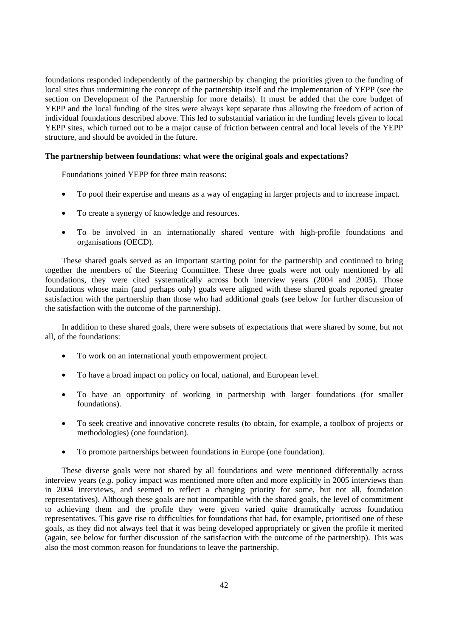foundations responded independently of the partnership by changing the priorities given to the funding of local sites thus undermining the concept of the partnership itself and the implementation of YEPP (see the section on Development of the Partnership for more details). It must be added that the core budget of YEPP and the local funding of the sites were always kept separate thus allowing the freedom of action of individual foundations described above. This led to substantial variation in the funding levels given to local YEPP sites, which turned out to be a major cause of friction between central and local levels of the YEPP structure, and should be avoided in the future.

## **The partnership between foundations: what were the original goals and expectations?**

Foundations joined YEPP for three main reasons:

- To pool their expertise and means as a way of engaging in larger projects and to increase impact.
- To create a synergy of knowledge and resources.
- To be involved in an internationally shared venture with high-profile foundations and organisations (OECD).

These shared goals served as an important starting point for the partnership and continued to bring together the members of the Steering Committee. These three goals were not only mentioned by all foundations, they were cited systematically across both interview years (2004 and 2005). Those foundations whose main (and perhaps only) goals were aligned with these shared goals reported greater satisfaction with the partnership than those who had additional goals (see below for further discussion of the satisfaction with the outcome of the partnership).

In addition to these shared goals, there were subsets of expectations that were shared by some, but not all, of the foundations:

- To work on an international youth empowerment project.
- To have a broad impact on policy on local, national, and European level.
- To have an opportunity of working in partnership with larger foundations (for smaller foundations).
- To seek creative and innovative concrete results (to obtain, for example, a toolbox of projects or methodologies) (one foundation).
- To promote partnerships between foundations in Europe (one foundation).

These diverse goals were not shared by all foundations and were mentioned differentially across interview years (*e.g.* policy impact was mentioned more often and more explicitly in 2005 interviews than in 2004 interviews, and seemed to reflect a changing priority for some, but not all, foundation representatives). Although these goals are not incompatible with the shared goals, the level of commitment to achieving them and the profile they were given varied quite dramatically across foundation representatives. This gave rise to difficulties for foundations that had, for example, prioritised one of these goals, as they did not always feel that it was being developed appropriately or given the profile it merited (again, see below for further discussion of the satisfaction with the outcome of the partnership). This was also the most common reason for foundations to leave the partnership.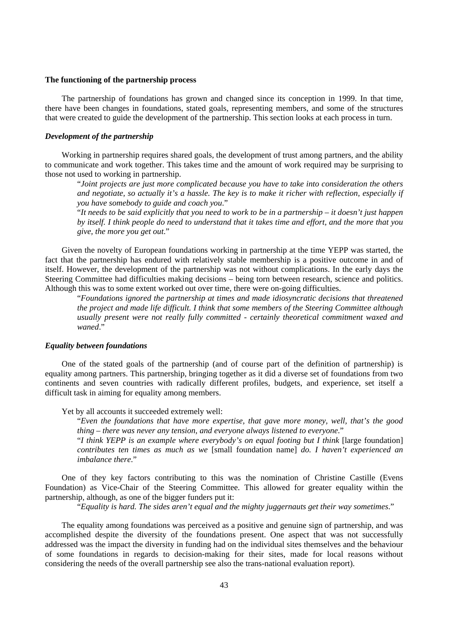#### **The functioning of the partnership process**

The partnership of foundations has grown and changed since its conception in 1999. In that time, there have been changes in foundations, stated goals, representing members, and some of the structures that were created to guide the development of the partnership. This section looks at each process in turn.

## *Development of the partnership*

Working in partnership requires shared goals, the development of trust among partners, and the ability to communicate and work together. This takes time and the amount of work required may be surprising to those not used to working in partnership.

"*Joint projects are just more complicated because you have to take into consideration the others and negotiate, so actually it's a hassle. The key is to make it richer with reflection, especially if you have somebody to guide and coach you*."

"*It needs to be said explicitly that you need to work to be in a partnership – it doesn't just happen by itself. I think people do need to understand that it takes time and effort, and the more that you give, the more you get out*."

Given the novelty of European foundations working in partnership at the time YEPP was started, the fact that the partnership has endured with relatively stable membership is a positive outcome in and of itself. However, the development of the partnership was not without complications. In the early days the Steering Committee had difficulties making decisions – being torn between research, science and politics. Although this was to some extent worked out over time, there were on-going difficulties.

"*Foundations ignored the partnership at times and made idiosyncratic decisions that threatened the project and made life difficult. I think that some members of the Steering Committee although usually present were not really fully committed - certainly theoretical commitment waxed and waned*."

### *Equality between foundations*

One of the stated goals of the partnership (and of course part of the definition of partnership) is equality among partners. This partnership, bringing together as it did a diverse set of foundations from two continents and seven countries with radically different profiles, budgets, and experience, set itself a difficult task in aiming for equality among members.

Yet by all accounts it succeeded extremely well:

"*Even the foundations that have more expertise, that gave more money, well, that's the good thing – there was never any tension, and everyone always listened to everyone*."

"*I think YEPP is an example where everybody's on equal footing but I think* [large foundation] *contributes ten times as much as we* [small foundation name] *do. I haven't experienced an imbalance there*."

One of they key factors contributing to this was the nomination of Christine Castille (Evens Foundation) as Vice-Chair of the Steering Committee. This allowed for greater equality within the partnership, although, as one of the bigger funders put it:

"*Equality is hard. The sides aren't equal and the mighty juggernauts get their way sometimes*."

The equality among foundations was perceived as a positive and genuine sign of partnership, and was accomplished despite the diversity of the foundations present. One aspect that was not successfully addressed was the impact the diversity in funding had on the individual sites themselves and the behaviour of some foundations in regards to decision-making for their sites, made for local reasons without considering the needs of the overall partnership see also the trans-national evaluation report).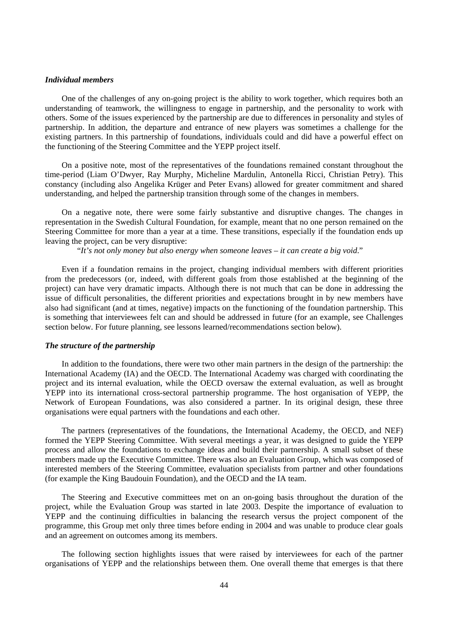### *Individual members*

One of the challenges of any on-going project is the ability to work together, which requires both an understanding of teamwork, the willingness to engage in partnership, and the personality to work with others. Some of the issues experienced by the partnership are due to differences in personality and styles of partnership. In addition, the departure and entrance of new players was sometimes a challenge for the existing partners. In this partnership of foundations, individuals could and did have a powerful effect on the functioning of the Steering Committee and the YEPP project itself.

On a positive note, most of the representatives of the foundations remained constant throughout the time-period (Liam O'Dwyer, Ray Murphy, Micheline Mardulin, Antonella Ricci, Christian Petry). This constancy (including also Angelika Krüger and Peter Evans) allowed for greater commitment and shared understanding, and helped the partnership transition through some of the changes in members.

On a negative note, there were some fairly substantive and disruptive changes. The changes in representation in the Swedish Cultural Foundation, for example, meant that no one person remained on the Steering Committee for more than a year at a time. These transitions, especially if the foundation ends up leaving the project, can be very disruptive:

"*It's not only money but also energy when someone leaves – it can create a big void*."

Even if a foundation remains in the project, changing individual members with different priorities from the predecessors (or, indeed, with different goals from those established at the beginning of the project) can have very dramatic impacts. Although there is not much that can be done in addressing the issue of difficult personalities, the different priorities and expectations brought in by new members have also had significant (and at times, negative) impacts on the functioning of the foundation partnership. This is something that interviewees felt can and should be addressed in future (for an example, see Challenges section below. For future planning, see lessons learned/recommendations section below).

### *The structure of the partnership*

In addition to the foundations, there were two other main partners in the design of the partnership: the International Academy (IA) and the OECD. The International Academy was charged with coordinating the project and its internal evaluation, while the OECD oversaw the external evaluation, as well as brought YEPP into its international cross-sectoral partnership programme. The host organisation of YEPP, the Network of European Foundations, was also considered a partner. In its original design, these three organisations were equal partners with the foundations and each other.

The partners (representatives of the foundations, the International Academy, the OECD, and NEF) formed the YEPP Steering Committee. With several meetings a year, it was designed to guide the YEPP process and allow the foundations to exchange ideas and build their partnership. A small subset of these members made up the Executive Committee. There was also an Evaluation Group, which was composed of interested members of the Steering Committee, evaluation specialists from partner and other foundations (for example the King Baudouin Foundation), and the OECD and the IA team.

The Steering and Executive committees met on an on-going basis throughout the duration of the project, while the Evaluation Group was started in late 2003. Despite the importance of evaluation to YEPP and the continuing difficulties in balancing the research versus the project component of the programme, this Group met only three times before ending in 2004 and was unable to produce clear goals and an agreement on outcomes among its members.

The following section highlights issues that were raised by interviewees for each of the partner organisations of YEPP and the relationships between them. One overall theme that emerges is that there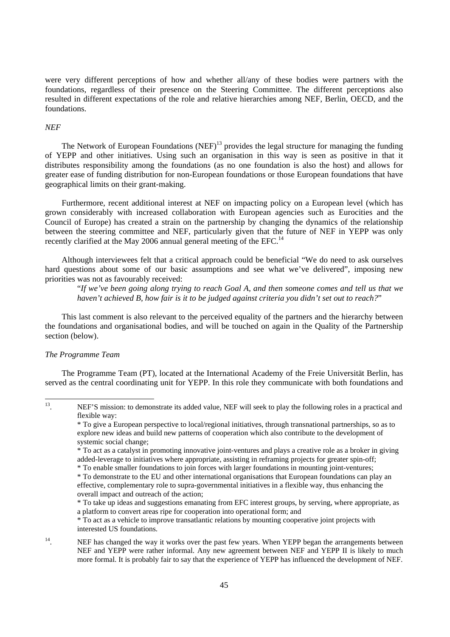were very different perceptions of how and whether all/any of these bodies were partners with the foundations, regardless of their presence on the Steering Committee. The different perceptions also resulted in different expectations of the role and relative hierarchies among NEF, Berlin, OECD, and the foundations.

### *NEF*

The Network of European Foundations  $(NEF)^{13}$  provides the legal structure for managing the funding of YEPP and other initiatives. Using such an organisation in this way is seen as positive in that it distributes responsibility among the foundations (as no one foundation is also the host) and allows for greater ease of funding distribution for non-European foundations or those European foundations that have geographical limits on their grant-making.

Furthermore, recent additional interest at NEF on impacting policy on a European level (which has grown considerably with increased collaboration with European agencies such as Eurocities and the Council of Europe) has created a strain on the partnership by changing the dynamics of the relationship between the steering committee and NEF, particularly given that the future of NEF in YEPP was only recently clarified at the May 2006 annual general meeting of the EFC.<sup>14</sup>

Although interviewees felt that a critical approach could be beneficial "We do need to ask ourselves hard questions about some of our basic assumptions and see what we've delivered", imposing new priorities was not as favourably received:

"*If we've been going along trying to reach Goal A, and then someone comes and tell us that we haven't achieved B, how fair is it to be judged against criteria you didn't set out to reach?*"

This last comment is also relevant to the perceived equality of the partners and the hierarchy between the foundations and organisational bodies, and will be touched on again in the Quality of the Partnership section (below).

## *The Programme Team*

The Programme Team (PT), located at the International Academy of the Freie Universität Berlin, has served as the central coordinating unit for YEPP. In this role they communicate with both foundations and

\* To act as a vehicle to improve transatlantic relations by mounting cooperative joint projects with interested US foundations.

## <sup>14</sup>. NEF has changed the way it works over the past few years. When YEPP began the arrangements between NEF and YEPP were rather informal. Any new agreement between NEF and YEPP II is likely to much more formal. It is probably fair to say that the experience of YEPP has influenced the development of NEF.

<sup>13</sup> NEF'S mission: to demonstrate its added value, NEF will seek to play the following roles in a practical and flexible way:

<sup>\*</sup> To give a European perspective to local/regional initiatives, through transnational partnerships, so as to explore new ideas and build new patterns of cooperation which also contribute to the development of systemic social change;

<sup>\*</sup> To act as a catalyst in promoting innovative joint-ventures and plays a creative role as a broker in giving added-leverage to initiatives where appropriate, assisting in reframing projects for greater spin-off;

<sup>\*</sup> To enable smaller foundations to join forces with larger foundations in mounting joint-ventures;

<sup>\*</sup> To demonstrate to the EU and other international organisations that European foundations can play an effective, complementary role to supra-governmental initiatives in a flexible way, thus enhancing the overall impact and outreach of the action;

<sup>\*</sup> To take up ideas and suggestions emanating from EFC interest groups, by serving, where appropriate, as a platform to convert areas ripe for cooperation into operational form; and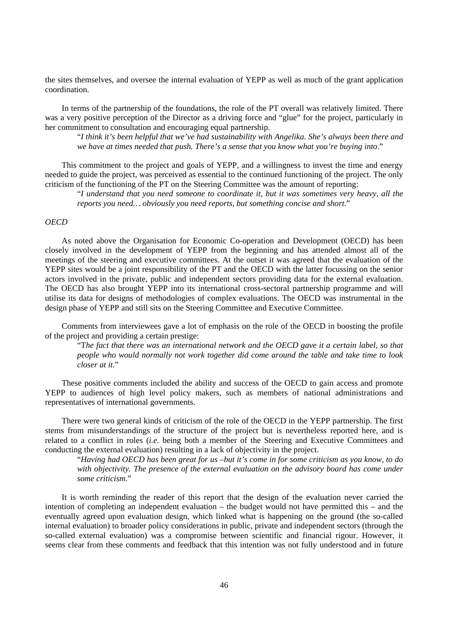the sites themselves, and oversee the internal evaluation of YEPP as well as much of the grant application coordination.

In terms of the partnership of the foundations, the role of the PT overall was relatively limited. There was a very positive perception of the Director as a driving force and "glue" for the project, particularly in her commitment to consultation and encouraging equal partnership.

"*I think it's been helpful that we've had sustainability with Angelika. She's always been there and we have at times needed that push. There's a sense that you know what you're buying into*."

This commitment to the project and goals of YEPP, and a willingness to invest the time and energy needed to guide the project, was perceived as essential to the continued functioning of the project. The only criticism of the functioning of the PT on the Steering Committee was the amount of reporting:

"*I understand that you need someone to coordinate it, but it was sometimes very heavy, all the reports you need… obviously you need reports, but something concise and short*."

## *OECD*

As noted above the Organisation for Economic Co-operation and Development (OECD) has been closely involved in the development of YEPP from the beginning and has attended almost all of the meetings of the steering and executive committees. At the outset it was agreed that the evaluation of the YEPP sites would be a joint responsibility of the PT and the OECD with the latter focussing on the senior actors involved in the private, public and independent sectors providing data for the external evaluation. The OECD has also brought YEPP into its international cross-sectoral partnership programme and will utilise its data for designs of methodologies of complex evaluations. The OECD was instrumental in the design phase of YEPP and still sits on the Steering Committee and Executive Committee.

Comments from interviewees gave a lot of emphasis on the role of the OECD in boosting the profile of the project and providing a certain prestige:

"T*he fact that there was an international network and the OECD gave it a certain label, so that people who would normally not work together did come around the table and take time to look closer at it*."

These positive comments included the ability and success of the OECD to gain access and promote YEPP to audiences of high level policy makers, such as members of national administrations and representatives of international governments.

There were two general kinds of criticism of the role of the OECD in the YEPP partnership. The first stems from misunderstandings of the structure of the project but is nevertheless reported here, and is related to a conflict in roles (*i.e.* being both a member of the Steering and Executive Committees and conducting the external evaluation) resulting in a lack of objectivity in the project.

"*Having had OECD has been great for us –but it's come in for some criticism as you know, to do with objectivity. The presence of the external evaluation on the advisory board has come under some criticism*."

It is worth reminding the reader of this report that the design of the evaluation never carried the intention of completing an independent evaluation – the budget would not have permitted this – and the eventually agreed upon evaluation design, which linked what is happening on the ground (the so-called internal evaluation) to broader policy considerations in public, private and independent sectors (through the so-called external evaluation) was a compromise between scientific and financial rigour. However, it seems clear from these comments and feedback that this intention was not fully understood and in future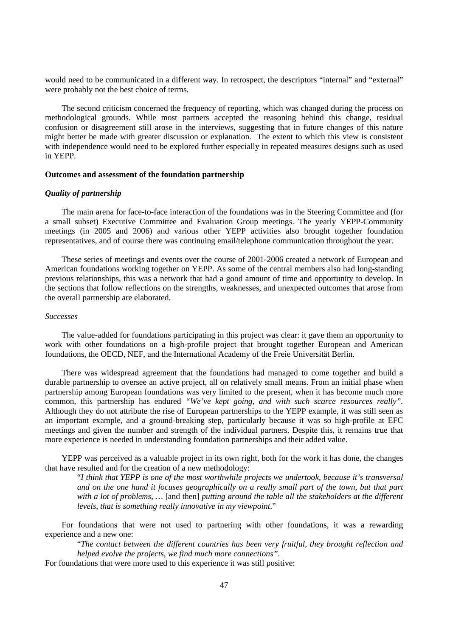would need to be communicated in a different way. In retrospect, the descriptors "internal" and "external" were probably not the best choice of terms.

The second criticism concerned the frequency of reporting, which was changed during the process on methodological grounds. While most partners accepted the reasoning behind this change, residual confusion or disagreement still arose in the interviews, suggesting that in future changes of this nature might better be made with greater discussion or explanation. The extent to which this view is consistent with independence would need to be explored further especially in repeated measures designs such as used in YEPP.

### **Outcomes and assessment of the foundation partnership**

## *Quality of partnership*

The main arena for face-to-face interaction of the foundations was in the Steering Committee and (for a small subset) Executive Committee and Evaluation Group meetings. The yearly YEPP-Community meetings (in 2005 and 2006) and various other YEPP activities also brought together foundation representatives, and of course there was continuing email/telephone communication throughout the year.

These series of meetings and events over the course of 2001-2006 created a network of European and American foundations working together on YEPP. As some of the central members also had long-standing previous relationships, this was a network that had a good amount of time and opportunity to develop. In the sections that follow reflections on the strengths, weaknesses, and unexpected outcomes that arose from the overall partnership are elaborated.

#### *Successes*

The value-added for foundations participating in this project was clear: it gave them an opportunity to work with other foundations on a high-profile project that brought together European and American foundations, the OECD, NEF, and the International Academy of the Freie Universität Berlin.

There was widespread agreement that the foundations had managed to come together and build a durable partnership to oversee an active project, all on relatively small means. From an initial phase when partnership among European foundations was very limited to the present, when it has become much more common, this partnership has endured *"We've kept going, and with such scarce resources really".*  Although they do not attribute the rise of European partnerships to the YEPP example, it was still seen as an important example, and a ground-breaking step, particularly because it was so high-profile at EFC meetings and given the number and strength of the individual partners. Despite this, it remains true that more experience is needed in understanding foundation partnerships and their added value.

YEPP was perceived as a valuable project in its own right, both for the work it has done, the changes that have resulted and for the creation of a new methodology:

"*I think that YEPP is one of the most worthwhile projects we undertook, because it's transversal and on the one hand it focuses geographically on a really small part of the town, but that part with a lot of problems, …* [and then] *putting around the table all the stakeholders at the different levels, that is something really innovative in my viewpoint*."

For foundations that were not used to partnering with other foundations, it was a rewarding experience and a new one:

"*The contact between the different countries has been very fruitful, they brought reflection and helped evolve the projects, we find much more connections".* 

For foundations that were more used to this experience it was still positive: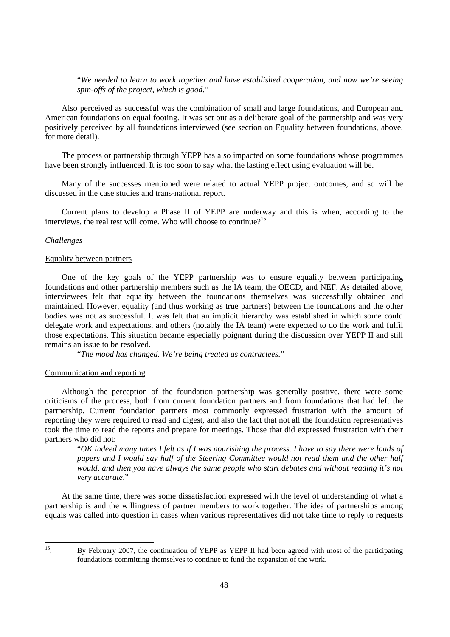"*We needed to learn to work together and have established cooperation, and now we're seeing spin-offs of the project, which is good*."

Also perceived as successful was the combination of small and large foundations, and European and American foundations on equal footing. It was set out as a deliberate goal of the partnership and was very positively perceived by all foundations interviewed (see section on Equality between foundations, above, for more detail).

The process or partnership through YEPP has also impacted on some foundations whose programmes have been strongly influenced. It is too soon to say what the lasting effect using evaluation will be.

Many of the successes mentioned were related to actual YEPP project outcomes, and so will be discussed in the case studies and trans-national report.

Current plans to develop a Phase II of YEPP are underway and this is when, according to the interviews, the real test will come. Who will choose to continue?<sup>15</sup>

## *Challenges*

#### Equality between partners

One of the key goals of the YEPP partnership was to ensure equality between participating foundations and other partnership members such as the IA team, the OECD, and NEF. As detailed above, interviewees felt that equality between the foundations themselves was successfully obtained and maintained. However, equality (and thus working as true partners) between the foundations and the other bodies was not as successful. It was felt that an implicit hierarchy was established in which some could delegate work and expectations, and others (notably the IA team) were expected to do the work and fulfil those expectations. This situation became especially poignant during the discussion over YEPP II and still remains an issue to be resolved.

"*The mood has changed. We're being treated as contractees.*"

## Communication and reporting

Although the perception of the foundation partnership was generally positive, there were some criticisms of the process, both from current foundation partners and from foundations that had left the partnership. Current foundation partners most commonly expressed frustration with the amount of reporting they were required to read and digest, and also the fact that not all the foundation representatives took the time to read the reports and prepare for meetings. Those that did expressed frustration with their partners who did not:

"*OK indeed many times I felt as if I was nourishing the process. I have to say there were loads of papers and I would say half of the Steering Committee would not read them and the other half would, and then you have always the same people who start debates and without reading it's not very accurate*."

At the same time, there was some dissatisfaction expressed with the level of understanding of what a partnership is and the willingness of partner members to work together. The idea of partnerships among equals was called into question in cases when various representatives did not take time to reply to requests

 $15<sub>15</sub>$ 

<sup>15.</sup> By February 2007, the continuation of YEPP as YEPP II had been agreed with most of the participating foundations committing themselves to continue to fund the expansion of the work.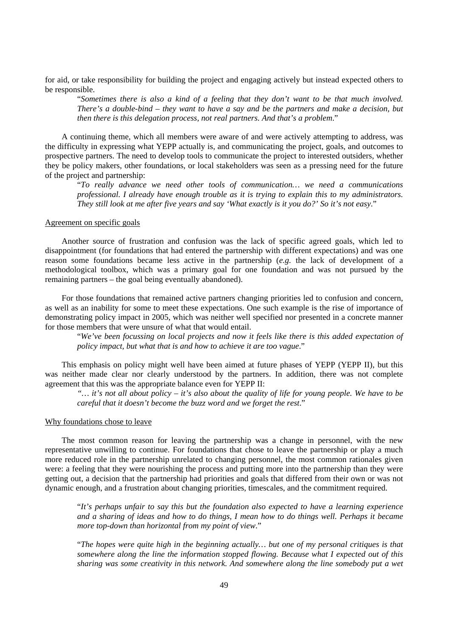for aid, or take responsibility for building the project and engaging actively but instead expected others to be responsible.

"*Sometimes there is also a kind of a feeling that they don't want to be that much involved. There's a double-bind – they want to have a say and be the partners and make a decision, but then there is this delegation process, not real partners. And that's a problem*."

A continuing theme, which all members were aware of and were actively attempting to address, was the difficulty in expressing what YEPP actually is, and communicating the project, goals, and outcomes to prospective partners. The need to develop tools to communicate the project to interested outsiders, whether they be policy makers, other foundations, or local stakeholders was seen as a pressing need for the future of the project and partnership:

"*To really advance we need other tools of communication… we need a communications professional. I already have enough trouble as it is trying to explain this to my administrators. They still look at me after five years and say 'What exactly is it you do?' So it's not easy*."

#### Agreement on specific goals

Another source of frustration and confusion was the lack of specific agreed goals, which led to disappointment (for foundations that had entered the partnership with different expectations) and was one reason some foundations became less active in the partnership (*e.g.* the lack of development of a methodological toolbox, which was a primary goal for one foundation and was not pursued by the remaining partners – the goal being eventually abandoned).

For those foundations that remained active partners changing priorities led to confusion and concern, as well as an inability for some to meet these expectations. One such example is the rise of importance of demonstrating policy impact in 2005, which was neither well specified nor presented in a concrete manner for those members that were unsure of what that would entail.

"*We've been focussing on local projects and now it feels like there is this added expectation of policy impact, but what that is and how to achieve it are too vague*."

This emphasis on policy might well have been aimed at future phases of YEPP (YEPP II), but this was neither made clear nor clearly understood by the partners. In addition, there was not complete agreement that this was the appropriate balance even for YEPP II:

*"… it's not all about policy – it's also about the quality of life for young people. We have to be careful that it doesn't become the buzz word and we forget the rest*."

#### Why foundations chose to leave

The most common reason for leaving the partnership was a change in personnel, with the new representative unwilling to continue. For foundations that chose to leave the partnership or play a much more reduced role in the partnership unrelated to changing personnel, the most common rationales given were: a feeling that they were nourishing the process and putting more into the partnership than they were getting out, a decision that the partnership had priorities and goals that differed from their own or was not dynamic enough, and a frustration about changing priorities, timescales, and the commitment required.

"*It's perhaps unfair to say this but the foundation also expected to have a learning experience and a sharing of ideas and how to do things, I mean how to do things well. Perhaps it became more top-down than horizontal from my point of view*."

"*The hopes were quite high in the beginning actually… but one of my personal critiques is that somewhere along the line the information stopped flowing. Because what I expected out of this sharing was some creativity in this network. And somewhere along the line somebody put a wet*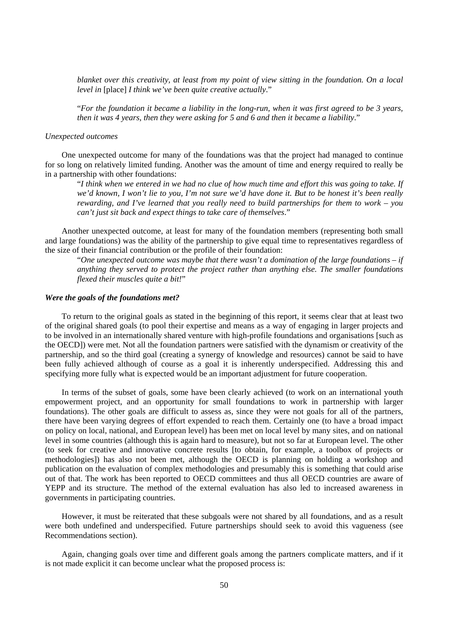*blanket over this creativity, at least from my point of view sitting in the foundation. On a local level in* [place] *I think we've been quite creative actually*."

"*For the foundation it became a liability in the long-run, when it was first agreed to be 3 years, then it was 4 years, then they were asking for 5 and 6 and then it became a liability*."

#### *Unexpected outcomes*

One unexpected outcome for many of the foundations was that the project had managed to continue for so long on relatively limited funding. Another was the amount of time and energy required to really be in a partnership with other foundations:

"*I think when we entered in we had no clue of how much time and effort this was going to take. If we'd known, I won't lie to you, I'm not sure we'd have done it. But to be honest it's been really rewarding, and I've learned that you really need to build partnerships for them to work – you can't just sit back and expect things to take care of themselves*."

Another unexpected outcome, at least for many of the foundation members (representing both small and large foundations) was the ability of the partnership to give equal time to representatives regardless of the size of their financial contribution or the profile of their foundation:

"*One unexpected outcome was maybe that there wasn't a domination of the large foundations – if anything they served to protect the project rather than anything else. The smaller foundations flexed their muscles quite a bit!*"

#### *Were the goals of the foundations met?*

To return to the original goals as stated in the beginning of this report, it seems clear that at least two of the original shared goals (to pool their expertise and means as a way of engaging in larger projects and to be involved in an internationally shared venture with high-profile foundations and organisations [such as the OECD]) were met. Not all the foundation partners were satisfied with the dynamism or creativity of the partnership, and so the third goal (creating a synergy of knowledge and resources) cannot be said to have been fully achieved although of course as a goal it is inherently underspecified. Addressing this and specifying more fully what is expected would be an important adjustment for future cooperation.

In terms of the subset of goals, some have been clearly achieved (to work on an international youth empowerment project, and an opportunity for small foundations to work in partnership with larger foundations). The other goals are difficult to assess as, since they were not goals for all of the partners, there have been varying degrees of effort expended to reach them. Certainly one (to have a broad impact on policy on local, national, and European level) has been met on local level by many sites, and on national level in some countries (although this is again hard to measure), but not so far at European level. The other (to seek for creative and innovative concrete results [to obtain, for example, a toolbox of projects or methodologies]) has also not been met, although the OECD is planning on holding a workshop and publication on the evaluation of complex methodologies and presumably this is something that could arise out of that. The work has been reported to OECD committees and thus all OECD countries are aware of YEPP and its structure. The method of the external evaluation has also led to increased awareness in governments in participating countries.

However, it must be reiterated that these subgoals were not shared by all foundations, and as a result were both undefined and underspecified. Future partnerships should seek to avoid this vagueness (see Recommendations section).

Again, changing goals over time and different goals among the partners complicate matters, and if it is not made explicit it can become unclear what the proposed process is: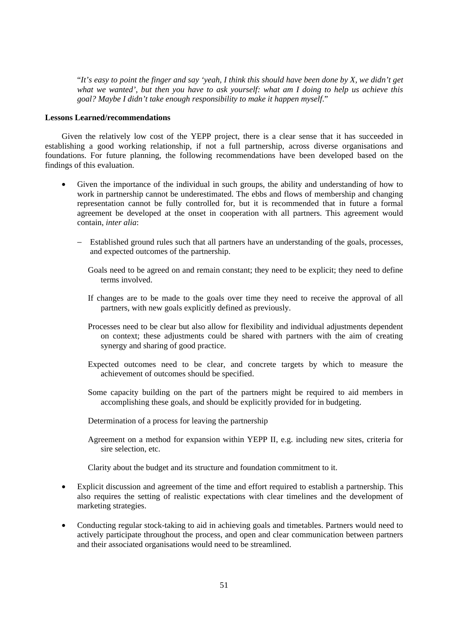"*It's easy to point the finger and say 'yeah, I think this should have been done by X, we didn't get what we wanted', but then you have to ask yourself: what am I doing to help us achieve this goal? Maybe I didn't take enough responsibility to make it happen myself*."

### **Lessons Learned/recommendations**

Given the relatively low cost of the YEPP project, there is a clear sense that it has succeeded in establishing a good working relationship, if not a full partnership, across diverse organisations and foundations. For future planning, the following recommendations have been developed based on the findings of this evaluation.

- Given the importance of the individual in such groups, the ability and understanding of how to work in partnership cannot be underestimated. The ebbs and flows of membership and changing representation cannot be fully controlled for, but it is recommended that in future a formal agreement be developed at the onset in cooperation with all partners. This agreement would contain, *inter alia*:
	- Established ground rules such that all partners have an understanding of the goals, processes, and expected outcomes of the partnership.
		- Goals need to be agreed on and remain constant; they need to be explicit; they need to define terms involved.
		- If changes are to be made to the goals over time they need to receive the approval of all partners, with new goals explicitly defined as previously.
		- Processes need to be clear but also allow for flexibility and individual adjustments dependent on context; these adjustments could be shared with partners with the aim of creating synergy and sharing of good practice.
		- Expected outcomes need to be clear, and concrete targets by which to measure the achievement of outcomes should be specified.
		- Some capacity building on the part of the partners might be required to aid members in accomplishing these goals, and should be explicitly provided for in budgeting.
		- Determination of a process for leaving the partnership
		- Agreement on a method for expansion within YEPP II, e.g. including new sites, criteria for sire selection, etc.

Clarity about the budget and its structure and foundation commitment to it.

- Explicit discussion and agreement of the time and effort required to establish a partnership. This also requires the setting of realistic expectations with clear timelines and the development of marketing strategies.
- Conducting regular stock-taking to aid in achieving goals and timetables. Partners would need to actively participate throughout the process, and open and clear communication between partners and their associated organisations would need to be streamlined.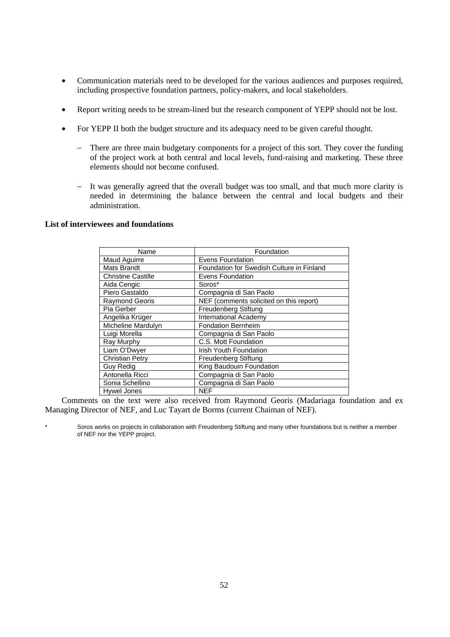- Communication materials need to be developed for the various audiences and purposes required, including prospective foundation partners, policy-makers, and local stakeholders.
- Report writing needs to be stream-lined but the research component of YEPP should not be lost.
- For YEPP II both the budget structure and its adequacy need to be given careful thought.
	- There are three main budgetary components for a project of this sort. They cover the funding of the project work at both central and local levels, fund-raising and marketing. These three elements should not become confused.
	- It was generally agreed that the overall budget was too small, and that much more clarity is needed in determining the balance between the central and local budgets and their administration.

## **List of interviewees and foundations**

| Name                      | Foundation                                |
|---------------------------|-------------------------------------------|
| Maud Aguirre              | <b>Evens Foundation</b>                   |
| <b>Mats Brandt</b>        | Foundation for Swedish Culture in Finland |
| <b>Christine Castille</b> | <b>Evens Foundation</b>                   |
| Aida Cengic               | Soros*                                    |
| Piero Gastaldo            | Compagnia di San Paolo                    |
| Raymond Georis            | NEF (comments solicited on this report)   |
| Pia Gerber                | Freudenberg Stiftung                      |
| Angelika Krüger           | International Academy                     |
| Micheline Mardulyn        | <b>Fondation Bernheim</b>                 |
| Luigi Morella             | Compagnia di San Paolo                    |
| Ray Murphy                | C.S. Mott Foundation                      |
| Liam O'Dwyer              | <b>Irish Youth Foundation</b>             |
| <b>Christian Petry</b>    | Freudenberg Stiftung                      |
| Guy Redig                 | King Baudouin Foundation                  |
| Antonella Ricci           | Compagnia di San Paolo                    |
| Sonia Schellino           | Compagnia di San Paolo                    |
| Hywel Jones               | <b>NEF</b>                                |

Comments on the text were also received from Raymond Georis (Madariaga foundation and ex Managing Director of NEF, and Luc Tayart de Borms (current Chaiman of NEF).

Soros works on projects in collaboration with Freudenberg Stiftung and many other foundations but is neither a member of NEF nor the YEPP project.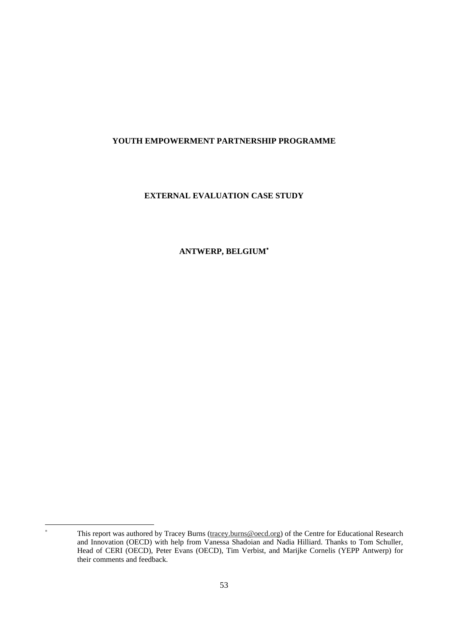# **YOUTH EMPOWERMENT PARTNERSHIP PROGRAMME**

# **EXTERNAL EVALUATION CASE STUDY**

## **ANTWERP, BELGIUM**<sup>∗</sup>

 $\overline{a}$ ∗

This report was authored by Tracey Burns (tracey.burns@oecd.org) of the Centre for Educational Research and Innovation (OECD) with help from Vanessa Shadoian and Nadia Hilliard. Thanks to Tom Schuller, Head of CERI (OECD), Peter Evans (OECD), Tim Verbist, and Marijke Cornelis (YEPP Antwerp) for their comments and feedback.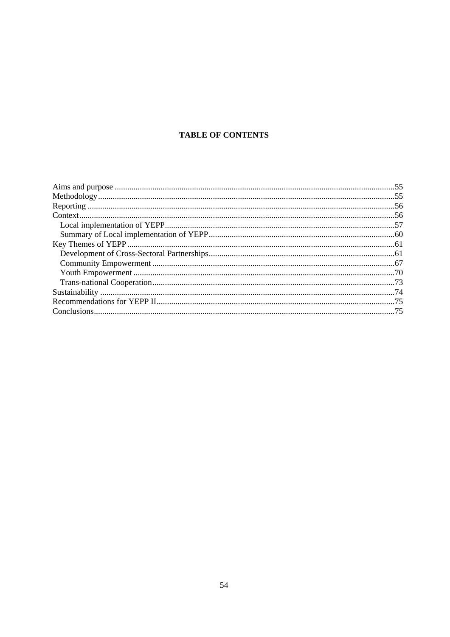# **TABLE OF CONTENTS**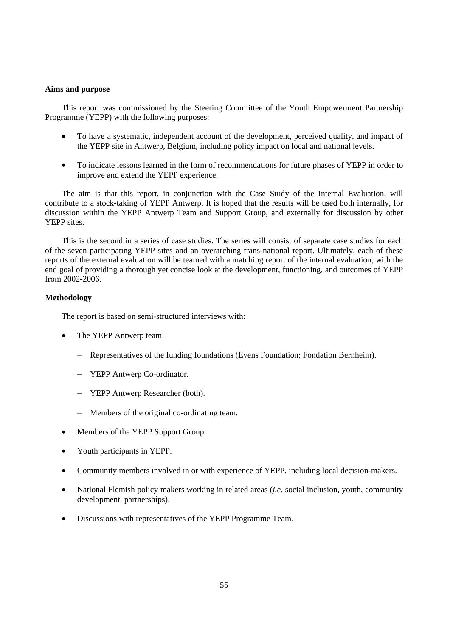## **Aims and purpose**

This report was commissioned by the Steering Committee of the Youth Empowerment Partnership Programme (YEPP) with the following purposes:

- To have a systematic, independent account of the development, perceived quality, and impact of the YEPP site in Antwerp, Belgium, including policy impact on local and national levels.
- To indicate lessons learned in the form of recommendations for future phases of YEPP in order to improve and extend the YEPP experience.

The aim is that this report, in conjunction with the Case Study of the Internal Evaluation, will contribute to a stock-taking of YEPP Antwerp. It is hoped that the results will be used both internally, for discussion within the YEPP Antwerp Team and Support Group, and externally for discussion by other YEPP sites.

This is the second in a series of case studies. The series will consist of separate case studies for each of the seven participating YEPP sites and an overarching trans-national report. Ultimately, each of these reports of the external evaluation will be teamed with a matching report of the internal evaluation, with the end goal of providing a thorough yet concise look at the development, functioning, and outcomes of YEPP from 2002-2006.

## **Methodology**

The report is based on semi-structured interviews with:

- The YEPP Antwerp team:
	- − Representatives of the funding foundations (Evens Foundation; Fondation Bernheim).
	- − YEPP Antwerp Co-ordinator.
	- − YEPP Antwerp Researcher (both).
	- Members of the original co-ordinating team.
- Members of the YEPP Support Group.
- Youth participants in YEPP.
- Community members involved in or with experience of YEPP, including local decision-makers.
- National Flemish policy makers working in related areas (*i.e.* social inclusion, youth, community development, partnerships).
- Discussions with representatives of the YEPP Programme Team.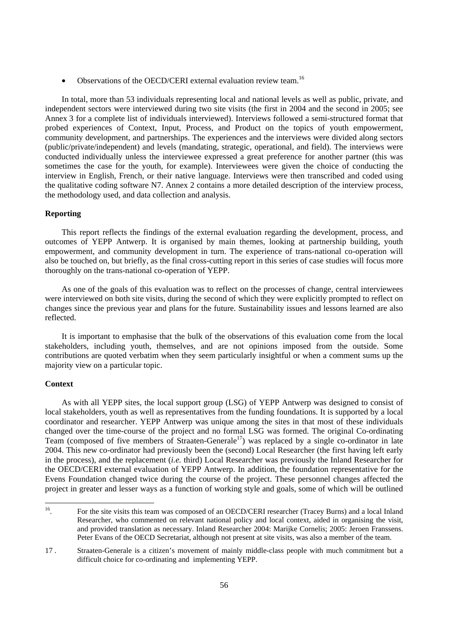• Observations of the OECD/CERI external evaluation review team.<sup>16</sup>

In total, more than 53 individuals representing local and national levels as well as public, private, and independent sectors were interviewed during two site visits (the first in 2004 and the second in 2005; see Annex 3 for a complete list of individuals interviewed). Interviews followed a semi-structured format that probed experiences of Context, Input, Process, and Product on the topics of youth empowerment, community development, and partnerships. The experiences and the interviews were divided along sectors (public/private/independent) and levels (mandating, strategic, operational, and field). The interviews were conducted individually unless the interviewee expressed a great preference for another partner (this was sometimes the case for the youth, for example). Interviewees were given the choice of conducting the interview in English, French, or their native language. Interviews were then transcribed and coded using the qualitative coding software N7. Annex 2 contains a more detailed description of the interview process, the methodology used, and data collection and analysis.

## **Reporting**

This report reflects the findings of the external evaluation regarding the development, process, and outcomes of YEPP Antwerp. It is organised by main themes, looking at partnership building, youth empowerment, and community development in turn. The experience of trans-national co-operation will also be touched on, but briefly, as the final cross-cutting report in this series of case studies will focus more thoroughly on the trans-national co-operation of YEPP.

As one of the goals of this evaluation was to reflect on the processes of change, central interviewees were interviewed on both site visits, during the second of which they were explicitly prompted to reflect on changes since the previous year and plans for the future. Sustainability issues and lessons learned are also reflected.

It is important to emphasise that the bulk of the observations of this evaluation come from the local stakeholders, including youth, themselves, and are not opinions imposed from the outside. Some contributions are quoted verbatim when they seem particularly insightful or when a comment sums up the majority view on a particular topic.

## **Context**

As with all YEPP sites, the local support group (LSG) of YEPP Antwerp was designed to consist of local stakeholders, youth as well as representatives from the funding foundations. It is supported by a local coordinator and researcher. YEPP Antwerp was unique among the sites in that most of these individuals changed over the time-course of the project and no formal LSG was formed. The original Co-ordinating Team (composed of five members of Straaten-Generale<sup>17</sup>) was replaced by a single co-ordinator in late 2004. This new co-ordinator had previously been the (second) Local Researcher (the first having left early in the process), and the replacement (*i.e.* third) Local Researcher was previously the Inland Researcher for the OECD/CERI external evaluation of YEPP Antwerp. In addition, the foundation representative for the Evens Foundation changed twice during the course of the project. These personnel changes affected the project in greater and lesser ways as a function of working style and goals, some of which will be outlined

 $16\,$ 16. For the site visits this team was composed of an OECD/CERI researcher (Tracey Burns) and a local Inland Researcher, who commented on relevant national policy and local context, aided in organising the visit, and provided translation as necessary. Inland Researcher 2004: Marijke Cornelis; 2005: Jeroen Franssens. Peter Evans of the OECD Secretariat, although not present at site visits, was also a member of the team.

<sup>17 .</sup> Straaten-Generale is a citizen's movement of mainly middle-class people with much commitment but a difficult choice for co-ordinating and implementing YEPP.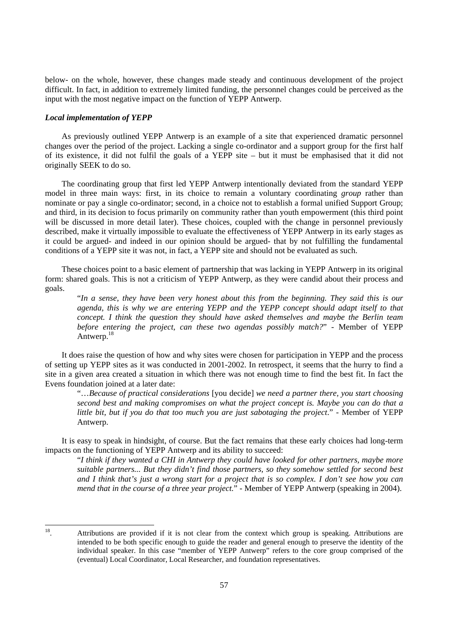below- on the whole, however, these changes made steady and continuous development of the project difficult. In fact, in addition to extremely limited funding, the personnel changes could be perceived as the input with the most negative impact on the function of YEPP Antwerp.

### *Local implementation of YEPP*

As previously outlined YEPP Antwerp is an example of a site that experienced dramatic personnel changes over the period of the project. Lacking a single co-ordinator and a support group for the first half of its existence, it did not fulfil the goals of a YEPP site – but it must be emphasised that it did not originally SEEK to do so.

The coordinating group that first led YEPP Antwerp intentionally deviated from the standard YEPP model in three main ways: first, in its choice to remain a voluntary coordinating *group* rather than nominate or pay a single co-ordinator; second, in a choice not to establish a formal unified Support Group; and third, in its decision to focus primarily on community rather than youth empowerment (this third point will be discussed in more detail later). These choices, coupled with the change in personnel previously described, make it virtually impossible to evaluate the effectiveness of YEPP Antwerp in its early stages as it could be argued- and indeed in our opinion should be argued- that by not fulfilling the fundamental conditions of a YEPP site it was not, in fact, a YEPP site and should not be evaluated as such.

These choices point to a basic element of partnership that was lacking in YEPP Antwerp in its original form: shared goals. This is not a criticism of YEPP Antwerp, as they were candid about their process and goals.

"*In a sense, they have been very honest about this from the beginning. They said this is our agenda, this is why we are entering YEPP and the YEPP concept should adapt itself to that concept. I think the question they should have asked themselves and maybe the Berlin team before entering the project, can these two agendas possibly match?*" - Member of YEPP Antwerp.<sup>18</sup>

It does raise the question of how and why sites were chosen for participation in YEPP and the process of setting up YEPP sites as it was conducted in 2001-2002. In retrospect, it seems that the hurry to find a site in a given area created a situation in which there was not enough time to find the best fit. In fact the Evens foundation joined at a later date:

"…*Because of practical considerations* [you decide] *we need a partner there, you start choosing second best and making compromises on what the project concept is. Maybe you can do that a little bit, but if you do that too much you are just sabotaging the project*." - Member of YEPP Antwerp.

It is easy to speak in hindsight, of course. But the fact remains that these early choices had long-term impacts on the functioning of YEPP Antwerp and its ability to succeed:

"*I think if they wanted a CHI in Antwerp they could have looked for other partners, maybe more suitable partners... But they didn't find those partners, so they somehow settled for second best and I think that's just a wrong start for a project that is so complex. I don't see how you can mend that in the course of a three year project.*" - Member of YEPP Antwerp (speaking in 2004).

 $18\,$ 

Attributions are provided if it is not clear from the context which group is speaking. Attributions are intended to be both specific enough to guide the reader and general enough to preserve the identity of the individual speaker. In this case "member of YEPP Antwerp" refers to the core group comprised of the (eventual) Local Coordinator, Local Researcher, and foundation representatives.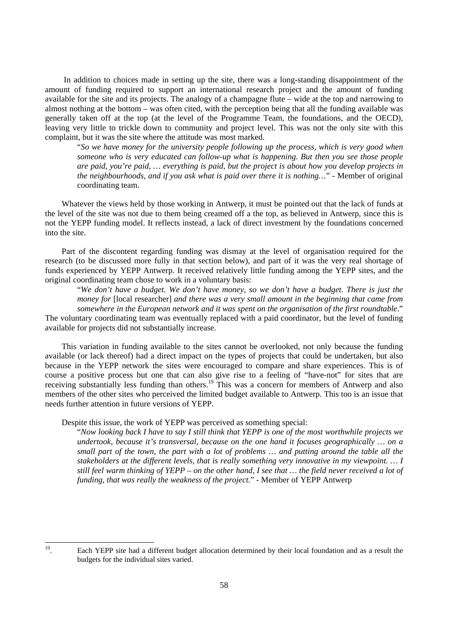In addition to choices made in setting up the site, there was a long-standing disappointment of the amount of funding required to support an international research project and the amount of funding available for the site and its projects. The analogy of a champagne flute – wide at the top and narrowing to almost nothing at the bottom – was often cited, with the perception being that all the funding available was generally taken off at the top (at the level of the Programme Team, the foundations, and the OECD), leaving very little to trickle down to community and project level. This was not the only site with this complaint, but it was the site where the attitude was most marked.

"*So we have money for the university people following up the process, which is very good when someone who is very educated can follow-up what is happening. But then you see those people are paid, you're paid, … everything is paid, but the project is about how you develop projects in the neighbourhoods, and if you ask what is paid over there it is nothing…*" - Member of original coordinating team.

Whatever the views held by those working in Antwerp, it must be pointed out that the lack of funds at the level of the site was not due to them being creamed off a the top, as believed in Antwerp, since this is not the YEPP funding model. It reflects instead, a lack of direct investment by the foundations concerned into the site.

Part of the discontent regarding funding was dismay at the level of organisation required for the research (to be discussed more fully in that section below), and part of it was the very real shortage of funds experienced by YEPP Antwerp. It received relatively little funding among the YEPP sites, and the original coordinating team chose to work in a voluntary basis:

"*We don't have a budget. We don't have money, so we don't have a budget. There is just the money for* [local researcher] *and there was a very small amount in the beginning that came from somewhere in the European network and it was spent on the organisation of the first roundtable*."

The voluntary coordinating team was eventually replaced with a paid coordinator, but the level of funding available for projects did not substantially increase.

This variation in funding available to the sites cannot be overlooked, not only because the funding available (or lack thereof) had a direct impact on the types of projects that could be undertaken, but also because in the YEPP network the sites were encouraged to compare and share experiences. This is of course a positive process but one that can also give rise to a feeling of "have-not" for sites that are receiving substantially less funding than others.<sup>19</sup> This was a concern for members of Antwerp and also members of the other sites who perceived the limited budget available to Antwerp. This too is an issue that needs further attention in future versions of YEPP.

Despite this issue, the work of YEPP was perceived as something special:

"*Now looking back I have to say I still think that YEPP is one of the most worthwhile projects we undertook, because it's transversal, because on the one hand it focuses geographically … on a small part of the town, the part with a lot of problems … and putting around the table all the stakeholders at the different levels, that is really something very innovative in my viewpoint. … I still feel warm thinking of YEPP – on the other hand, I see that … the field never received a lot of funding, that was really the weakness of the project.*" - Member of YEPP Antwerp

 $19\,$ 

Each YEPP site had a different budget allocation determined by their local foundation and as a result the budgets for the individual sites varied.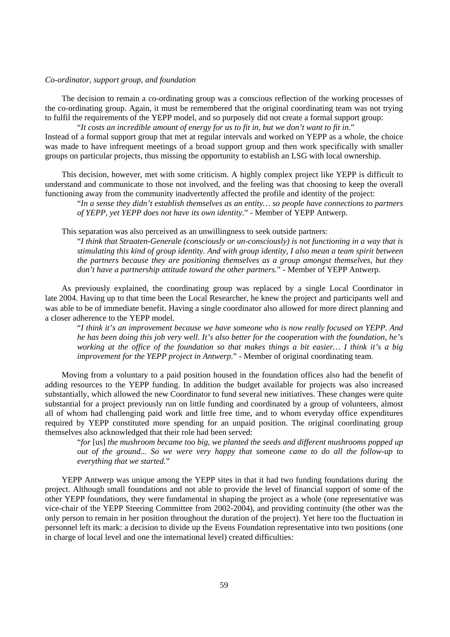## *Co-ordinator, support group, and foundation*

The decision to remain a co-ordinating group was a conscious reflection of the working processes of the co-ordinating group. Again, it must be remembered that the original coordinating team was not trying to fulfil the requirements of the YEPP model, and so purposely did not create a formal support group:

"*It costs an incredible amount of energy for us to fit in, but we don't want to fit in*." Instead of a formal support group that met at regular intervals and worked on YEPP as a whole, the choice was made to have infrequent meetings of a broad support group and then work specifically with smaller groups on particular projects, thus missing the opportunity to establish an LSG with local ownership.

This decision, however, met with some criticism. A highly complex project like YEPP is difficult to understand and communicate to those not involved, and the feeling was that choosing to keep the overall functioning away from the community inadvertently affected the profile and identity of the project:

"*In a sense they didn't establish themselves as an entity… so people have connections to partners of YEPP, yet YEPP does not have its own identity*." - Member of YEPP Antwerp.

This separation was also perceived as an unwillingness to seek outside partners:

"*I think that Straaten-Generale (consciously or un-consciously) is not functioning in a way that is stimulating this kind of group identity. And with group identity, I also mean a team spirit between the partners because they are positioning themselves as a group amongst themselves, but they don't have a partnership attitude toward the other partners.*" - Member of YEPP Antwerp.

As previously explained, the coordinating group was replaced by a single Local Coordinator in late 2004. Having up to that time been the Local Researcher, he knew the project and participants well and was able to be of immediate benefit. Having a single coordinator also allowed for more direct planning and a closer adherence to the YEPP model.

"*I think it's an improvement because we have someone who is now really focused on YEPP. And he has been doing this job very well. It's also better for the cooperation with the foundation, he's working at the office of the foundation so that makes things a bit easier… I think it's a big improvement for the YEPP project in Antwerp*." - Member of original coordinating team.

Moving from a voluntary to a paid position housed in the foundation offices also had the benefit of adding resources to the YEPP funding. In addition the budget available for projects was also increased substantially, which allowed the new Coordinator to fund several new initiatives. These changes were quite substantial for a project previously run on little funding and coordinated by a group of volunteers, almost all of whom had challenging paid work and little free time, and to whom everyday office expenditures required by YEPP constituted more spending for an unpaid position. The original coordinating group themselves also acknowledged that their role had been served:

"*for* [us] *the mushroom became too big, we planted the seeds and different mushrooms popped up out of the ground... So we were very happy that someone came to do all the follow-up to everything that we started.*"

YEPP Antwerp was unique among the YEPP sites in that it had two funding foundations during the project. Although small foundations and not able to provide the level of financial support of some of the other YEPP foundations, they were fundamental in shaping the project as a whole (one representative was vice-chair of the YEPP Steering Committee from 2002-2004), and providing continuity (the other was the only person to remain in her position throughout the duration of the project). Yet here too the fluctuation in personnel left its mark: a decision to divide up the Evens Foundation representative into two positions (one in charge of local level and one the international level) created difficulties*:*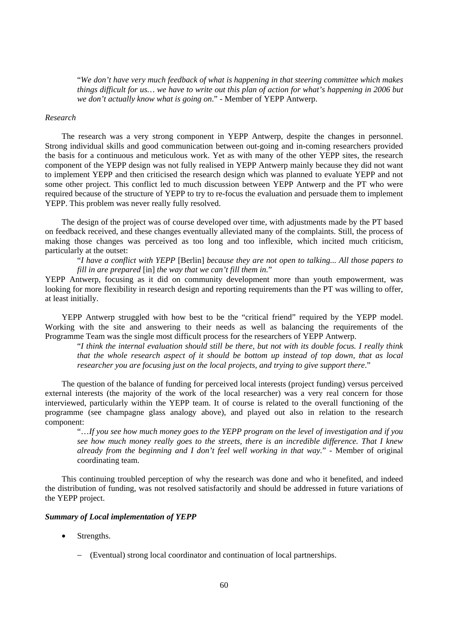"*We don't have very much feedback of what is happening in that steering committee which makes things difficult for us… we have to write out this plan of action for what's happening in 2006 but we don't actually know what is going on*." - Member of YEPP Antwerp.

#### *Research*

The research was a very strong component in YEPP Antwerp, despite the changes in personnel. Strong individual skills and good communication between out-going and in-coming researchers provided the basis for a continuous and meticulous work. Yet as with many of the other YEPP sites, the research component of the YEPP design was not fully realised in YEPP Antwerp mainly because they did not want to implement YEPP and then criticised the research design which was planned to evaluate YEPP and not some other project. This conflict led to much discussion between YEPP Antwerp and the PT who were required because of the structure of YEPP to try to re-focus the evaluation and persuade them to implement YEPP. This problem was never really fully resolved.

The design of the project was of course developed over time, with adjustments made by the PT based on feedback received, and these changes eventually alleviated many of the complaints. Still, the process of making those changes was perceived as too long and too inflexible, which incited much criticism, particularly at the outset:

"*I have a conflict with YEPP* [Berlin] *because they are not open to talking... All those papers to fill in are prepared* [in] *the way that we can't fill them in.*"

YEPP Antwerp, focusing as it did on community development more than youth empowerment, was looking for more flexibility in research design and reporting requirements than the PT was willing to offer, at least initially.

YEPP Antwerp struggled with how best to be the "critical friend" required by the YEPP model. Working with the site and answering to their needs as well as balancing the requirements of the Programme Team was the single most difficult process for the researchers of YEPP Antwerp.

"*I think the internal evaluation should still be there, but not with its double focus. I really think that the whole research aspect of it should be bottom up instead of top down, that as local researcher you are focusing just on the local projects, and trying to give support there*."

The question of the balance of funding for perceived local interests (project funding) versus perceived external interests (the majority of the work of the local researcher) was a very real concern for those interviewed, particularly within the YEPP team. It of course is related to the overall functioning of the programme (see champagne glass analogy above), and played out also in relation to the research component:

"…*If you see how much money goes to the YEPP program on the level of investigation and if you see how much money really goes to the streets, there is an incredible difference. That I knew already from the beginning and I don't feel well working in that way.*" - Member of original coordinating team.

This continuing troubled perception of why the research was done and who it benefited, and indeed the distribution of funding, was not resolved satisfactorily and should be addressed in future variations of the YEPP project.

## *Summary of Local implementation of YEPP*

- Strengths.
	- − (Eventual) strong local coordinator and continuation of local partnerships.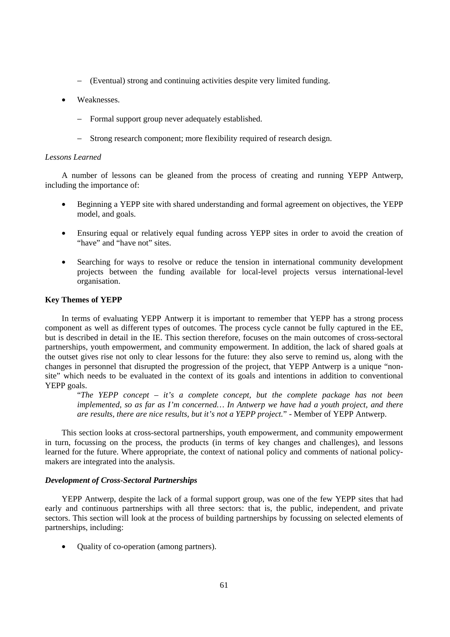- − (Eventual) strong and continuing activities despite very limited funding.
- Weaknesses.
	- − Formal support group never adequately established.
	- − Strong research component; more flexibility required of research design.

## *Lessons Learned*

A number of lessons can be gleaned from the process of creating and running YEPP Antwerp, including the importance of:

- Beginning a YEPP site with shared understanding and formal agreement on objectives, the YEPP model, and goals.
- Ensuring equal or relatively equal funding across YEPP sites in order to avoid the creation of "have" and "have not" sites.
- Searching for ways to resolve or reduce the tension in international community development projects between the funding available for local-level projects versus international-level organisation.

#### **Key Themes of YEPP**

In terms of evaluating YEPP Antwerp it is important to remember that YEPP has a strong process component as well as different types of outcomes. The process cycle cannot be fully captured in the EE, but is described in detail in the IE. This section therefore, focuses on the main outcomes of cross-sectoral partnerships, youth empowerment, and community empowerment. In addition, the lack of shared goals at the outset gives rise not only to clear lessons for the future: they also serve to remind us, along with the changes in personnel that disrupted the progression of the project, that YEPP Antwerp is a unique "nonsite" which needs to be evaluated in the context of its goals and intentions in addition to conventional YEPP goals.

"*The YEPP concept – it's a complete concept, but the complete package has not been implemented, so as far as I'm concerned… In Antwerp we have had a youth project, and there are results, there are nice results, but it's not a YEPP project.*" - Member of YEPP Antwerp.

This section looks at cross-sectoral partnerships, youth empowerment, and community empowerment in turn, focussing on the process, the products (in terms of key changes and challenges), and lessons learned for the future. Where appropriate, the context of national policy and comments of national policymakers are integrated into the analysis.

## *Development of Cross-Sectoral Partnerships*

YEPP Antwerp, despite the lack of a formal support group, was one of the few YEPP sites that had early and continuous partnerships with all three sectors: that is, the public, independent, and private sectors. This section will look at the process of building partnerships by focussing on selected elements of partnerships, including:

• Quality of co-operation (among partners).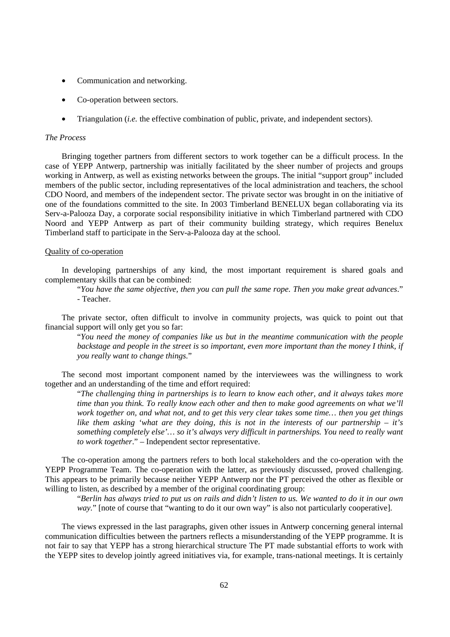- Communication and networking.
- Co-operation between sectors.
- Triangulation (*i.e.* the effective combination of public, private, and independent sectors).

## *The Process*

Bringing together partners from different sectors to work together can be a difficult process. In the case of YEPP Antwerp, partnership was initially facilitated by the sheer number of projects and groups working in Antwerp, as well as existing networks between the groups. The initial "support group" included members of the public sector, including representatives of the local administration and teachers, the school CDO Noord, and members of the independent sector. The private sector was brought in on the initiative of one of the foundations committed to the site. In 2003 Timberland BENELUX began collaborating via its Serv-a-Palooza Day, a corporate social responsibility initiative in which Timberland partnered with CDO Noord and YEPP Antwerp as part of their community building strategy, which requires Benelux Timberland staff to participate in the Serv-a-Palooza day at the school.

## Quality of co-operation

In developing partnerships of any kind, the most important requirement is shared goals and complementary skills that can be combined:

"*You have the same objective, then you can pull the same rope. Then you make great advances*." - Teacher.

The private sector, often difficult to involve in community projects, was quick to point out that financial support will only get you so far:

"*You need the money of companies like us but in the meantime communication with the people backstage and people in the street is so important, even more important than the money I think, if you really want to change things.*"

The second most important component named by the interviewees was the willingness to work together and an understanding of the time and effort required:

"*The challenging thing in partnerships is to learn to know each other, and it always takes more time than you think. To really know each other and then to make good agreements on what we'll work together on, and what not, and to get this very clear takes some time… then you get things like them asking 'what are they doing, this is not in the interests of our partnership – it's something completely else'… so it's always very difficult in partnerships. You need to really want to work together*." – Independent sector representative.

The co-operation among the partners refers to both local stakeholders and the co-operation with the YEPP Programme Team. The co-operation with the latter, as previously discussed, proved challenging. This appears to be primarily because neither YEPP Antwerp nor the PT perceived the other as flexible or willing to listen, as described by a member of the original coordinating group:

"*Berlin has always tried to put us on rails and didn't listen to us. We wanted to do it in our own way.*" [note of course that "wanting to do it our own way" is also not particularly cooperative].

The views expressed in the last paragraphs, given other issues in Antwerp concerning general internal communication difficulties between the partners reflects a misunderstanding of the YEPP programme. It is not fair to say that YEPP has a strong hierarchical structure The PT made substantial efforts to work with the YEPP sites to develop jointly agreed initiatives via, for example, trans-national meetings. It is certainly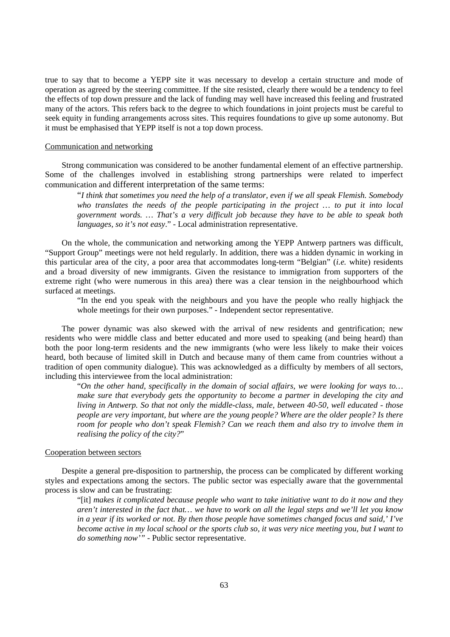true to say that to become a YEPP site it was necessary to develop a certain structure and mode of operation as agreed by the steering committee. If the site resisted, clearly there would be a tendency to feel the effects of top down pressure and the lack of funding may well have increased this feeling and frustrated many of the actors. This refers back to the degree to which foundations in joint projects must be careful to seek equity in funding arrangements across sites. This requires foundations to give up some autonomy. But it must be emphasised that YEPP itself is not a top down process.

## Communication and networking

Strong communication was considered to be another fundamental element of an effective partnership. Some of the challenges involved in establishing strong partnerships were related to imperfect communication and different interpretation of the same terms:

"*I think that sometimes you need the help of a translator, even if we all speak Flemish. Somebody who translates the needs of the people participating in the project … to put it into local government words. … That's a very difficult job because they have to be able to speak both languages, so it's not easy*." - Local administration representative.

On the whole, the communication and networking among the YEPP Antwerp partners was difficult, "Support Group" meetings were not held regularly. In addition, there was a hidden dynamic in working in this particular area of the city, a poor area that accommodates long-term "Belgian" (*i.e.* white) residents and a broad diversity of new immigrants. Given the resistance to immigration from supporters of the extreme right (who were numerous in this area) there was a clear tension in the neighbourhood which surfaced at meetings.

"In the end you speak with the neighbours and you have the people who really highjack the whole meetings for their own purposes." - Independent sector representative.

The power dynamic was also skewed with the arrival of new residents and gentrification; new residents who were middle class and better educated and more used to speaking (and being heard) than both the poor long-term residents and the new immigrants (who were less likely to make their voices heard, both because of limited skill in Dutch and because many of them came from countries without a tradition of open community dialogue). This was acknowledged as a difficulty by members of all sectors, including this interviewee from the local administration:

"*On the other hand, specifically in the domain of social affairs, we were looking for ways to… make sure that everybody gets the opportunity to become a partner in developing the city and living in Antwerp. So that not only the middle-class, male, between 40-50, well educated - those people are very important, but where are the young people? Where are the older people? Is there room for people who don't speak Flemish? Can we reach them and also try to involve them in realising the policy of the city?*"

### Cooperation between sectors

Despite a general pre-disposition to partnership, the process can be complicated by different working styles and expectations among the sectors. The public sector was especially aware that the governmental process is slow and can be frustrating:

"[it] *makes it complicated because people who want to take initiative want to do it now and they aren't interested in the fact that… we have to work on all the legal steps and we'll let you know in a year if its worked or not. By then those people have sometimes changed focus and said,' I've become active in my local school or the sports club so, it was very nice meeting you, but I want to do something now'"* - Public sector representative.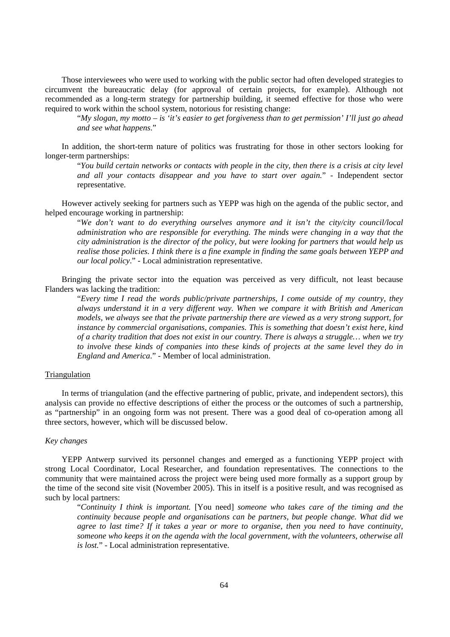Those interviewees who were used to working with the public sector had often developed strategies to circumvent the bureaucratic delay (for approval of certain projects, for example). Although not recommended as a long-term strategy for partnership building, it seemed effective for those who were required to work within the school system, notorious for resisting change:

"*My slogan, my motto – is 'it's easier to get forgiveness than to get permission' I'll just go ahead and see what happens*."

In addition, the short-term nature of politics was frustrating for those in other sectors looking for longer-term partnerships:

"*You build certain networks or contacts with people in the city, then there is a crisis at city level and all your contacts disappear and you have to start over again.*" - Independent sector representative.

However actively seeking for partners such as YEPP was high on the agenda of the public sector, and helped encourage working in partnership:

"*We don't want to do everything ourselves anymore and it isn't the city/city council/local administration who are responsible for everything. The minds were changing in a way that the city administration is the director of the policy, but were looking for partners that would help us realise those policies. I think there is a fine example in finding the same goals between YEPP and our local policy*." - Local administration representative.

Bringing the private sector into the equation was perceived as very difficult, not least because Flanders was lacking the tradition:

"*Every time I read the words public/private partnerships, I come outside of my country, they always understand it in a very different way. When we compare it with British and American models, we always see that the private partnership there are viewed as a very strong support, for instance by commercial organisations, companies. This is something that doesn't exist here, kind of a charity tradition that does not exist in our country. There is always a struggle… when we try to involve these kinds of companies into these kinds of projects at the same level they do in England and America*." - Member of local administration.

## Triangulation

In terms of triangulation (and the effective partnering of public, private, and independent sectors), this analysis can provide no effective descriptions of either the process or the outcomes of such a partnership, as "partnership" in an ongoing form was not present. There was a good deal of co-operation among all three sectors, however, which will be discussed below.

#### *Key changes*

YEPP Antwerp survived its personnel changes and emerged as a functioning YEPP project with strong Local Coordinator, Local Researcher, and foundation representatives. The connections to the community that were maintained across the project were being used more formally as a support group by the time of the second site visit (November 2005). This in itself is a positive result, and was recognised as such by local partners:

"*Continuity I think is important.* [You need] *someone who takes care of the timing and the continuity because people and organisations can be partners, but people change. What did we agree to last time? If it takes a year or more to organise, then you need to have continuity, someone who keeps it on the agenda with the local government, with the volunteers, otherwise all is lost.*" - Local administration representative.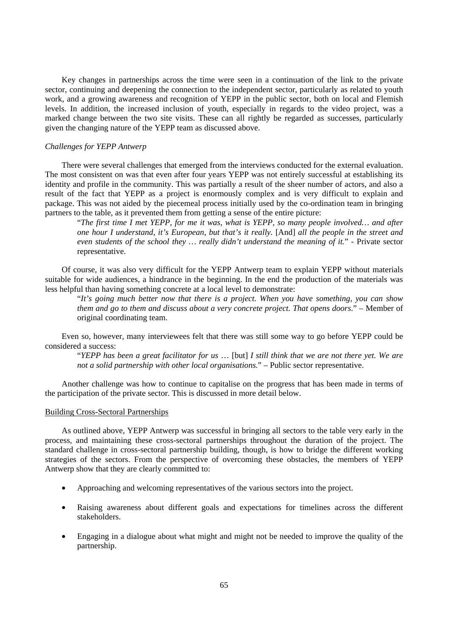Key changes in partnerships across the time were seen in a continuation of the link to the private sector, continuing and deepening the connection to the independent sector, particularly as related to youth work, and a growing awareness and recognition of YEPP in the public sector, both on local and Flemish levels. In addition, the increased inclusion of youth, especially in regards to the video project, was a marked change between the two site visits. These can all rightly be regarded as successes, particularly given the changing nature of the YEPP team as discussed above.

## *Challenges for YEPP Antwerp*

There were several challenges that emerged from the interviews conducted for the external evaluation. The most consistent on was that even after four years YEPP was not entirely successful at establishing its identity and profile in the community. This was partially a result of the sheer number of actors, and also a result of the fact that YEPP as a project is enormously complex and is very difficult to explain and package. This was not aided by the piecemeal process initially used by the co-ordination team in bringing partners to the table, as it prevented them from getting a sense of the entire picture:

"*The first time I met YEPP, for me it was, what is YEPP, so many people involved… and after one hour I understand, it's European, but that's it really.* [And] *all the people in the street and even students of the school they … really didn't understand the meaning of it.*" - Private sector representative.

Of course, it was also very difficult for the YEPP Antwerp team to explain YEPP without materials suitable for wide audiences, a hindrance in the beginning. In the end the production of the materials was less helpful than having something concrete at a local level to demonstrate:

"*It's going much better now that there is a project. When you have something, you can show them and go to them and discuss about a very concrete project. That opens doors*." – Member of original coordinating team.

Even so, however, many interviewees felt that there was still some way to go before YEPP could be considered a success:

"*YEPP has been a great facilitator for us* … [but] *I still think that we are not there yet. We are not a solid partnership with other local organisations.*" – Public sector representative.

Another challenge was how to continue to capitalise on the progress that has been made in terms of the participation of the private sector. This is discussed in more detail below.

#### Building Cross-Sectoral Partnerships

As outlined above, YEPP Antwerp was successful in bringing all sectors to the table very early in the process, and maintaining these cross-sectoral partnerships throughout the duration of the project. The standard challenge in cross-sectoral partnership building, though, is how to bridge the different working strategies of the sectors. From the perspective of overcoming these obstacles, the members of YEPP Antwerp show that they are clearly committed to:

- Approaching and welcoming representatives of the various sectors into the project.
- Raising awareness about different goals and expectations for timelines across the different stakeholders.
- Engaging in a dialogue about what might and might not be needed to improve the quality of the partnership.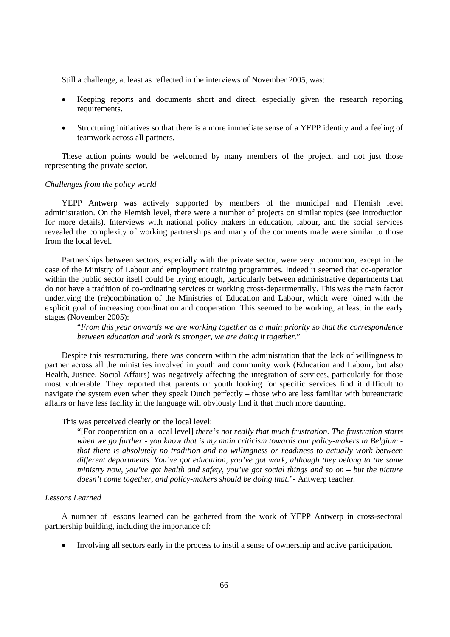Still a challenge, at least as reflected in the interviews of November 2005, was:

- Keeping reports and documents short and direct, especially given the research reporting requirements.
- Structuring initiatives so that there is a more immediate sense of a YEPP identity and a feeling of teamwork across all partners.

These action points would be welcomed by many members of the project, and not just those representing the private sector.

#### *Challenges from the policy world*

YEPP Antwerp was actively supported by members of the municipal and Flemish level administration. On the Flemish level, there were a number of projects on similar topics (see introduction for more details). Interviews with national policy makers in education, labour, and the social services revealed the complexity of working partnerships and many of the comments made were similar to those from the local level.

Partnerships between sectors, especially with the private sector, were very uncommon, except in the case of the Ministry of Labour and employment training programmes. Indeed it seemed that co-operation within the public sector itself could be trying enough, particularly between administrative departments that do not have a tradition of co-ordinating services or working cross-departmentally. This was the main factor underlying the (re)combination of the Ministries of Education and Labour, which were joined with the explicit goal of increasing coordination and cooperation. This seemed to be working, at least in the early stages (November 2005):

"*From this year onwards we are working together as a main priority so that the correspondence between education and work is stronger, we are doing it together.*"

Despite this restructuring, there was concern within the administration that the lack of willingness to partner across all the ministries involved in youth and community work (Education and Labour, but also Health, Justice, Social Affairs) was negatively affecting the integration of services, particularly for those most vulnerable. They reported that parents or youth looking for specific services find it difficult to navigate the system even when they speak Dutch perfectly – those who are less familiar with bureaucratic affairs or have less facility in the language will obviously find it that much more daunting.

This was perceived clearly on the local level:

"[For cooperation on a local level] *there's not really that much frustration. The frustration starts when we go further - you know that is my main criticism towards our policy-makers in Belgium that there is absolutely no tradition and no willingness or readiness to actually work between different departments. You've got education, you've got work, although they belong to the same ministry now, you've got health and safety, you've got social things and so on – but the picture doesn't come together, and policy-makers should be doing that.*"- Antwerp teacher.

## *Lessons Learned*

A number of lessons learned can be gathered from the work of YEPP Antwerp in cross-sectoral partnership building, including the importance of:

• Involving all sectors early in the process to instil a sense of ownership and active participation.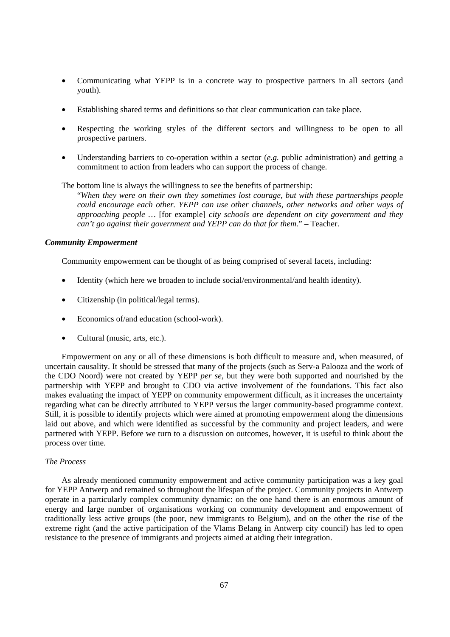- Communicating what YEPP is in a concrete way to prospective partners in all sectors (and youth).
- Establishing shared terms and definitions so that clear communication can take place.
- Respecting the working styles of the different sectors and willingness to be open to all prospective partners.
- Understanding barriers to co-operation within a sector (*e.g.* public administration) and getting a commitment to action from leaders who can support the process of change.

The bottom line is always the willingness to see the benefits of partnership:

"*When they were on their own they sometimes lost courage, but with these partnerships people could encourage each other. YEPP can use other channels, other networks and other ways of approaching people …* [for example] *city schools are dependent on city government and they can't go against their government and YEPP can do that for them.*" – Teacher.

### *Community Empowerment*

Community empowerment can be thought of as being comprised of several facets, including:

- Identity (which here we broaden to include social/environmental/and health identity).
- Citizenship (in political/legal terms).
- Economics of/and education (school-work).
- Cultural (music, arts, etc.).

Empowerment on any or all of these dimensions is both difficult to measure and, when measured, of uncertain causality. It should be stressed that many of the projects (such as Serv-a Palooza and the work of the CDO Noord) were not created by YEPP *per se,* but they were both supported and nourished by the partnership with YEPP and brought to CDO via active involvement of the foundations. This fact also makes evaluating the impact of YEPP on community empowerment difficult, as it increases the uncertainty regarding what can be directly attributed to YEPP versus the larger community-based programme context. Still, it is possible to identify projects which were aimed at promoting empowerment along the dimensions laid out above, and which were identified as successful by the community and project leaders, and were partnered with YEPP. Before we turn to a discussion on outcomes, however, it is useful to think about the process over time.

## *The Process*

As already mentioned community empowerment and active community participation was a key goal for YEPP Antwerp and remained so throughout the lifespan of the project. Community projects in Antwerp operate in a particularly complex community dynamic: on the one hand there is an enormous amount of energy and large number of organisations working on community development and empowerment of traditionally less active groups (the poor, new immigrants to Belgium), and on the other the rise of the extreme right (and the active participation of the Vlams Belang in Antwerp city council) has led to open resistance to the presence of immigrants and projects aimed at aiding their integration.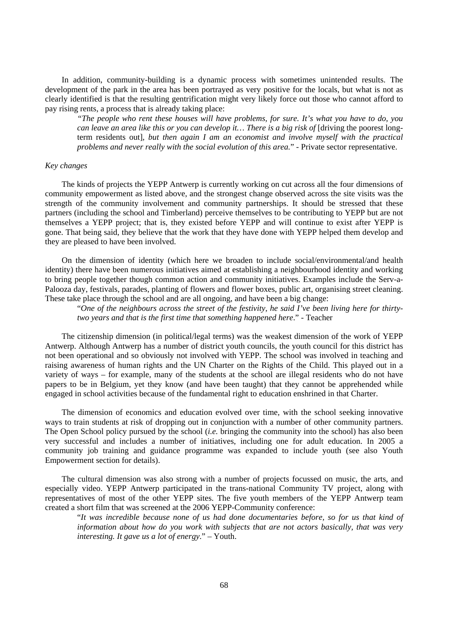In addition, community-building is a dynamic process with sometimes unintended results. The development of the park in the area has been portrayed as very positive for the locals, but what is not as clearly identified is that the resulting gentrification might very likely force out those who cannot afford to pay rising rents, a process that is already taking place:

*"The people who rent these houses will have problems, for sure. It's what you have to do, you can leave an area like this or you can develop it... There is a big risk of* [driving the poorest longterm residents out]*, but then again I am an economist and involve myself with the practical problems and never really with the social evolution of this area.*" - Private sector representative.

#### *Key changes*

The kinds of projects the YEPP Antwerp is currently working on cut across all the four dimensions of community empowerment as listed above, and the strongest change observed across the site visits was the strength of the community involvement and community partnerships. It should be stressed that these partners (including the school and Timberland) perceive themselves to be contributing to YEPP but are not themselves a YEPP project; that is, they existed before YEPP and will continue to exist after YEPP is gone. That being said, they believe that the work that they have done with YEPP helped them develop and they are pleased to have been involved.

On the dimension of identity (which here we broaden to include social/environmental/and health identity) there have been numerous initiatives aimed at establishing a neighbourhood identity and working to bring people together though common action and community initiatives. Examples include the Serv-a-Palooza day, festivals, parades, planting of flowers and flower boxes, public art, organising street cleaning. These take place through the school and are all ongoing, and have been a big change:

"*One of the neighbours across the street of the festivity, he said I've been living here for thirtytwo years and that is the first time that something happened here*." - Teacher

The citizenship dimension (in political/legal terms) was the weakest dimension of the work of YEPP Antwerp. Although Antwerp has a number of district youth councils, the youth council for this district has not been operational and so obviously not involved with YEPP. The school was involved in teaching and raising awareness of human rights and the UN Charter on the Rights of the Child. This played out in a variety of ways – for example, many of the students at the school are illegal residents who do not have papers to be in Belgium, yet they know (and have been taught) that they cannot be apprehended while engaged in school activities because of the fundamental right to education enshrined in that Charter.

The dimension of economics and education evolved over time, with the school seeking innovative ways to train students at risk of dropping out in conjunction with a number of other community partners. The Open School policy pursued by the school (*i.e.* bringing the community into the school) has also been very successful and includes a number of initiatives, including one for adult education. In 2005 a community job training and guidance programme was expanded to include youth (see also Youth Empowerment section for details).

The cultural dimension was also strong with a number of projects focussed on music, the arts, and especially video. YEPP Antwerp participated in the trans-national Community TV project, along with representatives of most of the other YEPP sites. The five youth members of the YEPP Antwerp team created a short film that was screened at the 2006 YEPP-Community conference:

"*It was incredible because none of us had done documentaries before, so for us that kind of information about how do you work with subjects that are not actors basically, that was very interesting. It gave us a lot of energy*." – Youth.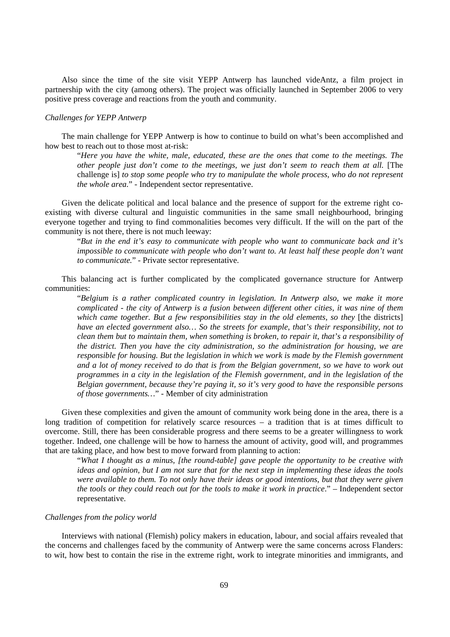Also since the time of the site visit YEPP Antwerp has launched videAntz, a film project in partnership with the city (among others). The project was officially launched in September 2006 to very positive press coverage and reactions from the youth and community.

#### *Challenges for YEPP Antwerp*

The main challenge for YEPP Antwerp is how to continue to build on what's been accomplished and how best to reach out to those most at-risk:

"*Here you have the white, male, educated, these are the ones that come to the meetings. The other people just don't come to the meetings, we just don't seem to reach them at all.* [The challenge is] *to stop some people who try to manipulate the whole process, who do not represent the whole area.*" - Independent sector representative.

Given the delicate political and local balance and the presence of support for the extreme right coexisting with diverse cultural and linguistic communities in the same small neighbourhood, bringing everyone together and trying to find commonalities becomes very difficult. If the will on the part of the community is not there, there is not much leeway:

"*But in the end it's easy to communicate with people who want to communicate back and it's impossible to communicate with people who don't want to. At least half these people don't want to communicate.*" - Private sector representative.

This balancing act is further complicated by the complicated governance structure for Antwerp communities:

"*Belgium is a rather complicated country in legislation. In Antwerp also, we make it more complicated - the city of Antwerp is a fusion between different other cities, it was nine of them*  which came together. But a few responsibilities stay in the old elements, so they [the districts] *have an elected government also… So the streets for example, that's their responsibility, not to clean them but to maintain them, when something is broken, to repair it, that's a responsibility of the district. Then you have the city administration, so the administration for housing, we are responsible for housing. But the legislation in which we work is made by the Flemish government and a lot of money received to do that is from the Belgian government, so we have to work out programmes in a city in the legislation of the Flemish government, and in the legislation of the Belgian government, because they're paying it, so it's very good to have the responsible persons of those governments…*" - Member of city administration

Given these complexities and given the amount of community work being done in the area, there is a long tradition of competition for relatively scarce resources – a tradition that is at times difficult to overcome. Still, there has been considerable progress and there seems to be a greater willingness to work together. Indeed, one challenge will be how to harness the amount of activity, good will, and programmes that are taking place, and how best to move forward from planning to action:

"*What I thought as a minus, [the round-table] gave people the opportunity to be creative with ideas and opinion, but I am not sure that for the next step in implementing these ideas the tools were available to them. To not only have their ideas or good intentions, but that they were given the tools or they could reach out for the tools to make it work in practice*." – Independent sector representative.

#### *Challenges from the policy world*

Interviews with national (Flemish) policy makers in education, labour, and social affairs revealed that the concerns and challenges faced by the community of Antwerp were the same concerns across Flanders: to wit, how best to contain the rise in the extreme right, work to integrate minorities and immigrants, and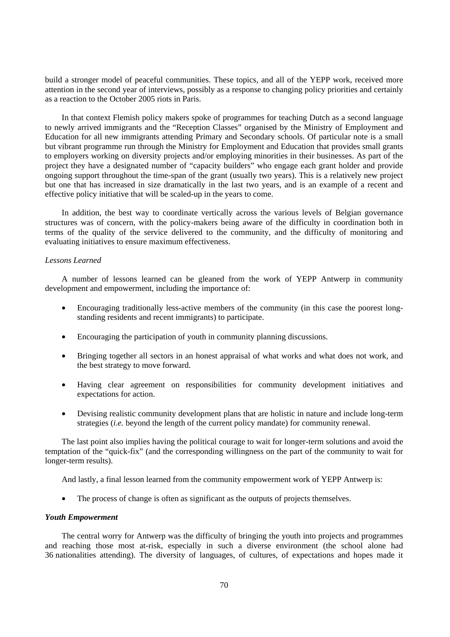build a stronger model of peaceful communities. These topics, and all of the YEPP work, received more attention in the second year of interviews, possibly as a response to changing policy priorities and certainly as a reaction to the October 2005 riots in Paris.

In that context Flemish policy makers spoke of programmes for teaching Dutch as a second language to newly arrived immigrants and the "Reception Classes" organised by the Ministry of Employment and Education for all new immigrants attending Primary and Secondary schools. Of particular note is a small but vibrant programme run through the Ministry for Employment and Education that provides small grants to employers working on diversity projects and/or employing minorities in their businesses. As part of the project they have a designated number of "capacity builders" who engage each grant holder and provide ongoing support throughout the time-span of the grant (usually two years). This is a relatively new project but one that has increased in size dramatically in the last two years, and is an example of a recent and effective policy initiative that will be scaled-up in the years to come.

In addition, the best way to coordinate vertically across the various levels of Belgian governance structures was of concern, with the policy-makers being aware of the difficulty in coordination both in terms of the quality of the service delivered to the community, and the difficulty of monitoring and evaluating initiatives to ensure maximum effectiveness.

## *Lessons Learned*

A number of lessons learned can be gleaned from the work of YEPP Antwerp in community development and empowerment, including the importance of:

- Encouraging traditionally less-active members of the community (in this case the poorest longstanding residents and recent immigrants) to participate.
- Encouraging the participation of youth in community planning discussions.
- Bringing together all sectors in an honest appraisal of what works and what does not work, and the best strategy to move forward.
- Having clear agreement on responsibilities for community development initiatives and expectations for action.
- Devising realistic community development plans that are holistic in nature and include long-term strategies (*i.e.* beyond the length of the current policy mandate) for community renewal.

The last point also implies having the political courage to wait for longer-term solutions and avoid the temptation of the "quick-fix" (and the corresponding willingness on the part of the community to wait for longer-term results).

And lastly, a final lesson learned from the community empowerment work of YEPP Antwerp is:

• The process of change is often as significant as the outputs of projects themselves.

#### *Youth Empowerment*

The central worry for Antwerp was the difficulty of bringing the youth into projects and programmes and reaching those most at-risk, especially in such a diverse environment (the school alone had 36 nationalities attending). The diversity of languages, of cultures, of expectations and hopes made it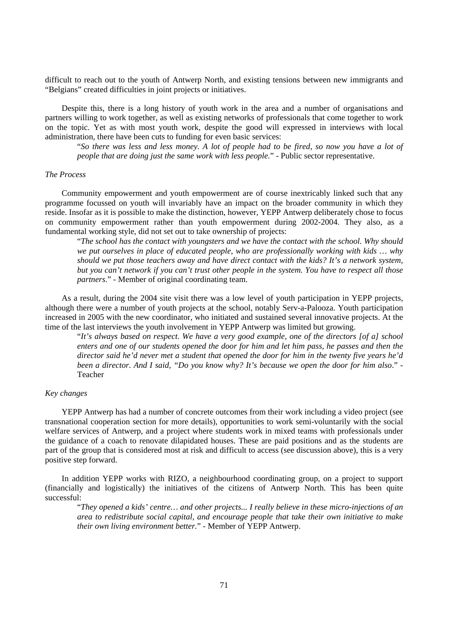difficult to reach out to the youth of Antwerp North, and existing tensions between new immigrants and "Belgians" created difficulties in joint projects or initiatives.

Despite this, there is a long history of youth work in the area and a number of organisations and partners willing to work together, as well as existing networks of professionals that come together to work on the topic. Yet as with most youth work, despite the good will expressed in interviews with local administration, there have been cuts to funding for even basic services:

"*So there was less and less money. A lot of people had to be fired, so now you have a lot of people that are doing just the same work with less people.*" - Public sector representative.

### *The Process*

Community empowerment and youth empowerment are of course inextricably linked such that any programme focussed on youth will invariably have an impact on the broader community in which they reside. Insofar as it is possible to make the distinction, however, YEPP Antwerp deliberately chose to focus on community empowerment rather than youth empowerment during 2002-2004. They also, as a fundamental working style, did not set out to take ownership of projects:

"*The school has the contact with youngsters and we have the contact with the school. Why should we put ourselves in place of educated people, who are professionally working with kids … why should we put those teachers away and have direct contact with the kids? It's a network system, but you can't network if you can't trust other people in the system. You have to respect all those partners*." - Member of original coordinating team.

As a result, during the 2004 site visit there was a low level of youth participation in YEPP projects, although there were a number of youth projects at the school, notably Serv-a-Palooza. Youth participation increased in 2005 with the new coordinator, who initiated and sustained several innovative projects. At the time of the last interviews the youth involvement in YEPP Antwerp was limited but growing.

"*It's always based on respect. We have a very good example, one of the directors [of a] school enters and one of our students opened the door for him and let him pass, he passes and then the director said he'd never met a student that opened the door for him in the twenty five years he'd been a director. And I said, "Do you know why? It's because we open the door for him also*." - Teacher

## *Key changes*

YEPP Antwerp has had a number of concrete outcomes from their work including a video project (see transnational cooperation section for more details), opportunities to work semi-voluntarily with the social welfare services of Antwerp, and a project where students work in mixed teams with professionals under the guidance of a coach to renovate dilapidated houses. These are paid positions and as the students are part of the group that is considered most at risk and difficult to access (see discussion above), this is a very positive step forward.

In addition YEPP works with RIZO, a neighbourhood coordinating group, on a project to support (financially and logistically) the initiatives of the citizens of Antwerp North. This has been quite successful:

"*They opened a kids' centre… and other projects... I really believe in these micro-injections of an area to redistribute social capital, and encourage people that take their own initiative to make their own living environment better.*" - Member of YEPP Antwerp.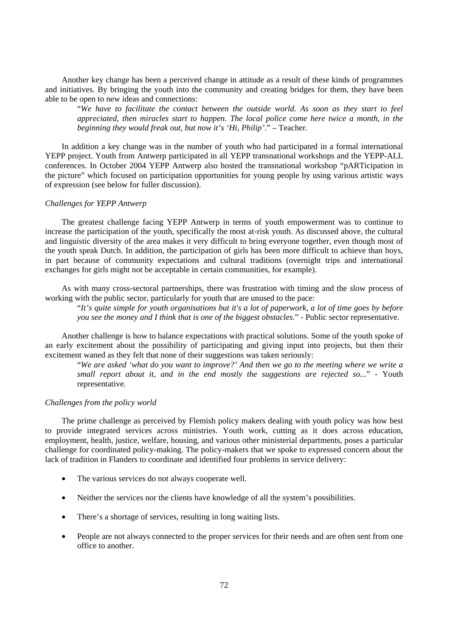Another key change has been a perceived change in attitude as a result of these kinds of programmes and initiatives. By bringing the youth into the community and creating bridges for them, they have been able to be open to new ideas and connections:

"*We have to facilitate the contact between the outside world. As soon as they start to feel appreciated, then miracles start to happen. The local police come here twice a month, in the beginning they would freak out, but now it's 'Hi, Philip'*." – Teacher.

In addition a key change was in the number of youth who had participated in a formal international YEPP project. Youth from Antwerp participated in all YEPP transnational workshops and the YEPP-ALL conferences. In October 2004 YEPP Antwerp also hosted the transnational workshop "pARTicipation in the picture" which focused on participation opportunities for young people by using various artistic ways of expression (see below for fuller discussion).

#### *Challenges for YEPP Antwerp*

The greatest challenge facing YEPP Antwerp in terms of youth empowerment was to continue to increase the participation of the youth, specifically the most at-risk youth. As discussed above, the cultural and linguistic diversity of the area makes it very difficult to bring everyone together, even though most of the youth speak Dutch. In addition, the participation of girls has been more difficult to achieve than boys, in part because of community expectations and cultural traditions (overnight trips and international exchanges for girls might not be acceptable in certain communities, for example).

As with many cross-sectoral partnerships, there was frustration with timing and the slow process of working with the public sector, particularly for youth that are unused to the pace:

"*It's quite simple for youth organisations but it's a lot of paperwork, a lot of time goes by before you see the money and I think that is one of the biggest obstacles.*" - Public sector representative.

Another challenge is how to balance expectations with practical solutions. Some of the youth spoke of an early excitement about the possibility of participating and giving input into projects, but then their excitement waned as they felt that none of their suggestions was taken seriously:

"*We are asked 'what do you want to improve?' And then we go to the meeting where we write a small report about it, and in the end mostly the suggestions are rejected so..*." - Youth representative.

#### *Challenges from the policy world*

The prime challenge as perceived by Flemish policy makers dealing with youth policy was how best to provide integrated services across ministries. Youth work, cutting as it does across education, employment, health, justice, welfare, housing, and various other ministerial departments, poses a particular challenge for coordinated policy-making. The policy-makers that we spoke to expressed concern about the lack of tradition in Flanders to coordinate and identified four problems in service delivery:

- The various services do not always cooperate well.
- Neither the services nor the clients have knowledge of all the system's possibilities.
- There's a shortage of services, resulting in long waiting lists.
- People are not always connected to the proper services for their needs and are often sent from one office to another.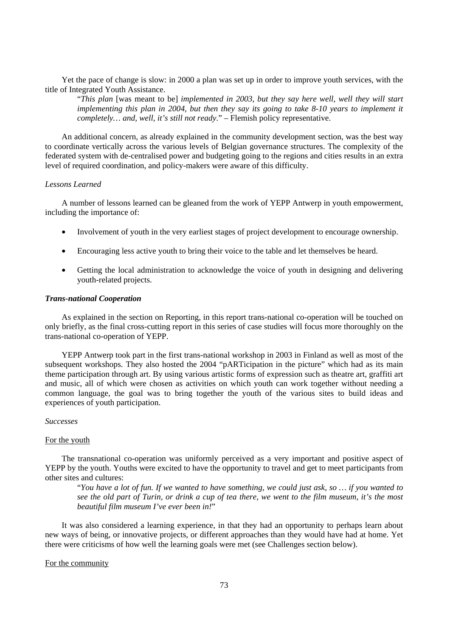Yet the pace of change is slow: in 2000 a plan was set up in order to improve youth services, with the title of Integrated Youth Assistance.

"*This plan* [was meant to be] *implemented in 2003, but they say here well, well they will start implementing this plan in 2004, but then they say its going to take 8-10 years to implement it completely… and, well, it's still not ready*." – Flemish policy representative.

An additional concern, as already explained in the community development section, was the best way to coordinate vertically across the various levels of Belgian governance structures. The complexity of the federated system with de-centralised power and budgeting going to the regions and cities results in an extra level of required coordination, and policy-makers were aware of this difficulty.

#### *Lessons Learned*

A number of lessons learned can be gleaned from the work of YEPP Antwerp in youth empowerment, including the importance of:

- Involvement of youth in the very earliest stages of project development to encourage ownership.
- Encouraging less active youth to bring their voice to the table and let themselves be heard.
- Getting the local administration to acknowledge the voice of youth in designing and delivering youth-related projects.

### *Trans-national Cooperation*

As explained in the section on Reporting, in this report trans-national co-operation will be touched on only briefly, as the final cross-cutting report in this series of case studies will focus more thoroughly on the trans-national co-operation of YEPP.

YEPP Antwerp took part in the first trans-national workshop in 2003 in Finland as well as most of the subsequent workshops. They also hosted the 2004 "pARTicipation in the picture" which had as its main theme participation through art. By using various artistic forms of expression such as theatre art, graffiti art and music, all of which were chosen as activities on which youth can work together without needing a common language, the goal was to bring together the youth of the various sites to build ideas and experiences of youth participation.

#### *Successes*

# For the youth

The transnational co-operation was uniformly perceived as a very important and positive aspect of YEPP by the youth. Youths were excited to have the opportunity to travel and get to meet participants from other sites and cultures:

"*You have a lot of fun. If we wanted to have something, we could just ask, so … if you wanted to see the old part of Turin, or drink a cup of tea there, we went to the film museum, it's the most beautiful film museum I've ever been in!*"

It was also considered a learning experience, in that they had an opportunity to perhaps learn about new ways of being, or innovative projects, or different approaches than they would have had at home. Yet there were criticisms of how well the learning goals were met (see Challenges section below).

# For the community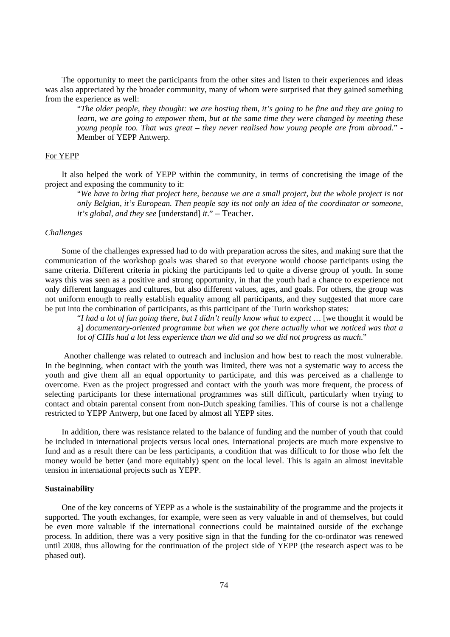The opportunity to meet the participants from the other sites and listen to their experiences and ideas was also appreciated by the broader community, many of whom were surprised that they gained something from the experience as well:

"*The older people, they thought: we are hosting them, it's going to be fine and they are going to learn, we are going to empower them, but at the same time they were changed by meeting these young people too. That was great – they never realised how young people are from abroad*." - Member of YEPP Antwerp.

# For YEPP

It also helped the work of YEPP within the community, in terms of concretising the image of the project and exposing the community to it:

"*We have to bring that project here, because we are a small project, but the whole project is not only Belgian, it's European. Then people say its not only an idea of the coordinator or someone, it's global, and they see* [understand] *it*." – Teacher.

#### *Challenges*

Some of the challenges expressed had to do with preparation across the sites, and making sure that the communication of the workshop goals was shared so that everyone would choose participants using the same criteria. Different criteria in picking the participants led to quite a diverse group of youth. In some ways this was seen as a positive and strong opportunity, in that the youth had a chance to experience not only different languages and cultures, but also different values, ages, and goals. For others, the group was not uniform enough to really establish equality among all participants, and they suggested that more care be put into the combination of participants, as this participant of the Turin workshop states:

"*I had a lot of fun going there, but I didn't really know what to expect* ... [we thought it would be a] *documentary-oriented programme but when we got there actually what we noticed was that a lot of CHIs had a lot less experience than we did and so we did not progress as much*."

Another challenge was related to outreach and inclusion and how best to reach the most vulnerable. In the beginning, when contact with the youth was limited, there was not a systematic way to access the youth and give them all an equal opportunity to participate, and this was perceived as a challenge to overcome. Even as the project progressed and contact with the youth was more frequent, the process of selecting participants for these international programmes was still difficult, particularly when trying to contact and obtain parental consent from non-Dutch speaking families. This of course is not a challenge restricted to YEPP Antwerp, but one faced by almost all YEPP sites.

In addition, there was resistance related to the balance of funding and the number of youth that could be included in international projects versus local ones. International projects are much more expensive to fund and as a result there can be less participants, a condition that was difficult to for those who felt the money would be better (and more equitably) spent on the local level. This is again an almost inevitable tension in international projects such as YEPP.

### **Sustainability**

One of the key concerns of YEPP as a whole is the sustainability of the programme and the projects it supported. The youth exchanges, for example, were seen as very valuable in and of themselves, but could be even more valuable if the international connections could be maintained outside of the exchange process. In addition, there was a very positive sign in that the funding for the co-ordinator was renewed until 2008, thus allowing for the continuation of the project side of YEPP (the research aspect was to be phased out).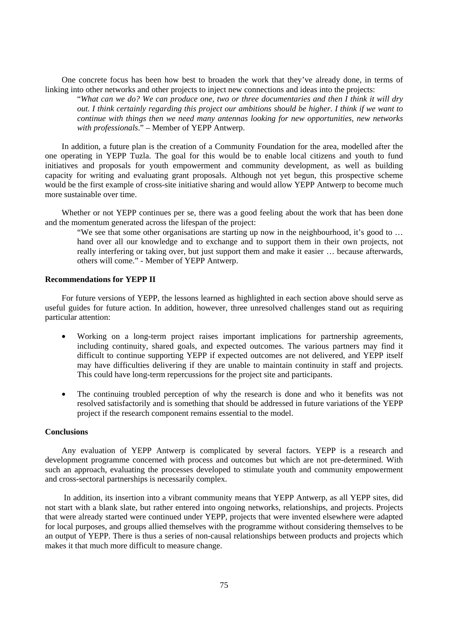One concrete focus has been how best to broaden the work that they've already done, in terms of linking into other networks and other projects to inject new connections and ideas into the projects:

"*What can we do? We can produce one, two or three documentaries and then I think it will dry out. I think certainly regarding this project our ambitions should be higher. I think if we want to continue with things then we need many antennas looking for new opportunities, new networks with professionals*." – Member of YEPP Antwerp.

In addition, a future plan is the creation of a Community Foundation for the area, modelled after the one operating in YEPP Tuzla. The goal for this would be to enable local citizens and youth to fund initiatives and proposals for youth empowerment and community development, as well as building capacity for writing and evaluating grant proposals. Although not yet begun, this prospective scheme would be the first example of cross-site initiative sharing and would allow YEPP Antwerp to become much more sustainable over time.

Whether or not YEPP continues per se, there was a good feeling about the work that has been done and the momentum generated across the lifespan of the project:

"We see that some other organisations are starting up now in the neighbourhood, it's good to … hand over all our knowledge and to exchange and to support them in their own projects, not really interfering or taking over, but just support them and make it easier … because afterwards, others will come." - Member of YEPP Antwerp.

# **Recommendations for YEPP II**

For future versions of YEPP, the lessons learned as highlighted in each section above should serve as useful guides for future action. In addition, however, three unresolved challenges stand out as requiring particular attention:

- Working on a long-term project raises important implications for partnership agreements, including continuity, shared goals, and expected outcomes. The various partners may find it difficult to continue supporting YEPP if expected outcomes are not delivered, and YEPP itself may have difficulties delivering if they are unable to maintain continuity in staff and projects. This could have long-term repercussions for the project site and participants.
- The continuing troubled perception of why the research is done and who it benefits was not resolved satisfactorily and is something that should be addressed in future variations of the YEPP project if the research component remains essential to the model.

# **Conclusions**

Any evaluation of YEPP Antwerp is complicated by several factors. YEPP is a research and development programme concerned with process and outcomes but which are not pre-determined. With such an approach, evaluating the processes developed to stimulate youth and community empowerment and cross-sectoral partnerships is necessarily complex.

 In addition, its insertion into a vibrant community means that YEPP Antwerp, as all YEPP sites, did not start with a blank slate, but rather entered into ongoing networks, relationships, and projects. Projects that were already started were continued under YEPP, projects that were invented elsewhere were adapted for local purposes, and groups allied themselves with the programme without considering themselves to be an output of YEPP. There is thus a series of non-causal relationships between products and projects which makes it that much more difficult to measure change.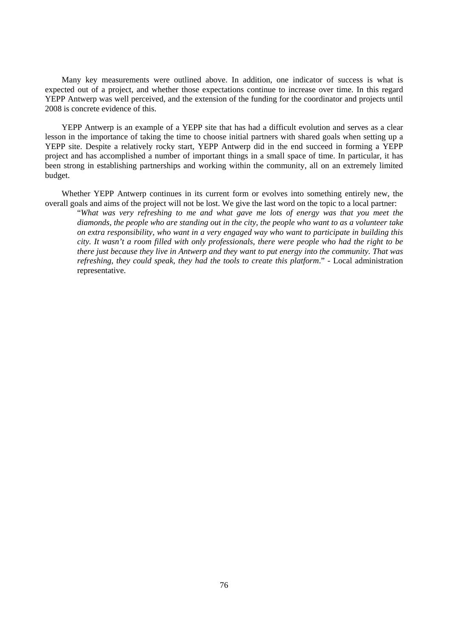Many key measurements were outlined above. In addition, one indicator of success is what is expected out of a project, and whether those expectations continue to increase over time. In this regard YEPP Antwerp was well perceived, and the extension of the funding for the coordinator and projects until 2008 is concrete evidence of this.

YEPP Antwerp is an example of a YEPP site that has had a difficult evolution and serves as a clear lesson in the importance of taking the time to choose initial partners with shared goals when setting up a YEPP site. Despite a relatively rocky start, YEPP Antwerp did in the end succeed in forming a YEPP project and has accomplished a number of important things in a small space of time. In particular, it has been strong in establishing partnerships and working within the community, all on an extremely limited budget.

Whether YEPP Antwerp continues in its current form or evolves into something entirely new, the overall goals and aims of the project will not be lost. We give the last word on the topic to a local partner:

"*What was very refreshing to me and what gave me lots of energy was that you meet the diamonds, the people who are standing out in the city, the people who want to as a volunteer take on extra responsibility, who want in a very engaged way who want to participate in building this city. It wasn't a room filled with only professionals, there were people who had the right to be there just because they live in Antwerp and they want to put energy into the community. That was refreshing, they could speak, they had the tools to create this platform*." - Local administration representative.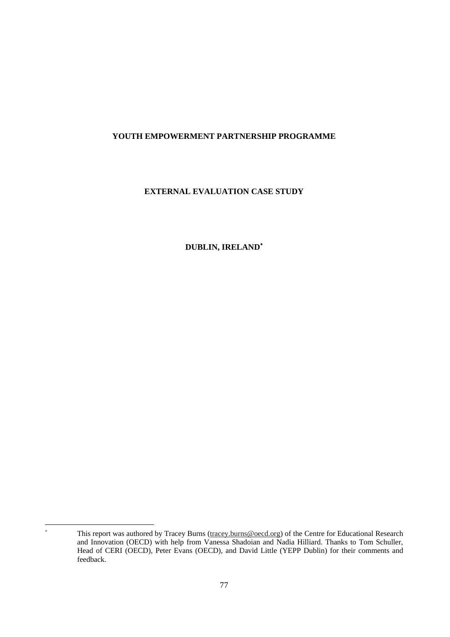# **YOUTH EMPOWERMENT PARTNERSHIP PROGRAMME**

# **EXTERNAL EVALUATION CASE STUDY**

**DUBLIN, IRELAND**<sup>∗</sup>

 $\overline{a}$ 

<sup>∗</sup> This report was authored by Tracey Burns (tracey.burns@oecd.org) of the Centre for Educational Research and Innovation (OECD) with help from Vanessa Shadoian and Nadia Hilliard. Thanks to Tom Schuller, Head of CERI (OECD), Peter Evans (OECD), and David Little (YEPP Dublin) for their comments and feedback.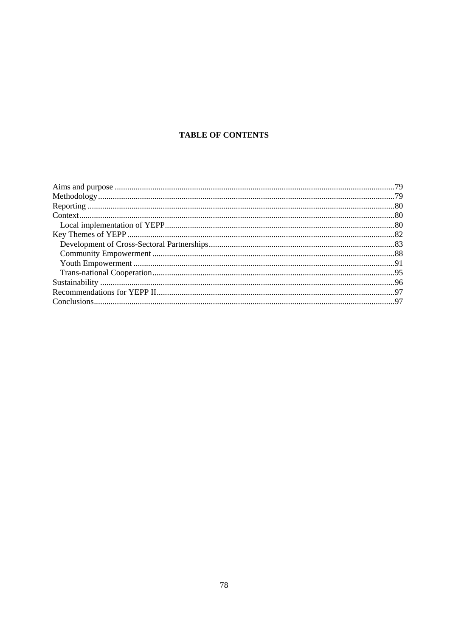# **TABLE OF CONTENTS**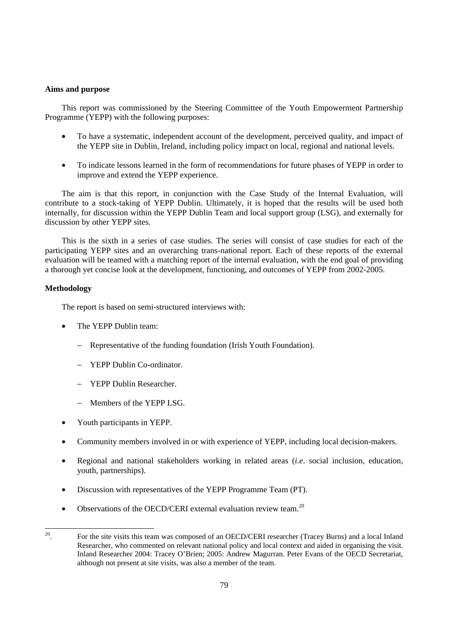# **Aims and purpose**

This report was commissioned by the Steering Committee of the Youth Empowerment Partnership Programme (YEPP) with the following purposes:

- To have a systematic, independent account of the development, perceived quality, and impact of the YEPP site in Dublin, Ireland, including policy impact on local, regional and national levels.
- To indicate lessons learned in the form of recommendations for future phases of YEPP in order to improve and extend the YEPP experience.

The aim is that this report, in conjunction with the Case Study of the Internal Evaluation, will contribute to a stock-taking of YEPP Dublin. Ultimately, it is hoped that the results will be used both internally, for discussion within the YEPP Dublin Team and local support group (LSG), and externally for discussion by other YEPP sites.

This is the sixth in a series of case studies. The series will consist of case studies for each of the participating YEPP sites and an overarching trans-national report. Each of these reports of the external evaluation will be teamed with a matching report of the internal evaluation, with the end goal of providing a thorough yet concise look at the development, functioning, and outcomes of YEPP from 2002-2005.

# **Methodology**

The report is based on semi-structured interviews with:

- The YEPP Dublin team:
	- − Representative of the funding foundation (Irish Youth Foundation).
	- − YEPP Dublin Co-ordinator.
	- − YEPP Dublin Researcher.
	- − Members of the YEPP LSG.
- Youth participants in YEPP.
- Community members involved in or with experience of YEPP, including local decision-makers.
- Regional and national stakeholders working in related areas (*i.e*. social inclusion, education, youth, partnerships).
- Discussion with representatives of the YEPP Programme Team (PT).
- Observations of the OECD/CERI external evaluation review team.<sup>20</sup>

 $20\,$ 20. For the site visits this team was composed of an OECD/CERI researcher (Tracey Burns) and a local Inland Researcher, who commented on relevant national policy and local context and aided in organising the visit. Inland Researcher 2004: Tracey O'Brien; 2005: Andrew Magurran. Peter Evans of the OECD Secretariat, although not present at site visits, was also a member of the team.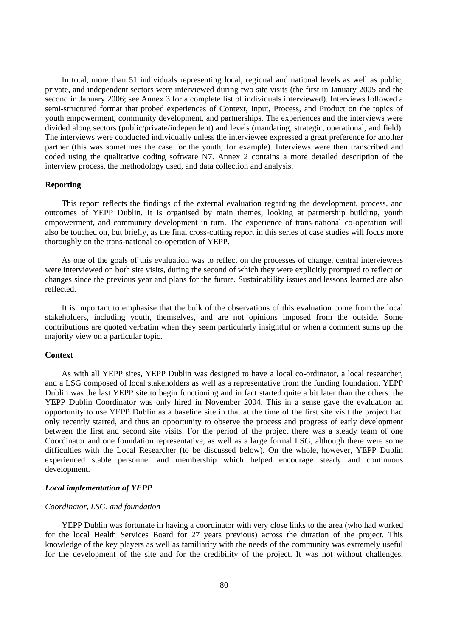In total, more than 51 individuals representing local, regional and national levels as well as public, private, and independent sectors were interviewed during two site visits (the first in January 2005 and the second in January 2006; see Annex 3 for a complete list of individuals interviewed). Interviews followed a semi-structured format that probed experiences of Context, Input, Process, and Product on the topics of youth empowerment, community development, and partnerships. The experiences and the interviews were divided along sectors (public/private/independent) and levels (mandating, strategic, operational, and field). The interviews were conducted individually unless the interviewee expressed a great preference for another partner (this was sometimes the case for the youth, for example). Interviews were then transcribed and coded using the qualitative coding software N7. Annex 2 contains a more detailed description of the interview process, the methodology used, and data collection and analysis.

# **Reporting**

This report reflects the findings of the external evaluation regarding the development, process, and outcomes of YEPP Dublin. It is organised by main themes, looking at partnership building, youth empowerment, and community development in turn. The experience of trans-national co-operation will also be touched on, but briefly, as the final cross-cutting report in this series of case studies will focus more thoroughly on the trans-national co-operation of YEPP.

As one of the goals of this evaluation was to reflect on the processes of change, central interviewees were interviewed on both site visits, during the second of which they were explicitly prompted to reflect on changes since the previous year and plans for the future. Sustainability issues and lessons learned are also reflected.

It is important to emphasise that the bulk of the observations of this evaluation come from the local stakeholders, including youth, themselves, and are not opinions imposed from the outside. Some contributions are quoted verbatim when they seem particularly insightful or when a comment sums up the majority view on a particular topic.

#### **Context**

As with all YEPP sites, YEPP Dublin was designed to have a local co-ordinator, a local researcher, and a LSG composed of local stakeholders as well as a representative from the funding foundation. YEPP Dublin was the last YEPP site to begin functioning and in fact started quite a bit later than the others: the YEPP Dublin Coordinator was only hired in November 2004. This in a sense gave the evaluation an opportunity to use YEPP Dublin as a baseline site in that at the time of the first site visit the project had only recently started, and thus an opportunity to observe the process and progress of early development between the first and second site visits. For the period of the project there was a steady team of one Coordinator and one foundation representative, as well as a large formal LSG, although there were some difficulties with the Local Researcher (to be discussed below). On the whole, however, YEPP Dublin experienced stable personnel and membership which helped encourage steady and continuous development.

#### *Local implementation of YEPP*

#### *Coordinator, LSG, and foundation*

YEPP Dublin was fortunate in having a coordinator with very close links to the area (who had worked for the local Health Services Board for 27 years previous) across the duration of the project. This knowledge of the key players as well as familiarity with the needs of the community was extremely useful for the development of the site and for the credibility of the project. It was not without challenges,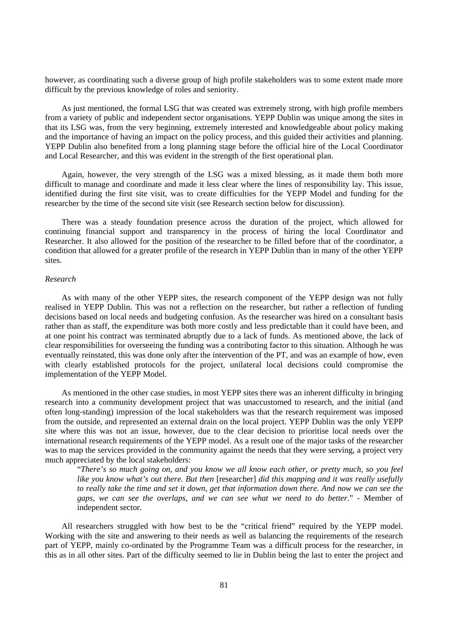however, as coordinating such a diverse group of high profile stakeholders was to some extent made more difficult by the previous knowledge of roles and seniority.

As just mentioned, the formal LSG that was created was extremely strong, with high profile members from a variety of public and independent sector organisations. YEPP Dublin was unique among the sites in that its LSG was, from the very beginning, extremely interested and knowledgeable about policy making and the importance of having an impact on the policy process, and this guided their activities and planning. YEPP Dublin also benefited from a long planning stage before the official hire of the Local Coordinator and Local Researcher, and this was evident in the strength of the first operational plan.

Again, however, the very strength of the LSG was a mixed blessing, as it made them both more difficult to manage and coordinate and made it less clear where the lines of responsibility lay. This issue, identified during the first site visit, was to create difficulties for the YEPP Model and funding for the researcher by the time of the second site visit (see Research section below for discussion).

There was a steady foundation presence across the duration of the project, which allowed for continuing financial support and transparency in the process of hiring the local Coordinator and Researcher. It also allowed for the position of the researcher to be filled before that of the coordinator, a condition that allowed for a greater profile of the research in YEPP Dublin than in many of the other YEPP sites.

# *Research*

As with many of the other YEPP sites, the research component of the YEPP design was not fully realised in YEPP Dublin. This was not a reflection on the researcher, but rather a reflection of funding decisions based on local needs and budgeting confusion. As the researcher was hired on a consultant basis rather than as staff, the expenditure was both more costly and less predictable than it could have been, and at one point his contract was terminated abruptly due to a lack of funds. As mentioned above, the lack of clear responsibilities for overseeing the funding was a contributing factor to this situation. Although he was eventually reinstated, this was done only after the intervention of the PT, and was an example of how, even with clearly established protocols for the project, unilateral local decisions could compromise the implementation of the YEPP Model.

As mentioned in the other case studies, in most YEPP sites there was an inherent difficulty in bringing research into a community development project that was unaccustomed to research, and the initial (and often long-standing) impression of the local stakeholders was that the research requirement was imposed from the outside, and represented an external drain on the local project. YEPP Dublin was the only YEPP site where this was not an issue, however, due to the clear decision to prioritise local needs over the international research requirements of the YEPP model. As a result one of the major tasks of the researcher was to map the services provided in the community against the needs that they were serving, a project very much appreciated by the local stakeholders:

"*There's so much going on, and you know we all know each other, or pretty much, so you feel like you know what's out there. But then* [researcher] *did this mapping and it was really usefully to really take the time and set it down, get that information down there. And now we can see the gaps, we can see the overlaps, and we can see what we need to do better.*" - Member of independent sector.

All researchers struggled with how best to be the "critical friend" required by the YEPP model. Working with the site and answering to their needs as well as balancing the requirements of the research part of YEPP, mainly co-ordinated by the Programme Team was a difficult process for the researcher, in this as in all other sites. Part of the difficulty seemed to lie in Dublin being the last to enter the project and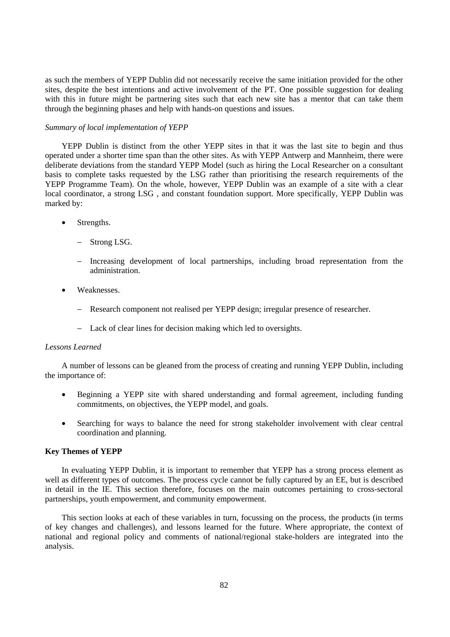as such the members of YEPP Dublin did not necessarily receive the same initiation provided for the other sites, despite the best intentions and active involvement of the PT. One possible suggestion for dealing with this in future might be partnering sites such that each new site has a mentor that can take them through the beginning phases and help with hands-on questions and issues.

# *Summary of local implementation of YEPP*

YEPP Dublin is distinct from the other YEPP sites in that it was the last site to begin and thus operated under a shorter time span than the other sites. As with YEPP Antwerp and Mannheim, there were deliberate deviations from the standard YEPP Model (such as hiring the Local Researcher on a consultant basis to complete tasks requested by the LSG rather than prioritising the research requirements of the YEPP Programme Team). On the whole, however, YEPP Dublin was an example of a site with a clear local coordinator, a strong LSG , and constant foundation support. More specifically, YEPP Dublin was marked by:

- Strengths.
	- Strong LSG.
	- − Increasing development of local partnerships, including broad representation from the administration.
- Weaknesses.
	- − Research component not realised per YEPP design; irregular presence of researcher.
	- − Lack of clear lines for decision making which led to oversights.

# *Lessons Learned*

A number of lessons can be gleaned from the process of creating and running YEPP Dublin, including the importance of:

- Beginning a YEPP site with shared understanding and formal agreement, including funding commitments, on objectives, the YEPP model, and goals.
- Searching for ways to balance the need for strong stakeholder involvement with clear central coordination and planning.

# **Key Themes of YEPP**

In evaluating YEPP Dublin, it is important to remember that YEPP has a strong process element as well as different types of outcomes. The process cycle cannot be fully captured by an EE, but is described in detail in the IE. This section therefore, focuses on the main outcomes pertaining to cross-sectoral partnerships, youth empowerment, and community empowerment.

This section looks at each of these variables in turn, focussing on the process, the products (in terms of key changes and challenges), and lessons learned for the future. Where appropriate, the context of national and regional policy and comments of national/regional stake-holders are integrated into the analysis.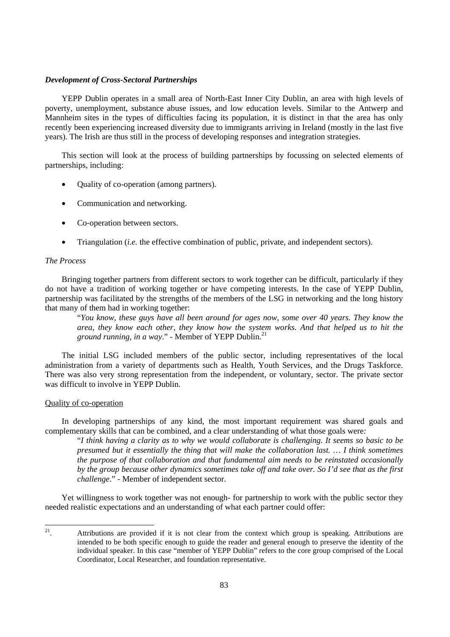# *Development of Cross-Sectoral Partnerships*

YEPP Dublin operates in a small area of North-East Inner City Dublin, an area with high levels of poverty, unemployment, substance abuse issues, and low education levels. Similar to the Antwerp and Mannheim sites in the types of difficulties facing its population, it is distinct in that the area has only recently been experiencing increased diversity due to immigrants arriving in Ireland (mostly in the last five years). The Irish are thus still in the process of developing responses and integration strategies.

This section will look at the process of building partnerships by focussing on selected elements of partnerships, including:

- Quality of co-operation (among partners).
- Communication and networking.
- Co-operation between sectors.
- Triangulation (*i.e.* the effective combination of public, private, and independent sectors).

# *The Process*

Bringing together partners from different sectors to work together can be difficult, particularly if they do not have a tradition of working together or have competing interests. In the case of YEPP Dublin, partnership was facilitated by the strengths of the members of the LSG in networking and the long history that many of them had in working together:

"*You know, these guys have all been around for ages now, some over 40 years. They know the area, they know each other, they know how the system works. And that helped us to hit the ground running, in a way.*" - Member of YEPP Dublin.<sup>21</sup>

The initial LSG included members of the public sector, including representatives of the local administration from a variety of departments such as Health, Youth Services, and the Drugs Taskforce. There was also very strong representation from the independent, or voluntary, sector. The private sector was difficult to involve in YEPP Dublin.

#### Quality of co-operation

In developing partnerships of any kind, the most important requirement was shared goals and complementary skills that can be combined, and a clear understanding of what those goals were*:* 

"*I think having a clarity as to why we would collaborate is challenging. It seems so basic to be presumed but it essentially the thing that will make the collaboration last. … I think sometimes the purpose of that collaboration and that fundamental aim needs to be reinstated occasionally by the group because other dynamics sometimes take off and take over. So I'd see that as the first challenge*." - Member of independent sector.

Yet willingness to work together was not enough- for partnership to work with the public sector they needed realistic expectations and an understanding of what each partner could offer:

 $21$ Attributions are provided if it is not clear from the context which group is speaking. Attributions are intended to be both specific enough to guide the reader and general enough to preserve the identity of the individual speaker. In this case "member of YEPP Dublin" refers to the core group comprised of the Local Coordinator, Local Researcher, and foundation representative.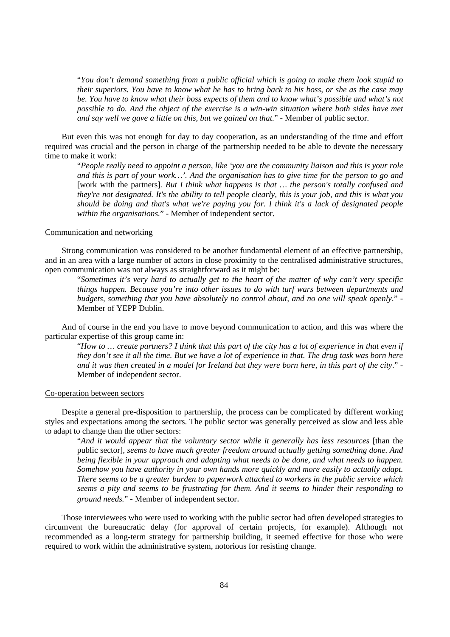"*You don't demand something from a public official which is going to make them look stupid to their superiors. You have to know what he has to bring back to his boss, or she as the case may be. You have to know what their boss expects of them and to know what's possible and what's not possible to do. And the object of the exercise is a win-win situation where both sides have met and say well we gave a little on this, but we gained on that.*" - Member of public sector.

But even this was not enough for day to day cooperation, as an understanding of the time and effort required was crucial and the person in charge of the partnership needed to be able to devote the necessary time to make it work:

"*People really need to appoint a person, like 'you are the community liaison and this is your role and this is part of your work…'. And the organisation has to give time for the person to go and*  [work with the partners]*. But I think what happens is that … the person's totally confused and they're not designated. It's the ability to tell people clearly, this is your job, and this is what you should be doing and that's what we're paying you for. I think it's a lack of designated people within the organisations.*" - Member of independent sector.

## Communication and networking

Strong communication was considered to be another fundamental element of an effective partnership, and in an area with a large number of actors in close proximity to the centralised administrative structures, open communication was not always as straightforward as it might be:

"*Sometimes it's very hard to actually get to the heart of the matter of why can't very specific things happen. Because you're into other issues to do with turf wars between departments and budgets, something that you have absolutely no control about, and no one will speak openly*." - Member of YEPP Dublin.

And of course in the end you have to move beyond communication to action, and this was where the particular expertise of this group came in:

"*How to … create partners? I think that this part of the city has a lot of experience in that even if they don't see it all the time. But we have a lot of experience in that. The drug task was born here and it was then created in a model for Ireland but they were born here, in this part of the city*." - Member of independent sector.

#### Co-operation between sectors

Despite a general pre-disposition to partnership, the process can be complicated by different working styles and expectations among the sectors. The public sector was generally perceived as slow and less able to adapt to change than the other sectors:

"*And it would appear that the voluntary sector while it generally has less resources* [than the public sector]*, seems to have much greater freedom around actually getting something done. And being flexible in your approach and adapting what needs to be done, and what needs to happen. Somehow you have authority in your own hands more quickly and more easily to actually adapt. There seems to be a greater burden to paperwork attached to workers in the public service which seems a pity and seems to be frustrating for them. And it seems to hinder their responding to ground needs.*" - Member of independent sector.

Those interviewees who were used to working with the public sector had often developed strategies to circumvent the bureaucratic delay (for approval of certain projects, for example). Although not recommended as a long-term strategy for partnership building, it seemed effective for those who were required to work within the administrative system, notorious for resisting change.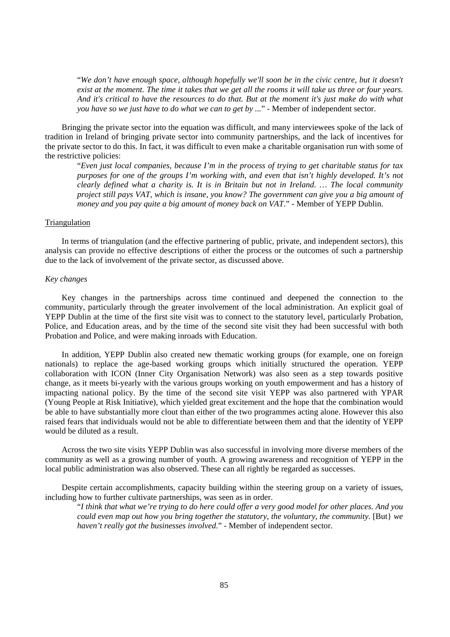"*We don't have enough space, although hopefully we'll soon be in the civic centre, but it doesn't exist at the moment. The time it takes that we get all the rooms it will take us three or four years. And it's critical to have the resources to do that. But at the moment it's just make do with what you have so we just have to do what we can to get by ...*" - Member of independent sector.

Bringing the private sector into the equation was difficult, and many interviewees spoke of the lack of tradition in Ireland of bringing private sector into community partnerships, and the lack of incentives for the private sector to do this. In fact, it was difficult to even make a charitable organisation run with some of the restrictive policies:

"*Even just local companies, because I'm in the process of trying to get charitable status for tax purposes for one of the groups I'm working with, and even that isn't highly developed. It's not clearly defined what a charity is. It is in Britain but not in Ireland. … The local community project still pays VAT, which is insane, you know? The government can give you a big amount of money and you pay quite a big amount of money back on VAT*." - Member of YEPP Dublin.

# Triangulation

In terms of triangulation (and the effective partnering of public, private, and independent sectors), this analysis can provide no effective descriptions of either the process or the outcomes of such a partnership due to the lack of involvement of the private sector, as discussed above.

# *Key changes*

Key changes in the partnerships across time continued and deepened the connection to the community, particularly through the greater involvement of the local administration. An explicit goal of YEPP Dublin at the time of the first site visit was to connect to the statutory level, particularly Probation, Police, and Education areas, and by the time of the second site visit they had been successful with both Probation and Police, and were making inroads with Education.

In addition, YEPP Dublin also created new thematic working groups (for example, one on foreign nationals) to replace the age-based working groups which initially structured the operation. YEPP collaboration with ICON (Inner City Organisation Network) was also seen as a step towards positive change, as it meets bi-yearly with the various groups working on youth empowerment and has a history of impacting national policy. By the time of the second site visit YEPP was also partnered with YPAR (Young People at Risk Initiative), which yielded great excitement and the hope that the combination would be able to have substantially more clout than either of the two programmes acting alone. However this also raised fears that individuals would not be able to differentiate between them and that the identity of YEPP would be diluted as a result.

Across the two site visits YEPP Dublin was also successful in involving more diverse members of the community as well as a growing number of youth. A growing awareness and recognition of YEPP in the local public administration was also observed. These can all rightly be regarded as successes.

Despite certain accomplishments, capacity building within the steering group on a variety of issues, including how to further cultivate partnerships, was seen as in order.

"*I think that what we're trying to do here could offer a very good model for other places. And you could even map out how you bring together the statutory, the voluntary, the community.* [But] we *haven't really got the businesses involved*." - Member of independent sector.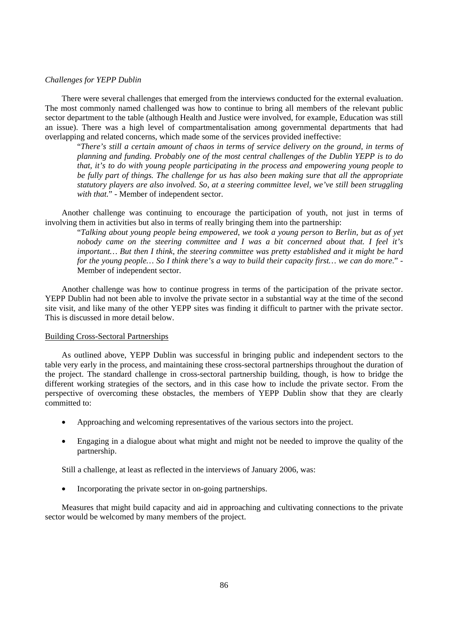# *Challenges for YEPP Dublin*

There were several challenges that emerged from the interviews conducted for the external evaluation. The most commonly named challenged was how to continue to bring all members of the relevant public sector department to the table (although Health and Justice were involved, for example, Education was still an issue). There was a high level of compartmentalisation among governmental departments that had overlapping and related concerns, which made some of the services provided ineffective:

"*There's still a certain amount of chaos in terms of service delivery on the ground, in terms of planning and funding. Probably one of the most central challenges of the Dublin YEPP is to do that, it's to do with young people participating in the process and empowering young people to be fully part of things. The challenge for us has also been making sure that all the appropriate statutory players are also involved. So, at a steering committee level, we've still been struggling with that.*" - Member of independent sector.

Another challenge was continuing to encourage the participation of youth, not just in terms of involving them in activities but also in terms of really bringing them into the partnership:

"*Talking about young people being empowered, we took a young person to Berlin, but as of yet nobody came on the steering committee and I was a bit concerned about that. I feel it's important… But then I think, the steering committee was pretty established and it might be hard for the young people… So I think there's a way to build their capacity first… we can do more*." - Member of independent sector.

Another challenge was how to continue progress in terms of the participation of the private sector. YEPP Dublin had not been able to involve the private sector in a substantial way at the time of the second site visit, and like many of the other YEPP sites was finding it difficult to partner with the private sector. This is discussed in more detail below.

# Building Cross-Sectoral Partnerships

As outlined above, YEPP Dublin was successful in bringing public and independent sectors to the table very early in the process, and maintaining these cross-sectoral partnerships throughout the duration of the project. The standard challenge in cross-sectoral partnership building, though, is how to bridge the different working strategies of the sectors, and in this case how to include the private sector. From the perspective of overcoming these obstacles, the members of YEPP Dublin show that they are clearly committed to:

- Approaching and welcoming representatives of the various sectors into the project.
- Engaging in a dialogue about what might and might not be needed to improve the quality of the partnership.

Still a challenge, at least as reflected in the interviews of January 2006, was:

• Incorporating the private sector in on-going partnerships.

Measures that might build capacity and aid in approaching and cultivating connections to the private sector would be welcomed by many members of the project.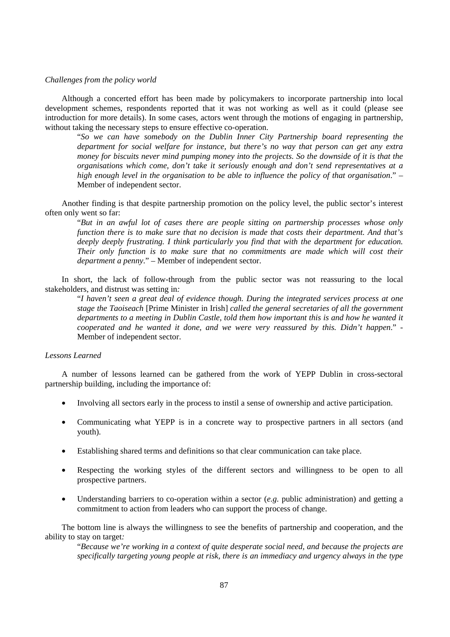# *Challenges from the policy world*

Although a concerted effort has been made by policymakers to incorporate partnership into local development schemes, respondents reported that it was not working as well as it could (please see introduction for more details). In some cases, actors went through the motions of engaging in partnership, without taking the necessary steps to ensure effective co-operation.

"*So we can have somebody on the Dublin Inner City Partnership board representing the department for social welfare for instance, but there's no way that person can get any extra money for biscuits never mind pumping money into the projects. So the downside of it is that the organisations which come, don't take it seriously enough and don't send representatives at a high enough level in the organisation to be able to influence the policy of that organisation*." – Member of independent sector.

Another finding is that despite partnership promotion on the policy level, the public sector's interest often only went so far:

"*But in an awful lot of cases there are people sitting on partnership processes whose only function there is to make sure that no decision is made that costs their department. And that's deeply deeply frustrating. I think particularly you find that with the department for education. Their only function is to make sure that no commitments are made which will cost their department a penny*." – Member of independent sector.

In short, the lack of follow-through from the public sector was not reassuring to the local stakeholders, and distrust was setting in*:* 

"*I haven't seen a great deal of evidence though. During the integrated services process at one stage the Taoiseach* [Prime Minister in Irish] *called the general secretaries of all the government departments to a meeting in Dublin Castle, told them how important this is and how he wanted it cooperated and he wanted it done, and we were very reassured by this. Didn't happen*." - Member of independent sector.

# *Lessons Learned*

A number of lessons learned can be gathered from the work of YEPP Dublin in cross-sectoral partnership building, including the importance of:

- Involving all sectors early in the process to instil a sense of ownership and active participation.
- Communicating what YEPP is in a concrete way to prospective partners in all sectors (and youth).
- Establishing shared terms and definitions so that clear communication can take place.
- Respecting the working styles of the different sectors and willingness to be open to all prospective partners.
- Understanding barriers to co-operation within a sector (*e.g.* public administration) and getting a commitment to action from leaders who can support the process of change.

The bottom line is always the willingness to see the benefits of partnership and cooperation, and the ability to stay on target*:* 

"*Because we're working in a context of quite desperate social need, and because the projects are specifically targeting young people at risk, there is an immediacy and urgency always in the type*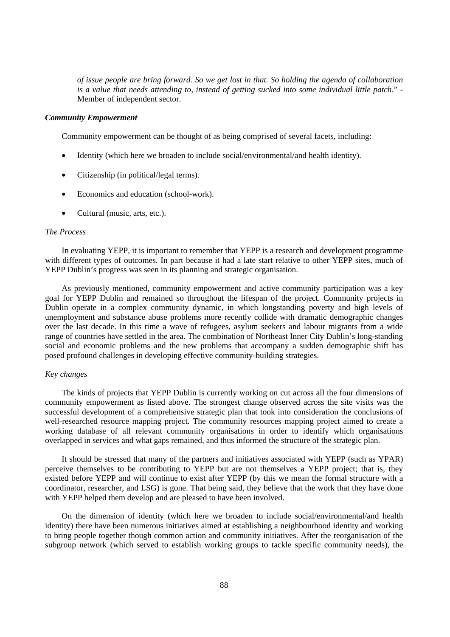*of issue people are bring forward. So we get lost in that. So holding the agenda of collaboration is a value that needs attending to, instead of getting sucked into some individual little patch*." - Member of independent sector.

#### *Community Empowerment*

Community empowerment can be thought of as being comprised of several facets, including:

- Identity (which here we broaden to include social/environmental/and health identity).
- Citizenship (in political/legal terms).
- Economics and education (school-work).
- Cultural (music, arts, etc.).

## *The Process*

In evaluating YEPP, it is important to remember that YEPP is a research and development programme with different types of outcomes. In part because it had a late start relative to other YEPP sites, much of YEPP Dublin's progress was seen in its planning and strategic organisation.

As previously mentioned, community empowerment and active community participation was a key goal for YEPP Dublin and remained so throughout the lifespan of the project. Community projects in Dublin operate in a complex community dynamic, in which longstanding poverty and high levels of unemployment and substance abuse problems more recently collide with dramatic demographic changes over the last decade. In this time a wave of refugees, asylum seekers and labour migrants from a wide range of countries have settled in the area. The combination of Northeast Inner City Dublin's long-standing social and economic problems and the new problems that accompany a sudden demographic shift has posed profound challenges in developing effective community-building strategies.

#### *Key changes*

The kinds of projects that YEPP Dublin is currently working on cut across all the four dimensions of community empowerment as listed above. The strongest change observed across the site visits was the successful development of a comprehensive strategic plan that took into consideration the conclusions of well-researched resource mapping project. The community resources mapping project aimed to create a working database of all relevant community organisations in order to identify which organisations overlapped in services and what gaps remained, and thus informed the structure of the strategic plan.

It should be stressed that many of the partners and initiatives associated with YEPP (such as YPAR) perceive themselves to be contributing to YEPP but are not themselves a YEPP project; that is, they existed before YEPP and will continue to exist after YEPP (by this we mean the formal structure with a coordinator, researcher, and LSG) is gone. That being said, they believe that the work that they have done with YEPP helped them develop and are pleased to have been involved.

On the dimension of identity (which here we broaden to include social/environmental/and health identity) there have been numerous initiatives aimed at establishing a neighbourhood identity and working to bring people together though common action and community initiatives. After the reorganisation of the subgroup network (which served to establish working groups to tackle specific community needs), the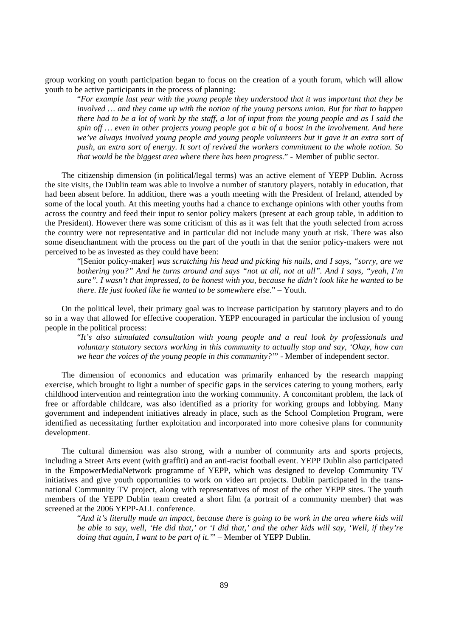group working on youth participation began to focus on the creation of a youth forum, which will allow youth to be active participants in the process of planning:

"*For example last year with the young people they understood that it was important that they be involved … and they came up with the notion of the young persons union. But for that to happen there had to be a lot of work by the staff, a lot of input from the young people and as I said the spin off … even in other projects young people got a bit of a boost in the involvement. And here we've always involved young people and young people volunteers but it gave it an extra sort of push, an extra sort of energy. It sort of revived the workers commitment to the whole notion. So that would be the biggest area where there has been progress.*" - Member of public sector.

The citizenship dimension (in political/legal terms) was an active element of YEPP Dublin. Across the site visits, the Dublin team was able to involve a number of statutory players, notably in education, that had been absent before. In addition, there was a youth meeting with the President of Ireland, attended by some of the local youth. At this meeting youths had a chance to exchange opinions with other youths from across the country and feed their input to senior policy makers (present at each group table, in addition to the President). However there was some criticism of this as it was felt that the youth selected from across the country were not representative and in particular did not include many youth at risk. There was also some disenchantment with the process on the part of the youth in that the senior policy-makers were not perceived to be as invested as they could have been:

"[Senior policy-maker] *was scratching his head and picking his nails, and I says, "sorry, are we bothering you?" And he turns around and says "not at all, not at all". And I says, "yeah, I'm sure". I wasn't that impressed, to be honest with you, because he didn't look like he wanted to be there. He just looked like he wanted to be somewhere else.*" – Youth.

On the political level, their primary goal was to increase participation by statutory players and to do so in a way that allowed for effective cooperation. YEPP encouraged in particular the inclusion of young people in the political process:

"*It's also stimulated consultation with young people and a real look by professionals and voluntary statutory sectors working in this community to actually stop and say, 'Okay, how can we hear the voices of the young people in this community?'*" - Member of independent sector.

The dimension of economics and education was primarily enhanced by the research mapping exercise, which brought to light a number of specific gaps in the services catering to young mothers, early childhood intervention and reintegration into the working community. A concomitant problem, the lack of free or affordable childcare, was also identified as a priority for working groups and lobbying. Many government and independent initiatives already in place, such as the School Completion Program, were identified as necessitating further exploitation and incorporated into more cohesive plans for community development.

The cultural dimension was also strong, with a number of community arts and sports projects, including a Street Arts event (with graffiti) and an anti-racist football event. YEPP Dublin also participated in the EmpowerMediaNetwork programme of YEPP, which was designed to develop Community TV initiatives and give youth opportunities to work on video art projects. Dublin participated in the transnational Community TV project, along with representatives of most of the other YEPP sites. The youth members of the YEPP Dublin team created a short film (a portrait of a community member) that was screened at the 2006 YEPP-ALL conference.

"*And it's literally made an impact, because there is going to be work in the area where kids will be able to say, well, 'He did that,' or 'I did that,' and the other kids will say, 'Well, if they're doing that again, I want to be part of it.'*" – Member of YEPP Dublin.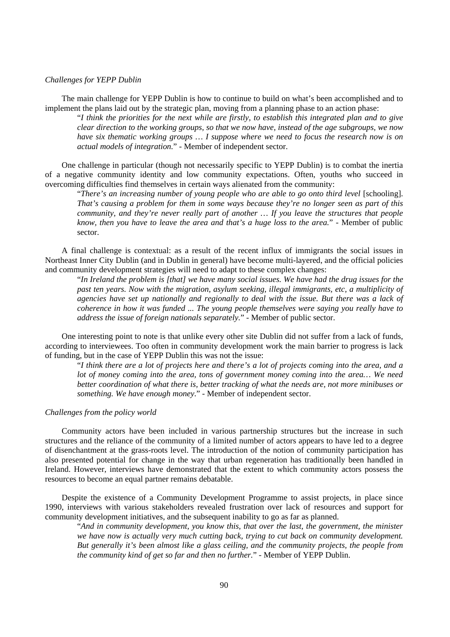### *Challenges for YEPP Dublin*

The main challenge for YEPP Dublin is how to continue to build on what's been accomplished and to implement the plans laid out by the strategic plan, moving from a planning phase to an action phase:

"*I think the priorities for the next while are firstly, to establish this integrated plan and to give clear direction to the working groups, so that we now have, instead of the age subgroups, we now have six thematic working groups … I suppose where we need to focus the research now is on actual models of integration.*" - Member of independent sector.

One challenge in particular (though not necessarily specific to YEPP Dublin) is to combat the inertia of a negative community identity and low community expectations. Often, youths who succeed in overcoming difficulties find themselves in certain ways alienated from the community:

"*There's an increasing number of young people who are able to go onto third level* [schooling]. *That's causing a problem for them in some ways because they're no longer seen as part of this community, and they're never really part of another … If you leave the structures that people know, then you have to leave the area and that's a huge loss to the area.*" - Member of public sector.

A final challenge is contextual: as a result of the recent influx of immigrants the social issues in Northeast Inner City Dublin (and in Dublin in general) have become multi-layered, and the official policies and community development strategies will need to adapt to these complex changes:

"*In Ireland the problem is [that] we have many social issues. We have had the drug issues for the past ten years. Now with the migration, asylum seeking, illegal immigrants, etc, a multiplicity of agencies have set up nationally and regionally to deal with the issue. But there was a lack of coherence in how it was funded ... The young people themselves were saying you really have to address the issue of foreign nationals separately.*" - Member of public sector.

One interesting point to note is that unlike every other site Dublin did not suffer from a lack of funds, according to interviewees. Too often in community development work the main barrier to progress is lack of funding, but in the case of YEPP Dublin this was not the issue:

"*I think there are a lot of projects here and there's a lot of projects coming into the area, and a lot of money coming into the area, tons of government money coming into the area… We need better coordination of what there is, better tracking of what the needs are, not more minibuses or something. We have enough money*." - Member of independent sector.

## *Challenges from the policy world*

Community actors have been included in various partnership structures but the increase in such structures and the reliance of the community of a limited number of actors appears to have led to a degree of disenchantment at the grass-roots level. The introduction of the notion of community participation has also presented potential for change in the way that urban regeneration has traditionally been handled in Ireland. However, interviews have demonstrated that the extent to which community actors possess the resources to become an equal partner remains debatable.

Despite the existence of a Community Development Programme to assist projects, in place since 1990, interviews with various stakeholders revealed frustration over lack of resources and support for community development initiatives, and the subsequent inability to go as far as planned.

"*And in community development, you know this, that over the last, the government, the minister we have now is actually very much cutting back, trying to cut back on community development. But generally it's been almost like a glass ceiling, and the community projects, the people from the community kind of get so far and then no further.*" - Member of YEPP Dublin.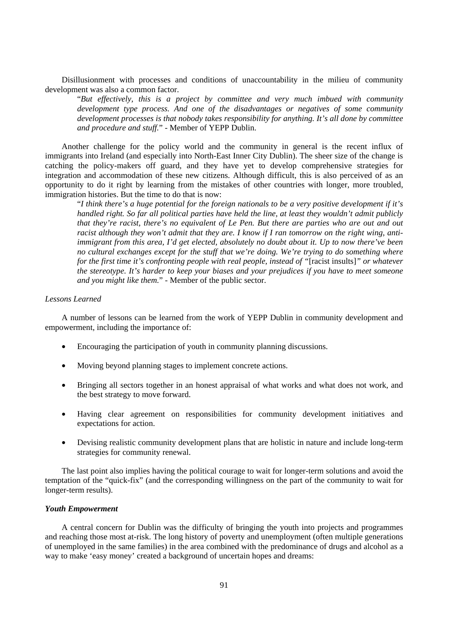Disillusionment with processes and conditions of unaccountability in the milieu of community development was also a common factor.

"*But effectively, this is a project by committee and very much imbued with community development type process. And one of the disadvantages or negatives of some community development processes is that nobody takes responsibility for anything. It's all done by committee and procedure and stuff.*" - Member of YEPP Dublin.

Another challenge for the policy world and the community in general is the recent influx of immigrants into Ireland (and especially into North-East Inner City Dublin). The sheer size of the change is catching the policy-makers off guard, and they have yet to develop comprehensive strategies for integration and accommodation of these new citizens. Although difficult, this is also perceived of as an opportunity to do it right by learning from the mistakes of other countries with longer, more troubled, immigration histories. But the time to do that is now:

"*I think there's a huge potential for the foreign nationals to be a very positive development if it's handled right. So far all political parties have held the line, at least they wouldn't admit publicly that they're racist, there's no equivalent of Le Pen. But there are parties who are out and out racist although they won't admit that they are. I know if I ran tomorrow on the right wing, antiimmigrant from this area, I'd get elected, absolutely no doubt about it. Up to now there've been no cultural exchanges except for the stuff that we're doing. We're trying to do something where for the first time it's confronting people with real people, instead of "*[racist insults]*" or whatever the stereotype. It's harder to keep your biases and your prejudices if you have to meet someone and you might like them.*" - Member of the public sector.

### *Lessons Learned*

A number of lessons can be learned from the work of YEPP Dublin in community development and empowerment, including the importance of:

- Encouraging the participation of youth in community planning discussions.
- Moving beyond planning stages to implement concrete actions.
- Bringing all sectors together in an honest appraisal of what works and what does not work, and the best strategy to move forward.
- Having clear agreement on responsibilities for community development initiatives and expectations for action.
- Devising realistic community development plans that are holistic in nature and include long-term strategies for community renewal.

The last point also implies having the political courage to wait for longer-term solutions and avoid the temptation of the "quick-fix" (and the corresponding willingness on the part of the community to wait for longer-term results).

## *Youth Empowerment*

A central concern for Dublin was the difficulty of bringing the youth into projects and programmes and reaching those most at-risk. The long history of poverty and unemployment (often multiple generations of unemployed in the same families) in the area combined with the predominance of drugs and alcohol as a way to make 'easy money' created a background of uncertain hopes and dreams: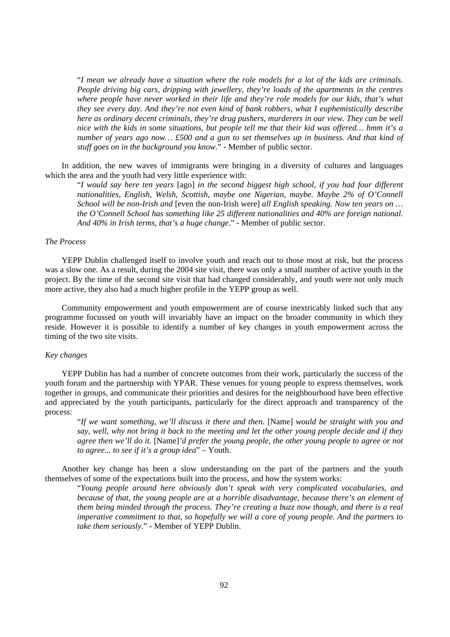"*I mean we already have a situation where the role models for a lot of the kids are criminals. People driving big cars, dripping with jewellery, they're loads of the apartments in the centres where people have never worked in their life and they're role models for our kids, that's what they see every day. And they're not even kind of bank robbers, what I euphemistically describe here as ordinary decent criminals, they're drug pushers, murderers in our view. They can be well nice with the kids in some situations, but people tell me that their kid was offered… hmm it's a number of years ago now… £500 and a gun to set themselves up in business. And that kind of stuff goes on in the background you know.*" - Member of public sector.

In addition, the new waves of immigrants were bringing in a diversity of cultures and languages which the area and the youth had very little experience with:

"*I would say here ten years* [ago] *in the second biggest high school, if you had four different nationalities, English, Welsh, Scottish, maybe one Nigerian, maybe. Maybe 2% of O'Connell School will be non-Irish and* [even the non-Irish were] *all English speaking. Now ten years on … the O'Connell School has something like 25 different nationalities and 40% are foreign national. And 40% in Irish terms, that's a huge change*." - Member of public sector.

# *The Process*

YEPP Dublin challenged itself to involve youth and reach out to those most at risk, but the process was a slow one. As a result, during the 2004 site visit, there was only a small number of active youth in the project. By the time of the second site visit that had changed considerably, and youth were not only much more active, they also had a much higher profile in the YEPP group as well.

Community empowerment and youth empowerment are of course inextricably linked such that any programme focussed on youth will invariably have an impact on the broader community in which they reside. However it is possible to identify a number of key changes in youth empowerment across the timing of the two site visits.

# *Key changes*

YEPP Dublin has had a number of concrete outcomes from their work, particularly the success of the youth forum and the partnership with YPAR. These venues for young people to express themselves, work together in groups, and communicate their priorities and desires for the neighbourhood have been effective and appreciated by the youth participants, particularly for the direct approach and transparency of the process:

"*If we want something, we'll discuss it there and then.* [Name] *would be straight with you and say, well, why not bring it back to the meeting and let the other young people decide and if they agree then we'll do it.* [Name]*'d prefer the young people, the other young people to agree or not to agree... to see if it's a group idea*" – Youth.

Another key change has been a slow understanding on the part of the partners and the youth themselves of some of the expectations built into the process, and how the system works:

"*Young people around here obviously don't speak with very complicated vocabularies, and because of that, the young people are at a horrible disadvantage, because there's an element of them being minded through the process. They're creating a buzz now though, and there is a real imperative commitment to that, so hopefully we will a core of young people. And the partners to take them seriously.*" - Member of YEPP Dublin.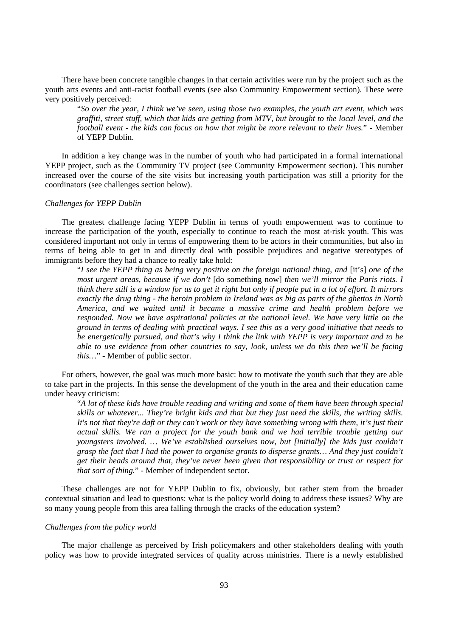There have been concrete tangible changes in that certain activities were run by the project such as the youth arts events and anti-racist football events (see also Community Empowerment section). These were very positively perceived:

"*So over the year, I think we've seen, using those two examples, the youth art event, which was graffiti, street stuff, which that kids are getting from MTV, but brought to the local level, and the football event - the kids can focus on how that might be more relevant to their lives.*" - Member of YEPP Dublin.

In addition a key change was in the number of youth who had participated in a formal international YEPP project, such as the Community TV project (see Community Empowerment section). This number increased over the course of the site visits but increasing youth participation was still a priority for the coordinators (see challenges section below).

### *Challenges for YEPP Dublin*

The greatest challenge facing YEPP Dublin in terms of youth empowerment was to continue to increase the participation of the youth, especially to continue to reach the most at-risk youth. This was considered important not only in terms of empowering them to be actors in their communities, but also in terms of being able to get in and directly deal with possible prejudices and negative stereotypes of immigrants before they had a chance to really take hold:

"*I see the YEPP thing as being very positive on the foreign national thing, and* [it's] *one of the most urgent areas, because if we don't* [do something now] *then we'll mirror the Paris riots. I think there still is a window for us to get it right but only if people put in a lot of effort. It mirrors exactly the drug thing - the heroin problem in Ireland was as big as parts of the ghettos in North America, and we waited until it became a massive crime and health problem before we responded. Now we have aspirational policies at the national level. We have very little on the ground in terms of dealing with practical ways. I see this as a very good initiative that needs to be energetically pursued, and that's why I think the link with YEPP is very important and to be able to use evidence from other countries to say, look, unless we do this then we'll be facing this…*" - Member of public sector.

For others, however, the goal was much more basic: how to motivate the youth such that they are able to take part in the projects. In this sense the development of the youth in the area and their education came under heavy criticism:

"*A lot of these kids have trouble reading and writing and some of them have been through special skills or whatever... They're bright kids and that but they just need the skills, the writing skills. It's not that they're daft or they can't work or they have something wrong with them, it's just their actual skills. We ran a project for the youth bank and we had terrible trouble getting our youngsters involved. … We've established ourselves now, but [initially] the kids just couldn't grasp the fact that I had the power to organise grants to disperse grants… And they just couldn't get their heads around that, they've never been given that responsibility or trust or respect for that sort of thing.*" - Member of independent sector.

These challenges are not for YEPP Dublin to fix, obviously, but rather stem from the broader contextual situation and lead to questions: what is the policy world doing to address these issues? Why are so many young people from this area falling through the cracks of the education system?

#### *Challenges from the policy world*

The major challenge as perceived by Irish policymakers and other stakeholders dealing with youth policy was how to provide integrated services of quality across ministries. There is a newly established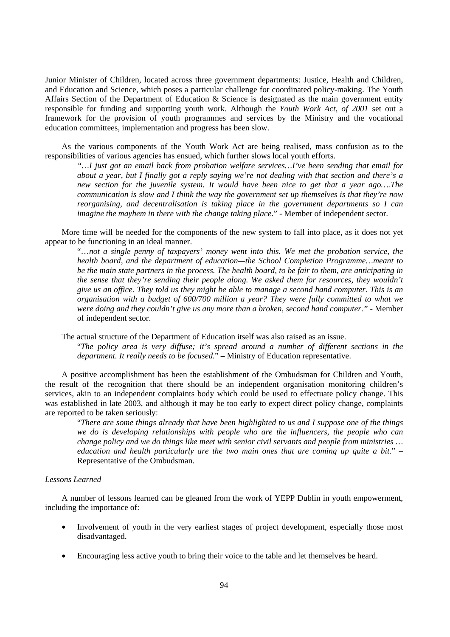Junior Minister of Children, located across three government departments: Justice, Health and Children, and Education and Science, which poses a particular challenge for coordinated policy-making. The Youth Affairs Section of the Department of Education & Science is designated as the main government entity responsible for funding and supporting youth work. Although the *Youth Work Act, of 2001* set out a framework for the provision of youth programmes and services by the Ministry and the vocational education committees, implementation and progress has been slow.

As the various components of the Youth Work Act are being realised, mass confusion as to the responsibilities of various agencies has ensued, which further slows local youth efforts.

*"…I just got an email back from probation welfare services…I've been sending that email for about a year, but I finally got a reply saying we're not dealing with that section and there's a new section for the juvenile system. It would have been nice to get that a year ago….The communication is slow and I think the way the government set up themselves is that they're now reorganising, and decentralisation is taking place in the government departments so I can imagine the mayhem in there with the change taking place.*" - Member of independent sector.

More time will be needed for the components of the new system to fall into place, as it does not yet appear to be functioning in an ideal manner.

"…*not a single penny of taxpayers' money went into this. We met the probation service, the health board, and the department of education—the School Completion Programme…meant to be the main state partners in the process. The health board, to be fair to them, are anticipating in the sense that they're sending their people along. We asked them for resources, they wouldn't give us an office. They told us they might be able to manage a second hand computer. This is an organisation with a budget of 600/700 million a year? They were fully committed to what we were doing and they couldn't give us any more than a broken, second hand computer*.*"* - Member of independent sector.

The actual structure of the Department of Education itself was also raised as an issue.

"*The policy area is very diffuse; it's spread around a number of different sections in the department. It really needs to be focused.*" – Ministry of Education representative.

A positive accomplishment has been the establishment of the Ombudsman for Children and Youth, the result of the recognition that there should be an independent organisation monitoring children's services, akin to an independent complaints body which could be used to effectuate policy change. This was established in late 2003, and although it may be too early to expect direct policy change, complaints are reported to be taken seriously:

"*There are some things already that have been highlighted to us and I suppose one of the things we do is developing relationships with people who are the influencers, the people who can change policy and we do things like meet with senior civil servants and people from ministries … education and health particularly are the two main ones that are coming up quite a bit*." – Representative of the Ombudsman.

# *Lessons Learned*

A number of lessons learned can be gleaned from the work of YEPP Dublin in youth empowerment, including the importance of:

- Involvement of youth in the very earliest stages of project development, especially those most disadvantaged.
- Encouraging less active youth to bring their voice to the table and let themselves be heard.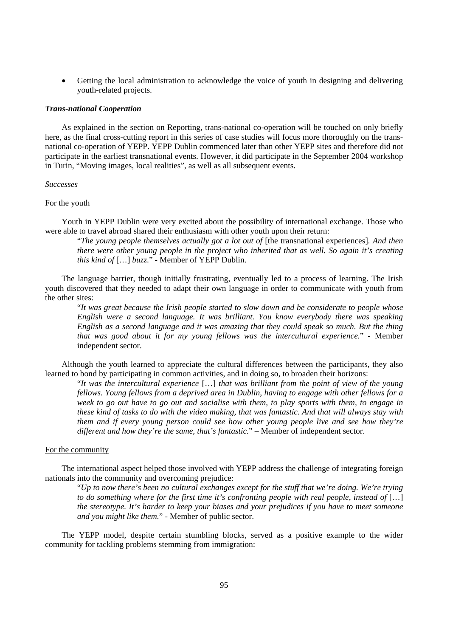• Getting the local administration to acknowledge the voice of youth in designing and delivering youth-related projects.

#### *Trans-national Cooperation*

As explained in the section on Reporting, trans-national co-operation will be touched on only briefly here, as the final cross-cutting report in this series of case studies will focus more thoroughly on the transnational co-operation of YEPP. YEPP Dublin commenced later than other YEPP sites and therefore did not participate in the earliest transnational events. However, it did participate in the September 2004 workshop in Turin, "Moving images, local realities", as well as all subsequent events.

# *Successes*

## For the youth

Youth in YEPP Dublin were very excited about the possibility of international exchange. Those who were able to travel abroad shared their enthusiasm with other youth upon their return:

"*The young people themselves actually got a lot out of* [the transnational experiences]*. And then there were other young people in the project who inherited that as well. So again it's creating this kind of* […] *buzz*." - Member of YEPP Dublin.

The language barrier, though initially frustrating, eventually led to a process of learning. The Irish youth discovered that they needed to adapt their own language in order to communicate with youth from the other sites:

"*It was great because the Irish people started to slow down and be considerate to people whose English were a second language. It was brilliant. You know everybody there was speaking English as a second language and it was amazing that they could speak so much. But the thing that was good about it for my young fellows was the intercultural experience.*" - Member independent sector.

Although the youth learned to appreciate the cultural differences between the participants, they also learned to bond by participating in common activities, and in doing so, to broaden their horizons:

"*It was the intercultural experience* […] *that was brilliant from the point of view of the young fellows. Young fellows from a deprived area in Dublin, having to engage with other fellows for a week to go out have to go out and socialise with them, to play sports with them, to engage in these kind of tasks to do with the video making, that was fantastic. And that will always stay with them and if every young person could see how other young people live and see how they're different and how they're the same, that's fantastic.*" – Member of independent sector.

# For the community

The international aspect helped those involved with YEPP address the challenge of integrating foreign nationals into the community and overcoming prejudice:

"*Up to now there's been no cultural exchanges except for the stuff that we're doing. We're trying to do something where for the first time it's confronting people with real people, instead of* […] *the stereotype. It's harder to keep your biases and your prejudices if you have to meet someone and you might like them.*" - Member of public sector.

The YEPP model, despite certain stumbling blocks, served as a positive example to the wider community for tackling problems stemming from immigration: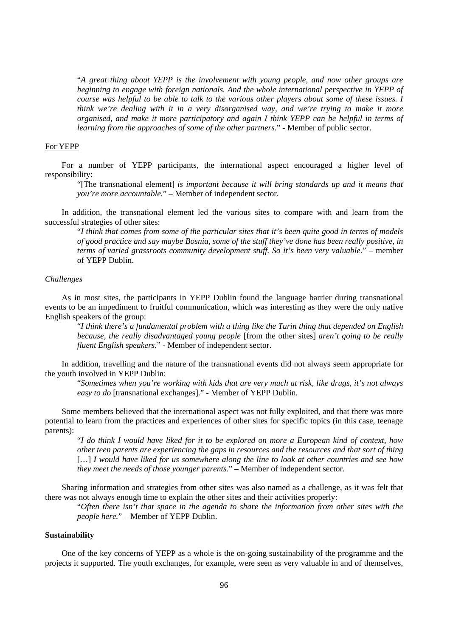"*A great thing about YEPP is the involvement with young people, and now other groups are beginning to engage with foreign nationals. And the whole international perspective in YEPP of course was helpful to be able to talk to the various other players about some of these issues. I think we're dealing with it in a very disorganised way, and we're trying to make it more organised, and make it more participatory and again I think YEPP can be helpful in terms of learning from the approaches of some of the other partners.*" - Member of public sector.

### For YEPP

For a number of YEPP participants, the international aspect encouraged a higher level of responsibility:

"[The transnational element] *is important because it will bring standards up and it means that you're more accountable.*" – Member of independent sector.

In addition, the transnational element led the various sites to compare with and learn from the successful strategies of other sites:

"*I think that comes from some of the particular sites that it's been quite good in terms of models of good practice and say maybe Bosnia, some of the stuff they've done has been really positive, in terms of varied grassroots community development stuff. So it's been very valuable.*" – member of YEPP Dublin.

# *Challenges*

As in most sites, the participants in YEPP Dublin found the language barrier during transnational events to be an impediment to fruitful communication, which was interesting as they were the only native English speakers of the group:

"*I think there's a fundamental problem with a thing like the Turin thing that depended on English because, the really disadvantaged young people* [from the other sites] *aren't going to be really fluent English speakers.*" - Member of independent sector.

In addition, travelling and the nature of the transnational events did not always seem appropriate for the youth involved in YEPP Dublin:

"*Sometimes when you're working with kids that are very much at risk, like drugs, it's not always easy to do* [transnational exchanges]." - Member of YEPP Dublin.

Some members believed that the international aspect was not fully exploited, and that there was more potential to learn from the practices and experiences of other sites for specific topics (in this case, teenage parents):

"*I do think I would have liked for it to be explored on more a European kind of context, how other teen parents are experiencing the gaps in resources and the resources and that sort of thing*  [...] *I would have liked for us somewhere along the line to look at other countries and see how they meet the needs of those younger parents.*" – Member of independent sector.

Sharing information and strategies from other sites was also named as a challenge, as it was felt that there was not always enough time to explain the other sites and their activities properly:

"*Often there isn't that space in the agenda to share the information from other sites with the people here.*" – Member of YEPP Dublin.

# **Sustainability**

One of the key concerns of YEPP as a whole is the on-going sustainability of the programme and the projects it supported. The youth exchanges, for example, were seen as very valuable in and of themselves,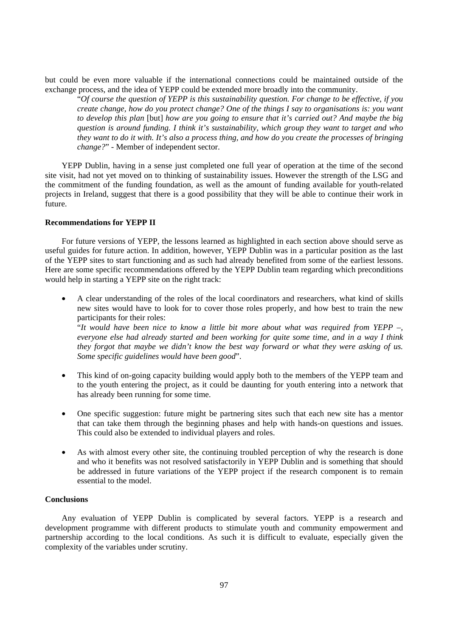but could be even more valuable if the international connections could be maintained outside of the exchange process, and the idea of YEPP could be extended more broadly into the community.

"*Of course the question of YEPP is this sustainability question. For change to be effective, if you create change, how do you protect change? One of the things I say to organisations is: you want to develop this plan* [but] *how are you going to ensure that it's carried out? And maybe the big question is around funding. I think it's sustainability, which group they want to target and who they want to do it with. It's also a process thing, and how do you create the processes of bringing change?*" - Member of independent sector.

YEPP Dublin, having in a sense just completed one full year of operation at the time of the second site visit, had not yet moved on to thinking of sustainability issues. However the strength of the LSG and the commitment of the funding foundation, as well as the amount of funding available for youth-related projects in Ireland, suggest that there is a good possibility that they will be able to continue their work in future.

## **Recommendations for YEPP II**

For future versions of YEPP, the lessons learned as highlighted in each section above should serve as useful guides for future action. In addition, however, YEPP Dublin was in a particular position as the last of the YEPP sites to start functioning and as such had already benefited from some of the earliest lessons. Here are some specific recommendations offered by the YEPP Dublin team regarding which preconditions would help in starting a YEPP site on the right track:

• A clear understanding of the roles of the local coordinators and researchers, what kind of skills new sites would have to look for to cover those roles properly, and how best to train the new participants for their roles:

"*It would have been nice to know a little bit more about what was required from YEPP –, everyone else had already started and been working for quite some time, and in a way I think they forgot that maybe we didn't know the best way forward or what they were asking of us. Some specific guidelines would have been good*".

- This kind of on-going capacity building would apply both to the members of the YEPP team and to the youth entering the project, as it could be daunting for youth entering into a network that has already been running for some time.
- One specific suggestion: future might be partnering sites such that each new site has a mentor that can take them through the beginning phases and help with hands-on questions and issues. This could also be extended to individual players and roles.
- As with almost every other site, the continuing troubled perception of why the research is done and who it benefits was not resolved satisfactorily in YEPP Dublin and is something that should be addressed in future variations of the YEPP project if the research component is to remain essential to the model.

## **Conclusions**

Any evaluation of YEPP Dublin is complicated by several factors. YEPP is a research and development programme with different products to stimulate youth and community empowerment and partnership according to the local conditions. As such it is difficult to evaluate, especially given the complexity of the variables under scrutiny.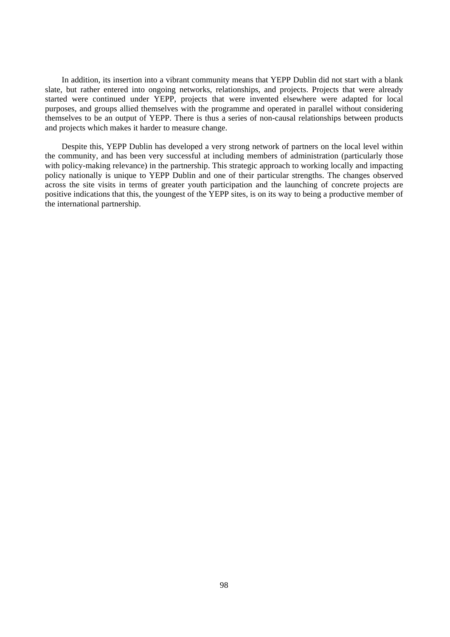In addition, its insertion into a vibrant community means that YEPP Dublin did not start with a blank slate, but rather entered into ongoing networks, relationships, and projects. Projects that were already started were continued under YEPP, projects that were invented elsewhere were adapted for local purposes, and groups allied themselves with the programme and operated in parallel without considering themselves to be an output of YEPP. There is thus a series of non-causal relationships between products and projects which makes it harder to measure change.

Despite this, YEPP Dublin has developed a very strong network of partners on the local level within the community, and has been very successful at including members of administration (particularly those with policy-making relevance) in the partnership. This strategic approach to working locally and impacting policy nationally is unique to YEPP Dublin and one of their particular strengths. The changes observed across the site visits in terms of greater youth participation and the launching of concrete projects are positive indications that this, the youngest of the YEPP sites, is on its way to being a productive member of the international partnership.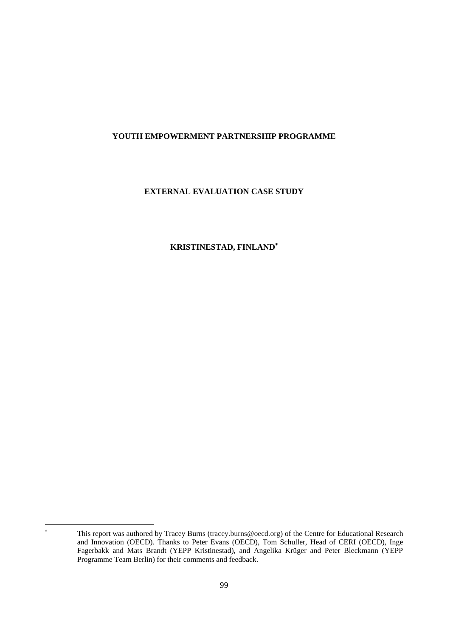# **YOUTH EMPOWERMENT PARTNERSHIP PROGRAMME**

# **EXTERNAL EVALUATION CASE STUDY**

# **KRISTINESTAD, FINLAND**<sup>∗</sup>

 $\overline{a}$ ∗

This report was authored by Tracey Burns (tracey.burns@oecd.org) of the Centre for Educational Research and Innovation (OECD). Thanks to Peter Evans (OECD), Tom Schuller, Head of CERI (OECD), Inge Fagerbakk and Mats Brandt (YEPP Kristinestad), and Angelika Krüger and Peter Bleckmann (YEPP Programme Team Berlin) for their comments and feedback.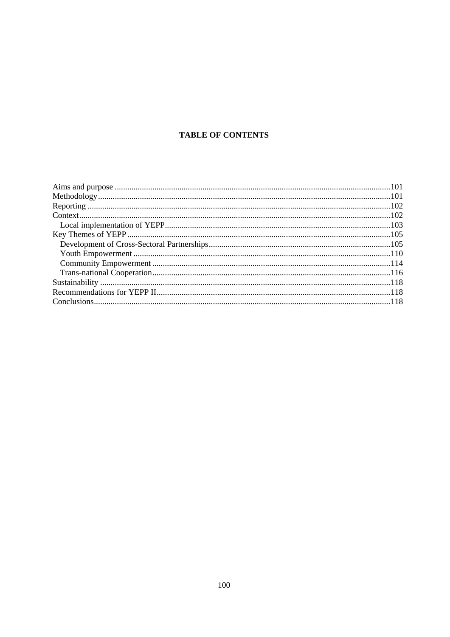# **TABLE OF CONTENTS**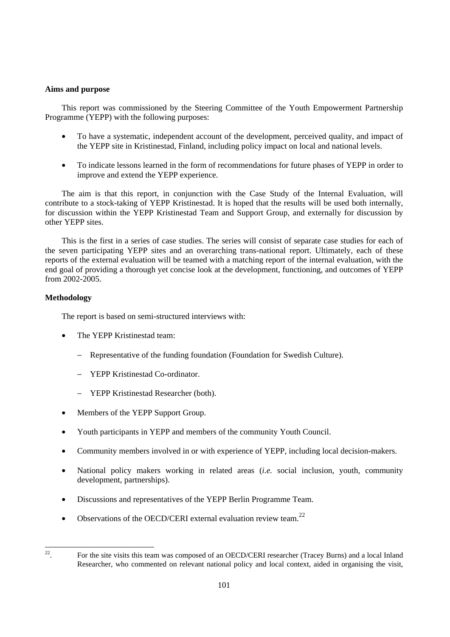# **Aims and purpose**

This report was commissioned by the Steering Committee of the Youth Empowerment Partnership Programme (YEPP) with the following purposes:

- To have a systematic, independent account of the development, perceived quality, and impact of the YEPP site in Kristinestad, Finland, including policy impact on local and national levels.
- To indicate lessons learned in the form of recommendations for future phases of YEPP in order to improve and extend the YEPP experience.

The aim is that this report, in conjunction with the Case Study of the Internal Evaluation, will contribute to a stock-taking of YEPP Kristinestad. It is hoped that the results will be used both internally, for discussion within the YEPP Kristinestad Team and Support Group, and externally for discussion by other YEPP sites.

This is the first in a series of case studies. The series will consist of separate case studies for each of the seven participating YEPP sites and an overarching trans-national report. Ultimately, each of these reports of the external evaluation will be teamed with a matching report of the internal evaluation, with the end goal of providing a thorough yet concise look at the development, functioning, and outcomes of YEPP from 2002-2005.

# **Methodology**

The report is based on semi-structured interviews with:

- The YEPP Kristinestad team:
	- − Representative of the funding foundation (Foundation for Swedish Culture).
	- − YEPP Kristinestad Co-ordinator.
	- − YEPP Kristinestad Researcher (both).
- Members of the YEPP Support Group.
- Youth participants in YEPP and members of the community Youth Council.
- Community members involved in or with experience of YEPP, including local decision-makers.
- National policy makers working in related areas (*i.e.* social inclusion, youth, community development, partnerships).
- Discussions and representatives of the YEPP Berlin Programme Team.
- Observations of the OECD/CERI external evaluation review team.<sup>22</sup>

 $22$ 

<sup>22.</sup> For the site visits this team was composed of an OECD/CERI researcher (Tracey Burns) and a local Inland Researcher, who commented on relevant national policy and local context, aided in organising the visit,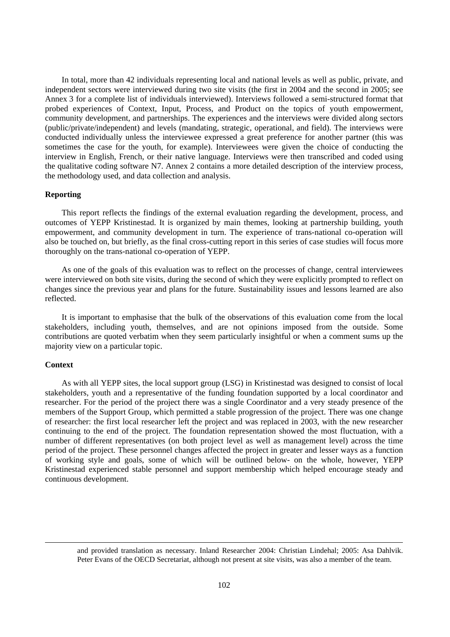In total, more than 42 individuals representing local and national levels as well as public, private, and independent sectors were interviewed during two site visits (the first in 2004 and the second in 2005; see Annex 3 for a complete list of individuals interviewed). Interviews followed a semi-structured format that probed experiences of Context, Input, Process, and Product on the topics of youth empowerment, community development, and partnerships. The experiences and the interviews were divided along sectors (public/private/independent) and levels (mandating, strategic, operational, and field). The interviews were conducted individually unless the interviewee expressed a great preference for another partner (this was sometimes the case for the youth, for example). Interviewees were given the choice of conducting the interview in English, French, or their native language. Interviews were then transcribed and coded using the qualitative coding software N7. Annex 2 contains a more detailed description of the interview process, the methodology used, and data collection and analysis.

# **Reporting**

This report reflects the findings of the external evaluation regarding the development, process, and outcomes of YEPP Kristinestad. It is organized by main themes, looking at partnership building, youth empowerment, and community development in turn. The experience of trans-national co-operation will also be touched on, but briefly, as the final cross-cutting report in this series of case studies will focus more thoroughly on the trans-national co-operation of YEPP.

As one of the goals of this evaluation was to reflect on the processes of change, central interviewees were interviewed on both site visits, during the second of which they were explicitly prompted to reflect on changes since the previous year and plans for the future. Sustainability issues and lessons learned are also reflected.

It is important to emphasise that the bulk of the observations of this evaluation come from the local stakeholders, including youth, themselves, and are not opinions imposed from the outside. Some contributions are quoted verbatim when they seem particularly insightful or when a comment sums up the majority view on a particular topic.

#### **Context**

<u>.</u>

As with all YEPP sites, the local support group (LSG) in Kristinestad was designed to consist of local stakeholders, youth and a representative of the funding foundation supported by a local coordinator and researcher. For the period of the project there was a single Coordinator and a very steady presence of the members of the Support Group, which permitted a stable progression of the project. There was one change of researcher: the first local researcher left the project and was replaced in 2003, with the new researcher continuing to the end of the project. The foundation representation showed the most fluctuation, with a number of different representatives (on both project level as well as management level) across the time period of the project. These personnel changes affected the project in greater and lesser ways as a function of working style and goals, some of which will be outlined below- on the whole, however, YEPP Kristinestad experienced stable personnel and support membership which helped encourage steady and continuous development.

and provided translation as necessary. Inland Researcher 2004: Christian Lindehal; 2005: Asa Dahlvik. Peter Evans of the OECD Secretariat, although not present at site visits, was also a member of the team.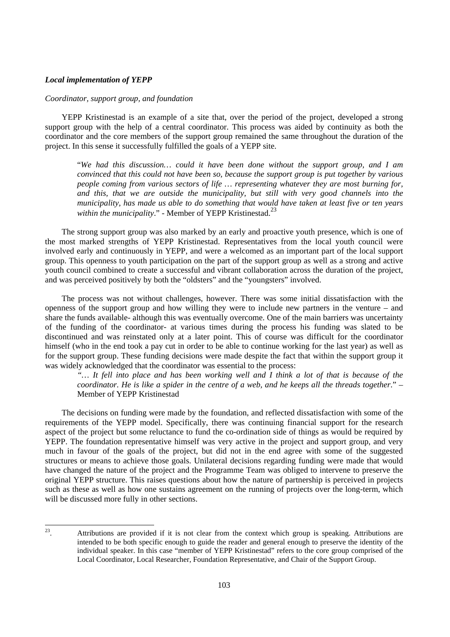# *Local implementation of YEPP*

#### *Coordinator, support group, and foundation*

YEPP Kristinestad is an example of a site that, over the period of the project, developed a strong support group with the help of a central coordinator. This process was aided by continuity as both the coordinator and the core members of the support group remained the same throughout the duration of the project. In this sense it successfully fulfilled the goals of a YEPP site.

"*We had this discussion… could it have been done without the support group, and I am convinced that this could not have been so, because the support group is put together by various people coming from various sectors of life … representing whatever they are most burning for, and this, that we are outside the municipality, but still with very good channels into the municipality, has made us able to do something that would have taken at least five or ten years*  within the municipality." - Member of YEPP Kristinestad.<sup>23</sup>

The strong support group was also marked by an early and proactive youth presence, which is one of the most marked strengths of YEPP Kristinestad. Representatives from the local youth council were involved early and continuously in YEPP, and were a welcomed as an important part of the local support group. This openness to youth participation on the part of the support group as well as a strong and active youth council combined to create a successful and vibrant collaboration across the duration of the project, and was perceived positively by both the "oldsters" and the "youngsters" involved.

The process was not without challenges, however. There was some initial dissatisfaction with the openness of the support group and how willing they were to include new partners in the venture – and share the funds available- although this was eventually overcome. One of the main barriers was uncertainty of the funding of the coordinator- at various times during the process his funding was slated to be discontinued and was reinstated only at a later point. This of course was difficult for the coordinator himself (who in the end took a pay cut in order to be able to continue working for the last year) as well as for the support group. These funding decisions were made despite the fact that within the support group it was widely acknowledged that the coordinator was essential to the process:

*"… It fell into place and has been working well and I think a lot of that is because of the coordinator. He is like a spider in the centre of a web, and he keeps all the threads together*." – Member of YEPP Kristinestad

The decisions on funding were made by the foundation, and reflected dissatisfaction with some of the requirements of the YEPP model. Specifically, there was continuing financial support for the research aspect of the project but some reluctance to fund the co-ordination side of things as would be required by YEPP. The foundation representative himself was very active in the project and support group, and very much in favour of the goals of the project, but did not in the end agree with some of the suggested structures or means to achieve those goals. Unilateral decisions regarding funding were made that would have changed the nature of the project and the Programme Team was obliged to intervene to preserve the original YEPP structure. This raises questions about how the nature of partnership is perceived in projects such as these as well as how one sustains agreement on the running of projects over the long-term, which will be discussed more fully in other sections.

23 Attributions are provided if it is not clear from the context which group is speaking. Attributions are intended to be both specific enough to guide the reader and general enough to preserve the identity of the individual speaker. In this case "member of YEPP Kristinestad" refers to the core group comprised of the Local Coordinator, Local Researcher, Foundation Representative, and Chair of the Support Group.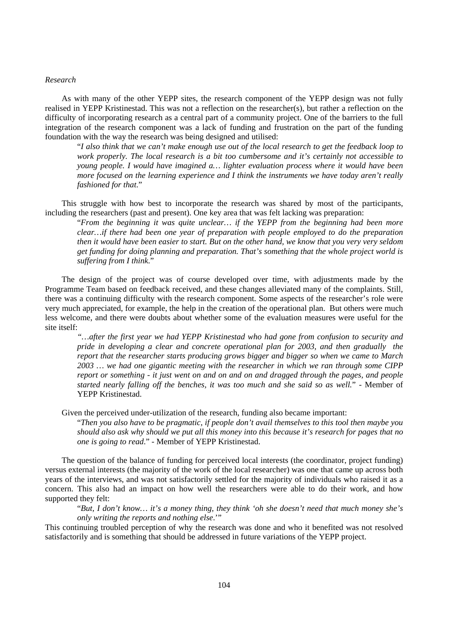# *Research*

As with many of the other YEPP sites, the research component of the YEPP design was not fully realised in YEPP Kristinestad. This was not a reflection on the researcher(s), but rather a reflection on the difficulty of incorporating research as a central part of a community project. One of the barriers to the full integration of the research component was a lack of funding and frustration on the part of the funding foundation with the way the research was being designed and utilised:

"*I also think that we can't make enough use out of the local research to get the feedback loop to work properly. The local research is a bit too cumbersome and it's certainly not accessible to young people. I would have imagined a… lighter evaluation process where it would have been more focused on the learning experience and I think the instruments we have today aren't really fashioned for that*."

This struggle with how best to incorporate the research was shared by most of the participants, including the researchers (past and present). One key area that was felt lacking was preparation:

"*From the beginning it was quite unclear… if the YEPP from the beginning had been more clear…if there had been one year of preparation with people employed to do the preparation then it would have been easier to start. But on the other hand, we know that you very very seldom get funding for doing planning and preparation. That's something that the whole project world is suffering from I think*."

The design of the project was of course developed over time, with adjustments made by the Programme Team based on feedback received, and these changes alleviated many of the complaints. Still, there was a continuing difficulty with the research component. Some aspects of the researcher's role were very much appreciated, for example, the help in the creation of the operational plan. But others were much less welcome, and there were doubts about whether some of the evaluation measures were useful for the site itself:

*"…after the first year we had YEPP Kristinestad who had gone from confusion to security and pride in developing a clear and concrete operational plan for 2003, and then gradually the report that the researcher starts producing grows bigger and bigger so when we came to March 2003 … we had one gigantic meeting with the researcher in which we ran through some CIPP report or something - it just went on and on and on and dragged through the pages, and people started nearly falling off the benches, it was too much and she said so as well.*" - Member of YEPP Kristinestad.

Given the perceived under-utilization of the research, funding also became important:

"*Then you also have to be pragmatic, if people don't avail themselves to this tool then maybe you should also ask why should we put all this money into this because it's research for pages that no one is going to read*." - Member of YEPP Kristinestad.

The question of the balance of funding for perceived local interests (the coordinator, project funding) versus external interests (the majority of the work of the local researcher) was one that came up across both years of the interviews, and was not satisfactorily settled for the majority of individuals who raised it as a concern. This also had an impact on how well the researchers were able to do their work, and how supported they felt:

"*But, I don't know… it's a money thing, they think 'oh she doesn't need that much money she's only writing the reports and nothing else*.'"

This continuing troubled perception of why the research was done and who it benefited was not resolved satisfactorily and is something that should be addressed in future variations of the YEPP project.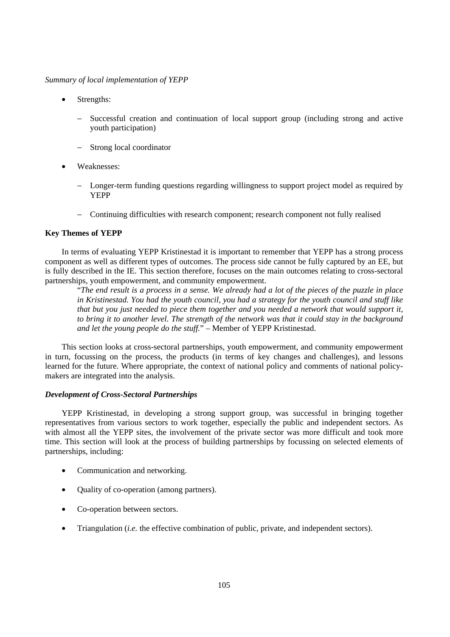*Summary of local implementation of YEPP* 

- Strengths:
	- Successful creation and continuation of local support group (including strong and active youth participation)
	- − Strong local coordinator
- Weaknesses:
	- Longer-term funding questions regarding willingness to support project model as required by YEPP
	- − Continuing difficulties with research component; research component not fully realised

# **Key Themes of YEPP**

In terms of evaluating YEPP Kristinestad it is important to remember that YEPP has a strong process component as well as different types of outcomes. The process side cannot be fully captured by an EE, but is fully described in the IE. This section therefore, focuses on the main outcomes relating to cross-sectoral partnerships, youth empowerment, and community empowerment.

"*The end result is a process in a sense. We already had a lot of the pieces of the puzzle in place in Kristinestad. You had the youth council, you had a strategy for the youth council and stuff like that but you just needed to piece them together and you needed a network that would support it, to bring it to another level. The strength of the network was that it could stay in the background and let the young people do the stuff.*" – Member of YEPP Kristinestad.

This section looks at cross-sectoral partnerships, youth empowerment, and community empowerment in turn, focussing on the process, the products (in terms of key changes and challenges), and lessons learned for the future. Where appropriate, the context of national policy and comments of national policymakers are integrated into the analysis.

# *Development of Cross-Sectoral Partnerships*

YEPP Kristinestad, in developing a strong support group, was successful in bringing together representatives from various sectors to work together, especially the public and independent sectors. As with almost all the YEPP sites, the involvement of the private sector was more difficult and took more time. This section will look at the process of building partnerships by focussing on selected elements of partnerships, including:

- Communication and networking.
- Quality of co-operation (among partners).
- Co-operation between sectors.
- Triangulation (*i.e.* the effective combination of public, private, and independent sectors).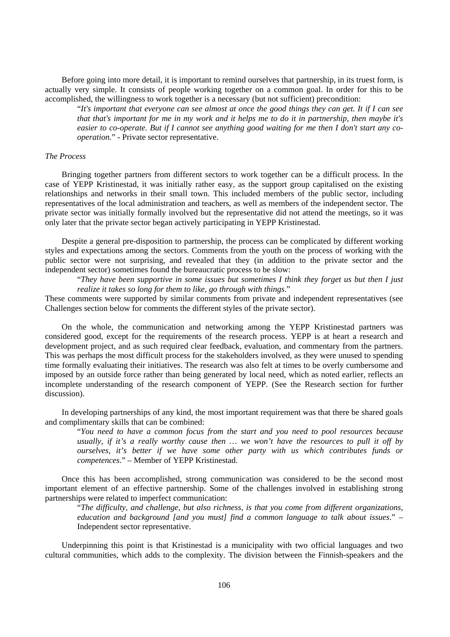Before going into more detail, it is important to remind ourselves that partnership, in its truest form, is actually very simple. It consists of people working together on a common goal. In order for this to be accomplished, the willingness to work together is a necessary (but not sufficient) precondition:

"*It's important that everyone can see almost at once the good things they can get. It if I can see that that's important for me in my work and it helps me to do it in partnership, then maybe it's easier to co-operate. But if I cannot see anything good waiting for me then I don't start any cooperation.*" - Private sector representative.

# *The Process*

Bringing together partners from different sectors to work together can be a difficult process. In the case of YEPP Kristinestad, it was initially rather easy, as the support group capitalised on the existing relationships and networks in their small town. This included members of the public sector, including representatives of the local administration and teachers, as well as members of the independent sector. The private sector was initially formally involved but the representative did not attend the meetings, so it was only later that the private sector began actively participating in YEPP Kristinestad.

Despite a general pre-disposition to partnership, the process can be complicated by different working styles and expectations among the sectors. Comments from the youth on the process of working with the public sector were not surprising, and revealed that they (in addition to the private sector and the independent sector) sometimes found the bureaucratic process to be slow:

"*They have been supportive in some issues but sometimes I think they forget us but then I just realize it takes so long for them to like, go through with things*."

These comments were supported by similar comments from private and independent representatives (see Challenges section below for comments the different styles of the private sector).

On the whole, the communication and networking among the YEPP Kristinestad partners was considered good, except for the requirements of the research process. YEPP is at heart a research and development project, and as such required clear feedback, evaluation, and commentary from the partners. This was perhaps the most difficult process for the stakeholders involved, as they were unused to spending time formally evaluating their initiatives. The research was also felt at times to be overly cumbersome and imposed by an outside force rather than being generated by local need, which as noted earlier, reflects an incomplete understanding of the research component of YEPP. (See the Research section for further discussion).

In developing partnerships of any kind, the most important requirement was that there be shared goals and complimentary skills that can be combined:

"*You need to have a common focus from the start and you need to pool resources because usually, if it's a really worthy cause then … we won't have the resources to pull it off by ourselves, it's better if we have some other party with us which contributes funds or competences*." – Member of YEPP Kristinestad.

Once this has been accomplished, strong communication was considered to be the second most important element of an effective partnership. Some of the challenges involved in establishing strong partnerships were related to imperfect communication:

"*The difficulty, and challenge, but also richness, is that you come from different organizations, education and background [and you must] find a common language to talk about issues*." – Independent sector representative.

Underpinning this point is that Kristinestad is a municipality with two official languages and two cultural communities, which adds to the complexity. The division between the Finnish-speakers and the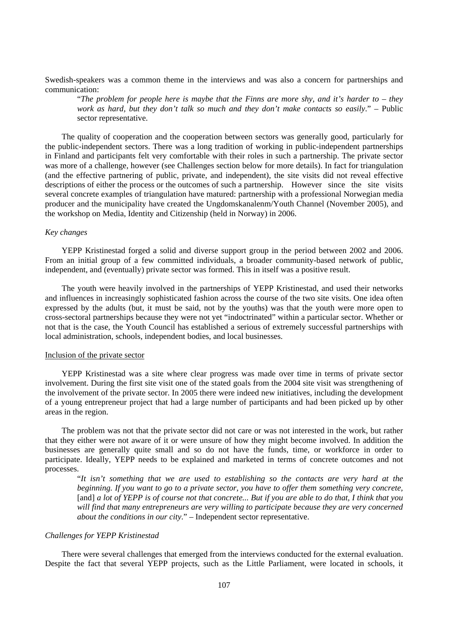Swedish-speakers was a common theme in the interviews and was also a concern for partnerships and communication:

"*The problem for people here is maybe that the Finns are more shy, and it's harder to – they work as hard, but they don't talk so much and they don't make contacts so easily*." – Public sector representative.

The quality of cooperation and the cooperation between sectors was generally good, particularly for the public-independent sectors. There was a long tradition of working in public-independent partnerships in Finland and participants felt very comfortable with their roles in such a partnership. The private sector was more of a challenge, however (see Challenges section below for more details). In fact for triangulation (and the effective partnering of public, private, and independent), the site visits did not reveal effective descriptions of either the process or the outcomes of such a partnership. However since the site visits several concrete examples of triangulation have matured: partnership with a professional Norwegian media producer and the municipality have created the Ungdomskanalenm/Youth Channel (November 2005), and the workshop on Media, Identity and Citizenship (held in Norway) in 2006.

# *Key changes*

YEPP Kristinestad forged a solid and diverse support group in the period between 2002 and 2006. From an initial group of a few committed individuals, a broader community-based network of public, independent, and (eventually) private sector was formed. This in itself was a positive result.

The youth were heavily involved in the partnerships of YEPP Kristinestad, and used their networks and influences in increasingly sophisticated fashion across the course of the two site visits. One idea often expressed by the adults (but, it must be said, not by the youths) was that the youth were more open to cross-sectoral partnerships because they were not yet "indoctrinated" within a particular sector. Whether or not that is the case, the Youth Council has established a serious of extremely successful partnerships with local administration, schools, independent bodies, and local businesses.

# Inclusion of the private sector

YEPP Kristinestad was a site where clear progress was made over time in terms of private sector involvement. During the first site visit one of the stated goals from the 2004 site visit was strengthening of the involvement of the private sector. In 2005 there were indeed new initiatives, including the development of a young entrepreneur project that had a large number of participants and had been picked up by other areas in the region.

The problem was not that the private sector did not care or was not interested in the work, but rather that they either were not aware of it or were unsure of how they might become involved. In addition the businesses are generally quite small and so do not have the funds, time, or workforce in order to participate. Ideally, YEPP needs to be explained and marketed in terms of concrete outcomes and not processes.

"*It isn't something that we are used to establishing so the contacts are very hard at the beginning. If you want to go to a private sector, you have to offer them something very concrete,*  [and] *a lot of YEPP is of course not that concrete... But if you are able to do that, I think that you will find that many entrepreneurs are very willing to participate because they are very concerned about the conditions in our city*." – Independent sector representative.

# *Challenges for YEPP Kristinestad*

There were several challenges that emerged from the interviews conducted for the external evaluation. Despite the fact that several YEPP projects, such as the Little Parliament, were located in schools, it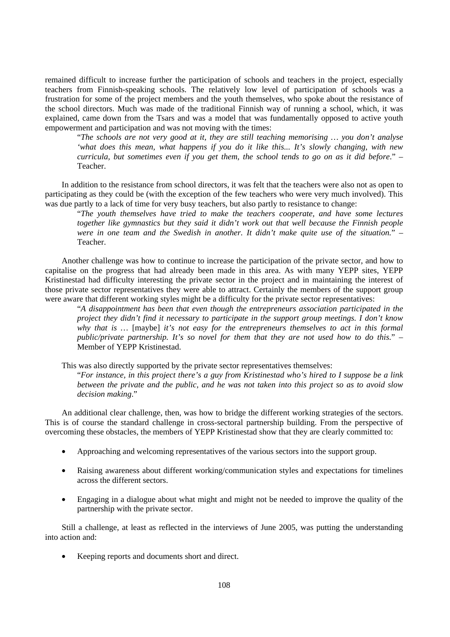remained difficult to increase further the participation of schools and teachers in the project, especially teachers from Finnish-speaking schools. The relatively low level of participation of schools was a frustration for some of the project members and the youth themselves, who spoke about the resistance of the school directors. Much was made of the traditional Finnish way of running a school, which, it was explained, came down from the Tsars and was a model that was fundamentally opposed to active youth empowerment and participation and was not moving with the times:

"*The schools are not very good at it, they are still teaching memorising … you don't analyse 'what does this mean, what happens if you do it like this... It's slowly changing, with new curricula, but sometimes even if you get them, the school tends to go on as it did before*." – Teacher.

In addition to the resistance from school directors, it was felt that the teachers were also not as open to participating as they could be (with the exception of the few teachers who were very much involved). This was due partly to a lack of time for very busy teachers, but also partly to resistance to change:

"*The youth themselves have tried to make the teachers cooperate, and have some lectures together like gymnastics but they said it didn't work out that well because the Finnish people were in one team and the Swedish in another. It didn't make quite use of the situation.*" – Teacher.

Another challenge was how to continue to increase the participation of the private sector, and how to capitalise on the progress that had already been made in this area. As with many YEPP sites, YEPP Kristinestad had difficulty interesting the private sector in the project and in maintaining the interest of those private sector representatives they were able to attract. Certainly the members of the support group were aware that different working styles might be a difficulty for the private sector representatives:

"*A disappointment has been that even though the entrepreneurs association participated in the project they didn't find it necessary to participate in the support group meetings. I don't know why that is …* [maybe] *it's not easy for the entrepreneurs themselves to act in this formal public/private partnership. It's so novel for them that they are not used how to do this.*" – Member of YEPP Kristinestad.

This was also directly supported by the private sector representatives themselves:

"*For instance, in this project there's a guy from Kristinestad who's hired to I suppose be a link between the private and the public, and he was not taken into this project so as to avoid slow decision making*."

An additional clear challenge, then, was how to bridge the different working strategies of the sectors. This is of course the standard challenge in cross-sectoral partnership building. From the perspective of overcoming these obstacles, the members of YEPP Kristinestad show that they are clearly committed to:

- Approaching and welcoming representatives of the various sectors into the support group.
- Raising awareness about different working/communication styles and expectations for timelines across the different sectors.
- Engaging in a dialogue about what might and might not be needed to improve the quality of the partnership with the private sector.

Still a challenge, at least as reflected in the interviews of June 2005, was putting the understanding into action and:

• Keeping reports and documents short and direct.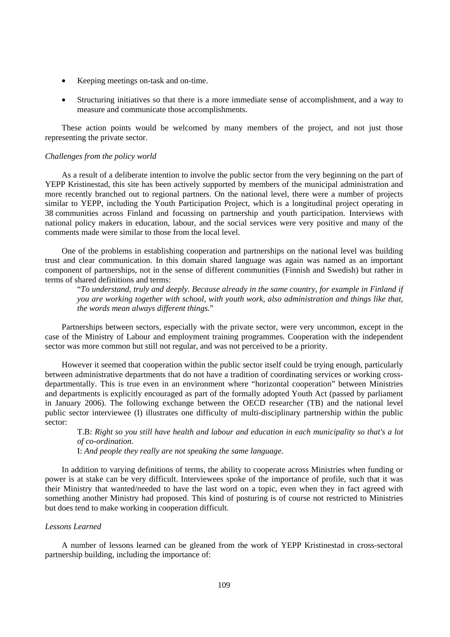- Keeping meetings on-task and on-time.
- Structuring initiatives so that there is a more immediate sense of accomplishment, and a way to measure and communicate those accomplishments.

These action points would be welcomed by many members of the project, and not just those representing the private sector.

#### *Challenges from the policy world*

As a result of a deliberate intention to involve the public sector from the very beginning on the part of YEPP Kristinestad, this site has been actively supported by members of the municipal administration and more recently branched out to regional partners. On the national level, there were a number of projects similar to YEPP, including the Youth Participation Project, which is a longitudinal project operating in 38 communities across Finland and focussing on partnership and youth participation. Interviews with national policy makers in education, labour, and the social services were very positive and many of the comments made were similar to those from the local level.

One of the problems in establishing cooperation and partnerships on the national level was building trust and clear communication. In this domain shared language was again was named as an important component of partnerships, not in the sense of different communities (Finnish and Swedish) but rather in terms of shared definitions and terms:

"*To understand, truly and deeply. Because already in the same country, for example in Finland if you are working together with school, with youth work, also administration and things like that, the words mean always different things.*"

Partnerships between sectors, especially with the private sector, were very uncommon, except in the case of the Ministry of Labour and employment training programmes. Cooperation with the independent sector was more common but still not regular, and was not perceived to be a priority.

However it seemed that cooperation within the public sector itself could be trying enough, particularly between administrative departments that do not have a tradition of coordinating services or working crossdepartmentally. This is true even in an environment where "horizontal cooperation" between Ministries and departments is explicitly encouraged as part of the formally adopted Youth Act (passed by parliament in January 2006). The following exchange between the OECD researcher (TB) and the national level public sector interviewee (I) illustrates one difficulty of multi-disciplinary partnership within the public sector:

T.B: *Right so you still have health and labour and education in each municipality so that's a lot of co-ordination.*

I: *And people they really are not speaking the same language*.

In addition to varying definitions of terms, the ability to cooperate across Ministries when funding or power is at stake can be very difficult. Interviewees spoke of the importance of profile, such that it was their Ministry that wanted/needed to have the last word on a topic, even when they in fact agreed with something another Ministry had proposed. This kind of posturing is of course not restricted to Ministries but does tend to make working in cooperation difficult.

#### *Lessons Learned*

A number of lessons learned can be gleaned from the work of YEPP Kristinestad in cross-sectoral partnership building, including the importance of: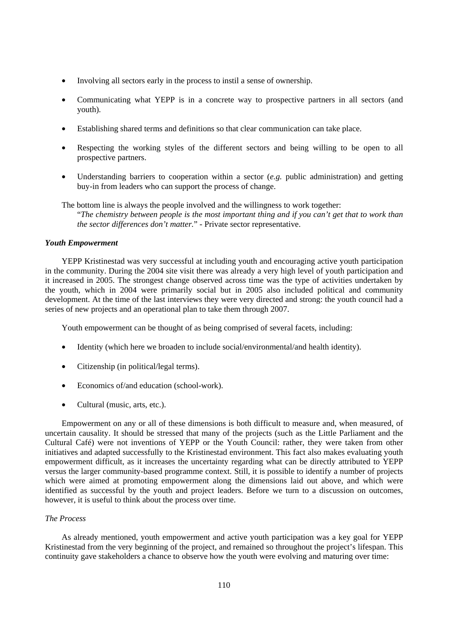- Involving all sectors early in the process to instil a sense of ownership.
- Communicating what YEPP is in a concrete way to prospective partners in all sectors (and youth).
- Establishing shared terms and definitions so that clear communication can take place.
- Respecting the working styles of the different sectors and being willing to be open to all prospective partners.
- Understanding barriers to cooperation within a sector (*e.g.* public administration) and getting buy-in from leaders who can support the process of change.
- The bottom line is always the people involved and the willingness to work together: "*The chemistry between people is the most important thing and if you can't get that to work than the sector differences don't matter.*" - Private sector representative.

## *Youth Empowerment*

YEPP Kristinestad was very successful at including youth and encouraging active youth participation in the community. During the 2004 site visit there was already a very high level of youth participation and it increased in 2005. The strongest change observed across time was the type of activities undertaken by the youth, which in 2004 were primarily social but in 2005 also included political and community development. At the time of the last interviews they were very directed and strong: the youth council had a series of new projects and an operational plan to take them through 2007.

Youth empowerment can be thought of as being comprised of several facets, including:

- Identity (which here we broaden to include social/environmental/and health identity).
- Citizenship (in political/legal terms).
- Economics of/and education (school-work).
- Cultural (music, arts, etc.).

Empowerment on any or all of these dimensions is both difficult to measure and, when measured, of uncertain causality. It should be stressed that many of the projects (such as the Little Parliament and the Cultural Café) were not inventions of YEPP or the Youth Council: rather, they were taken from other initiatives and adapted successfully to the Kristinestad environment. This fact also makes evaluating youth empowerment difficult, as it increases the uncertainty regarding what can be directly attributed to YEPP versus the larger community-based programme context. Still, it is possible to identify a number of projects which were aimed at promoting empowerment along the dimensions laid out above, and which were identified as successful by the youth and project leaders. Before we turn to a discussion on outcomes, however, it is useful to think about the process over time.

## *The Process*

As already mentioned, youth empowerment and active youth participation was a key goal for YEPP Kristinestad from the very beginning of the project, and remained so throughout the project's lifespan. This continuity gave stakeholders a chance to observe how the youth were evolving and maturing over time: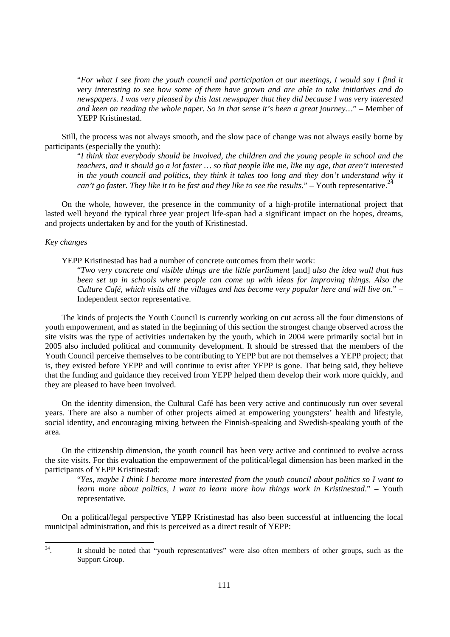"*For what I see from the youth council and participation at our meetings, I would say I find it very interesting to see how some of them have grown and are able to take initiatives and do newspapers. I was very pleased by this last newspaper that they did because I was very interested and keen on reading the whole paper. So in that sense it's been a great journey…*" – Member of YEPP Kristinestad.

Still, the process was not always smooth, and the slow pace of change was not always easily borne by participants (especially the youth):

"*I think that everybody should be involved, the children and the young people in school and the teachers, and it should go a lot faster … so that people like me, like my age, that aren't interested*  in the youth council and politics, they think it takes too long and they don't understand why it *can't go faster. They like it to be fast and they like to see the results.*" – Youth representative.<sup>24</sup>

On the whole, however, the presence in the community of a high-profile international project that lasted well beyond the typical three year project life-span had a significant impact on the hopes, dreams, and projects undertaken by and for the youth of Kristinestad.

## *Key changes*

YEPP Kristinestad has had a number of concrete outcomes from their work:

"*Two very concrete and visible things are the little parliament* [and] *also the idea wall that has been set up in schools where people can come up with ideas for improving things. Also the Culture Café, which visits all the villages and has become very popular here and will live on*." – Independent sector representative.

The kinds of projects the Youth Council is currently working on cut across all the four dimensions of youth empowerment, and as stated in the beginning of this section the strongest change observed across the site visits was the type of activities undertaken by the youth, which in 2004 were primarily social but in 2005 also included political and community development. It should be stressed that the members of the Youth Council perceive themselves to be contributing to YEPP but are not themselves a YEPP project; that is, they existed before YEPP and will continue to exist after YEPP is gone. That being said, they believe that the funding and guidance they received from YEPP helped them develop their work more quickly, and they are pleased to have been involved.

On the identity dimension, the Cultural Café has been very active and continuously run over several years. There are also a number of other projects aimed at empowering youngsters' health and lifestyle, social identity, and encouraging mixing between the Finnish-speaking and Swedish-speaking youth of the area.

On the citizenship dimension, the youth council has been very active and continued to evolve across the site visits. For this evaluation the empowerment of the political/legal dimension has been marked in the participants of YEPP Kristinestad:

"*Yes, maybe I think I become more interested from the youth council about politics so I want to learn more about politics, I want to learn more how things work in Kristinestad*." – Youth representative.

On a political/legal perspective YEPP Kristinestad has also been successful at influencing the local municipal administration, and this is perceived as a direct result of YEPP:

24 24. It should be noted that "youth representatives" were also often members of other groups, such as the Support Group.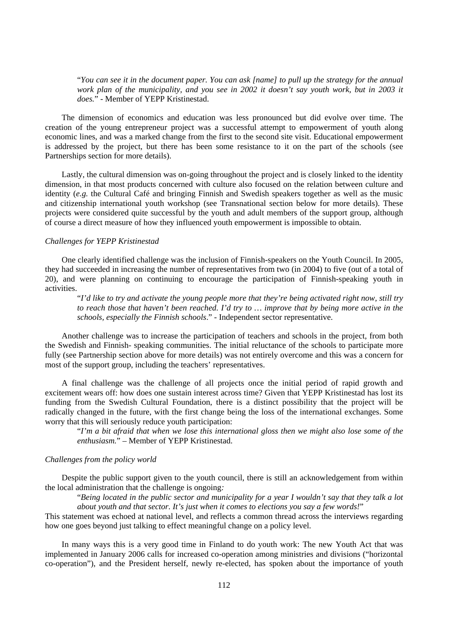"*You can see it in the document paper. You can ask [name] to pull up the strategy for the annual work plan of the municipality, and you see in 2002 it doesn't say youth work, but in 2003 it does.*" - Member of YEPP Kristinestad.

The dimension of economics and education was less pronounced but did evolve over time. The creation of the young entrepreneur project was a successful attempt to empowerment of youth along economic lines, and was a marked change from the first to the second site visit. Educational empowerment is addressed by the project, but there has been some resistance to it on the part of the schools (see Partnerships section for more details).

Lastly, the cultural dimension was on-going throughout the project and is closely linked to the identity dimension, in that most products concerned with culture also focused on the relation between culture and identity (*e.g.* the Cultural Café and bringing Finnish and Swedish speakers together as well as the music and citizenship international youth workshop (see Transnational section below for more details). These projects were considered quite successful by the youth and adult members of the support group, although of course a direct measure of how they influenced youth empowerment is impossible to obtain.

### *Challenges for YEPP Kristinestad*

One clearly identified challenge was the inclusion of Finnish-speakers on the Youth Council. In 2005, they had succeeded in increasing the number of representatives from two (in 2004) to five (out of a total of 20), and were planning on continuing to encourage the participation of Finnish-speaking youth in activities.

"*I'd like to try and activate the young people more that they're being activated right now, still try to reach those that haven't been reached. I'd try to … improve that by being more active in the schools, especially the Finnish schools*." - Independent sector representative.

Another challenge was to increase the participation of teachers and schools in the project, from both the Swedish and Finnish- speaking communities. The initial reluctance of the schools to participate more fully (see Partnership section above for more details) was not entirely overcome and this was a concern for most of the support group, including the teachers' representatives.

A final challenge was the challenge of all projects once the initial period of rapid growth and excitement wears off: how does one sustain interest across time? Given that YEPP Kristinestad has lost its funding from the Swedish Cultural Foundation, there is a distinct possibility that the project will be radically changed in the future, with the first change being the loss of the international exchanges. Some worry that this will seriously reduce youth participation:

"*I'm a bit afraid that when we lose this international gloss then we might also lose some of the enthusiasm.*" – Member of YEPP Kristinestad.

#### *Challenges from the policy world*

Despite the public support given to the youth council, there is still an acknowledgement from within the local administration that the challenge is ongoing*:* 

"*Being located in the public sector and municipality for a year I wouldn't say that they talk a lot about youth and that sector. It's just when it comes to elections you say a few words!*"

This statement was echoed at national level, and reflects a common thread across the interviews regarding how one goes beyond just talking to effect meaningful change on a policy level.

In many ways this is a very good time in Finland to do youth work: The new Youth Act that was implemented in January 2006 calls for increased co-operation among ministries and divisions ("horizontal co-operation"), and the President herself, newly re-elected, has spoken about the importance of youth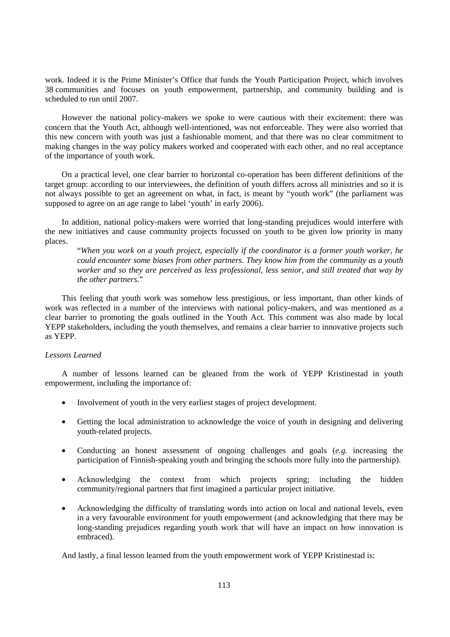work. Indeed it is the Prime Minister's Office that funds the Youth Participation Project, which involves 38 communities and focuses on youth empowerment, partnership, and community building and is scheduled to run until 2007.

However the national policy-makers we spoke to were cautious with their excitement: there was concern that the Youth Act, although well-intentioned, was not enforceable. They were also worried that this new concern with youth was just a fashionable moment, and that there was no clear commitment to making changes in the way policy makers worked and cooperated with each other, and no real acceptance of the importance of youth work.

On a practical level, one clear barrier to horizontal co-operation has been different definitions of the target group: according to our interviewees, the definition of youth differs across all ministries and so it is not always possible to get an agreement on what, in fact, is meant by "youth work" (the parliament was supposed to agree on an age range to label 'youth' in early 2006).

In addition, national policy-makers were worried that long-standing prejudices would interfere with the new initiatives and cause community projects focussed on youth to be given low priority in many places.

"*When you work on a youth project, especially if the coordinator is a former youth worker, he could encounter some biases from other partners. They know him from the community as a youth worker and so they are perceived as less professional, less senior, and still treated that way by the other partners*."

This feeling that youth work was somehow less prestigious, or less important, than other kinds of work was reflected in a number of the interviews with national policy-makers, and was mentioned as a clear barrier to promoting the goals outlined in the Youth Act. This comment was also made by local YEPP stakeholders, including the youth themselves, and remains a clear barrier to innovative projects such as YEPP.

## *Lessons Learned*

A number of lessons learned can be gleaned from the work of YEPP Kristinestad in youth empowerment, including the importance of:

- Involvement of youth in the very earliest stages of project development.
- Getting the local administration to acknowledge the voice of youth in designing and delivering youth-related projects.
- Conducting an honest assessment of ongoing challenges and goals (*e.g.* increasing the participation of Finnish-speaking youth and bringing the schools more fully into the partnership).
- Acknowledging the context from which projects spring; including the hidden community/regional partners that first imagined a particular project initiative.
- Acknowledging the difficulty of translating words into action on local and national levels, even in a very favourable environment for youth empowerment (and acknowledging that there may be long-standing prejudices regarding youth work that will have an impact on how innovation is embraced).

And lastly, a final lesson learned from the youth empowerment work of YEPP Kristinestad is: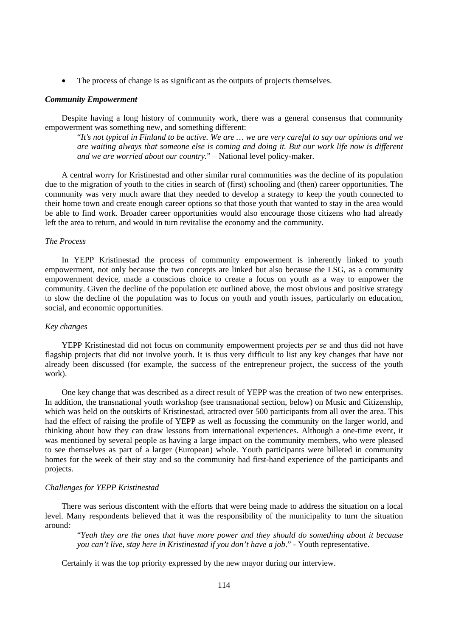• The process of change is as significant as the outputs of projects themselves.

#### *Community Empowerment*

Despite having a long history of community work, there was a general consensus that community empowerment was something new, and something different:

"*It's not typical in Finland to be active. We are … we are very careful to say our opinions and we are waiting always that someone else is coming and doing it. But our work life now is different and we are worried about our country.*" – National level policy-maker.

A central worry for Kristinestad and other similar rural communities was the decline of its population due to the migration of youth to the cities in search of (first) schooling and (then) career opportunities. The community was very much aware that they needed to develop a strategy to keep the youth connected to their home town and create enough career options so that those youth that wanted to stay in the area would be able to find work. Broader career opportunities would also encourage those citizens who had already left the area to return, and would in turn revitalise the economy and the community.

## *The Process*

In YEPP Kristinestad the process of community empowerment is inherently linked to youth empowerment, not only because the two concepts are linked but also because the LSG, as a community empowerment device, made a conscious choice to create a focus on youth as a way to empower the community. Given the decline of the population etc outlined above, the most obvious and positive strategy to slow the decline of the population was to focus on youth and youth issues, particularly on education, social, and economic opportunities.

## *Key changes*

YEPP Kristinestad did not focus on community empowerment projects *per se* and thus did not have flagship projects that did not involve youth. It is thus very difficult to list any key changes that have not already been discussed (for example, the success of the entrepreneur project, the success of the youth work).

One key change that was described as a direct result of YEPP was the creation of two new enterprises. In addition, the transnational youth workshop (see transnational section, below) on Music and Citizenship, which was held on the outskirts of Kristinestad, attracted over 500 participants from all over the area. This had the effect of raising the profile of YEPP as well as focussing the community on the larger world, and thinking about how they can draw lessons from international experiences. Although a one-time event, it was mentioned by several people as having a large impact on the community members, who were pleased to see themselves as part of a larger (European) whole. Youth participants were billeted in community homes for the week of their stay and so the community had first-hand experience of the participants and projects.

### *Challenges for YEPP Kristinestad*

There was serious discontent with the efforts that were being made to address the situation on a local level. Many respondents believed that it was the responsibility of the municipality to turn the situation around*:* 

"*Yeah they are the ones that have more power and they should do something about it because you can't live, stay here in Kristinestad if you don't have a job*." - Youth representative.

Certainly it was the top priority expressed by the new mayor during our interview.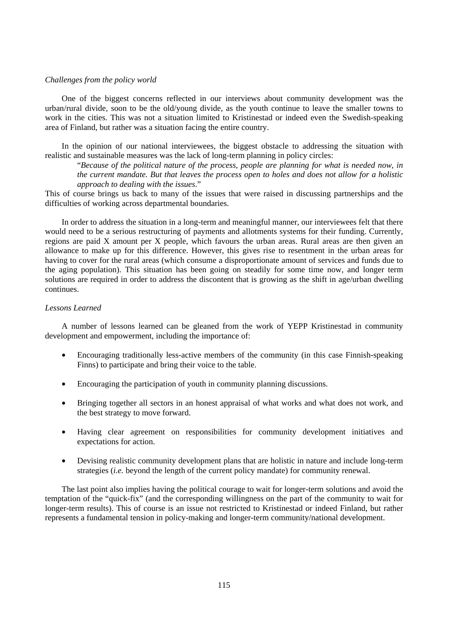### *Challenges from the policy world*

One of the biggest concerns reflected in our interviews about community development was the urban/rural divide, soon to be the old/young divide, as the youth continue to leave the smaller towns to work in the cities. This was not a situation limited to Kristinestad or indeed even the Swedish-speaking area of Finland, but rather was a situation facing the entire country.

In the opinion of our national interviewees, the biggest obstacle to addressing the situation with realistic and sustainable measures was the lack of long-term planning in policy circles:

"*Because of the political nature of the process, people are planning for what is needed now, in the current mandate. But that leaves the process open to holes and does not allow for a holistic approach to dealing with the issues*."

This of course brings us back to many of the issues that were raised in discussing partnerships and the difficulties of working across departmental boundaries.

In order to address the situation in a long-term and meaningful manner, our interviewees felt that there would need to be a serious restructuring of payments and allotments systems for their funding. Currently, regions are paid X amount per X people, which favours the urban areas. Rural areas are then given an allowance to make up for this difference. However, this gives rise to resentment in the urban areas for having to cover for the rural areas (which consume a disproportionate amount of services and funds due to the aging population). This situation has been going on steadily for some time now, and longer term solutions are required in order to address the discontent that is growing as the shift in age/urban dwelling continues.

#### *Lessons Learned*

A number of lessons learned can be gleaned from the work of YEPP Kristinestad in community development and empowerment, including the importance of:

- Encouraging traditionally less-active members of the community (in this case Finnish-speaking Finns) to participate and bring their voice to the table.
- Encouraging the participation of youth in community planning discussions.
- Bringing together all sectors in an honest appraisal of what works and what does not work, and the best strategy to move forward.
- Having clear agreement on responsibilities for community development initiatives and expectations for action.
- Devising realistic community development plans that are holistic in nature and include long-term strategies (*i.e.* beyond the length of the current policy mandate) for community renewal.

The last point also implies having the political courage to wait for longer-term solutions and avoid the temptation of the "quick-fix" (and the corresponding willingness on the part of the community to wait for longer-term results). This of course is an issue not restricted to Kristinestad or indeed Finland, but rather represents a fundamental tension in policy-making and longer-term community/national development.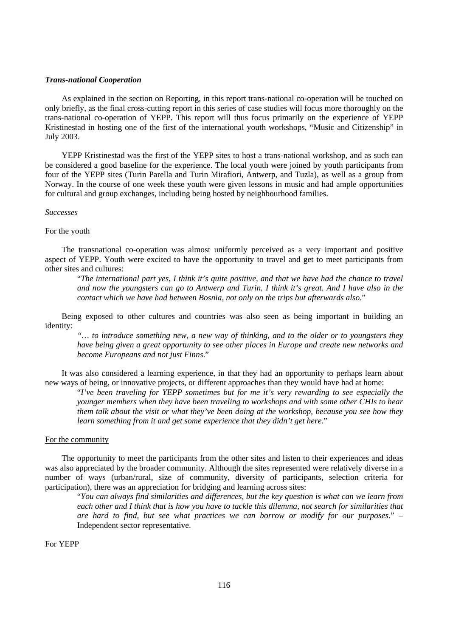#### *Trans-national Cooperation*

As explained in the section on Reporting, in this report trans-national co-operation will be touched on only briefly, as the final cross-cutting report in this series of case studies will focus more thoroughly on the trans-national co-operation of YEPP. This report will thus focus primarily on the experience of YEPP Kristinestad in hosting one of the first of the international youth workshops, "Music and Citizenship" in July 2003.

YEPP Kristinestad was the first of the YEPP sites to host a trans-national workshop, and as such can be considered a good baseline for the experience. The local youth were joined by youth participants from four of the YEPP sites (Turin Parella and Turin Mirafiori, Antwerp, and Tuzla), as well as a group from Norway. In the course of one week these youth were given lessons in music and had ample opportunities for cultural and group exchanges, including being hosted by neighbourhood families.

### *Successes*

#### For the youth

The transnational co-operation was almost uniformly perceived as a very important and positive aspect of YEPP. Youth were excited to have the opportunity to travel and get to meet participants from other sites and cultures:

"*The international part yes, I think it's quite positive, and that we have had the chance to travel and now the youngsters can go to Antwerp and Turin. I think it's great. And I have also in the contact which we have had between Bosnia, not only on the trips but afterwards also*."

Being exposed to other cultures and countries was also seen as being important in building an identity:

*"… to introduce something new, a new way of thinking, and to the older or to youngsters they have being given a great opportunity to see other places in Europe and create new networks and become Europeans and not just Finns*."

It was also considered a learning experience, in that they had an opportunity to perhaps learn about new ways of being, or innovative projects, or different approaches than they would have had at home:

"*I've been traveling for YEPP sometimes but for me it's very rewarding to see especially the younger members when they have been traveling to workshops and with some other CHIs to hear them talk about the visit or what they've been doing at the workshop, because you see how they learn something from it and get some experience that they didn't get here.*"

#### For the community

The opportunity to meet the participants from the other sites and listen to their experiences and ideas was also appreciated by the broader community. Although the sites represented were relatively diverse in a number of ways (urban/rural, size of community, diversity of participants, selection criteria for participation), there was an appreciation for bridging and learning across sites:

"*You can always find similarities and differences, but the key question is what can we learn from each other and I think that is how you have to tackle this dilemma, not search for similarities that are hard to find, but see what practices we can borrow or modify for our purposes*." – Independent sector representative.

## For YEPP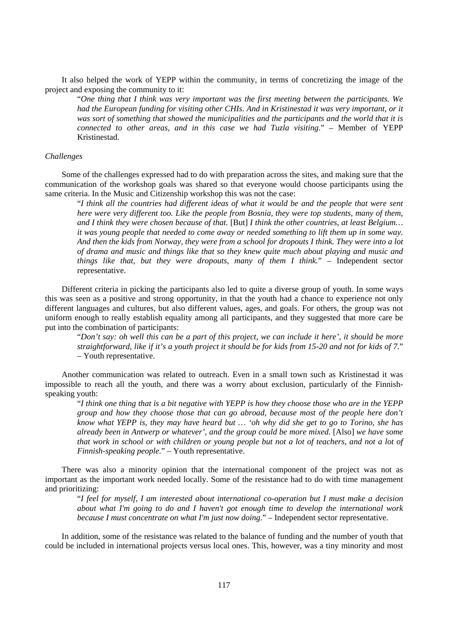It also helped the work of YEPP within the community, in terms of concretizing the image of the project and exposing the community to it:

"*One thing that I think was very important was the first meeting between the participants. We had the European funding for visiting other CHIs. And in Kristinestad it was very important, or it was sort of something that showed the municipalities and the participants and the world that it is connected to other areas, and in this case we had Tuzla visiting*." – Member of YEPP Kristinestad.

#### *Challenges*

Some of the challenges expressed had to do with preparation across the sites, and making sure that the communication of the workshop goals was shared so that everyone would choose participants using the same criteria. In the Music and Citizenship workshop this was not the case:

"*I think all the countries had different ideas of what it would be and the people that were sent here were very different too. Like the people from Bosnia, they were top students, many of them, and I think they were chosen because of that.* [But] *I think the other countries, at least Belgium… it was young people that needed to come away or needed something to lift them up in some way. And then the kids from Norway, they were from a school for dropouts I think. They were into a lot of drama and music and things like that so they knew quite much about playing and music and things like that, but they were dropouts, many of them I think.*" – Independent sector representative.

Different criteria in picking the participants also led to quite a diverse group of youth. In some ways this was seen as a positive and strong opportunity, in that the youth had a chance to experience not only different languages and cultures, but also different values, ages, and goals. For others, the group was not uniform enough to really establish equality among all participants, and they suggested that more care be put into the combination of participants:

"*Don't say: oh well this can be a part of this project, we can include it here', it should be more straightforward, like if it's a youth project it should be for kids from 15-20 and not for kids of 7.*" – Youth representative.

Another communication was related to outreach. Even in a small town such as Kristinestad it was impossible to reach all the youth, and there was a worry about exclusion, particularly of the Finnishspeaking youth:

"*I think one thing that is a bit negative with YEPP is how they choose those who are in the YEPP group and how they choose those that can go abroad, because most of the people here don't know what YEPP is, they may have heard but … 'oh why did she get to go to Torino, she has already been in Antwerp or whatever', and the group could be more mixed.* [Also] *we have some that work in school or with children or young people but not a lot of teachers, and not a lot of Finnish-speaking people.*" – Youth representative.

There was also a minority opinion that the international component of the project was not as important as the important work needed locally. Some of the resistance had to do with time management and prioritizing:

"*I feel for myself, I am interested about international co-operation but I must make a decision about what I'm going to do and I haven't got enough time to develop the international work because I must concentrate on what I'm just now doing*." – Independent sector representative.

In addition, some of the resistance was related to the balance of funding and the number of youth that could be included in international projects versus local ones. This, however, was a tiny minority and most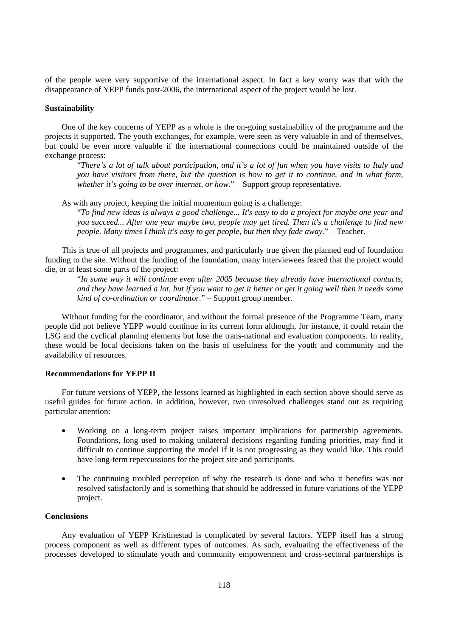of the people were very supportive of the international aspect. In fact a key worry was that with the disappearance of YEPP funds post-2006, the international aspect of the project would be lost.

#### **Sustainability**

One of the key concerns of YEPP as a whole is the on-going sustainability of the programme and the projects it supported. The youth exchanges, for example, were seen as very valuable in and of themselves, but could be even more valuable if the international connections could be maintained outside of the exchange process:

"*There's a lot of talk about participation, and it's a lot of fun when you have visits to Italy and you have visitors from there, but the question is how to get it to continue, and in what form, whether it's going to be over internet, or how.*" – Support group representative.

As with any project, keeping the initial momentum going is a challenge:

"*To find new ideas is always a good challenge... It's easy to do a project for maybe one year and you succeed... After one year maybe two, people may get tired. Then it's a challenge to find new people. Many times I think it's easy to get people, but then they fade away.*" – Teacher.

This is true of all projects and programmes, and particularly true given the planned end of foundation funding to the site. Without the funding of the foundation, many interviewees feared that the project would die, or at least some parts of the project:

"*In some way it will continue even after 2005 because they already have international contacts, and they have learned a lot, but if you want to get it better or get it going well then it needs some kind of co-ordination or coordinator.*" – Support group member.

Without funding for the coordinator, and without the formal presence of the Programme Team, many people did not believe YEPP would continue in its current form although, for instance, it could retain the LSG and the cyclical planning elements but lose the trans-national and evaluation components. In reality, these would be local decisions taken on the basis of usefulness for the youth and community and the availability of resources.

#### **Recommendations for YEPP II**

For future versions of YEPP, the lessons learned as highlighted in each section above should serve as useful guides for future action. In addition, however, two unresolved challenges stand out as requiring particular attention:

- Working on a long-term project raises important implications for partnership agreements. Foundations, long used to making unilateral decisions regarding funding priorities, may find it difficult to continue supporting the model if it is not progressing as they would like. This could have long-term repercussions for the project site and participants.
- The continuing troubled perception of why the research is done and who it benefits was not resolved satisfactorily and is something that should be addressed in future variations of the YEPP project.

#### **Conclusions**

Any evaluation of YEPP Kristinestad is complicated by several factors. YEPP itself has a strong process component as well as different types of outcomes. As such, evaluating the effectiveness of the processes developed to stimulate youth and community empowerment and cross-sectoral partnerships is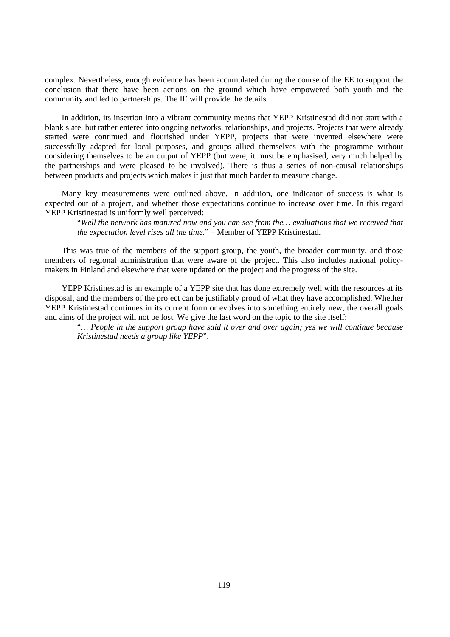complex. Nevertheless, enough evidence has been accumulated during the course of the EE to support the conclusion that there have been actions on the ground which have empowered both youth and the community and led to partnerships. The IE will provide the details.

In addition, its insertion into a vibrant community means that YEPP Kristinestad did not start with a blank slate, but rather entered into ongoing networks, relationships, and projects. Projects that were already started were continued and flourished under YEPP, projects that were invented elsewhere were successfully adapted for local purposes, and groups allied themselves with the programme without considering themselves to be an output of YEPP (but were, it must be emphasised, very much helped by the partnerships and were pleased to be involved). There is thus a series of non-causal relationships between products and projects which makes it just that much harder to measure change.

Many key measurements were outlined above. In addition, one indicator of success is what is expected out of a project, and whether those expectations continue to increase over time. In this regard YEPP Kristinestad is uniformly well perceived:

"*Well the network has matured now and you can see from the… evaluations that we received that the expectation level rises all the time.*" – Member of YEPP Kristinestad.

This was true of the members of the support group, the youth, the broader community, and those members of regional administration that were aware of the project. This also includes national policymakers in Finland and elsewhere that were updated on the project and the progress of the site.

YEPP Kristinestad is an example of a YEPP site that has done extremely well with the resources at its disposal, and the members of the project can be justifiably proud of what they have accomplished. Whether YEPP Kristinestad continues in its current form or evolves into something entirely new, the overall goals and aims of the project will not be lost. We give the last word on the topic to the site itself:

"*… People in the support group have said it over and over again; yes we will continue because Kristinestad needs a group like YEPP*".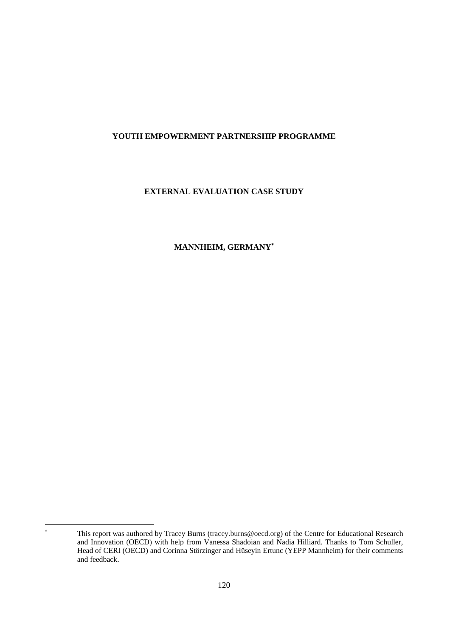## **YOUTH EMPOWERMENT PARTNERSHIP PROGRAMME**

## **EXTERNAL EVALUATION CASE STUDY**

# **MANNHEIM, GERMANY**<sup>∗</sup>

 $\overline{a}$ ∗

This report was authored by Tracey Burns (tracey.burns@oecd.org) of the Centre for Educational Research and Innovation (OECD) with help from Vanessa Shadoian and Nadia Hilliard. Thanks to Tom Schuller, Head of CERI (OECD) and Corinna Störzinger and Hüseyin Ertunc (YEPP Mannheim) for their comments and feedback.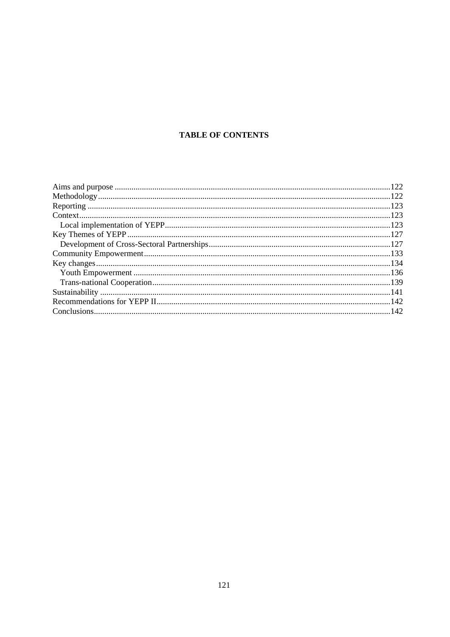# **TABLE OF CONTENTS**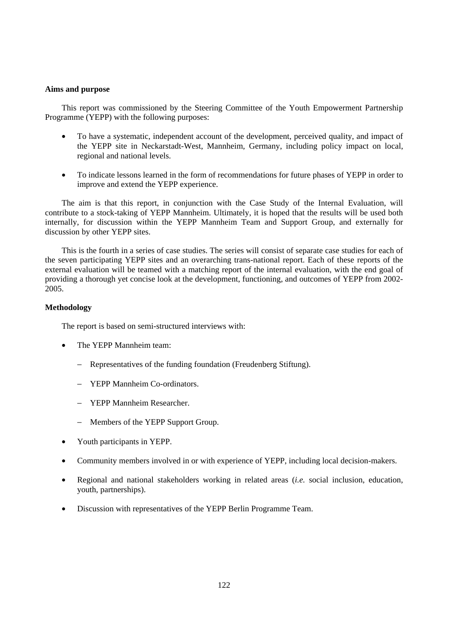## **Aims and purpose**

This report was commissioned by the Steering Committee of the Youth Empowerment Partnership Programme (YEPP) with the following purposes:

- To have a systematic, independent account of the development, perceived quality, and impact of the YEPP site in Neckarstadt-West, Mannheim, Germany, including policy impact on local, regional and national levels.
- To indicate lessons learned in the form of recommendations for future phases of YEPP in order to improve and extend the YEPP experience.

The aim is that this report, in conjunction with the Case Study of the Internal Evaluation, will contribute to a stock-taking of YEPP Mannheim. Ultimately, it is hoped that the results will be used both internally, for discussion within the YEPP Mannheim Team and Support Group, and externally for discussion by other YEPP sites.

This is the fourth in a series of case studies. The series will consist of separate case studies for each of the seven participating YEPP sites and an overarching trans-national report. Each of these reports of the external evaluation will be teamed with a matching report of the internal evaluation, with the end goal of providing a thorough yet concise look at the development, functioning, and outcomes of YEPP from 2002- 2005.

## **Methodology**

The report is based on semi-structured interviews with:

- The YEPP Mannheim team:
	- Representatives of the funding foundation (Freudenberg Stiftung).
	- − YEPP Mannheim Co-ordinators.
	- − YEPP Mannheim Researcher.
	- − Members of the YEPP Support Group.
- Youth participants in YEPP.
- Community members involved in or with experience of YEPP, including local decision-makers.
- Regional and national stakeholders working in related areas (*i.e.* social inclusion, education, youth, partnerships).
- Discussion with representatives of the YEPP Berlin Programme Team.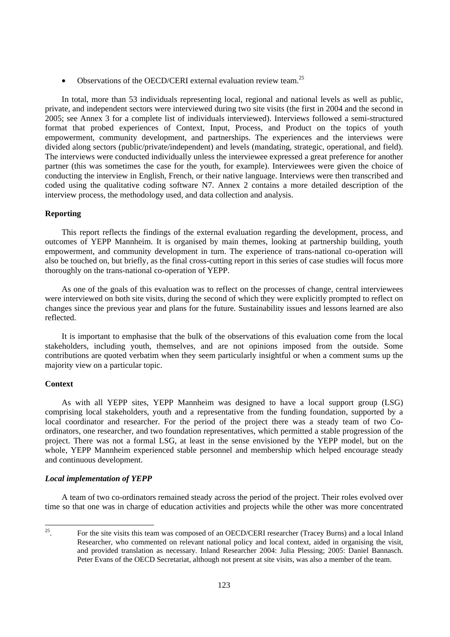• Observations of the OECD/CERI external evaluation review team.<sup>25</sup>

In total, more than 53 individuals representing local, regional and national levels as well as public, private, and independent sectors were interviewed during two site visits (the first in 2004 and the second in 2005; see Annex 3 for a complete list of individuals interviewed). Interviews followed a semi-structured format that probed experiences of Context, Input, Process, and Product on the topics of youth empowerment, community development, and partnerships. The experiences and the interviews were divided along sectors (public/private/independent) and levels (mandating, strategic, operational, and field). The interviews were conducted individually unless the interviewee expressed a great preference for another partner (this was sometimes the case for the youth, for example). Interviewees were given the choice of conducting the interview in English, French, or their native language. Interviews were then transcribed and coded using the qualitative coding software N7. Annex 2 contains a more detailed description of the interview process, the methodology used, and data collection and analysis.

## **Reporting**

This report reflects the findings of the external evaluation regarding the development, process, and outcomes of YEPP Mannheim. It is organised by main themes, looking at partnership building, youth empowerment, and community development in turn. The experience of trans-national co-operation will also be touched on, but briefly, as the final cross-cutting report in this series of case studies will focus more thoroughly on the trans-national co-operation of YEPP.

As one of the goals of this evaluation was to reflect on the processes of change, central interviewees were interviewed on both site visits, during the second of which they were explicitly prompted to reflect on changes since the previous year and plans for the future. Sustainability issues and lessons learned are also reflected.

It is important to emphasise that the bulk of the observations of this evaluation come from the local stakeholders, including youth, themselves, and are not opinions imposed from the outside. Some contributions are quoted verbatim when they seem particularly insightful or when a comment sums up the majority view on a particular topic.

#### **Context**

As with all YEPP sites, YEPP Mannheim was designed to have a local support group (LSG) comprising local stakeholders, youth and a representative from the funding foundation, supported by a local coordinator and researcher. For the period of the project there was a steady team of two Coordinators, one researcher, and two foundation representatives, which permitted a stable progression of the project. There was not a formal LSG, at least in the sense envisioned by the YEPP model, but on the whole, YEPP Mannheim experienced stable personnel and membership which helped encourage steady and continuous development.

## *Local implementation of YEPP*

A team of two co-ordinators remained steady across the period of the project. Their roles evolved over time so that one was in charge of education activities and projects while the other was more concentrated

<sup>25</sup> 25. For the site visits this team was composed of an OECD/CERI researcher (Tracey Burns) and a local Inland Researcher, who commented on relevant national policy and local context, aided in organising the visit, and provided translation as necessary. Inland Researcher 2004: Julia Plessing; 2005: Daniel Bannasch. Peter Evans of the OECD Secretariat, although not present at site visits, was also a member of the team.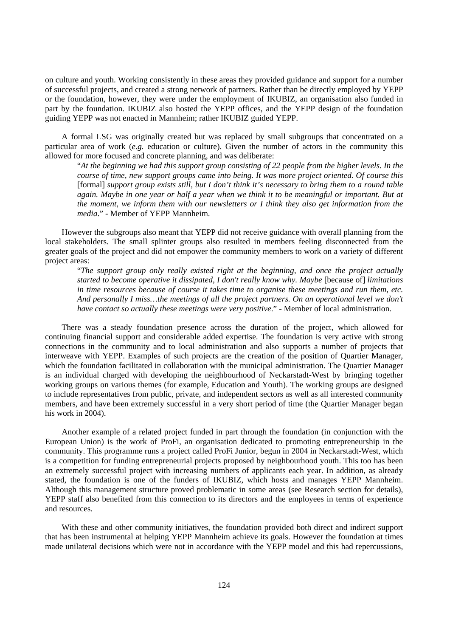on culture and youth. Working consistently in these areas they provided guidance and support for a number of successful projects, and created a strong network of partners. Rather than be directly employed by YEPP or the foundation, however, they were under the employment of IKUBIZ, an organisation also funded in part by the foundation. IKUBIZ also hosted the YEPP offices, and the YEPP design of the foundation guiding YEPP was not enacted in Mannheim; rather IKUBIZ guided YEPP.

A formal LSG was originally created but was replaced by small subgroups that concentrated on a particular area of work (*e.g.* education or culture). Given the number of actors in the community this allowed for more focused and concrete planning, and was deliberate:

"*At the beginning we had this support group consisting of 22 people from the higher levels. In the course of time, new support groups came into being. It was more project oriented. Of course this*  [formal] *support group exists still, but I don't think it's necessary to bring them to a round table*  again. Maybe in one year or half a year when we think it to be meaningful or important. But at *the moment, we inform them with our newsletters or I think they also get information from the media*." - Member of YEPP Mannheim.

However the subgroups also meant that YEPP did not receive guidance with overall planning from the local stakeholders. The small splinter groups also resulted in members feeling disconnected from the greater goals of the project and did not empower the community members to work on a variety of different project areas:

"*The support group only really existed right at the beginning, and once the project actually started to become operative it dissipated, I don't really know why. Maybe* [because of] *limitations in time resources because of course it takes time to organise these meetings and run them, etc. And personally I miss…the meetings of all the project partners. On an operational level we don't have contact so actually these meetings were very positive*." - Member of local administration.

There was a steady foundation presence across the duration of the project, which allowed for continuing financial support and considerable added expertise. The foundation is very active with strong connections in the community and to local administration and also supports a number of projects that interweave with YEPP. Examples of such projects are the creation of the position of Quartier Manager, which the foundation facilitated in collaboration with the municipal administration. The Quartier Manager is an individual charged with developing the neighbourhood of Neckarstadt-West by bringing together working groups on various themes (for example, Education and Youth). The working groups are designed to include representatives from public, private, and independent sectors as well as all interested community members, and have been extremely successful in a very short period of time (the Quartier Manager began his work in 2004).

Another example of a related project funded in part through the foundation (in conjunction with the European Union) is the work of ProFi, an organisation dedicated to promoting entrepreneurship in the community. This programme runs a project called ProFi Junior, begun in 2004 in Neckarstadt-West, which is a competition for funding entrepreneurial projects proposed by neighbourhood youth. This too has been an extremely successful project with increasing numbers of applicants each year. In addition, as already stated, the foundation is one of the funders of IKUBIZ, which hosts and manages YEPP Mannheim. Although this management structure proved problematic in some areas (see Research section for details), YEPP staff also benefited from this connection to its directors and the employees in terms of experience and resources.

With these and other community initiatives, the foundation provided both direct and indirect support that has been instrumental at helping YEPP Mannheim achieve its goals. However the foundation at times made unilateral decisions which were not in accordance with the YEPP model and this had repercussions,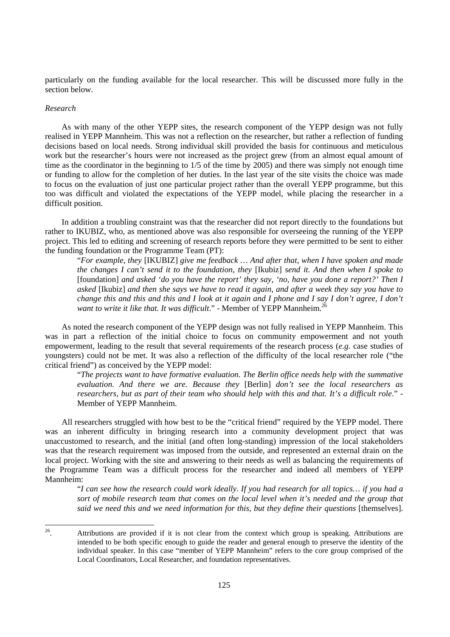particularly on the funding available for the local researcher. This will be discussed more fully in the section below.

#### *Research*

As with many of the other YEPP sites, the research component of the YEPP design was not fully realised in YEPP Mannheim. This was not a reflection on the researcher, but rather a reflection of funding decisions based on local needs. Strong individual skill provided the basis for continuous and meticulous work but the researcher's hours were not increased as the project grew (from an almost equal amount of time as the coordinator in the beginning to 1/5 of the time by 2005) and there was simply not enough time or funding to allow for the completion of her duties. In the last year of the site visits the choice was made to focus on the evaluation of just one particular project rather than the overall YEPP programme, but this too was difficult and violated the expectations of the YEPP model, while placing the researcher in a difficult position.

In addition a troubling constraint was that the researcher did not report directly to the foundations but rather to IKUBIZ, who, as mentioned above was also responsible for overseeing the running of the YEPP project. This led to editing and screening of research reports before they were permitted to be sent to either the funding foundation or the Programme Team (PT):

"*For example, they* [IKUBIZ] *give me feedback … And after that, when I have spoken and made the changes I can't send it to the foundation, they* [Ikubiz] *send it. And then when I spoke to*  [foundation] *and asked 'do you have the report' they say, 'no, have you done a report?' Then I asked* [Ikubiz] *and then she says we have to read it again, and after a week they say you have to change this and this and this and I look at it again and I phone and I say I don't agree, I don't want to write it like that. It was difficult.*" - Member of YEPP Mannheim.<sup>26</sup>

As noted the research component of the YEPP design was not fully realised in YEPP Mannheim. This was in part a reflection of the initial choice to focus on community empowerment and not youth empowerment, leading to the result that several requirements of the research process (*e.g.* case studies of youngsters) could not be met. It was also a reflection of the difficulty of the local researcher role ("the critical friend") as conceived by the YEPP model:

"*The projects want to have formative evaluation. The Berlin office needs help with the summative evaluation. And there we are. Because they* [Berlin] *don't see the local researchers as researchers, but as part of their team who should help with this and that. It's a difficult role*." - Member of YEPP Mannheim.

All researchers struggled with how best to be the "critical friend" required by the YEPP model. There was an inherent difficulty in bringing research into a community development project that was unaccustomed to research, and the initial (and often long-standing) impression of the local stakeholders was that the research requirement was imposed from the outside, and represented an external drain on the local project. Working with the site and answering to their needs as well as balancing the requirements of the Programme Team was a difficult process for the researcher and indeed all members of YEPP Mannheim:

"*I can see how the research could work ideally. If you had research for all topics… if you had a sort of mobile research team that comes on the local level when it's needed and the group that*  said we need this and we need information for this, but they define their questions [themselves].

 $26\,$ Attributions are provided if it is not clear from the context which group is speaking. Attributions are intended to be both specific enough to guide the reader and general enough to preserve the identity of the individual speaker. In this case "member of YEPP Mannheim" refers to the core group comprised of the Local Coordinators, Local Researcher, and foundation representatives.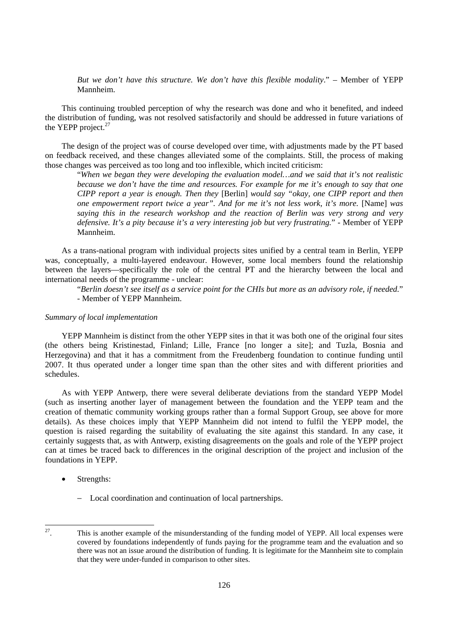*But we don't have this structure. We don't have this flexible modality*." – Member of YEPP Mannheim.

This continuing troubled perception of why the research was done and who it benefited, and indeed the distribution of funding, was not resolved satisfactorily and should be addressed in future variations of the YEPP project. $27$ 

The design of the project was of course developed over time, with adjustments made by the PT based on feedback received, and these changes alleviated some of the complaints. Still, the process of making those changes was perceived as too long and too inflexible, which incited criticism:

"*When we began they were developing the evaluation model…and we said that it's not realistic because we don't have the time and resources. For example for me it's enough to say that one CIPP report a year is enough. Then they* [Berlin] *would say "okay, one CIPP report and then one empowerment report twice a year". And for me it's not less work, it's more.* [Name] was *saying this in the research workshop and the reaction of Berlin was very strong and very defensive. It's a pity because it's a very interesting job but very frustrating.*" - Member of YEPP Mannheim.

As a trans-national program with individual projects sites unified by a central team in Berlin, YEPP was, conceptually, a multi-layered endeavour. However, some local members found the relationship between the layers—specifically the role of the central PT and the hierarchy between the local and international needs of the programme - unclear:

"*Berlin doesn't see itself as a service point for the CHIs but more as an advisory role, if needed.*" - Member of YEPP Mannheim.

#### *Summary of local implementation*

YEPP Mannheim is distinct from the other YEPP sites in that it was both one of the original four sites (the others being Kristinestad, Finland; Lille, France [no longer a site]; and Tuzla, Bosnia and Herzegovina) and that it has a commitment from the Freudenberg foundation to continue funding until 2007. It thus operated under a longer time span than the other sites and with different priorities and schedules.

As with YEPP Antwerp, there were several deliberate deviations from the standard YEPP Model (such as inserting another layer of management between the foundation and the YEPP team and the creation of thematic community working groups rather than a formal Support Group, see above for more details). As these choices imply that YEPP Mannheim did not intend to fulfil the YEPP model, the question is raised regarding the suitability of evaluating the site against this standard. In any case, it certainly suggests that, as with Antwerp, existing disagreements on the goals and role of the YEPP project can at times be traced back to differences in the original description of the project and inclusion of the foundations in YEPP.

- Strengths:
	- − Local coordination and continuation of local partnerships.

 $27\,$ This is another example of the misunderstanding of the funding model of YEPP. All local expenses were covered by foundations independently of funds paying for the programme team and the evaluation and so there was not an issue around the distribution of funding. It is legitimate for the Mannheim site to complain that they were under-funded in comparison to other sites.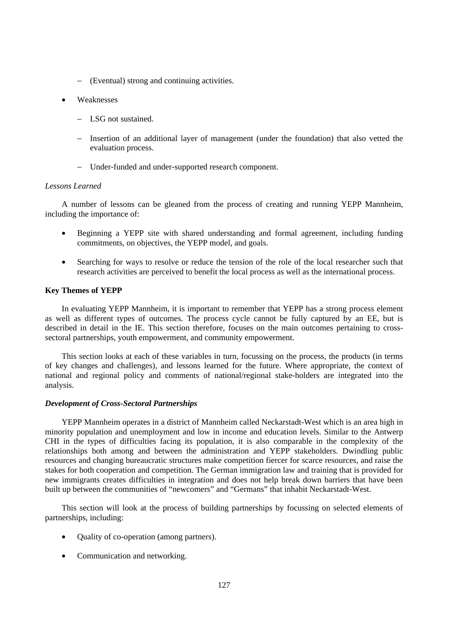- − (Eventual) strong and continuing activities.
- Weaknesses
	- − LSG not sustained.
	- − Insertion of an additional layer of management (under the foundation) that also vetted the evaluation process.
	- − Under-funded and under-supported research component.

## *Lessons Learned*

A number of lessons can be gleaned from the process of creating and running YEPP Mannheim, including the importance of:

- Beginning a YEPP site with shared understanding and formal agreement, including funding commitments, on objectives, the YEPP model, and goals.
- Searching for ways to resolve or reduce the tension of the role of the local researcher such that research activities are perceived to benefit the local process as well as the international process.

## **Key Themes of YEPP**

In evaluating YEPP Mannheim, it is important to remember that YEPP has a strong process element as well as different types of outcomes. The process cycle cannot be fully captured by an EE, but is described in detail in the IE. This section therefore, focuses on the main outcomes pertaining to crosssectoral partnerships, youth empowerment, and community empowerment.

This section looks at each of these variables in turn, focussing on the process, the products (in terms of key changes and challenges), and lessons learned for the future. Where appropriate, the context of national and regional policy and comments of national/regional stake-holders are integrated into the analysis.

#### *Development of Cross-Sectoral Partnerships*

YEPP Mannheim operates in a district of Mannheim called Neckarstadt-West which is an area high in minority population and unemployment and low in income and education levels. Similar to the Antwerp CHI in the types of difficulties facing its population, it is also comparable in the complexity of the relationships both among and between the administration and YEPP stakeholders. Dwindling public resources and changing bureaucratic structures make competition fiercer for scarce resources, and raise the stakes for both cooperation and competition. The German immigration law and training that is provided for new immigrants creates difficulties in integration and does not help break down barriers that have been built up between the communities of "newcomers" and "Germans" that inhabit Neckarstadt-West.

This section will look at the process of building partnerships by focussing on selected elements of partnerships, including:

- Ouality of co-operation (among partners).
- Communication and networking.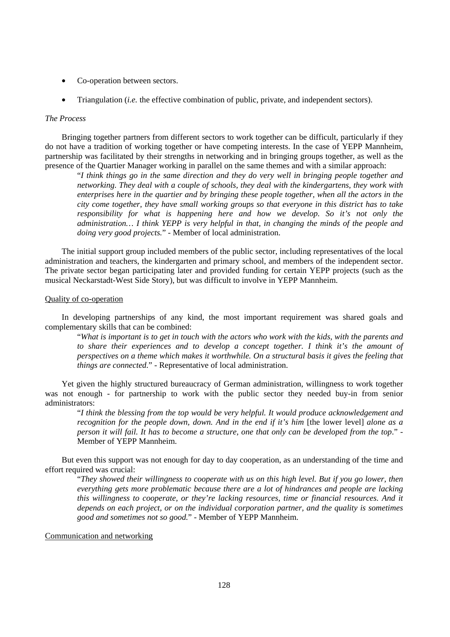- Co-operation between sectors.
- Triangulation (*i.e.* the effective combination of public, private, and independent sectors).

### *The Process*

Bringing together partners from different sectors to work together can be difficult, particularly if they do not have a tradition of working together or have competing interests. In the case of YEPP Mannheim, partnership was facilitated by their strengths in networking and in bringing groups together, as well as the presence of the Quartier Manager working in parallel on the same themes and with a similar approach:

"*I think things go in the same direction and they do very well in bringing people together and networking. They deal with a couple of schools, they deal with the kindergartens, they work with enterprises here in the quartier and by bringing these people together, when all the actors in the city come together, they have small working groups so that everyone in this district has to take responsibility for what is happening here and how we develop. So it's not only the administration… I think YEPP is very helpful in that, in changing the minds of the people and doing very good projects.*" - Member of local administration.

The initial support group included members of the public sector, including representatives of the local administration and teachers, the kindergarten and primary school, and members of the independent sector. The private sector began participating later and provided funding for certain YEPP projects (such as the musical Neckarstadt-West Side Story), but was difficult to involve in YEPP Mannheim.

#### Quality of co-operation

In developing partnerships of any kind, the most important requirement was shared goals and complementary skills that can be combined:

"*What is important is to get in touch with the actors who work with the kids, with the parents and to share their experiences and to develop a concept together. I think it's the amount of perspectives on a theme which makes it worthwhile. On a structural basis it gives the feeling that things are connected.*" - Representative of local administration.

Yet given the highly structured bureaucracy of German administration, willingness to work together was not enough - for partnership to work with the public sector they needed buy-in from senior administrators:

"*I think the blessing from the top would be very helpful. It would produce acknowledgement and recognition for the people down, down. And in the end if it's him [the lower level] alone as a person it will fail. It has to become a structure, one that only can be developed from the top*." - Member of YEPP Mannheim.

But even this support was not enough for day to day cooperation, as an understanding of the time and effort required was crucial:

"*They showed their willingness to cooperate with us on this high level. But if you go lower, then everything gets more problematic because there are a lot of hindrances and people are lacking this willingness to cooperate, or they're lacking resources, time or financial resources. And it depends on each project, or on the individual corporation partner, and the quality is sometimes good and sometimes not so good.*" - Member of YEPP Mannheim.

### Communication and networking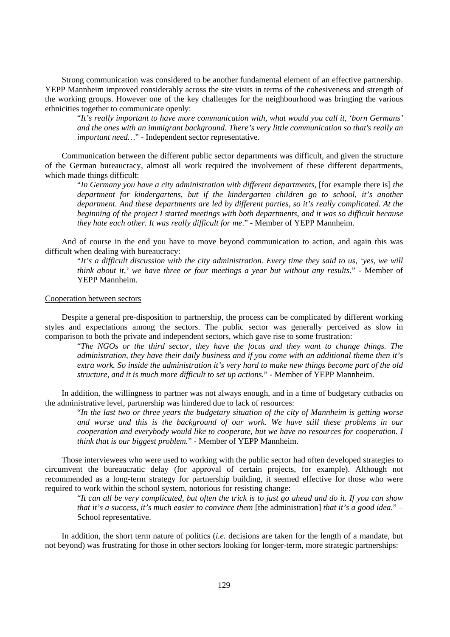Strong communication was considered to be another fundamental element of an effective partnership. YEPP Mannheim improved considerably across the site visits in terms of the cohesiveness and strength of the working groups. However one of the key challenges for the neighbourhood was bringing the various ethnicities together to communicate openly:

"*It's really important to have more communication with, what would you call it, 'born Germans' and the ones with an immigrant background. There's very little communication so that's really an important need…*" - Independent sector representative.

Communication between the different public sector departments was difficult, and given the structure of the German bureaucracy, almost all work required the involvement of these different departments, which made things difficult:

"*In Germany you have a city administration with different departments,* [for example there is] *the department for kindergartens, but if the kindergarten children go to school, it's another department. And these departments are led by different parties, so it's really complicated. At the beginning of the project I started meetings with both departments, and it was so difficult because they hate each other. It was really difficult for me*." - Member of YEPP Mannheim.

And of course in the end you have to move beyond communication to action, and again this was difficult when dealing with bureaucracy:

"*It's a difficult discussion with the city administration. Every time they said to us, 'yes, we will think about it,' we have three or four meetings a year but without any results.*" - Member of YEPP Mannheim.

#### Cooperation between sectors

Despite a general pre-disposition to partnership, the process can be complicated by different working styles and expectations among the sectors. The public sector was generally perceived as slow in comparison to both the private and independent sectors, which gave rise to some frustration:

"*The NGOs or the third sector, they have the focus and they want to change things. The administration, they have their daily business and if you come with an additional theme then it's extra work. So inside the administration it's very hard to make new things become part of the old structure, and it is much more difficult to set up actions.*" - Member of YEPP Mannheim.

In addition, the willingness to partner was not always enough, and in a time of budgetary cutbacks on the administrative level, partnership was hindered due to lack of resources:

"*In the last two or three years the budgetary situation of the city of Mannheim is getting worse and worse and this is the background of our work. We have still these problems in our cooperation and everybody would like to cooperate, but we have no resources for cooperation. I think that is our biggest problem.*" - Member of YEPP Mannheim.

Those interviewees who were used to working with the public sector had often developed strategies to circumvent the bureaucratic delay (for approval of certain projects, for example). Although not recommended as a long-term strategy for partnership building, it seemed effective for those who were required to work within the school system, notorious for resisting change:

"*It can all be very complicated, but often the trick is to just go ahead and do it. If you can show that it's a success, it's much easier to convince them* [the administration] *that it's a good idea*." – School representative.

In addition, the short term nature of politics (*i.e.* decisions are taken for the length of a mandate, but not beyond) was frustrating for those in other sectors looking for longer-term, more strategic partnerships: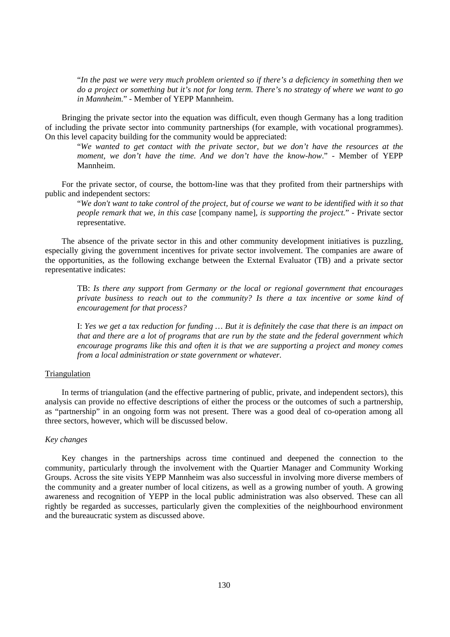"*In the past we were very much problem oriented so if there's a deficiency in something then we do a project or something but it's not for long term. There's no strategy of where we want to go in Mannheim.*" - Member of YEPP Mannheim.

Bringing the private sector into the equation was difficult, even though Germany has a long tradition of including the private sector into community partnerships (for example, with vocational programmes). On this level capacity building for the community would be appreciated:

"*We wanted to get contact with the private sector, but we don't have the resources at the moment, we don't have the time. And we don't have the know-how*." - Member of YEPP Mannheim.

For the private sector, of course, the bottom-line was that they profited from their partnerships with public and independent sectors:

"*We don't want to take control of the project, but of course we want to be identified with it so that people remark that we, in this case* [company name]*, is supporting the project.*" - Private sector representative.

The absence of the private sector in this and other community development initiatives is puzzling, especially giving the government incentives for private sector involvement. The companies are aware of the opportunities, as the following exchange between the External Evaluator (TB) and a private sector representative indicates:

TB: *Is there any support from Germany or the local or regional government that encourages private business to reach out to the community? Is there a tax incentive or some kind of encouragement for that process?* 

I: *Yes we get a tax reduction for funding … But it is definitely the case that there is an impact on that and there are a lot of programs that are run by the state and the federal government which encourage programs like this and often it is that we are supporting a project and money comes from a local administration or state government or whatever.* 

## Triangulation

In terms of triangulation (and the effective partnering of public, private, and independent sectors), this analysis can provide no effective descriptions of either the process or the outcomes of such a partnership, as "partnership" in an ongoing form was not present. There was a good deal of co-operation among all three sectors, however, which will be discussed below.

## *Key changes*

Key changes in the partnerships across time continued and deepened the connection to the community, particularly through the involvement with the Quartier Manager and Community Working Groups. Across the site visits YEPP Mannheim was also successful in involving more diverse members of the community and a greater number of local citizens, as well as a growing number of youth. A growing awareness and recognition of YEPP in the local public administration was also observed. These can all rightly be regarded as successes, particularly given the complexities of the neighbourhood environment and the bureaucratic system as discussed above.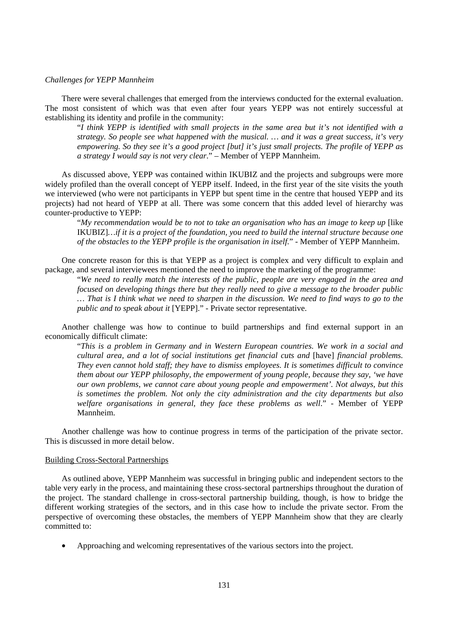### *Challenges for YEPP Mannheim*

There were several challenges that emerged from the interviews conducted for the external evaluation. The most consistent of which was that even after four years YEPP was not entirely successful at establishing its identity and profile in the community:

"*I think YEPP is identified with small projects in the same area but it's not identified with a strategy. So people see what happened with the musical. … and it was a great success, it's very empowering. So they see it's a good project [but] it's just small projects. The profile of YEPP as a strategy I would say is not very clear*." – Member of YEPP Mannheim.

As discussed above, YEPP was contained within IKUBIZ and the projects and subgroups were more widely profiled than the overall concept of YEPP itself. Indeed, in the first year of the site visits the youth we interviewed (who were not participants in YEPP but spent time in the centre that housed YEPP and its projects) had not heard of YEPP at all. There was some concern that this added level of hierarchy was counter-productive to YEPP:

"*My recommendation would be to not to take an organisation who has an image to keep up* [like IKUBIZ]*…if it is a project of the foundation, you need to build the internal structure because one of the obstacles to the YEPP profile is the organisation in itself.*" - Member of YEPP Mannheim.

One concrete reason for this is that YEPP as a project is complex and very difficult to explain and package, and several interviewees mentioned the need to improve the marketing of the programme:

"*We need to really match the interests of the public, people are very engaged in the area and focused on developing things there but they really need to give a message to the broader public … That is I think what we need to sharpen in the discussion. We need to find ways to go to the public and to speak about it* [YEPP]." - Private sector representative.

Another challenge was how to continue to build partnerships and find external support in an economically difficult climate:

"*This is a problem in Germany and in Western European countries. We work in a social and cultural area, and a lot of social institutions get financial cuts and* [have] *financial problems. They even cannot hold staff; they have to dismiss employees. It is sometimes difficult to convince them about our YEPP philosophy, the empowerment of young people, because they say, 'we have our own problems, we cannot care about young people and empowerment'. Not always, but this is sometimes the problem. Not only the city administration and the city departments but also welfare organisations in general, they face these problems as well*." - Member of YEPP Mannheim.

Another challenge was how to continue progress in terms of the participation of the private sector. This is discussed in more detail below.

#### Building Cross-Sectoral Partnerships

As outlined above, YEPP Mannheim was successful in bringing public and independent sectors to the table very early in the process, and maintaining these cross-sectoral partnerships throughout the duration of the project. The standard challenge in cross-sectoral partnership building, though, is how to bridge the different working strategies of the sectors, and in this case how to include the private sector. From the perspective of overcoming these obstacles, the members of YEPP Mannheim show that they are clearly committed to:

• Approaching and welcoming representatives of the various sectors into the project.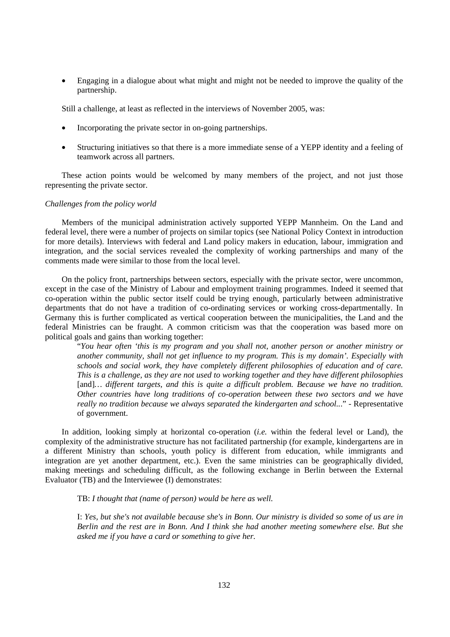• Engaging in a dialogue about what might and might not be needed to improve the quality of the partnership.

Still a challenge, at least as reflected in the interviews of November 2005, was:

- Incorporating the private sector in on-going partnerships.
- Structuring initiatives so that there is a more immediate sense of a YEPP identity and a feeling of teamwork across all partners.

These action points would be welcomed by many members of the project, and not just those representing the private sector.

### *Challenges from the policy world*

Members of the municipal administration actively supported YEPP Mannheim. On the Land and federal level, there were a number of projects on similar topics (see National Policy Context in introduction for more details). Interviews with federal and Land policy makers in education, labour, immigration and integration, and the social services revealed the complexity of working partnerships and many of the comments made were similar to those from the local level.

On the policy front, partnerships between sectors, especially with the private sector, were uncommon, except in the case of the Ministry of Labour and employment training programmes. Indeed it seemed that co-operation within the public sector itself could be trying enough, particularly between administrative departments that do not have a tradition of co-ordinating services or working cross-departmentally. In Germany this is further complicated as vertical cooperation between the municipalities, the Land and the federal Ministries can be fraught. A common criticism was that the cooperation was based more on political goals and gains than working together:

"*You hear often 'this is my program and you shall not, another person or another ministry or another community, shall not get influence to my program. This is my domain'. Especially with schools and social work, they have completely different philosophies of education and of care. This is a challenge, as they are not used to working together and they have different philosophies*  [and]... different targets, and this is quite a difficult problem. Because we have no tradition. *Other countries have long traditions of co-operation between these two sectors and we have really no tradition because we always separated the kindergarten and school..*." - Representative of government.

In addition, looking simply at horizontal co-operation (*i.e.* within the federal level or Land), the complexity of the administrative structure has not facilitated partnership (for example, kindergartens are in a different Ministry than schools, youth policy is different from education, while immigrants and integration are yet another department, etc.). Even the same ministries can be geographically divided, making meetings and scheduling difficult, as the following exchange in Berlin between the External Evaluator (TB) and the Interviewee (I) demonstrates:

TB: *I thought that (name of person) would be here as well.*

I: *Yes, but she's not available because she's in Bonn. Our ministry is divided so some of us are in Berlin and the rest are in Bonn. And I think she had another meeting somewhere else. But she asked me if you have a card or something to give her.*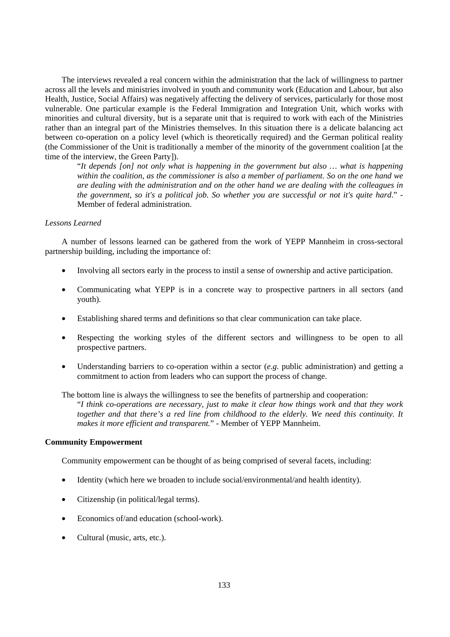The interviews revealed a real concern within the administration that the lack of willingness to partner across all the levels and ministries involved in youth and community work (Education and Labour, but also Health, Justice, Social Affairs) was negatively affecting the delivery of services, particularly for those most vulnerable. One particular example is the Federal Immigration and Integration Unit, which works with minorities and cultural diversity, but is a separate unit that is required to work with each of the Ministries rather than an integral part of the Ministries themselves. In this situation there is a delicate balancing act between co-operation on a policy level (which is theoretically required) and the German political reality (the Commissioner of the Unit is traditionally a member of the minority of the government coalition [at the time of the interview, the Green Party]).

"*It depends [on] not only what is happening in the government but also … what is happening within the coalition, as the commissioner is also a member of parliament. So on the one hand we are dealing with the administration and on the other hand we are dealing with the colleagues in the government, so it's a political job. So whether you are successful or not it's quite hard*." - Member of federal administration.

#### *Lessons Learned*

A number of lessons learned can be gathered from the work of YEPP Mannheim in cross-sectoral partnership building, including the importance of:

- Involving all sectors early in the process to instil a sense of ownership and active participation.
- Communicating what YEPP is in a concrete way to prospective partners in all sectors (and youth).
- Establishing shared terms and definitions so that clear communication can take place.
- Respecting the working styles of the different sectors and willingness to be open to all prospective partners.
- Understanding barriers to co-operation within a sector (*e.g.* public administration) and getting a commitment to action from leaders who can support the process of change.

The bottom line is always the willingness to see the benefits of partnership and cooperation: "*I think co-operations are necessary, just to make it clear how things work and that they work together and that there's a red line from childhood to the elderly. We need this continuity. It makes it more efficient and transparent.*" - Member of YEPP Mannheim.

## **Community Empowerment**

Community empowerment can be thought of as being comprised of several facets, including:

- Identity (which here we broaden to include social/environmental/and health identity).
- Citizenship (in political/legal terms).
- Economics of/and education (school-work).
- Cultural (music, arts, etc.).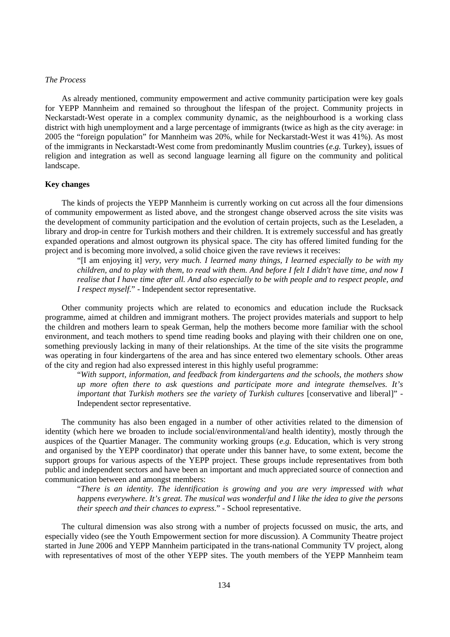## *The Process*

As already mentioned, community empowerment and active community participation were key goals for YEPP Mannheim and remained so throughout the lifespan of the project. Community projects in Neckarstadt-West operate in a complex community dynamic, as the neighbourhood is a working class district with high unemployment and a large percentage of immigrants (twice as high as the city average: in 2005 the "foreign population" for Mannheim was 20%, while for Neckarstadt-West it was 41%). As most of the immigrants in Neckarstadt-West come from predominantly Muslim countries (*e.g.* Turkey), issues of religion and integration as well as second language learning all figure on the community and political landscape.

### **Key changes**

The kinds of projects the YEPP Mannheim is currently working on cut across all the four dimensions of community empowerment as listed above, and the strongest change observed across the site visits was the development of community participation and the evolution of certain projects, such as the Leseladen, a library and drop-in centre for Turkish mothers and their children. It is extremely successful and has greatly expanded operations and almost outgrown its physical space. The city has offered limited funding for the project and is becoming more involved, a solid choice given the rave reviews it receives:

"[I am enjoying it] *very, very much. I learned many things, I learned especially to be with my children, and to play with them, to read with them. And before I felt I didn't have time, and now I realise that I have time after all. And also especially to be with people and to respect people, and I respect myself.*" - Independent sector representative.

Other community projects which are related to economics and education include the Rucksack programme, aimed at children and immigrant mothers. The project provides materials and support to help the children and mothers learn to speak German, help the mothers become more familiar with the school environment, and teach mothers to spend time reading books and playing with their children one on one, something previously lacking in many of their relationships. At the time of the site visits the programme was operating in four kindergartens of the area and has since entered two elementary schools. Other areas of the city and region had also expressed interest in this highly useful programme:

"*With support, information, and feedback from kindergartens and the schools, the mothers show up more often there to ask questions and participate more and integrate themselves. It's important that Turkish mothers see the variety of Turkish cultures* [conservative and liberal]" -Independent sector representative.

The community has also been engaged in a number of other activities related to the dimension of identity (which here we broaden to include social/environmental/and health identity), mostly through the auspices of the Quartier Manager. The community working groups (*e.g.* Education, which is very strong and organised by the YEPP coordinator) that operate under this banner have, to some extent, become the support groups for various aspects of the YEPP project. These groups include representatives from both public and independent sectors and have been an important and much appreciated source of connection and communication between and amongst members:

"*There is an identity. The identification is growing and you are very impressed with what happens everywhere. It's great. The musical was wonderful and I like the idea to give the persons their speech and their chances to express.*" - School representative.

The cultural dimension was also strong with a number of projects focussed on music, the arts, and especially video (see the Youth Empowerment section for more discussion). A Community Theatre project started in June 2006 and YEPP Mannheim participated in the trans-national Community TV project, along with representatives of most of the other YEPP sites. The youth members of the YEPP Mannheim team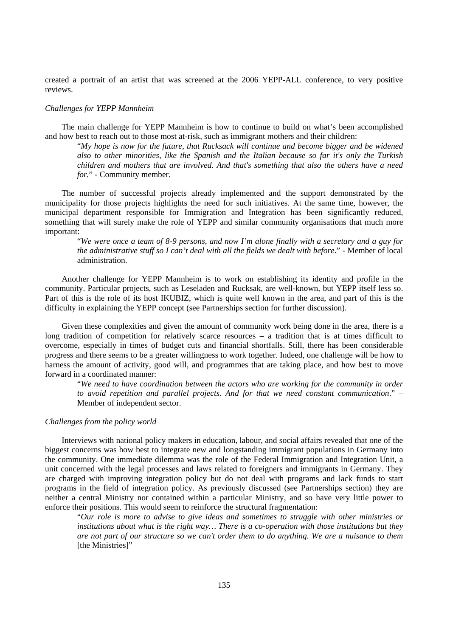created a portrait of an artist that was screened at the 2006 YEPP-ALL conference, to very positive reviews.

#### *Challenges for YEPP Mannheim*

The main challenge for YEPP Mannheim is how to continue to build on what's been accomplished and how best to reach out to those most at-risk, such as immigrant mothers and their children:

"*My hope is now for the future, that Rucksack will continue and become bigger and be widened also to other minorities, like the Spanish and the Italian because so far it's only the Turkish children and mothers that are involved. And that's something that also the others have a need for.*" - Community member.

The number of successful projects already implemented and the support demonstrated by the municipality for those projects highlights the need for such initiatives. At the same time, however, the municipal department responsible for Immigration and Integration has been significantly reduced, something that will surely make the role of YEPP and similar community organisations that much more important:

"*We were once a team of 8-9 persons, and now I'm alone finally with a secretary and a guy for the administrative stuff so I can't deal with all the fields we dealt with before*." - Member of local administration.

Another challenge for YEPP Mannheim is to work on establishing its identity and profile in the community. Particular projects, such as Leseladen and Rucksak, are well-known, but YEPP itself less so. Part of this is the role of its host IKUBIZ, which is quite well known in the area, and part of this is the difficulty in explaining the YEPP concept (see Partnerships section for further discussion).

Given these complexities and given the amount of community work being done in the area, there is a long tradition of competition for relatively scarce resources – a tradition that is at times difficult to overcome, especially in times of budget cuts and financial shortfalls. Still, there has been considerable progress and there seems to be a greater willingness to work together. Indeed, one challenge will be how to harness the amount of activity, good will, and programmes that are taking place, and how best to move forward in a coordinated manner:

"*We need to have coordination between the actors who are working for the community in order to avoid repetition and parallel projects. And for that we need constant communication*." – Member of independent sector.

#### *Challenges from the policy world*

Interviews with national policy makers in education, labour, and social affairs revealed that one of the biggest concerns was how best to integrate new and longstanding immigrant populations in Germany into the community. One immediate dilemma was the role of the Federal Immigration and Integration Unit, a unit concerned with the legal processes and laws related to foreigners and immigrants in Germany. They are charged with improving integration policy but do not deal with programs and lack funds to start programs in the field of integration policy. As previously discussed (see Partnerships section) they are neither a central Ministry nor contained within a particular Ministry, and so have very little power to enforce their positions. This would seem to reinforce the structural fragmentation:

"*Our role is more to advise to give ideas and sometimes to struggle with other ministries or institutions about what is the right way… There is a co-operation with those institutions but they are not part of our structure so we can't order them to do anything. We are a nuisance to them* [the Ministries]"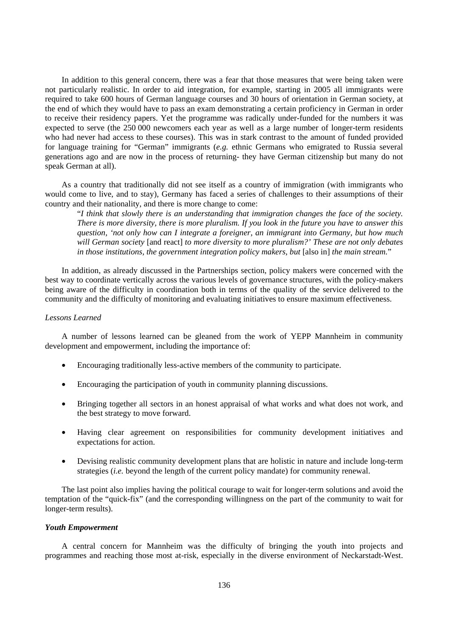In addition to this general concern, there was a fear that those measures that were being taken were not particularly realistic. In order to aid integration, for example, starting in 2005 all immigrants were required to take 600 hours of German language courses and 30 hours of orientation in German society, at the end of which they would have to pass an exam demonstrating a certain proficiency in German in order to receive their residency papers. Yet the programme was radically under-funded for the numbers it was expected to serve (the 250 000 newcomers each year as well as a large number of longer-term residents who had never had access to these courses). This was in stark contrast to the amount of funded provided for language training for "German" immigrants (*e.g.* ethnic Germans who emigrated to Russia several generations ago and are now in the process of returning- they have German citizenship but many do not speak German at all).

As a country that traditionally did not see itself as a country of immigration (with immigrants who would come to live, and to stay), Germany has faced a series of challenges to their assumptions of their country and their nationality, and there is more change to come:

"*I think that slowly there is an understanding that immigration changes the face of the society. There is more diversity, there is more pluralism. If you look in the future you have to answer this question, 'not only how can I integrate a foreigner, an immigrant into Germany, but how much will German society* [and react] *to more diversity to more pluralism?' These are not only debates in those institutions, the government integration policy makers, but* [also in] *the main stream.*"

In addition, as already discussed in the Partnerships section, policy makers were concerned with the best way to coordinate vertically across the various levels of governance structures, with the policy-makers being aware of the difficulty in coordination both in terms of the quality of the service delivered to the community and the difficulty of monitoring and evaluating initiatives to ensure maximum effectiveness.

### *Lessons Learned*

A number of lessons learned can be gleaned from the work of YEPP Mannheim in community development and empowerment, including the importance of:

- Encouraging traditionally less-active members of the community to participate.
- Encouraging the participation of youth in community planning discussions.
- Bringing together all sectors in an honest appraisal of what works and what does not work, and the best strategy to move forward.
- Having clear agreement on responsibilities for community development initiatives and expectations for action.
- Devising realistic community development plans that are holistic in nature and include long-term strategies (*i.e.* beyond the length of the current policy mandate) for community renewal.

The last point also implies having the political courage to wait for longer-term solutions and avoid the temptation of the "quick-fix" (and the corresponding willingness on the part of the community to wait for longer-term results).

#### *Youth Empowerment*

A central concern for Mannheim was the difficulty of bringing the youth into projects and programmes and reaching those most at-risk, especially in the diverse environment of Neckarstadt-West.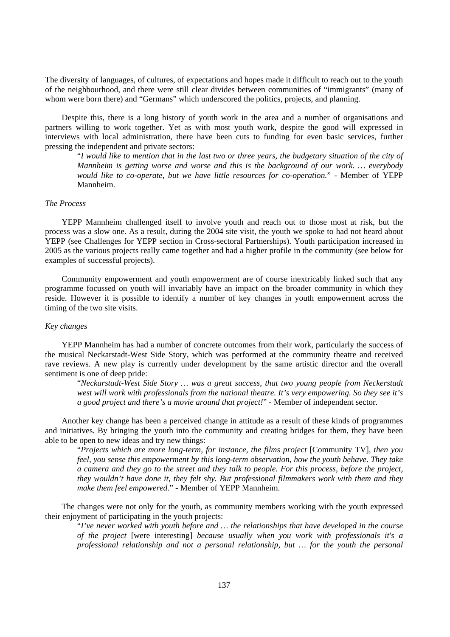The diversity of languages, of cultures, of expectations and hopes made it difficult to reach out to the youth of the neighbourhood, and there were still clear divides between communities of "immigrants" (many of whom were born there) and "Germans" which underscored the politics, projects, and planning.

Despite this, there is a long history of youth work in the area and a number of organisations and partners willing to work together. Yet as with most youth work, despite the good will expressed in interviews with local administration, there have been cuts to funding for even basic services, further pressing the independent and private sectors:

"*I would like to mention that in the last two or three years, the budgetary situation of the city of Mannheim is getting worse and worse and this is the background of our work. … everybody would like to co-operate, but we have little resources for co-operation.*" - Member of YEPP Mannheim.

## *The Process*

YEPP Mannheim challenged itself to involve youth and reach out to those most at risk, but the process was a slow one. As a result, during the 2004 site visit, the youth we spoke to had not heard about YEPP (see Challenges for YEPP section in Cross-sectoral Partnerships). Youth participation increased in 2005 as the various projects really came together and had a higher profile in the community (see below for examples of successful projects).

Community empowerment and youth empowerment are of course inextricably linked such that any programme focussed on youth will invariably have an impact on the broader community in which they reside. However it is possible to identify a number of key changes in youth empowerment across the timing of the two site visits.

## *Key changes*

YEPP Mannheim has had a number of concrete outcomes from their work, particularly the success of the musical Neckarstadt-West Side Story, which was performed at the community theatre and received rave reviews. A new play is currently under development by the same artistic director and the overall sentiment is one of deep pride:

"*Neckarstadt-West Side Story … was a great success, that two young people from Neckerstadt west will work with professionals from the national theatre. It's very empowering. So they see it's a good project and there's a movie around that project!*" - Member of independent sector.

Another key change has been a perceived change in attitude as a result of these kinds of programmes and initiatives. By bringing the youth into the community and creating bridges for them, they have been able to be open to new ideas and try new things:

"*Projects which are more long-term, for instance, the films project* [Community TV]*, then you feel, you sense this empowerment by this long-term observation, how the youth behave. They take a camera and they go to the street and they talk to people. For this process, before the project, they wouldn't have done it, they felt shy. But professional filmmakers work with them and they make them feel empowered.*" - Member of YEPP Mannheim.

The changes were not only for the youth, as community members working with the youth expressed their enjoyment of participating in the youth projects:

"*I've never worked with youth before and … the relationships that have developed in the course of the project* [were interesting] *because usually when you work with professionals it's a professional relationship and not a personal relationship, but … for the youth the personal*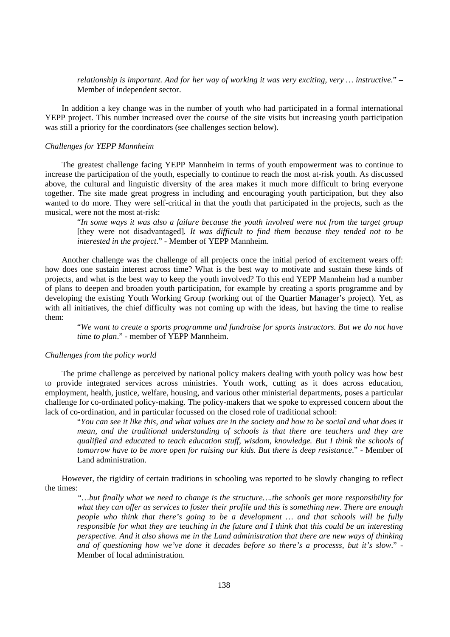*relationship is important. And for her way of working it was very exciting, very … instructive*." – Member of independent sector.

In addition a key change was in the number of youth who had participated in a formal international YEPP project. This number increased over the course of the site visits but increasing youth participation was still a priority for the coordinators (see challenges section below).

### *Challenges for YEPP Mannheim*

The greatest challenge facing YEPP Mannheim in terms of youth empowerment was to continue to increase the participation of the youth, especially to continue to reach the most at-risk youth. As discussed above, the cultural and linguistic diversity of the area makes it much more difficult to bring everyone together. The site made great progress in including and encouraging youth participation, but they also wanted to do more. They were self-critical in that the youth that participated in the projects, such as the musical, were not the most at-risk:

"*In some ways it was also a failure because the youth involved were not from the target group*  [they were not disadvantaged]*. It was difficult to find them because they tended not to be interested in the project*." - Member of YEPP Mannheim.

Another challenge was the challenge of all projects once the initial period of excitement wears off: how does one sustain interest across time? What is the best way to motivate and sustain these kinds of projects, and what is the best way to keep the youth involved? To this end YEPP Mannheim had a number of plans to deepen and broaden youth participation, for example by creating a sports programme and by developing the existing Youth Working Group (working out of the Quartier Manager's project). Yet, as with all initiatives, the chief difficulty was not coming up with the ideas, but having the time to realise them:

"*We want to create a sports programme and fundraise for sports instructors. But we do not have time to plan*." - member of YEPP Mannheim.

#### *Challenges from the policy world*

The prime challenge as perceived by national policy makers dealing with youth policy was how best to provide integrated services across ministries. Youth work, cutting as it does across education, employment, health, justice, welfare, housing, and various other ministerial departments, poses a particular challenge for co-ordinated policy-making. The policy-makers that we spoke to expressed concern about the lack of co-ordination, and in particular focussed on the closed role of traditional school:

"*You can see it like this, and what values are in the society and how to be social and what does it mean, and the traditional understanding of schools is that there are teachers and they are qualified and educated to teach education stuff, wisdom, knowledge. But I think the schools of tomorrow have to be more open for raising our kids. But there is deep resistance*." - Member of Land administration.

However, the rigidity of certain traditions in schooling was reported to be slowly changing to reflect the times:

*"…but finally what we need to change is the structure….the schools get more responsibility for what they can offer as services to foster their profile and this is something new. There are enough people who think that there's going to be a development … and that schools will be fully responsible for what they are teaching in the future and I think that this could be an interesting perspective. And it also shows me in the Land administration that there are new ways of thinking and of questioning how we've done it decades before so there's a processs, but it's slow*." - Member of local administration.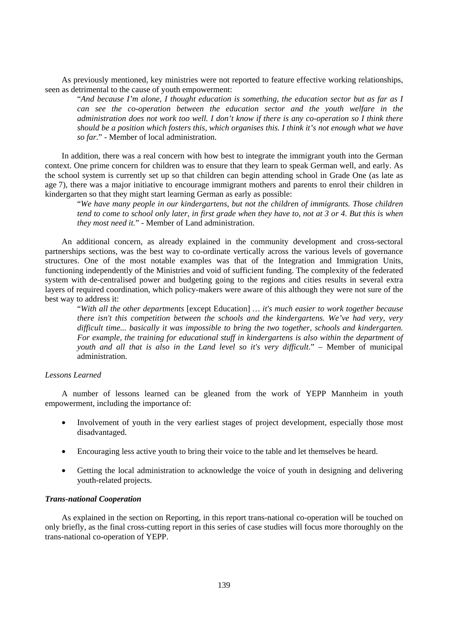As previously mentioned, key ministries were not reported to feature effective working relationships, seen as detrimental to the cause of youth empowerment:

"*And because I'm alone, I thought education is something, the education sector but as far as I can see the co-operation between the education sector and the youth welfare in the administration does not work too well. I don't know if there is any co-operation so I think there should be a position which fosters this, which organises this. I think it's not enough what we have so far.*" - Member of local administration.

In addition, there was a real concern with how best to integrate the immigrant youth into the German context. One prime concern for children was to ensure that they learn to speak German well, and early. As the school system is currently set up so that children can begin attending school in Grade One (as late as age 7), there was a major initiative to encourage immigrant mothers and parents to enrol their children in kindergarten so that they might start learning German as early as possible:

"*We have many people in our kindergartens, but not the children of immigrants. Those children tend to come to school only later, in first grade when they have to, not at 3 or 4. But this is when they most need it.*" - Member of Land administration.

An additional concern, as already explained in the community development and cross-sectoral partnerships sections, was the best way to co-ordinate vertically across the various levels of governance structures. One of the most notable examples was that of the Integration and Immigration Units, functioning independently of the Ministries and void of sufficient funding. The complexity of the federated system with de-centralised power and budgeting going to the regions and cities results in several extra layers of required coordination, which policy-makers were aware of this although they were not sure of the best way to address it:

"*With all the other departments* [except Education] *… it's much easier to work together because there isn't this competition between the schools and the kindergartens. We've had very, very difficult time... basically it was impossible to bring the two together, schools and kindergarten. For example, the training for educational stuff in kindergartens is also within the department of youth and all that is also in the Land level so it's very difficult*." – Member of municipal administration.

### *Lessons Learned*

A number of lessons learned can be gleaned from the work of YEPP Mannheim in youth empowerment, including the importance of:

- Involvement of youth in the very earliest stages of project development, especially those most disadvantaged.
- Encouraging less active youth to bring their voice to the table and let themselves be heard.
- Getting the local administration to acknowledge the voice of youth in designing and delivering youth-related projects.

#### *Trans-national Cooperation*

As explained in the section on Reporting, in this report trans-national co-operation will be touched on only briefly, as the final cross-cutting report in this series of case studies will focus more thoroughly on the trans-national co-operation of YEPP.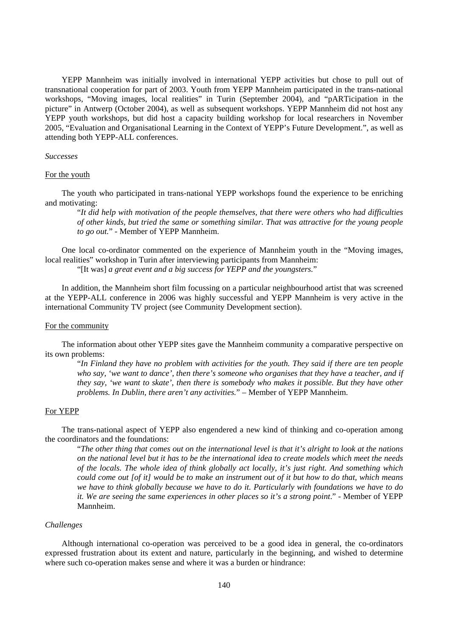YEPP Mannheim was initially involved in international YEPP activities but chose to pull out of transnational cooperation for part of 2003. Youth from YEPP Mannheim participated in the trans-national workshops, "Moving images, local realities" in Turin (September 2004), and "pARTicipation in the picture" in Antwerp (October 2004), as well as subsequent workshops. YEPP Mannheim did not host any YEPP youth workshops, but did host a capacity building workshop for local researchers in November 2005, "Evaluation and Organisational Learning in the Context of YEPP's Future Development.", as well as attending both YEPP-ALL conferences.

#### *Successes*

## For the youth

The youth who participated in trans-national YEPP workshops found the experience to be enriching and motivating:

"*It did help with motivation of the people themselves, that there were others who had difficulties of other kinds, but tried the same or something similar. That was attractive for the young people to go out.*" - Member of YEPP Mannheim.

One local co-ordinator commented on the experience of Mannheim youth in the "Moving images, local realities" workshop in Turin after interviewing participants from Mannheim:

"[It was] *a great event and a big success for YEPP and the youngsters.*"

In addition, the Mannheim short film focussing on a particular neighbourhood artist that was screened at the YEPP-ALL conference in 2006 was highly successful and YEPP Mannheim is very active in the international Community TV project (see Community Development section).

#### For the community

The information about other YEPP sites gave the Mannheim community a comparative perspective on its own problems:

"*In Finland they have no problem with activities for the youth. They said if there are ten people who say, 'we want to dance', then there's someone who organises that they have a teacher, and if they say, 'we want to skate', then there is somebody who makes it possible. But they have other problems. In Dublin, there aren't any activities.*" – Member of YEPP Mannheim.

## For YEPP

The trans-national aspect of YEPP also engendered a new kind of thinking and co-operation among the coordinators and the foundations:

"*The other thing that comes out on the international level is that it's alright to look at the nations on the national level but it has to be the international idea to create models which meet the needs of the locals. The whole idea of think globally act locally, it's just right. And something which could come out [of it] would be to make an instrument out of it but how to do that, which means we have to think globally because we have to do it. Particularly with foundations we have to do it. We are seeing the same experiences in other places so it's a strong point*." - Member of YEPP Mannheim.

#### *Challenges*

Although international co-operation was perceived to be a good idea in general, the co-ordinators expressed frustration about its extent and nature, particularly in the beginning, and wished to determine where such co-operation makes sense and where it was a burden or hindrance: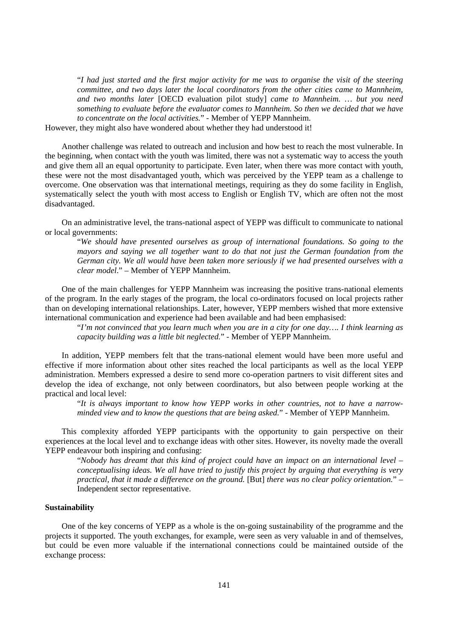"*I had just started and the first major activity for me was to organise the visit of the steering committee, and two days later the local coordinators from the other cities came to Mannheim, and two months later* [OECD evaluation pilot study] *came to Mannheim. … but you need something to evaluate before the evaluator comes to Mannheim. So then we decided that we have to concentrate on the local activities.*" - Member of YEPP Mannheim.

However, they might also have wondered about whether they had understood it!

Another challenge was related to outreach and inclusion and how best to reach the most vulnerable. In the beginning, when contact with the youth was limited, there was not a systematic way to access the youth and give them all an equal opportunity to participate. Even later, when there was more contact with youth, these were not the most disadvantaged youth, which was perceived by the YEPP team as a challenge to overcome. One observation was that international meetings, requiring as they do some facility in English, systematically select the youth with most access to English or English TV, which are often not the most disadvantaged.

On an administrative level, the trans-national aspect of YEPP was difficult to communicate to national or local governments:

"*We should have presented ourselves as group of international foundations. So going to the mayors and saying we all together want to do that not just the German foundation from the German city. We all would have been taken more seriously if we had presented ourselves with a clear model*." – Member of YEPP Mannheim.

One of the main challenges for YEPP Mannheim was increasing the positive trans-national elements of the program. In the early stages of the program, the local co-ordinators focused on local projects rather than on developing international relationships. Later, however, YEPP members wished that more extensive international communication and experience had been available and had been emphasised:

"*I'm not convinced that you learn much when you are in a city for one day…. I think learning as capacity building was a little bit neglected.*" - Member of YEPP Mannheim.

In addition, YEPP members felt that the trans-national element would have been more useful and effective if more information about other sites reached the local participants as well as the local YEPP administration. Members expressed a desire to send more co-operation partners to visit different sites and develop the idea of exchange, not only between coordinators, but also between people working at the practical and local level:

"*It is always important to know how YEPP works in other countries, not to have a narrowminded view and to know the questions that are being asked.*" - Member of YEPP Mannheim.

This complexity afforded YEPP participants with the opportunity to gain perspective on their experiences at the local level and to exchange ideas with other sites. However, its novelty made the overall YEPP endeavour both inspiring and confusing:

"*Nobody has dreamt that this kind of project could have an impact on an international level – conceptualising ideas. We all have tried to justify this project by arguing that everything is very practical, that it made a difference on the ground.* [But] *there was no clear policy orientation.*" – Independent sector representative.

#### **Sustainability**

One of the key concerns of YEPP as a whole is the on-going sustainability of the programme and the projects it supported. The youth exchanges, for example, were seen as very valuable in and of themselves, but could be even more valuable if the international connections could be maintained outside of the exchange process: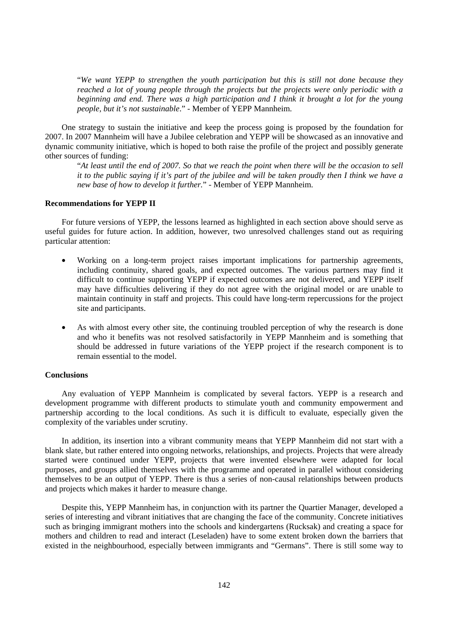"*We want YEPP to strengthen the youth participation but this is still not done because they reached a lot of young people through the projects but the projects were only periodic with a beginning and end. There was a high participation and I think it brought a lot for the young people, but it's not sustainable*." - Member of YEPP Mannheim.

One strategy to sustain the initiative and keep the process going is proposed by the foundation for 2007. In 2007 Mannheim will have a Jubilee celebration and YEPP will be showcased as an innovative and dynamic community initiative, which is hoped to both raise the profile of the project and possibly generate other sources of funding:

"*At least until the end of 2007. So that we reach the point when there will be the occasion to sell it to the public saying if it's part of the jubilee and will be taken proudly then I think we have a new base of how to develop it further.*" - Member of YEPP Mannheim.

## **Recommendations for YEPP II**

For future versions of YEPP, the lessons learned as highlighted in each section above should serve as useful guides for future action. In addition, however, two unresolved challenges stand out as requiring particular attention:

- Working on a long-term project raises important implications for partnership agreements, including continuity, shared goals, and expected outcomes. The various partners may find it difficult to continue supporting YEPP if expected outcomes are not delivered, and YEPP itself may have difficulties delivering if they do not agree with the original model or are unable to maintain continuity in staff and projects. This could have long-term repercussions for the project site and participants.
- As with almost every other site, the continuing troubled perception of why the research is done and who it benefits was not resolved satisfactorily in YEPP Mannheim and is something that should be addressed in future variations of the YEPP project if the research component is to remain essential to the model.

#### **Conclusions**

Any evaluation of YEPP Mannheim is complicated by several factors. YEPP is a research and development programme with different products to stimulate youth and community empowerment and partnership according to the local conditions. As such it is difficult to evaluate, especially given the complexity of the variables under scrutiny.

In addition, its insertion into a vibrant community means that YEPP Mannheim did not start with a blank slate, but rather entered into ongoing networks, relationships, and projects. Projects that were already started were continued under YEPP, projects that were invented elsewhere were adapted for local purposes, and groups allied themselves with the programme and operated in parallel without considering themselves to be an output of YEPP. There is thus a series of non-causal relationships between products and projects which makes it harder to measure change.

Despite this, YEPP Mannheim has, in conjunction with its partner the Quartier Manager, developed a series of interesting and vibrant initiatives that are changing the face of the community. Concrete initiatives such as bringing immigrant mothers into the schools and kindergartens (Rucksak) and creating a space for mothers and children to read and interact (Leseladen) have to some extent broken down the barriers that existed in the neighbourhood, especially between immigrants and "Germans". There is still some way to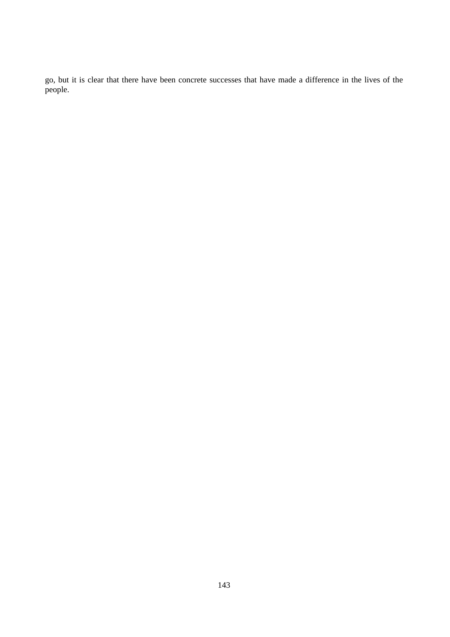go, but it is clear that there have been concrete successes that have made a difference in the lives of the people.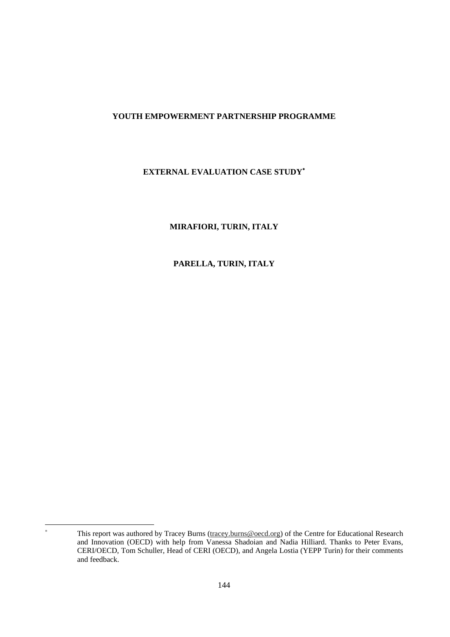## **YOUTH EMPOWERMENT PARTNERSHIP PROGRAMME**

# **EXTERNAL EVALUATION CASE STUDY**<sup>∗</sup>

## **MIRAFIORI, TURIN, ITALY**

# **PARELLA, TURIN, ITALY**

 $\overline{a}$ 

<sup>∗</sup> This report was authored by Tracey Burns (tracey.burns@oecd.org) of the Centre for Educational Research and Innovation (OECD) with help from Vanessa Shadoian and Nadia Hilliard. Thanks to Peter Evans, CERI/OECD, Tom Schuller, Head of CERI (OECD), and Angela Lostia (YEPP Turin) for their comments and feedback.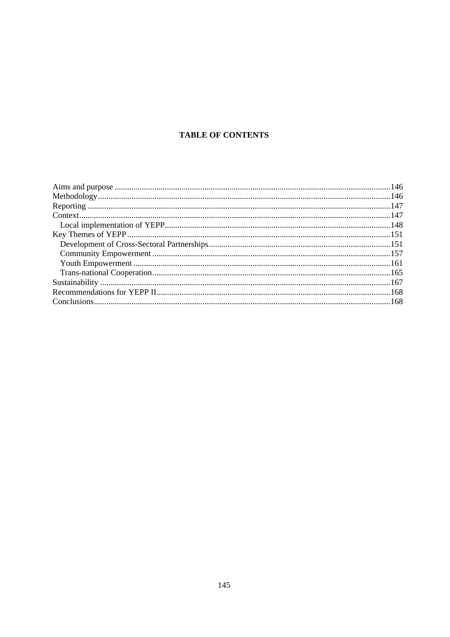# **TABLE OF CONTENTS**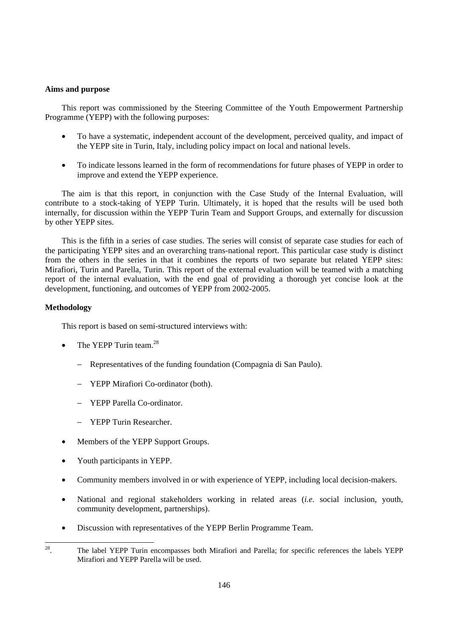## **Aims and purpose**

This report was commissioned by the Steering Committee of the Youth Empowerment Partnership Programme (YEPP) with the following purposes:

- To have a systematic, independent account of the development, perceived quality, and impact of the YEPP site in Turin, Italy, including policy impact on local and national levels.
- To indicate lessons learned in the form of recommendations for future phases of YEPP in order to improve and extend the YEPP experience.

The aim is that this report, in conjunction with the Case Study of the Internal Evaluation, will contribute to a stock-taking of YEPP Turin. Ultimately, it is hoped that the results will be used both internally, for discussion within the YEPP Turin Team and Support Groups, and externally for discussion by other YEPP sites.

This is the fifth in a series of case studies. The series will consist of separate case studies for each of the participating YEPP sites and an overarching trans-national report. This particular case study is distinct from the others in the series in that it combines the reports of two separate but related YEPP sites: Mirafiori, Turin and Parella, Turin. This report of the external evaluation will be teamed with a matching report of the internal evaluation, with the end goal of providing a thorough yet concise look at the development, functioning, and outcomes of YEPP from 2002-2005.

## **Methodology**

This report is based on semi-structured interviews with:

- The YEPP Turin team. $^{28}$ 
	- − Representatives of the funding foundation (Compagnia di San Paulo).
	- − YEPP Mirafiori Co-ordinator (both).
	- − YEPP Parella Co-ordinator.
	- − YEPP Turin Researcher.
- Members of the YEPP Support Groups.
- Youth participants in YEPP.
- Community members involved in or with experience of YEPP, including local decision-makers.
- National and regional stakeholders working in related areas (*i.e.* social inclusion, youth, community development, partnerships).
- Discussion with representatives of the YEPP Berlin Programme Team.

 $28\,$ 28. The label YEPP Turin encompasses both Mirafiori and Parella; for specific references the labels YEPP Mirafiori and YEPP Parella will be used.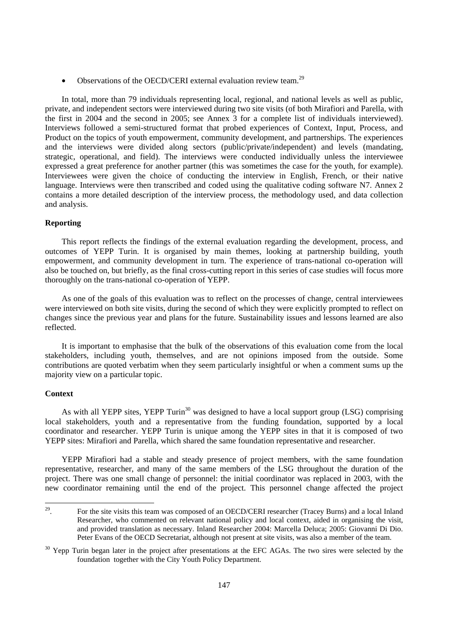• Observations of the OECD/CERI external evaluation review team.<sup>29</sup>

In total, more than 79 individuals representing local, regional, and national levels as well as public, private, and independent sectors were interviewed during two site visits (of both Mirafiori and Parella, with the first in 2004 and the second in 2005; see Annex 3 for a complete list of individuals interviewed). Interviews followed a semi-structured format that probed experiences of Context, Input, Process, and Product on the topics of youth empowerment, community development, and partnerships. The experiences and the interviews were divided along sectors (public/private/independent) and levels (mandating, strategic, operational, and field). The interviews were conducted individually unless the interviewee expressed a great preference for another partner (this was sometimes the case for the youth, for example). Interviewees were given the choice of conducting the interview in English, French, or their native language. Interviews were then transcribed and coded using the qualitative coding software N7. Annex 2 contains a more detailed description of the interview process, the methodology used, and data collection and analysis.

## **Reporting**

This report reflects the findings of the external evaluation regarding the development, process, and outcomes of YEPP Turin. It is organised by main themes, looking at partnership building, youth empowerment, and community development in turn. The experience of trans-national co-operation will also be touched on, but briefly, as the final cross-cutting report in this series of case studies will focus more thoroughly on the trans-national co-operation of YEPP.

As one of the goals of this evaluation was to reflect on the processes of change, central interviewees were interviewed on both site visits, during the second of which they were explicitly prompted to reflect on changes since the previous year and plans for the future. Sustainability issues and lessons learned are also reflected.

It is important to emphasise that the bulk of the observations of this evaluation come from the local stakeholders, including youth, themselves, and are not opinions imposed from the outside. Some contributions are quoted verbatim when they seem particularly insightful or when a comment sums up the majority view on a particular topic.

## **Context**

As with all YEPP sites, YEPP Turin<sup>30</sup> was designed to have a local support group (LSG) comprising local stakeholders, youth and a representative from the funding foundation, supported by a local coordinator and researcher. YEPP Turin is unique among the YEPP sites in that it is composed of two YEPP sites: Mirafiori and Parella, which shared the same foundation representative and researcher.

YEPP Mirafiori had a stable and steady presence of project members, with the same foundation representative, researcher, and many of the same members of the LSG throughout the duration of the project. There was one small change of personnel: the initial coordinator was replaced in 2003, with the new coordinator remaining until the end of the project. This personnel change affected the project

 $\frac{29}{1}$ 29. For the site visits this team was composed of an OECD/CERI researcher (Tracey Burns) and a local Inland Researcher, who commented on relevant national policy and local context, aided in organising the visit, and provided translation as necessary. Inland Researcher 2004: Marcella Deluca; 2005: Giovanni Di Dio. Peter Evans of the OECD Secretariat, although not present at site visits, was also a member of the team.

<sup>&</sup>lt;sup>30</sup> Yepp Turin began later in the project after presentations at the EFC AGAs. The two sires were selected by the foundation together with the City Youth Policy Department.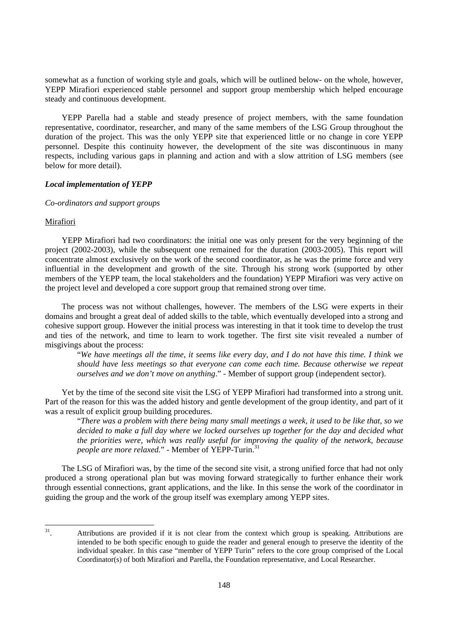somewhat as a function of working style and goals, which will be outlined below- on the whole, however, YEPP Mirafiori experienced stable personnel and support group membership which helped encourage steady and continuous development.

YEPP Parella had a stable and steady presence of project members, with the same foundation representative, coordinator, researcher, and many of the same members of the LSG Group throughout the duration of the project. This was the only YEPP site that experienced little or no change in core YEPP personnel. Despite this continuity however, the development of the site was discontinuous in many respects, including various gaps in planning and action and with a slow attrition of LSG members (see below for more detail).

## *Local implementation of YEPP*

## *Co-ordinators and support groups*

### Mirafiori

YEPP Mirafiori had two coordinators: the initial one was only present for the very beginning of the project (2002-2003), while the subsequent one remained for the duration (2003-2005). This report will concentrate almost exclusively on the work of the second coordinator, as he was the prime force and very influential in the development and growth of the site. Through his strong work (supported by other members of the YEPP team, the local stakeholders and the foundation) YEPP Mirafiori was very active on the project level and developed a core support group that remained strong over time.

The process was not without challenges, however. The members of the LSG were experts in their domains and brought a great deal of added skills to the table, which eventually developed into a strong and cohesive support group. However the initial process was interesting in that it took time to develop the trust and ties of the network, and time to learn to work together. The first site visit revealed a number of misgivings about the process:

"*We have meetings all the time, it seems like every day, and I do not have this time. I think we should have less meetings so that everyone can come each time. Because otherwise we repeat ourselves and we don't move on anything*." - Member of support group (independent sector).

Yet by the time of the second site visit the LSG of YEPP Mirafiori had transformed into a strong unit. Part of the reason for this was the added history and gentle development of the group identity, and part of it was a result of explicit group building procedures.

"*There was a problem with there being many small meetings a week, it used to be like that, so we decided to make a full day where we locked ourselves up together for the day and decided what the priorities were, which was really useful for improving the quality of the network, because people are more relaxed.*" - Member of YEPP-Turin.<sup>31</sup>

The LSG of Mirafiori was, by the time of the second site visit, a strong unified force that had not only produced a strong operational plan but was moving forward strategically to further enhance their work through essential connections, grant applications, and the like. In this sense the work of the coordinator in guiding the group and the work of the group itself was exemplary among YEPP sites.

 $31$ Attributions are provided if it is not clear from the context which group is speaking. Attributions are intended to be both specific enough to guide the reader and general enough to preserve the identity of the individual speaker. In this case "member of YEPP Turin" refers to the core group comprised of the Local Coordinator(s) of both Mirafiori and Parella, the Foundation representative, and Local Researcher.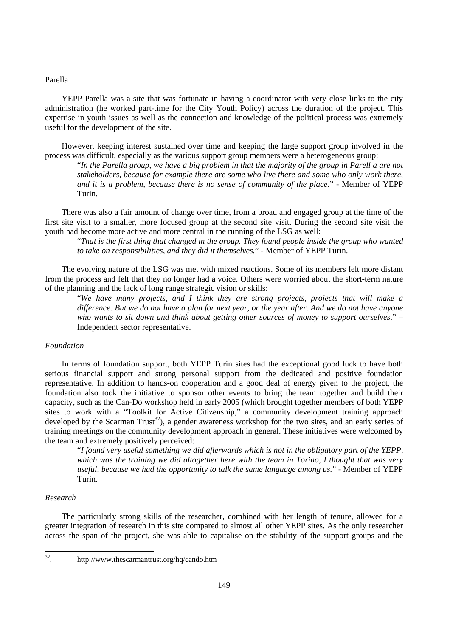#### Parella

YEPP Parella was a site that was fortunate in having a coordinator with very close links to the city administration (he worked part-time for the City Youth Policy) across the duration of the project. This expertise in youth issues as well as the connection and knowledge of the political process was extremely useful for the development of the site.

However, keeping interest sustained over time and keeping the large support group involved in the process was difficult, especially as the various support group members were a heterogeneous group:

"*In the Parella group, we have a big problem in that the majority of the group in Parell a are not stakeholders, because for example there are some who live there and some who only work there, and it is a problem, because there is no sense of community of the place*." - Member of YEPP Turin.

There was also a fair amount of change over time, from a broad and engaged group at the time of the first site visit to a smaller, more focused group at the second site visit. During the second site visit the youth had become more active and more central in the running of the LSG as well:

"*That is the first thing that changed in the group. They found people inside the group who wanted to take on responsibilities, and they did it themselves.*" - Member of YEPP Turin.

The evolving nature of the LSG was met with mixed reactions. Some of its members felt more distant from the process and felt that they no longer had a voice. Others were worried about the short-term nature of the planning and the lack of long range strategic vision or skills:

"*We have many projects, and I think they are strong projects, projects that will make a difference. But we do not have a plan for next year, or the year after. And we do not have anyone who wants to sit down and think about getting other sources of money to support ourselves*." – Independent sector representative.

## *Foundation*

In terms of foundation support, both YEPP Turin sites had the exceptional good luck to have both serious financial support and strong personal support from the dedicated and positive foundation representative. In addition to hands-on cooperation and a good deal of energy given to the project, the foundation also took the initiative to sponsor other events to bring the team together and build their capacity, such as the Can-Do workshop held in early 2005 (which brought together members of both YEPP sites to work with a "Toolkit for Active Citizenship," a community development training approach developed by the Scarman Trust<sup>32</sup>), a gender awareness workshop for the two sites, and an early series of training meetings on the community development approach in general. These initiatives were welcomed by the team and extremely positively perceived:

"*I found very useful something we did afterwards which is not in the obligatory part of the YEPP, which was the training we did altogether here with the team in Torino, I thought that was very useful, because we had the opportunity to talk the same language among us.*" - Member of YEPP Turin.

#### *Research*

The particularly strong skills of the researcher, combined with her length of tenure, allowed for a greater integration of research in this site compared to almost all other YEPP sites. As the only researcher across the span of the project, she was able to capitalise on the stability of the support groups and the

 $32$ 

<sup>32.</sup> http://www.thescarmantrust.org/hq/cando.htm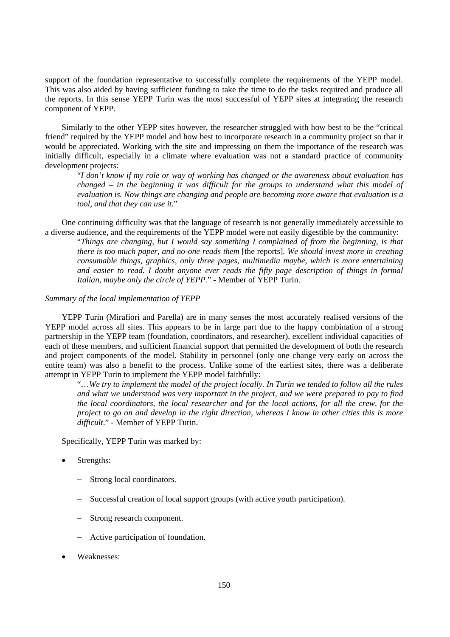support of the foundation representative to successfully complete the requirements of the YEPP model. This was also aided by having sufficient funding to take the time to do the tasks required and produce all the reports. In this sense YEPP Turin was the most successful of YEPP sites at integrating the research component of YEPP.

Similarly to the other YEPP sites however, the researcher struggled with how best to be the "critical friend" required by the YEPP model and how best to incorporate research in a community project so that it would be appreciated. Working with the site and impressing on them the importance of the research was initially difficult, especially in a climate where evaluation was not a standard practice of community development projects:

"*I don't know if my role or way of working has changed or the awareness about evaluation has changed – in the beginning it was difficult for the groups to understand what this model of evaluation is. Now things are changing and people are becoming more aware that evaluation is a tool, and that they can use it.*"

One continuing difficulty was that the language of research is not generally immediately accessible to a diverse audience, and the requirements of the YEPP model were not easily digestible by the community:

"*Things are changing, but I would say something I complained of from the beginning, is that there is too much paper, and no-one reads them* [the reports]*. We should invest more in creating consumable things, graphics, only three pages, multimedia maybe, which is more entertaining and easier to read. I doubt anyone ever reads the fifty page description of things in formal Italian, maybe only the circle of YEPP.*" - Member of YEPP Turin.

#### *Summary of the local implementation of YEPP*

YEPP Turin (Mirafiori and Parella) are in many senses the most accurately realised versions of the YEPP model across all sites. This appears to be in large part due to the happy combination of a strong partnership in the YEPP team (foundation, coordinators, and researcher), excellent individual capacities of each of these members, and sufficient financial support that permitted the development of both the research and project components of the model. Stability in personnel (only one change very early on across the entire team) was also a benefit to the process. Unlike some of the earliest sites, there was a deliberate attempt in YEPP Turin to implement the YEPP model faithfully:

"…*We try to implement the model of the project locally. In Turin we tended to follow all the rules and what we understood was very important in the project, and we were prepared to pay to find the local coordinators, the local researcher and for the local actions, for all the crew, for the project to go on and develop in the right direction, whereas I know in other cities this is more difficult*." - Member of YEPP Turin.

Specifically, YEPP Turin was marked by:

- Strengths:
	- Strong local coordinators.
	- Successful creation of local support groups (with active youth participation).
	- Strong research component.
	- − Active participation of foundation.
- Weaknesses: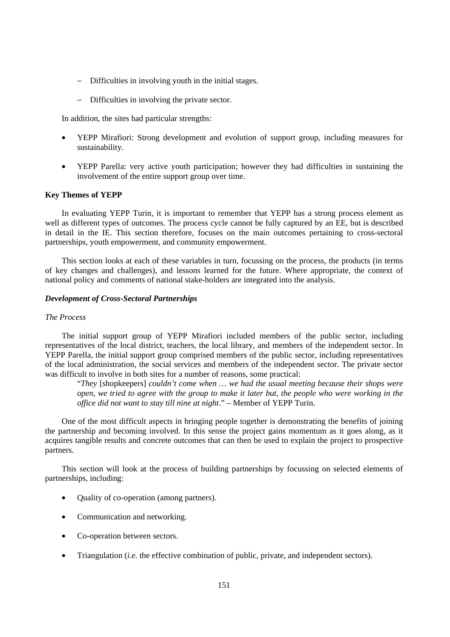- − Difficulties in involving youth in the initial stages.
- − Difficulties in involving the private sector.

In addition, the sites had particular strengths:

- YEPP Mirafiori: Strong development and evolution of support group, including measures for sustainability.
- YEPP Parella: very active youth participation; however they had difficulties in sustaining the involvement of the entire support group over time.

## **Key Themes of YEPP**

In evaluating YEPP Turin, it is important to remember that YEPP has a strong process element as well as different types of outcomes. The process cycle cannot be fully captured by an EE, but is described in detail in the IE. This section therefore, focuses on the main outcomes pertaining to cross-sectoral partnerships, youth empowerment, and community empowerment.

This section looks at each of these variables in turn, focussing on the process, the products (in terms of key changes and challenges), and lessons learned for the future. Where appropriate, the context of national policy and comments of national stake-holders are integrated into the analysis.

#### *Development of Cross-Sectoral Partnerships*

## *The Process*

The initial support group of YEPP Mirafiori included members of the public sector, including representatives of the local district, teachers, the local library, and members of the independent sector. In YEPP Parella, the initial support group comprised members of the public sector, including representatives of the local administration, the social services and members of the independent sector. The private sector was difficult to involve in both sites for a number of reasons, some practical:

"*They* [shopkeepers] *couldn't come when … we had the usual meeting because their shops were open, we tried to agree with the group to make it later but, the people who were working in the office did not want to stay till nine at night*." – Member of YEPP Turin.

One of the most difficult aspects in bringing people together is demonstrating the benefits of joining the partnership and becoming involved. In this sense the project gains momentum as it goes along, as it acquires tangible results and concrete outcomes that can then be used to explain the project to prospective partners.

This section will look at the process of building partnerships by focussing on selected elements of partnerships, including:

- Quality of co-operation (among partners).
- Communication and networking.
- Co-operation between sectors.
- Triangulation (*i.e.* the effective combination of public, private, and independent sectors).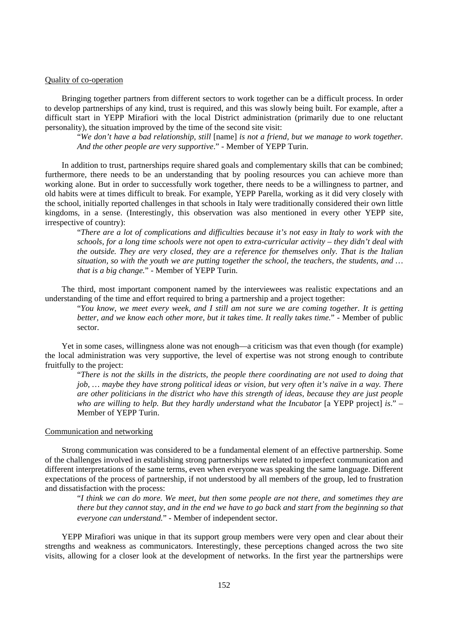#### Quality of co-operation

Bringing together partners from different sectors to work together can be a difficult process. In order to develop partnerships of any kind, trust is required, and this was slowly being built. For example, after a difficult start in YEPP Mirafiori with the local District administration (primarily due to one reluctant personality), the situation improved by the time of the second site visit:

"*We don't have a bad relationship, still* [name] *is not a friend, but we manage to work together. And the other people are very supportive*." - Member of YEPP Turin.

In addition to trust, partnerships require shared goals and complementary skills that can be combined; furthermore, there needs to be an understanding that by pooling resources you can achieve more than working alone. But in order to successfully work together, there needs to be a willingness to partner, and old habits were at times difficult to break. For example, YEPP Parella, working as it did very closely with the school, initially reported challenges in that schools in Italy were traditionally considered their own little kingdoms, in a sense. (Interestingly, this observation was also mentioned in every other YEPP site, irrespective of country):

"*There are a lot of complications and difficulties because it's not easy in Italy to work with the schools, for a long time schools were not open to extra-curricular activity – they didn't deal with the outside. They are very closed, they are a reference for themselves only. That is the Italian situation, so with the youth we are putting together the school, the teachers, the students, and … that is a big change.*" - Member of YEPP Turin.

The third, most important component named by the interviewees was realistic expectations and an understanding of the time and effort required to bring a partnership and a project together:

"*You know, we meet every week, and I still am not sure we are coming together. It is getting better, and we know each other more, but it takes time. It really takes time.*" - Member of public sector.

Yet in some cases, willingness alone was not enough—a criticism was that even though (for example) the local administration was very supportive, the level of expertise was not strong enough to contribute fruitfully to the project:

"*There is not the skills in the districts, the people there coordinating are not used to doing that job, … maybe they have strong political ideas or vision, but very often it's naïve in a way. There are other politicians in the district who have this strength of ideas, because they are just people who are willing to help. But they hardly understand what the Incubator* [a YEPP project] *is*." – Member of YEPP Turin.

#### Communication and networking

Strong communication was considered to be a fundamental element of an effective partnership. Some of the challenges involved in establishing strong partnerships were related to imperfect communication and different interpretations of the same terms, even when everyone was speaking the same language. Different expectations of the process of partnership, if not understood by all members of the group, led to frustration and dissatisfaction with the process:

"*I think we can do more. We meet, but then some people are not there, and sometimes they are there but they cannot stay, and in the end we have to go back and start from the beginning so that everyone can understand.*" - Member of independent sector.

YEPP Mirafiori was unique in that its support group members were very open and clear about their strengths and weakness as communicators. Interestingly, these perceptions changed across the two site visits, allowing for a closer look at the development of networks. In the first year the partnerships were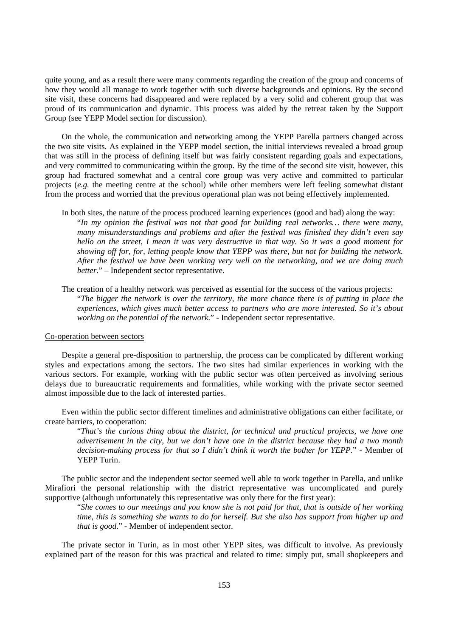quite young, and as a result there were many comments regarding the creation of the group and concerns of how they would all manage to work together with such diverse backgrounds and opinions. By the second site visit, these concerns had disappeared and were replaced by a very solid and coherent group that was proud of its communication and dynamic. This process was aided by the retreat taken by the Support Group (see YEPP Model section for discussion).

On the whole, the communication and networking among the YEPP Parella partners changed across the two site visits. As explained in the YEPP model section, the initial interviews revealed a broad group that was still in the process of defining itself but was fairly consistent regarding goals and expectations, and very committed to communicating within the group. By the time of the second site visit, however, this group had fractured somewhat and a central core group was very active and committed to particular projects (*e.g.* the meeting centre at the school) while other members were left feeling somewhat distant from the process and worried that the previous operational plan was not being effectively implemented.

In both sites, the nature of the process produced learning experiences (good and bad) along the way: "*In my opinion the festival was not that good for building real networks… there were many, many misunderstandings and problems and after the festival was finished they didn't even say hello on the street, I mean it was very destructive in that way. So it was a good moment for showing off for, for, letting people know that YEPP was there, but not for building the network. After the festival we have been working very well on the networking, and we are doing much better*." – Independent sector representative.

The creation of a healthy network was perceived as essential for the success of the various projects: "*The bigger the network is over the territory, the more chance there is of putting in place the experiences, which gives much better access to partners who are more interested. So it's about working on the potential of the network.*" - Independent sector representative.

#### Co-operation between sectors

Despite a general pre-disposition to partnership, the process can be complicated by different working styles and expectations among the sectors. The two sites had similar experiences in working with the various sectors. For example, working with the public sector was often perceived as involving serious delays due to bureaucratic requirements and formalities, while working with the private sector seemed almost impossible due to the lack of interested parties.

Even within the public sector different timelines and administrative obligations can either facilitate, or create barriers, to cooperation:

"*That's the curious thing about the district, for technical and practical projects, we have one advertisement in the city, but we don't have one in the district because they had a two month decision-making process for that so I didn't think it worth the bother for YEPP.*" - Member of YEPP Turin.

The public sector and the independent sector seemed well able to work together in Parella, and unlike Mirafiori the personal relationship with the district representative was uncomplicated and purely supportive (although unfortunately this representative was only there for the first year):

"*She comes to our meetings and you know she is not paid for that, that is outside of her working time, this is something she wants to do for herself. But she also has support from higher up and that is good.*" - Member of independent sector.

The private sector in Turin, as in most other YEPP sites, was difficult to involve. As previously explained part of the reason for this was practical and related to time: simply put, small shopkeepers and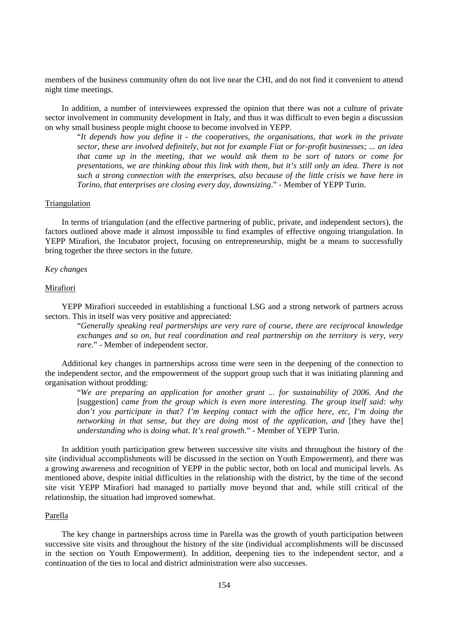members of the business community often do not live near the CHI, and do not find it convenient to attend night time meetings.

In addition, a number of interviewees expressed the opinion that there was not a culture of private sector involvement in community development in Italy, and thus it was difficult to even begin a discussion on why small business people might choose to become involved in YEPP.

"*It depends how you define it - the cooperatives, the organisations, that work in the private sector, these are involved definitely, but not for example Fiat or for-profit businesses; ... an idea that came up in the meeting, that we would ask them to be sort of tutors or come for presentations, we are thinking about this link with them, but it's still only an idea. There is not such a strong connection with the enterprises, also because of the little crisis we have here in Torino, that enterprises are closing every day, downsizing*." - Member of YEPP Turin.

#### Triangulation

In terms of triangulation (and the effective partnering of public, private, and independent sectors), the factors outlined above made it almost impossible to find examples of effective ongoing triangulation. In YEPP Mirafiori, the Incubator project, focusing on entrepreneurship, might be a means to successfully bring together the three sectors in the future.

#### *Key changes*

#### Mirafiori

YEPP Mirafiori succeeded in establishing a functional LSG and a strong network of partners across sectors. This in itself was very positive and appreciated:

"*Generally speaking real partnerships are very rare of course, there are reciprocal knowledge exchanges and so on, but real coordination and real partnership on the territory is very, very rare*." - Member of independent sector.

Additional key changes in partnerships across time were seen in the deepening of the connection to the independent sector, and the empowerment of the support group such that it was initiating planning and organisation without prodding:

"*We are preparing an application for another grant ... for sustainability of 2006. And the*  [suggestion] *came from the group which is even more interesting. The group itself said: why don't you participate in that? I'm keeping contact with the office here, etc, I'm doing the networking in that sense, but they are doing most of the application, and [they have the] understanding who is doing what. It's real growth*." - Member of YEPP Turin.

In addition youth participation grew between successive site visits and throughout the history of the site (individual accomplishments will be discussed in the section on Youth Empowerment), and there was a growing awareness and recognition of YEPP in the public sector, both on local and municipal levels. As mentioned above, despite initial difficulties in the relationship with the district, by the time of the second site visit YEPP Mirafiori had managed to partially move beyond that and, while still critical of the relationship, the situation had improved somewhat.

#### Parella

The key change in partnerships across time in Parella was the growth of youth participation between successive site visits and throughout the history of the site (individual accomplishments will be discussed in the section on Youth Empowerment). In addition, deepening ties to the independent sector, and a continuation of the ties to local and district administration were also successes.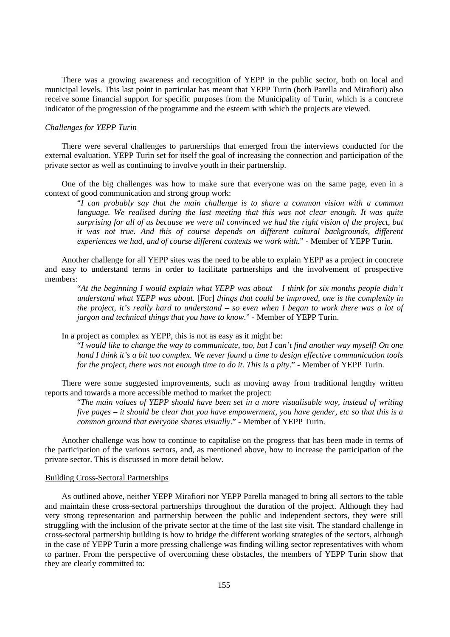There was a growing awareness and recognition of YEPP in the public sector, both on local and municipal levels. This last point in particular has meant that YEPP Turin (both Parella and Mirafiori) also receive some financial support for specific purposes from the Municipality of Turin, which is a concrete indicator of the progression of the programme and the esteem with which the projects are viewed.

## *Challenges for YEPP Turin*

There were several challenges to partnerships that emerged from the interviews conducted for the external evaluation. YEPP Turin set for itself the goal of increasing the connection and participation of the private sector as well as continuing to involve youth in their partnership.

One of the big challenges was how to make sure that everyone was on the same page, even in a context of good communication and strong group work:

"*I can probably say that the main challenge is to share a common vision with a common language. We realised during the last meeting that this was not clear enough. It was quite surprising for all of us because we were all convinced we had the right vision of the project, but it was not true. And this of course depends on different cultural backgrounds, different experiences we had, and of course different contexts we work with.*" - Member of YEPP Turin.

Another challenge for all YEPP sites was the need to be able to explain YEPP as a project in concrete and easy to understand terms in order to facilitate partnerships and the involvement of prospective members:

"*At the beginning I would explain what YEPP was about – I think for six months people didn't understand what YEPP was about.* [For] *things that could be improved, one is the complexity in the project, it's really hard to understand – so even when I began to work there was a lot of jargon and technical things that you have to know.*" - Member of YEPP Turin.

In a project as complex as YEPP, this is not as easy as it might be:

"*I would like to change the way to communicate, too, but I can't find another way myself! On one hand I think it's a bit too complex. We never found a time to design effective communication tools for the project, there was not enough time to do it. This is a pity*." - Member of YEPP Turin.

There were some suggested improvements, such as moving away from traditional lengthy written reports and towards a more accessible method to market the project:

"*The main values of YEPP should have been set in a more visualisable way, instead of writing five pages – it should be clear that you have empowerment, you have gender, etc so that this is a common ground that everyone shares visually*." - Member of YEPP Turin.

Another challenge was how to continue to capitalise on the progress that has been made in terms of the participation of the various sectors, and, as mentioned above, how to increase the participation of the private sector. This is discussed in more detail below.

#### Building Cross-Sectoral Partnerships

As outlined above, neither YEPP Mirafiori nor YEPP Parella managed to bring all sectors to the table and maintain these cross-sectoral partnerships throughout the duration of the project. Although they had very strong representation and partnership between the public and independent sectors, they were still struggling with the inclusion of the private sector at the time of the last site visit. The standard challenge in cross-sectoral partnership building is how to bridge the different working strategies of the sectors, although in the case of YEPP Turin a more pressing challenge was finding willing sector representatives with whom to partner. From the perspective of overcoming these obstacles, the members of YEPP Turin show that they are clearly committed to: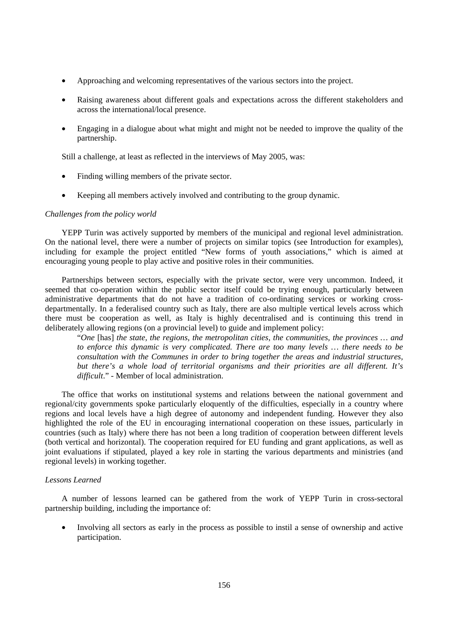- Approaching and welcoming representatives of the various sectors into the project.
- Raising awareness about different goals and expectations across the different stakeholders and across the international/local presence.
- Engaging in a dialogue about what might and might not be needed to improve the quality of the partnership.

Still a challenge, at least as reflected in the interviews of May 2005, was:

- Finding willing members of the private sector.
- Keeping all members actively involved and contributing to the group dynamic.

#### *Challenges from the policy world*

YEPP Turin was actively supported by members of the municipal and regional level administration. On the national level, there were a number of projects on similar topics (see Introduction for examples), including for example the project entitled "New forms of youth associations," which is aimed at encouraging young people to play active and positive roles in their communities.

Partnerships between sectors, especially with the private sector, were very uncommon. Indeed, it seemed that co-operation within the public sector itself could be trying enough, particularly between administrative departments that do not have a tradition of co-ordinating services or working crossdepartmentally. In a federalised country such as Italy, there are also multiple vertical levels across which there must be cooperation as well, as Italy is highly decentralised and is continuing this trend in deliberately allowing regions (on a provincial level) to guide and implement policy:

"*One* [has] *the state, the regions, the metropolitan cities, the communities, the provinces … and to enforce this dynamic is very complicated. There are too many levels … there needs to be consultation with the Communes in order to bring together the areas and industrial structures, but there's a whole load of territorial organisms and their priorities are all different. It's difficult*." - Member of local administration.

The office that works on institutional systems and relations between the national government and regional/city governments spoke particularly eloquently of the difficulties, especially in a country where regions and local levels have a high degree of autonomy and independent funding. However they also highlighted the role of the EU in encouraging international cooperation on these issues, particularly in countries (such as Italy) where there has not been a long tradition of cooperation between different levels (both vertical and horizontal). The cooperation required for EU funding and grant applications, as well as joint evaluations if stipulated, played a key role in starting the various departments and ministries (and regional levels) in working together.

#### *Lessons Learned*

A number of lessons learned can be gathered from the work of YEPP Turin in cross-sectoral partnership building, including the importance of:

• Involving all sectors as early in the process as possible to instil a sense of ownership and active participation.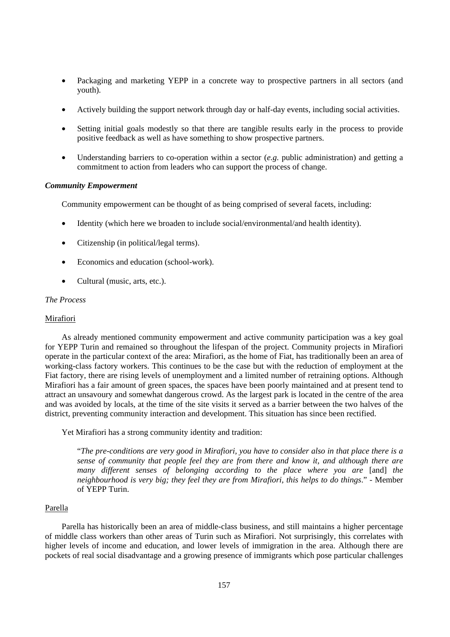- Packaging and marketing YEPP in a concrete way to prospective partners in all sectors (and youth).
- Actively building the support network through day or half-day events, including social activities.
- Setting initial goals modestly so that there are tangible results early in the process to provide positive feedback as well as have something to show prospective partners.
- Understanding barriers to co-operation within a sector (*e.g.* public administration) and getting a commitment to action from leaders who can support the process of change.

## *Community Empowerment*

Community empowerment can be thought of as being comprised of several facets, including:

- Identity (which here we broaden to include social/environmental/and health identity).
- Citizenship (in political/legal terms).
- Economics and education (school-work).
- Cultural (music, arts, etc.).

### *The Process*

### Mirafiori

As already mentioned community empowerment and active community participation was a key goal for YEPP Turin and remained so throughout the lifespan of the project. Community projects in Mirafiori operate in the particular context of the area: Mirafiori, as the home of Fiat, has traditionally been an area of working-class factory workers. This continues to be the case but with the reduction of employment at the Fiat factory, there are rising levels of unemployment and a limited number of retraining options. Although Mirafiori has a fair amount of green spaces, the spaces have been poorly maintained and at present tend to attract an unsavoury and somewhat dangerous crowd. As the largest park is located in the centre of the area and was avoided by locals, at the time of the site visits it served as a barrier between the two halves of the district, preventing community interaction and development. This situation has since been rectified.

Yet Mirafiori has a strong community identity and tradition:

"*The pre-conditions are very good in Mirafiori, you have to consider also in that place there is a sense of community that people feel they are from there and know it, and although there are many different senses of belonging according to the place where you are* [and] *the neighbourhood is very big; they feel they are from Mirafiori, this helps to do things*." - Member of YEPP Turin.

### Parella

Parella has historically been an area of middle-class business, and still maintains a higher percentage of middle class workers than other areas of Turin such as Mirafiori. Not surprisingly, this correlates with higher levels of income and education, and lower levels of immigration in the area. Although there are pockets of real social disadvantage and a growing presence of immigrants which pose particular challenges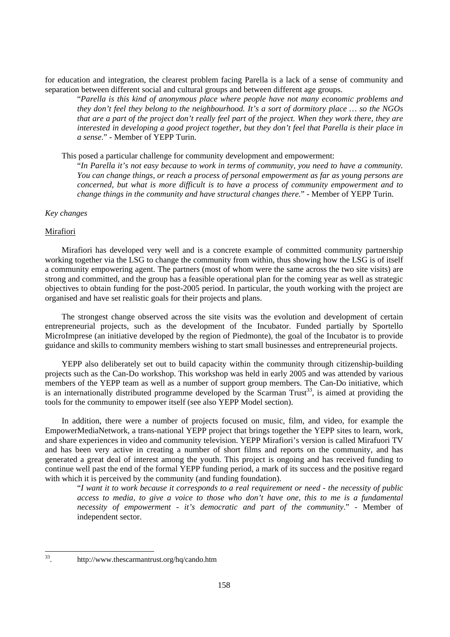for education and integration, the clearest problem facing Parella is a lack of a sense of community and separation between different social and cultural groups and between different age groups.

"*Parella is this kind of anonymous place where people have not many economic problems and they don't feel they belong to the neighbourhood. It's a sort of dormitory place … so the NGOs that are a part of the project don't really feel part of the project. When they work there, they are interested in developing a good project together, but they don't feel that Parella is their place in a sense*." - Member of YEPP Turin.

This posed a particular challenge for community development and empowerment:

"*In Parella it's not easy because to work in terms of community, you need to have a community. You can change things, or reach a process of personal empowerment as far as young persons are concerned, but what is more difficult is to have a process of community empowerment and to change things in the community and have structural changes there.*" - Member of YEPP Turin.

## *Key changes*

#### **Mirafiori**

Mirafiori has developed very well and is a concrete example of committed community partnership working together via the LSG to change the community from within, thus showing how the LSG is of itself a community empowering agent. The partners (most of whom were the same across the two site visits) are strong and committed, and the group has a feasible operational plan for the coming year as well as strategic objectives to obtain funding for the post-2005 period. In particular, the youth working with the project are organised and have set realistic goals for their projects and plans.

The strongest change observed across the site visits was the evolution and development of certain entrepreneurial projects, such as the development of the Incubator. Funded partially by Sportello MicroImprese (an initiative developed by the region of Piedmonte), the goal of the Incubator is to provide guidance and skills to community members wishing to start small businesses and entrepreneurial projects.

YEPP also deliberately set out to build capacity within the community through citizenship-building projects such as the Can-Do workshop. This workshop was held in early 2005 and was attended by various members of the YEPP team as well as a number of support group members. The Can-Do initiative, which is an internationally distributed programme developed by the Scarman Trust<sup>33</sup>, is aimed at providing the tools for the community to empower itself (see also YEPP Model section).

In addition, there were a number of projects focused on music, film, and video, for example the EmpowerMediaNetwork, a trans-national YEPP project that brings together the YEPP sites to learn, work, and share experiences in video and community television. YEPP Mirafiori's version is called Mirafuori TV and has been very active in creating a number of short films and reports on the community, and has generated a great deal of interest among the youth. This project is ongoing and has received funding to continue well past the end of the formal YEPP funding period, a mark of its success and the positive regard with which it is perceived by the community (and funding foundation).

"*I want it to work because it corresponds to a real requirement or need - the necessity of public access to media, to give a voice to those who don't have one, this to me is a fundamental necessity of empowerment - it's democratic and part of the community*." - Member of independent sector.

<sup>33</sup> 

<sup>33.</sup> http://www.thescarmantrust.org/hq/cando.htm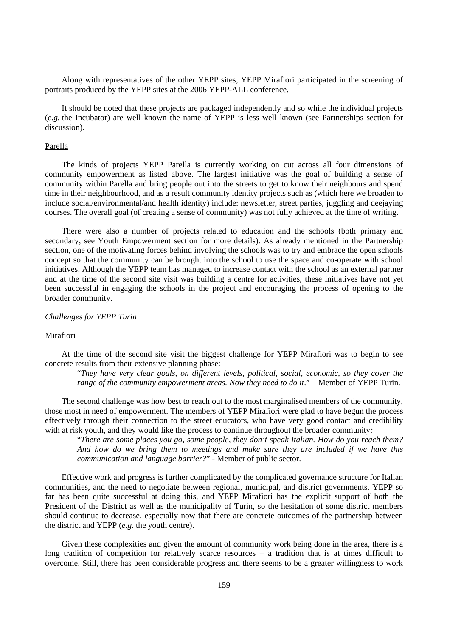Along with representatives of the other YEPP sites, YEPP Mirafiori participated in the screening of portraits produced by the YEPP sites at the 2006 YEPP-ALL conference.

It should be noted that these projects are packaged independently and so while the individual projects (*e.g.* the Incubator) are well known the name of YEPP is less well known (see Partnerships section for discussion).

#### Parella

The kinds of projects YEPP Parella is currently working on cut across all four dimensions of community empowerment as listed above. The largest initiative was the goal of building a sense of community within Parella and bring people out into the streets to get to know their neighbours and spend time in their neighbourhood, and as a result community identity projects such as (which here we broaden to include social/environmental/and health identity) include: newsletter, street parties, juggling and deejaying courses. The overall goal (of creating a sense of community) was not fully achieved at the time of writing.

There were also a number of projects related to education and the schools (both primary and secondary, see Youth Empowerment section for more details). As already mentioned in the Partnership section, one of the motivating forces behind involving the schools was to try and embrace the open schools concept so that the community can be brought into the school to use the space and co-operate with school initiatives. Although the YEPP team has managed to increase contact with the school as an external partner and at the time of the second site visit was building a centre for activities, these initiatives have not yet been successful in engaging the schools in the project and encouraging the process of opening to the broader community.

#### *Challenges for YEPP Turin*

## Mirafiori

At the time of the second site visit the biggest challenge for YEPP Mirafiori was to begin to see concrete results from their extensive planning phase:

"*They have very clear goals, on different levels, political, social, economic, so they cover the range of the community empowerment areas. Now they need to do it.*" – Member of YEPP Turin.

The second challenge was how best to reach out to the most marginalised members of the community, those most in need of empowerment. The members of YEPP Mirafiori were glad to have begun the process effectively through their connection to the street educators, who have very good contact and credibility with at risk youth, and they would like the process to continue throughout the broader community*:* 

"*There are some places you go, some people, they don't speak Italian. How do you reach them? And how do we bring them to meetings and make sure they are included if we have this communication and language barrier?*" - Member of public sector.

Effective work and progress is further complicated by the complicated governance structure for Italian communities, and the need to negotiate between regional, municipal, and district governments. YEPP so far has been quite successful at doing this, and YEPP Mirafiori has the explicit support of both the President of the District as well as the municipality of Turin, so the hesitation of some district members should continue to decrease, especially now that there are concrete outcomes of the partnership between the district and YEPP (*e.g.* the youth centre).

Given these complexities and given the amount of community work being done in the area, there is a long tradition of competition for relatively scarce resources – a tradition that is at times difficult to overcome. Still, there has been considerable progress and there seems to be a greater willingness to work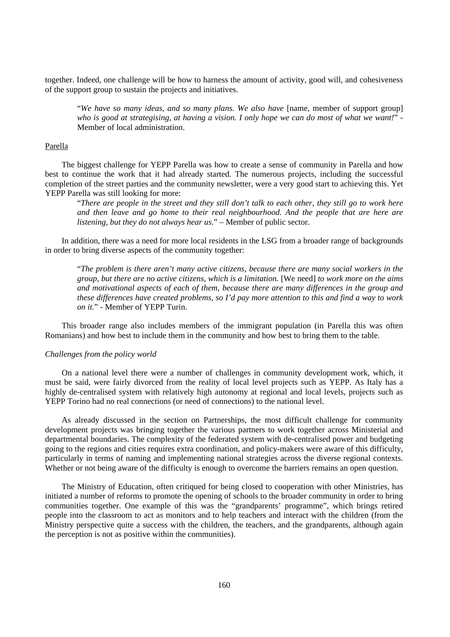together. Indeed, one challenge will be how to harness the amount of activity, good will, and cohesiveness of the support group to sustain the projects and initiatives.

"*We have so many ideas, and so many plans. We also have* [name, member of support group] *who is good at strategising, at having a vision. I only hope we can do most of what we want!*" - Member of local administration.

#### Parella

The biggest challenge for YEPP Parella was how to create a sense of community in Parella and how best to continue the work that it had already started. The numerous projects, including the successful completion of the street parties and the community newsletter, were a very good start to achieving this. Yet YEPP Parella was still looking for more:

"*There are people in the street and they still don't talk to each other, they still go to work here and then leave and go home to their real neighbourhood. And the people that are here are listening, but they do not always hear us*." – Member of public sector.

In addition, there was a need for more local residents in the LSG from a broader range of backgrounds in order to bring diverse aspects of the community together:

"*The problem is there aren't many active citizens, because there are many social workers in the group, but there are no active citizens, which is a limitation.* [We need] *to work more on the aims and motivational aspects of each of them, because there are many differences in the group and these differences have created problems, so I'd pay more attention to this and find a way to work on it.*" - Member of YEPP Turin.

This broader range also includes members of the immigrant population (in Parella this was often Romanians) and how best to include them in the community and how best to bring them to the table.

## *Challenges from the policy world*

On a national level there were a number of challenges in community development work, which, it must be said, were fairly divorced from the reality of local level projects such as YEPP. As Italy has a highly de-centralised system with relatively high autonomy at regional and local levels, projects such as YEPP Torino had no real connections (or need of connections) to the national level.

As already discussed in the section on Partnerships, the most difficult challenge for community development projects was bringing together the various partners to work together across Ministerial and departmental boundaries. The complexity of the federated system with de-centralised power and budgeting going to the regions and cities requires extra coordination, and policy-makers were aware of this difficulty, particularly in terms of naming and implementing national strategies across the diverse regional contexts. Whether or not being aware of the difficulty is enough to overcome the barriers remains an open question.

The Ministry of Education, often critiqued for being closed to cooperation with other Ministries, has initiated a number of reforms to promote the opening of schools to the broader community in order to bring communities together. One example of this was the "grandparents' programme", which brings retired people into the classroom to act as monitors and to help teachers and interact with the children (from the Ministry perspective quite a success with the children, the teachers, and the grandparents, although again the perception is not as positive within the communities).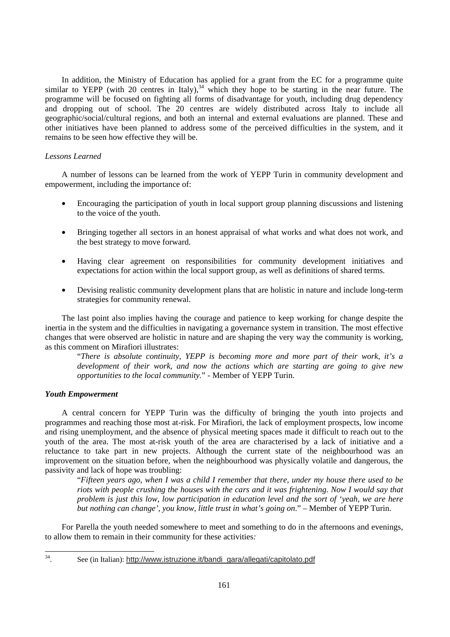In addition, the Ministry of Education has applied for a grant from the EC for a programme quite similar to YEPP (with 20 centres in Italy),<sup>34</sup> which they hope to be starting in the near future. The programme will be focused on fighting all forms of disadvantage for youth, including drug dependency and dropping out of school. The 20 centres are widely distributed across Italy to include all geographic/social/cultural regions, and both an internal and external evaluations are planned. These and other initiatives have been planned to address some of the perceived difficulties in the system, and it remains to be seen how effective they will be.

## *Lessons Learned*

A number of lessons can be learned from the work of YEPP Turin in community development and empowerment, including the importance of:

- Encouraging the participation of youth in local support group planning discussions and listening to the voice of the youth.
- Bringing together all sectors in an honest appraisal of what works and what does not work, and the best strategy to move forward.
- Having clear agreement on responsibilities for community development initiatives and expectations for action within the local support group, as well as definitions of shared terms.
- Devising realistic community development plans that are holistic in nature and include long-term strategies for community renewal.

The last point also implies having the courage and patience to keep working for change despite the inertia in the system and the difficulties in navigating a governance system in transition. The most effective changes that were observed are holistic in nature and are shaping the very way the community is working, as this comment on Mirafiori illustrates:

"*There is absolute continuity, YEPP is becoming more and more part of their work, it's a development of their work, and now the actions which are starting are going to give new opportunities to the local community.*" - Member of YEPP Turin.

## *Youth Empowerment*

A central concern for YEPP Turin was the difficulty of bringing the youth into projects and programmes and reaching those most at-risk. For Mirafiori, the lack of employment prospects, low income and rising unemployment, and the absence of physical meeting spaces made it difficult to reach out to the youth of the area. The most at-risk youth of the area are characterised by a lack of initiative and a reluctance to take part in new projects. Although the current state of the neighbourhood was an improvement on the situation before, when the neighbourhood was physically volatile and dangerous, the passivity and lack of hope was troubling:

"*Fifteen years ago, when I was a child I remember that there, under my house there used to be riots with people crushing the houses with the cars and it was frightening. Now I would say that problem is just this low, low participation in education level and the sort of 'yeah, we are here but nothing can change', you know, little trust in what's going on*." – Member of YEPP Turin.

For Parella the youth needed somewhere to meet and something to do in the afternoons and evenings, to allow them to remain in their community for these activities*:* 

34

See (in Italian): http://www.istruzione.it/bandi\_gara/allegati/capitolato.pdf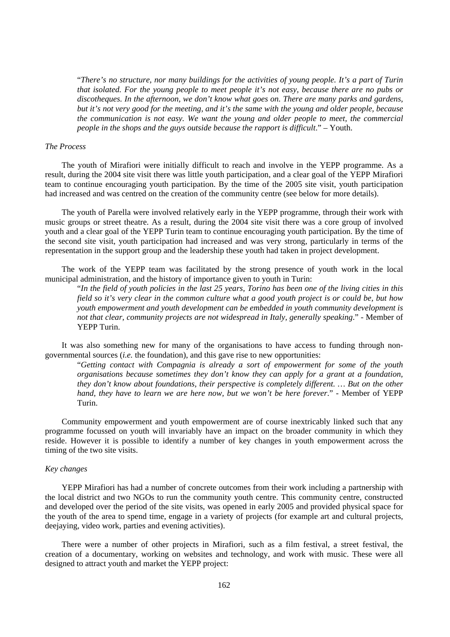"*There's no structure, nor many buildings for the activities of young people. It's a part of Turin that isolated. For the young people to meet people it's not easy, because there are no pubs or discotheques. In the afternoon, we don't know what goes on. There are many parks and gardens, but it's not very good for the meeting, and it's the same with the young and older people, because the communication is not easy. We want the young and older people to meet, the commercial people in the shops and the guys outside because the rapport is difficult*." – Youth.

#### *The Process*

The youth of Mirafiori were initially difficult to reach and involve in the YEPP programme. As a result, during the 2004 site visit there was little youth participation, and a clear goal of the YEPP Mirafiori team to continue encouraging youth participation. By the time of the 2005 site visit, youth participation had increased and was centred on the creation of the community centre (see below for more details).

The youth of Parella were involved relatively early in the YEPP programme, through their work with music groups or street theatre. As a result, during the 2004 site visit there was a core group of involved youth and a clear goal of the YEPP Turin team to continue encouraging youth participation. By the time of the second site visit, youth participation had increased and was very strong, particularly in terms of the representation in the support group and the leadership these youth had taken in project development.

The work of the YEPP team was facilitated by the strong presence of youth work in the local municipal administration, and the history of importance given to youth in Turin:

"*In the field of youth policies in the last 25 years, Torino has been one of the living cities in this field so it's very clear in the common culture what a good youth project is or could be, but how youth empowerment and youth development can be embedded in youth community development is not that clear, community projects are not widespread in Italy, generally speaking*." - Member of YEPP Turin.

It was also something new for many of the organisations to have access to funding through nongovernmental sources (*i.e.* the foundation), and this gave rise to new opportunities:

"*Getting contact with Compagnia is already a sort of empowerment for some of the youth organisations because sometimes they don't know they can apply for a grant at a foundation, they don't know about foundations, their perspective is completely different. … But on the other hand, they have to learn we are here now, but we won't be here forever*." - Member of YEPP Turin.

Community empowerment and youth empowerment are of course inextricably linked such that any programme focussed on youth will invariably have an impact on the broader community in which they reside. However it is possible to identify a number of key changes in youth empowerment across the timing of the two site visits.

### *Key changes*

YEPP Mirafiori has had a number of concrete outcomes from their work including a partnership with the local district and two NGOs to run the community youth centre. This community centre, constructed and developed over the period of the site visits, was opened in early 2005 and provided physical space for the youth of the area to spend time, engage in a variety of projects (for example art and cultural projects, deejaying, video work, parties and evening activities).

There were a number of other projects in Mirafiori, such as a film festival, a street festival, the creation of a documentary, working on websites and technology, and work with music. These were all designed to attract youth and market the YEPP project: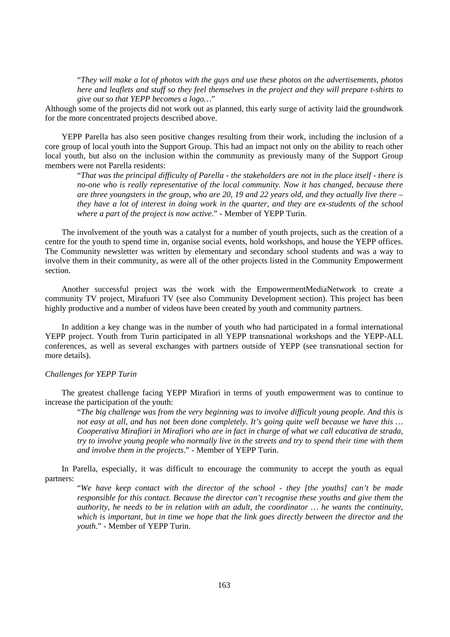"*They will make a lot of photos with the guys and use these photos on the advertisements, photos here and leaflets and stuff so they feel themselves in the project and they will prepare t-shirts to give out so that YEPP becomes a logo…*"

Although some of the projects did not work out as planned, this early surge of activity laid the groundwork for the more concentrated projects described above.

YEPP Parella has also seen positive changes resulting from their work, including the inclusion of a core group of local youth into the Support Group. This had an impact not only on the ability to reach other local youth, but also on the inclusion within the community as previously many of the Support Group members were not Parella residents:

"*That was the principal difficulty of Parella - the stakeholders are not in the place itself - there is no-one who is really representative of the local community. Now it has changed, because there are three youngsters in the group, who are 20, 19 and 22 years old, and they actually live there – they have a lot of interest in doing work in the quarter, and they are ex-students of the school where a part of the project is now active*." - Member of YEPP Turin.

The involvement of the youth was a catalyst for a number of youth projects, such as the creation of a centre for the youth to spend time in, organise social events, hold workshops, and house the YEPP offices. The Community newsletter was written by elementary and secondary school students and was a way to involve them in their community, as were all of the other projects listed in the Community Empowerment section.

Another successful project was the work with the EmpowermentMediaNetwork to create a community TV project, Mirafuori TV (see also Community Development section). This project has been highly productive and a number of videos have been created by youth and community partners.

In addition a key change was in the number of youth who had participated in a formal international YEPP project. Youth from Turin participated in all YEPP transnational workshops and the YEPP-ALL conferences, as well as several exchanges with partners outside of YEPP (see transnational section for more details).

#### *Challenges for YEPP Turin*

The greatest challenge facing YEPP Mirafiori in terms of youth empowerment was to continue to increase the participation of the youth:

"*The big challenge was from the very beginning was to involve difficult young people. And this is not easy at all, and has not been done completely. It's going quite well because we have this … Cooperativa Mirafiori in Mirafiori who are in fact in charge of what we call educativa de strada, try to involve young people who normally live in the streets and try to spend their time with them and involve them in the projects*." - Member of YEPP Turin.

In Parella, especially, it was difficult to encourage the community to accept the youth as equal partners:

"*We have keep contact with the director of the school - they [the youths] can't be made responsible for this contact. Because the director can't recognise these youths and give them the authority, he needs to be in relation with an adult, the coordinator … he wants the continuity, which is important, but in time we hope that the link goes directly between the director and the youth*." - Member of YEPP Turin.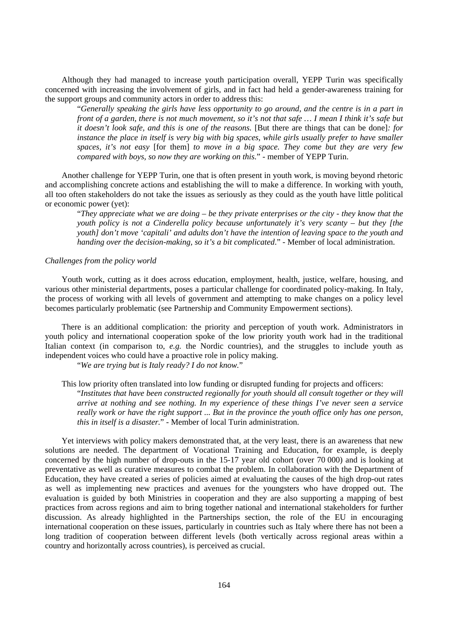Although they had managed to increase youth participation overall, YEPP Turin was specifically concerned with increasing the involvement of girls, and in fact had held a gender-awareness training for the support groups and community actors in order to address this:

"*Generally speaking the girls have less opportunity to go around, and the centre is in a part in front of a garden, there is not much movement, so it's not that safe … I mean I think it's safe but it doesn't look safe, and this is one of the reasons.* [But there are things that can be done]*: for instance the place in itself is very big with big spaces, while girls usually prefer to have smaller spaces, it's not easy* [for them] *to move in a big space. They come but they are very few compared with boys, so now they are working on this.*" - member of YEPP Turin.

Another challenge for YEPP Turin, one that is often present in youth work, is moving beyond rhetoric and accomplishing concrete actions and establishing the will to make a difference. In working with youth, all too often stakeholders do not take the issues as seriously as they could as the youth have little political or economic power (yet):

"*They appreciate what we are doing – be they private enterprises or the city - they know that the youth policy is not a Cinderella policy because unfortunately it's very scanty – but they [the youth] don't move 'capitali' and adults don't have the intention of leaving space to the youth and handing over the decision-making, so it's a bit complicated*." - Member of local administration.

#### *Challenges from the policy world*

Youth work, cutting as it does across education, employment, health, justice, welfare, housing, and various other ministerial departments, poses a particular challenge for coordinated policy-making. In Italy, the process of working with all levels of government and attempting to make changes on a policy level becomes particularly problematic (see Partnership and Community Empowerment sections).

There is an additional complication: the priority and perception of youth work. Administrators in youth policy and international cooperation spoke of the low priority youth work had in the traditional Italian context (in comparison to, *e.g.* the Nordic countries), and the struggles to include youth as independent voices who could have a proactive role in policy making.

"*We are trying but is Italy ready? I do not know.*"

This low priority often translated into low funding or disrupted funding for projects and officers: "*Institutes that have been constructed regionally for youth should all consult together or they will arrive at nothing and see nothing. In my experience of these things I've never seen a service really work or have the right support ... But in the province the youth office only has one person, this in itself is a disaster.*" - Member of local Turin administration.

Yet interviews with policy makers demonstrated that, at the very least, there is an awareness that new solutions are needed. The department of Vocational Training and Education, for example, is deeply concerned by the high number of drop-outs in the 15-17 year old cohort (over 70 000) and is looking at preventative as well as curative measures to combat the problem. In collaboration with the Department of Education, they have created a series of policies aimed at evaluating the causes of the high drop-out rates as well as implementing new practices and avenues for the youngsters who have dropped out. The evaluation is guided by both Ministries in cooperation and they are also supporting a mapping of best practices from across regions and aim to bring together national and international stakeholders for further discussion. As already highlighted in the Partnerships section, the role of the EU in encouraging international cooperation on these issues, particularly in countries such as Italy where there has not been a long tradition of cooperation between different levels (both vertically across regional areas within a country and horizontally across countries), is perceived as crucial.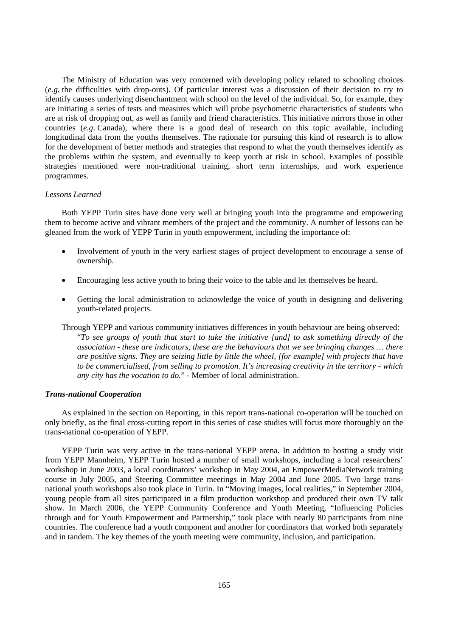The Ministry of Education was very concerned with developing policy related to schooling choices (*e.g.* the difficulties with drop-outs). Of particular interest was a discussion of their decision to try to identify causes underlying disenchantment with school on the level of the individual. So, for example, they are initiating a series of tests and measures which will probe psychometric characteristics of students who are at risk of dropping out, as well as family and friend characteristics. This initiative mirrors those in other countries (*e.g*. Canada), where there is a good deal of research on this topic available, including longitudinal data from the youths themselves. The rationale for pursuing this kind of research is to allow for the development of better methods and strategies that respond to what the youth themselves identify as the problems within the system, and eventually to keep youth at risk in school. Examples of possible strategies mentioned were non-traditional training, short term internships, and work experience programmes.

## *Lessons Learned*

Both YEPP Turin sites have done very well at bringing youth into the programme and empowering them to become active and vibrant members of the project and the community. A number of lessons can be gleaned from the work of YEPP Turin in youth empowerment, including the importance of:

- Involvement of youth in the very earliest stages of project development to encourage a sense of ownership.
- Encouraging less active youth to bring their voice to the table and let themselves be heard.
- Getting the local administration to acknowledge the voice of youth in designing and delivering youth-related projects.
- Through YEPP and various community initiatives differences in youth behaviour are being observed: "*To see groups of youth that start to take the initiative [and] to ask something directly of the association - these are indicators, these are the behaviours that we see bringing changes … there are positive signs. They are seizing little by little the wheel, [for example] with projects that have to be commercialised, from selling to promotion. It's increasing creativity in the territory - which any city has the vocation to do.*" - Member of local administration.

#### *Trans-national Cooperation*

As explained in the section on Reporting, in this report trans-national co-operation will be touched on only briefly, as the final cross-cutting report in this series of case studies will focus more thoroughly on the trans-national co-operation of YEPP.

YEPP Turin was very active in the trans-national YEPP arena. In addition to hosting a study visit from YEPP Mannheim, YEPP Turin hosted a number of small workshops, including a local researchers' workshop in June 2003, a local coordinators' workshop in May 2004, an EmpowerMediaNetwork training course in July 2005, and Steering Committee meetings in May 2004 and June 2005. Two large transnational youth workshops also took place in Turin. In "Moving images, local realities," in September 2004, young people from all sites participated in a film production workshop and produced their own TV talk show. In March 2006, the YEPP Community Conference and Youth Meeting, "Influencing Policies through and for Youth Empowerment and Partnership," took place with nearly 80 participants from nine countries. The conference had a youth component and another for coordinators that worked both separately and in tandem. The key themes of the youth meeting were community, inclusion, and participation.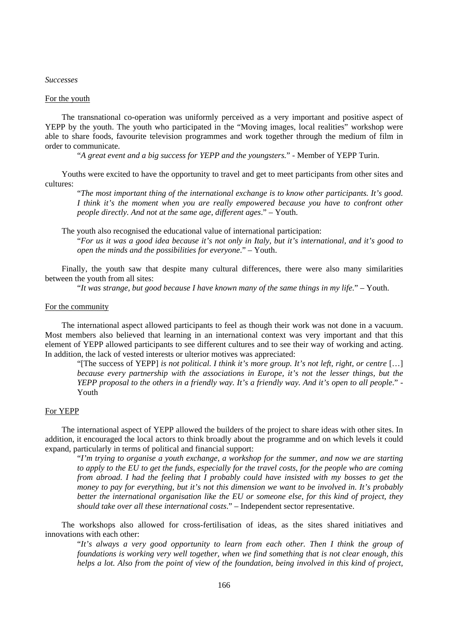#### *Successes*

## For the youth

The transnational co-operation was uniformly perceived as a very important and positive aspect of YEPP by the youth. The youth who participated in the "Moving images, local realities" workshop were able to share foods, favourite television programmes and work together through the medium of film in order to communicate.

"*A great event and a big success for YEPP and the youngsters.*" - Member of YEPP Turin.

Youths were excited to have the opportunity to travel and get to meet participants from other sites and cultures:

"*The most important thing of the international exchange is to know other participants. It's good. I think it's the moment when you are really empowered because you have to confront other people directly. And not at the same age, different ages*." – Youth.

The youth also recognised the educational value of international participation:

"*For us it was a good idea because it's not only in Italy, but it's international, and it's good to open the minds and the possibilities for everyone*." – Youth.

Finally, the youth saw that despite many cultural differences, there were also many similarities between the youth from all sites:

"*It was strange, but good because I have known many of the same things in my life.*" – Youth.

#### For the community

The international aspect allowed participants to feel as though their work was not done in a vacuum. Most members also believed that learning in an international context was very important and that this element of YEPP allowed participants to see different cultures and to see their way of working and acting. In addition, the lack of vested interests or ulterior motives was appreciated:

"[The success of YEPP] *is not political. I think it's more group. It's not left, right, or centre* […] *because every partnership with the associations in Europe, it's not the lesser things, but the YEPP proposal to the others in a friendly way. It's a friendly way. And it's open to all people*." - Youth

## For YEPP

The international aspect of YEPP allowed the builders of the project to share ideas with other sites. In addition, it encouraged the local actors to think broadly about the programme and on which levels it could expand, particularly in terms of political and financial support:

"*I'm trying to organise a youth exchange, a workshop for the summer, and now we are starting to apply to the EU to get the funds, especially for the travel costs, for the people who are coming from abroad. I had the feeling that I probably could have insisted with my bosses to get the money to pay for everything, but it's not this dimension we want to be involved in. It's probably better the international organisation like the EU or someone else, for this kind of project, they should take over all these international costs*." – Independent sector representative.

The workshops also allowed for cross-fertilisation of ideas, as the sites shared initiatives and innovations with each other:

"*It's always a very good opportunity to learn from each other. Then I think the group of foundations is working very well together, when we find something that is not clear enough, this helps a lot. Also from the point of view of the foundation, being involved in this kind of project,*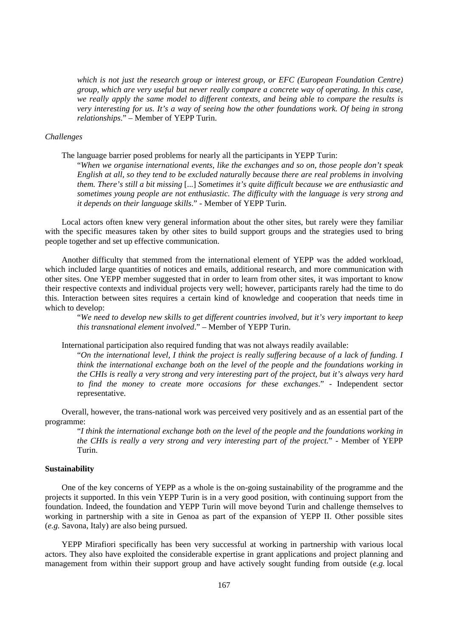*which is not just the research group or interest group, or EFC (European Foundation Centre) group, which are very useful but never really compare a concrete way of operating. In this case, we really apply the same model to different contexts, and being able to compare the results is very interesting for us. It's a way of seeing how the other foundations work. Of being in strong relationships*." – Member of YEPP Turin.

#### *Challenges*

The language barrier posed problems for nearly all the participants in YEPP Turin:

"*When we organise international events, like the exchanges and so on, those people don't speak English at all, so they tend to be excluded naturally because there are real problems in involving them. There's still a bit missing* [...] *Sometimes it's quite difficult because we are enthusiastic and sometimes young people are not enthusiastic. The difficulty with the language is very strong and it depends on their language skills*." - Member of YEPP Turin.

Local actors often knew very general information about the other sites, but rarely were they familiar with the specific measures taken by other sites to build support groups and the strategies used to bring people together and set up effective communication.

Another difficulty that stemmed from the international element of YEPP was the added workload, which included large quantities of notices and emails, additional research, and more communication with other sites. One YEPP member suggested that in order to learn from other sites, it was important to know their respective contexts and individual projects very well; however, participants rarely had the time to do this. Interaction between sites requires a certain kind of knowledge and cooperation that needs time in which to develop:

"*We need to develop new skills to get different countries involved, but it's very important to keep this transnational element involved*." – Member of YEPP Turin.

International participation also required funding that was not always readily available:

"*On the international level, I think the project is really suffering because of a lack of funding. I think the international exchange both on the level of the people and the foundations working in the CHIs is really a very strong and very interesting part of the project, but it's always very hard to find the money to create more occasions for these exchanges*." - Independent sector representative.

Overall, however, the trans-national work was perceived very positively and as an essential part of the programme:

"*I think the international exchange both on the level of the people and the foundations working in the CHIs is really a very strong and very interesting part of the project.*" - Member of YEPP Turin.

### **Sustainability**

One of the key concerns of YEPP as a whole is the on-going sustainability of the programme and the projects it supported. In this vein YEPP Turin is in a very good position, with continuing support from the foundation. Indeed, the foundation and YEPP Turin will move beyond Turin and challenge themselves to working in partnership with a site in Genoa as part of the expansion of YEPP II. Other possible sites (*e.g.* Savona, Italy) are also being pursued.

YEPP Mirafiori specifically has been very successful at working in partnership with various local actors. They also have exploited the considerable expertise in grant applications and project planning and management from within their support group and have actively sought funding from outside (*e.g.* local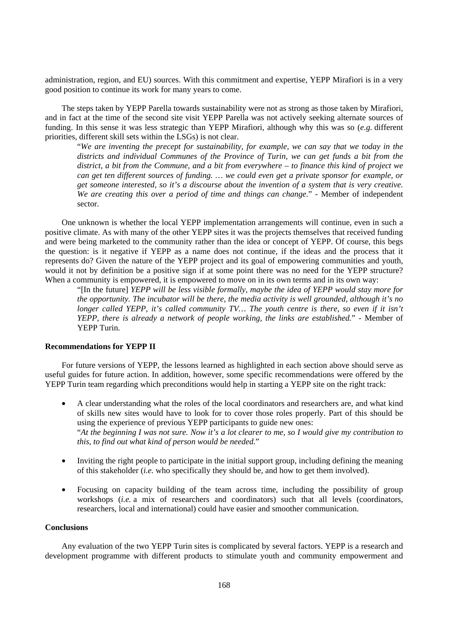administration, region, and EU) sources. With this commitment and expertise, YEPP Mirafiori is in a very good position to continue its work for many years to come.

The steps taken by YEPP Parella towards sustainability were not as strong as those taken by Mirafiori, and in fact at the time of the second site visit YEPP Parella was not actively seeking alternate sources of funding. In this sense it was less strategic than YEPP Mirafiori, although why this was so (*e.g.* different priorities, different skill sets within the LSGs) is not clear.

"*We are inventing the precept for sustainability, for example, we can say that we today in the districts and individual Communes of the Province of Turin, we can get funds a bit from the district, a bit from the Commune, and a bit from everywhere – to finance this kind of project we can get ten different sources of funding. … we could even get a private sponsor for example, or get someone interested, so it's a discourse about the invention of a system that is very creative. We are creating this over a period of time and things can change*." - Member of independent sector.

One unknown is whether the local YEPP implementation arrangements will continue, even in such a positive climate. As with many of the other YEPP sites it was the projects themselves that received funding and were being marketed to the community rather than the idea or concept of YEPP. Of course, this begs the question: is it negative if YEPP as a name does not continue, if the ideas and the process that it represents do? Given the nature of the YEPP project and its goal of empowering communities and youth, would it not by definition be a positive sign if at some point there was no need for the YEPP structure? When a community is empowered, it is empowered to move on in its own terms and in its own way:

"[In the future] *YEPP will be less visible formally, maybe the idea of YEPP would stay more for the opportunity. The incubator will be there, the media activity is well grounded, although it's no longer called YEPP, it's called community TV... The youth centre is there, so even if it isn't YEPP, there is already a network of people working, the links are established.*" - Member of YEPP Turin.

## **Recommendations for YEPP II**

For future versions of YEPP, the lessons learned as highlighted in each section above should serve as useful guides for future action. In addition, however, some specific recommendations were offered by the YEPP Turin team regarding which preconditions would help in starting a YEPP site on the right track:

- A clear understanding what the roles of the local coordinators and researchers are, and what kind of skills new sites would have to look for to cover those roles properly. Part of this should be using the experience of previous YEPP participants to guide new ones: "*At the beginning I was not sure. Now it's a lot clearer to me, so I would give my contribution to this, to find out what kind of person would be needed.*"
- Inviting the right people to participate in the initial support group, including defining the meaning of this stakeholder (*i.e.* who specifically they should be, and how to get them involved).
- Focusing on capacity building of the team across time, including the possibility of group workshops (*i.e.* a mix of researchers and coordinators) such that all levels (coordinators, researchers, local and international) could have easier and smoother communication.

## **Conclusions**

Any evaluation of the two YEPP Turin sites is complicated by several factors. YEPP is a research and development programme with different products to stimulate youth and community empowerment and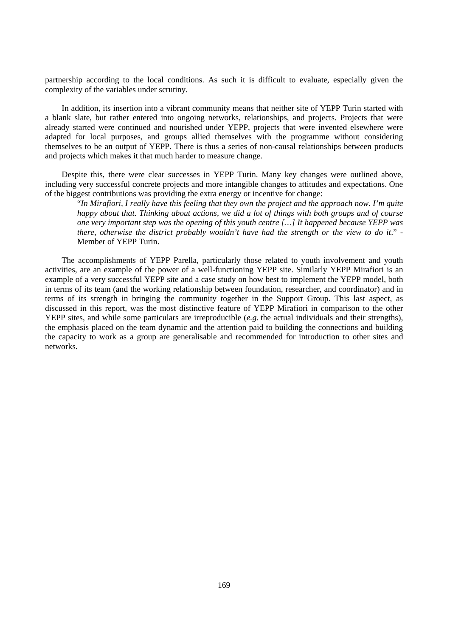partnership according to the local conditions. As such it is difficult to evaluate, especially given the complexity of the variables under scrutiny.

In addition, its insertion into a vibrant community means that neither site of YEPP Turin started with a blank slate, but rather entered into ongoing networks, relationships, and projects. Projects that were already started were continued and nourished under YEPP, projects that were invented elsewhere were adapted for local purposes, and groups allied themselves with the programme without considering themselves to be an output of YEPP. There is thus a series of non-causal relationships between products and projects which makes it that much harder to measure change.

Despite this, there were clear successes in YEPP Turin. Many key changes were outlined above, including very successful concrete projects and more intangible changes to attitudes and expectations. One of the biggest contributions was providing the extra energy or incentive for change:

"*In Mirafiori, I really have this feeling that they own the project and the approach now. I'm quite happy about that. Thinking about actions, we did a lot of things with both groups and of course one very important step was the opening of this youth centre […] It happened because YEPP was there, otherwise the district probably wouldn't have had the strength or the view to do it*." - Member of YEPP Turin.

The accomplishments of YEPP Parella, particularly those related to youth involvement and youth activities, are an example of the power of a well-functioning YEPP site. Similarly YEPP Mirafiori is an example of a very successful YEPP site and a case study on how best to implement the YEPP model, both in terms of its team (and the working relationship between foundation, researcher, and coordinator) and in terms of its strength in bringing the community together in the Support Group. This last aspect, as discussed in this report, was the most distinctive feature of YEPP Mirafiori in comparison to the other YEPP sites, and while some particulars are irreproducible (*e.g.* the actual individuals and their strengths), the emphasis placed on the team dynamic and the attention paid to building the connections and building the capacity to work as a group are generalisable and recommended for introduction to other sites and networks.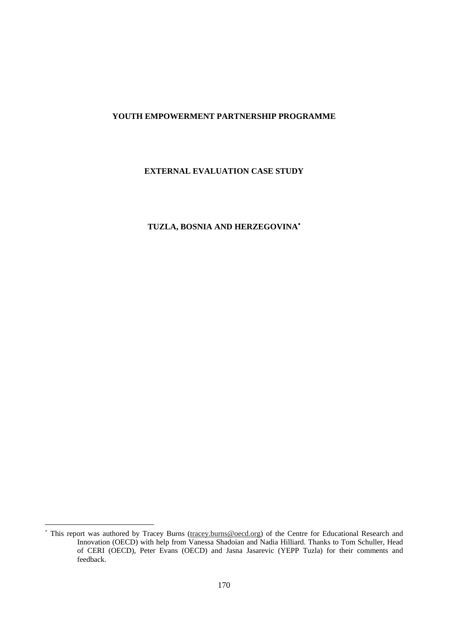## **YOUTH EMPOWERMENT PARTNERSHIP PROGRAMME**

## **EXTERNAL EVALUATION CASE STUDY**

# **TUZLA, BOSNIA AND HERZEGOVINA**<sup>∗</sup>

 $\overline{a}$ 

<sup>∗</sup> This report was authored by Tracey Burns (tracey.burns@oecd.org) of the Centre for Educational Research and Innovation (OECD) with help from Vanessa Shadoian and Nadia Hilliard. Thanks to Tom Schuller, Head of CERI (OECD), Peter Evans (OECD) and Jasna Jasarevic (YEPP Tuzla) for their comments and feedback.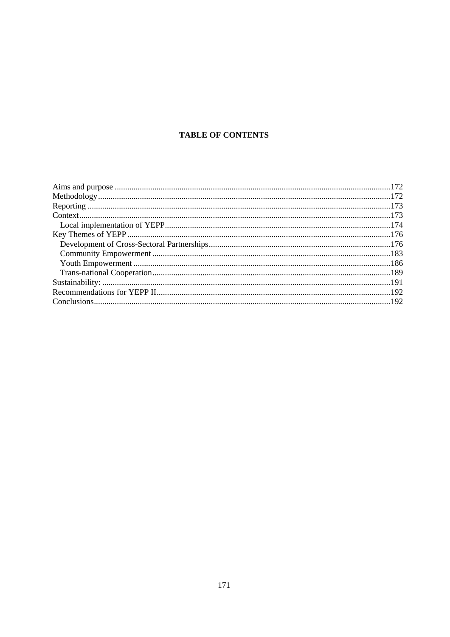# **TABLE OF CONTENTS**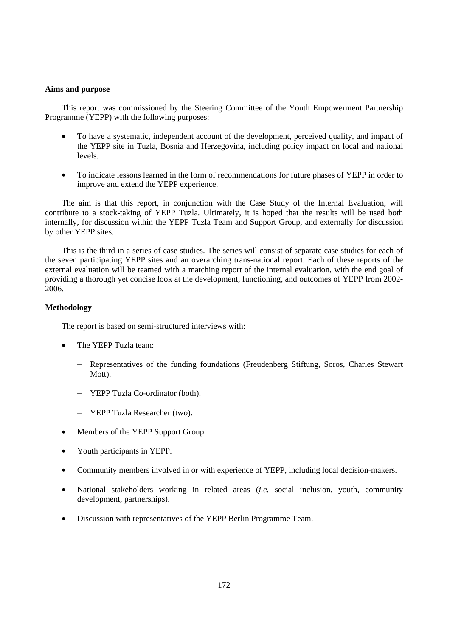#### **Aims and purpose**

This report was commissioned by the Steering Committee of the Youth Empowerment Partnership Programme (YEPP) with the following purposes:

- To have a systematic, independent account of the development, perceived quality, and impact of the YEPP site in Tuzla, Bosnia and Herzegovina, including policy impact on local and national levels.
- To indicate lessons learned in the form of recommendations for future phases of YEPP in order to improve and extend the YEPP experience.

The aim is that this report, in conjunction with the Case Study of the Internal Evaluation, will contribute to a stock-taking of YEPP Tuzla. Ultimately, it is hoped that the results will be used both internally, for discussion within the YEPP Tuzla Team and Support Group, and externally for discussion by other YEPP sites.

This is the third in a series of case studies. The series will consist of separate case studies for each of the seven participating YEPP sites and an overarching trans-national report. Each of these reports of the external evaluation will be teamed with a matching report of the internal evaluation, with the end goal of providing a thorough yet concise look at the development, functioning, and outcomes of YEPP from 2002- 2006.

## **Methodology**

The report is based on semi-structured interviews with:

- The YEPP Tuzla team:
	- − Representatives of the funding foundations (Freudenberg Stiftung, Soros, Charles Stewart Mott).
	- − YEPP Tuzla Co-ordinator (both).
	- − YEPP Tuzla Researcher (two).
- Members of the YEPP Support Group.
- Youth participants in YEPP.
- Community members involved in or with experience of YEPP, including local decision-makers.
- National stakeholders working in related areas (*i.e.* social inclusion, youth, community development, partnerships).
- Discussion with representatives of the YEPP Berlin Programme Team.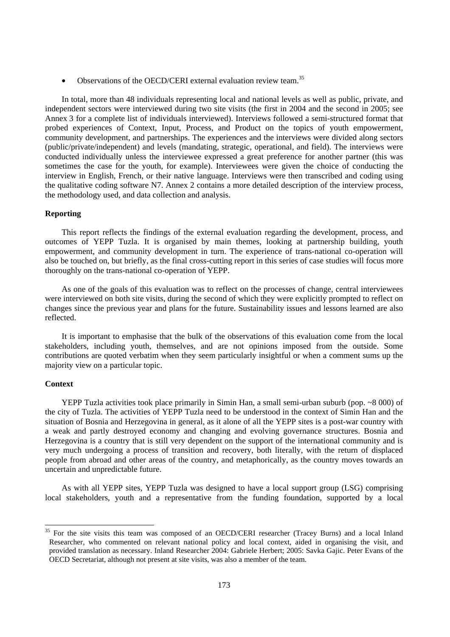• Observations of the OECD/CERI external evaluation review team.<sup>35</sup>

In total, more than 48 individuals representing local and national levels as well as public, private, and independent sectors were interviewed during two site visits (the first in 2004 and the second in 2005; see Annex 3 for a complete list of individuals interviewed). Interviews followed a semi-structured format that probed experiences of Context, Input, Process, and Product on the topics of youth empowerment, community development, and partnerships. The experiences and the interviews were divided along sectors (public/private/independent) and levels (mandating, strategic, operational, and field). The interviews were conducted individually unless the interviewee expressed a great preference for another partner (this was sometimes the case for the youth, for example). Interviewees were given the choice of conducting the interview in English, French, or their native language. Interviews were then transcribed and coding using the qualitative coding software N7. Annex 2 contains a more detailed description of the interview process, the methodology used, and data collection and analysis.

## **Reporting**

This report reflects the findings of the external evaluation regarding the development, process, and outcomes of YEPP Tuzla. It is organised by main themes, looking at partnership building, youth empowerment, and community development in turn. The experience of trans-national co-operation will also be touched on, but briefly, as the final cross-cutting report in this series of case studies will focus more thoroughly on the trans-national co-operation of YEPP.

As one of the goals of this evaluation was to reflect on the processes of change, central interviewees were interviewed on both site visits, during the second of which they were explicitly prompted to reflect on changes since the previous year and plans for the future. Sustainability issues and lessons learned are also reflected.

It is important to emphasise that the bulk of the observations of this evaluation come from the local stakeholders, including youth, themselves, and are not opinions imposed from the outside. Some contributions are quoted verbatim when they seem particularly insightful or when a comment sums up the majority view on a particular topic.

#### **Context**

YEPP Tuzla activities took place primarily in Simin Han, a small semi-urban suburb (pop. ~8 000) of the city of Tuzla. The activities of YEPP Tuzla need to be understood in the context of Simin Han and the situation of Bosnia and Herzegovina in general, as it alone of all the YEPP sites is a post-war country with a weak and partly destroyed economy and changing and evolving governance structures. Bosnia and Herzegovina is a country that is still very dependent on the support of the international community and is very much undergoing a process of transition and recovery, both literally, with the return of displaced people from abroad and other areas of the country, and metaphorically, as the country moves towards an uncertain and unpredictable future.

As with all YEPP sites, YEPP Tuzla was designed to have a local support group (LSG) comprising local stakeholders, youth and a representative from the funding foundation, supported by a local

<sup>35</sup> 35 For the site visits this team was composed of an OECD/CERI researcher (Tracey Burns) and a local Inland Researcher, who commented on relevant national policy and local context, aided in organising the visit, and provided translation as necessary. Inland Researcher 2004: Gabriele Herbert; 2005: Savka Gajic. Peter Evans of the OECD Secretariat, although not present at site visits, was also a member of the team.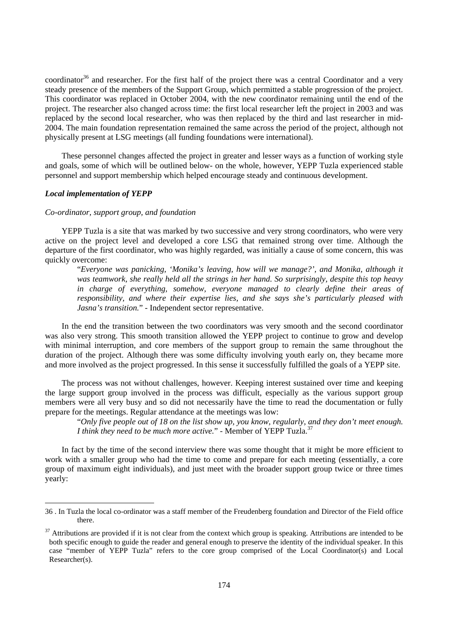coordinator<sup>36</sup> and researcher. For the first half of the project there was a central Coordinator and a very steady presence of the members of the Support Group, which permitted a stable progression of the project. This coordinator was replaced in October 2004, with the new coordinator remaining until the end of the project. The researcher also changed across time: the first local researcher left the project in 2003 and was replaced by the second local researcher, who was then replaced by the third and last researcher in mid-2004. The main foundation representation remained the same across the period of the project, although not physically present at LSG meetings (all funding foundations were international).

These personnel changes affected the project in greater and lesser ways as a function of working style and goals, some of which will be outlined below- on the whole, however, YEPP Tuzla experienced stable personnel and support membership which helped encourage steady and continuous development.

## *Local implementation of YEPP*

 $\overline{a}$ 

#### *Co-ordinator, support group, and foundation*

YEPP Tuzla is a site that was marked by two successive and very strong coordinators, who were very active on the project level and developed a core LSG that remained strong over time. Although the departure of the first coordinator, who was highly regarded, was initially a cause of some concern, this was quickly overcome:

"*Everyone was panicking, 'Monika's leaving, how will we manage?', and Monika, although it was teamwork, she really held all the strings in her hand. So surprisingly, despite this top heavy in charge of everything, somehow, everyone managed to clearly define their areas of responsibility, and where their expertise lies, and she says she's particularly pleased with Jasna's transition.*" - Independent sector representative.

In the end the transition between the two coordinators was very smooth and the second coordinator was also very strong. This smooth transition allowed the YEPP project to continue to grow and develop with minimal interruption, and core members of the support group to remain the same throughout the duration of the project. Although there was some difficulty involving youth early on, they became more and more involved as the project progressed. In this sense it successfully fulfilled the goals of a YEPP site.

The process was not without challenges, however. Keeping interest sustained over time and keeping the large support group involved in the process was difficult, especially as the various support group members were all very busy and so did not necessarily have the time to read the documentation or fully prepare for the meetings. Regular attendance at the meetings was low:

"*Only five people out of 18 on the list show up, you know, regularly, and they don't meet enough. I think they need to be much more active.*" - Member of YEPP Tuzla.<sup>37</sup>

In fact by the time of the second interview there was some thought that it might be more efficient to work with a smaller group who had the time to come and prepare for each meeting (essentially, a core group of maximum eight individuals), and just meet with the broader support group twice or three times yearly:

<sup>36 .</sup> In Tuzla the local co-ordinator was a staff member of the Freudenberg foundation and Director of the Field office there.

 $37$  Attributions are provided if it is not clear from the context which group is speaking. Attributions are intended to be both specific enough to guide the reader and general enough to preserve the identity of the individual speaker. In this case "member of YEPP Tuzla" refers to the core group comprised of the Local Coordinator(s) and Local Researcher(s).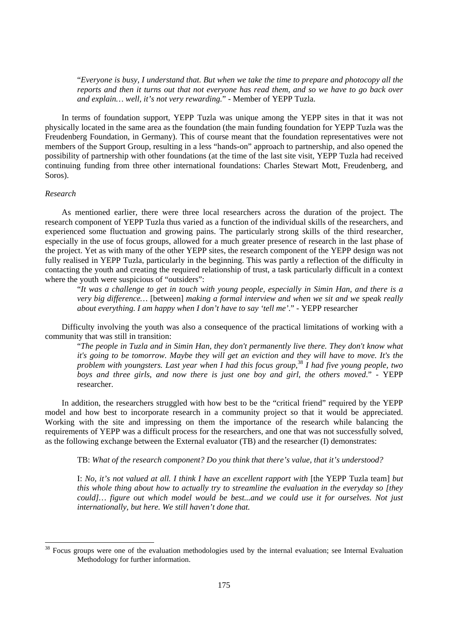"*Everyone is busy, I understand that. But when we take the time to prepare and photocopy all the reports and then it turns out that not everyone has read them, and so we have to go back over and explain… well, it's not very rewarding.*" - Member of YEPP Tuzla.

In terms of foundation support, YEPP Tuzla was unique among the YEPP sites in that it was not physically located in the same area as the foundation (the main funding foundation for YEPP Tuzla was the Freudenberg Foundation, in Germany). This of course meant that the foundation representatives were not members of the Support Group, resulting in a less "hands-on" approach to partnership, and also opened the possibility of partnership with other foundations (at the time of the last site visit, YEPP Tuzla had received continuing funding from three other international foundations: Charles Stewart Mott, Freudenberg, and Soros).

## *Research*

 $\overline{a}$ 

As mentioned earlier, there were three local researchers across the duration of the project. The research component of YEPP Tuzla thus varied as a function of the individual skills of the researchers, and experienced some fluctuation and growing pains. The particularly strong skills of the third researcher, especially in the use of focus groups, allowed for a much greater presence of research in the last phase of the project. Yet as with many of the other YEPP sites, the research component of the YEPP design was not fully realised in YEPP Tuzla, particularly in the beginning. This was partly a reflection of the difficulty in contacting the youth and creating the required relationship of trust, a task particularly difficult in a context where the youth were suspicious of "outsiders":

"*It was a challenge to get in touch with young people, especially in Simin Han, and there is a very big difference…* [between] *making a formal interview and when we sit and we speak really about everything. I am happy when I don't have to say 'tell me'*." - YEPP researcher

Difficulty involving the youth was also a consequence of the practical limitations of working with a community that was still in transition:

"*The people in Tuzla and in Simin Han, they don't permanently live there. They don't know what it's going to be tomorrow. Maybe they will get an eviction and they will have to move. It's the problem with youngsters. Last year when I had this focus group,*<sup>38</sup> *I had five young people, two boys and three girls, and now there is just one boy and girl, the others moved*." - YEPP researcher.

In addition, the researchers struggled with how best to be the "critical friend" required by the YEPP model and how best to incorporate research in a community project so that it would be appreciated. Working with the site and impressing on them the importance of the research while balancing the requirements of YEPP was a difficult process for the researchers, and one that was not successfully solved, as the following exchange between the External evaluator (TB) and the researcher (I) demonstrates:

TB: *What of the research component? Do you think that there's value, that it's understood?* 

I: *No, it's not valued at all. I think I have an excellent rapport with* [the YEPP Tuzla team] *but this whole thing about how to actually try to streamline the evaluation in the everyday so [they could]… figure out which model would be best...and we could use it for ourselves. Not just internationally, but here. We still haven't done that.*

<sup>&</sup>lt;sup>38</sup> Focus groups were one of the evaluation methodologies used by the internal evaluation; see Internal Evaluation Methodology for further information.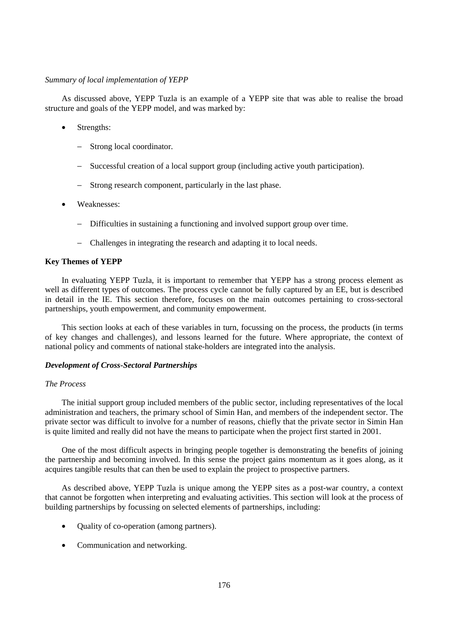#### *Summary of local implementation of YEPP*

As discussed above, YEPP Tuzla is an example of a YEPP site that was able to realise the broad structure and goals of the YEPP model, and was marked by:

- Strengths:
	- Strong local coordinator.
	- Successful creation of a local support group (including active youth participation).
	- Strong research component, particularly in the last phase.
- Weaknesses:
	- − Difficulties in sustaining a functioning and involved support group over time.
	- − Challenges in integrating the research and adapting it to local needs.

## **Key Themes of YEPP**

In evaluating YEPP Tuzla, it is important to remember that YEPP has a strong process element as well as different types of outcomes. The process cycle cannot be fully captured by an EE, but is described in detail in the IE. This section therefore, focuses on the main outcomes pertaining to cross-sectoral partnerships, youth empowerment, and community empowerment.

This section looks at each of these variables in turn, focussing on the process, the products (in terms of key changes and challenges), and lessons learned for the future. Where appropriate, the context of national policy and comments of national stake-holders are integrated into the analysis.

#### *Development of Cross-Sectoral Partnerships*

#### *The Process*

The initial support group included members of the public sector, including representatives of the local administration and teachers, the primary school of Simin Han, and members of the independent sector. The private sector was difficult to involve for a number of reasons, chiefly that the private sector in Simin Han is quite limited and really did not have the means to participate when the project first started in 2001.

One of the most difficult aspects in bringing people together is demonstrating the benefits of joining the partnership and becoming involved. In this sense the project gains momentum as it goes along, as it acquires tangible results that can then be used to explain the project to prospective partners.

As described above, YEPP Tuzla is unique among the YEPP sites as a post-war country, a context that cannot be forgotten when interpreting and evaluating activities. This section will look at the process of building partnerships by focussing on selected elements of partnerships, including:

- Quality of co-operation (among partners).
- Communication and networking.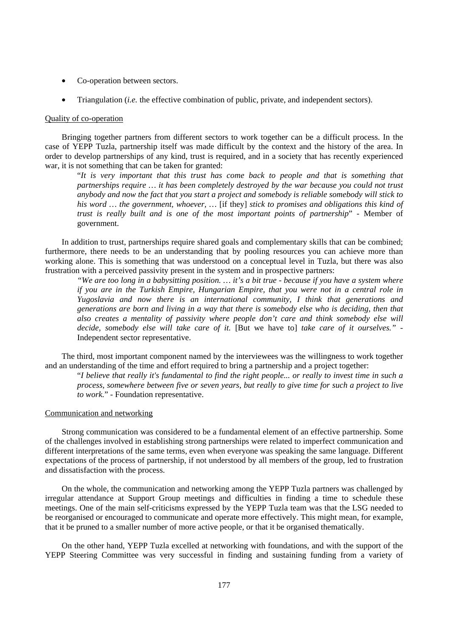- Co-operation between sectors.
- Triangulation (*i.e.* the effective combination of public, private, and independent sectors).

#### Quality of co-operation

Bringing together partners from different sectors to work together can be a difficult process. In the case of YEPP Tuzla, partnership itself was made difficult by the context and the history of the area. In order to develop partnerships of any kind, trust is required, and in a society that has recently experienced war, it is not something that can be taken for granted:

"*It is very important that this trust has come back to people and that is something that partnerships require … it has been completely destroyed by the war because you could not trust anybody and now the fact that you start a project and somebody is reliable somebody will stick to his word … the government, whoever, …* [if they] *stick to promises and obligations this kind of trust is really built and is one of the most important points of partnership*" - Member of government.

In addition to trust, partnerships require shared goals and complementary skills that can be combined; furthermore, there needs to be an understanding that by pooling resources you can achieve more than working alone. This is something that was understood on a conceptual level in Tuzla, but there was also frustration with a perceived passivity present in the system and in prospective partners:

*"We are too long in a babysitting position. … it's a bit true - because if you have a system where if you are in the Turkish Empire, Hungarian Empire, that you were not in a central role in Yugoslavia and now there is an international community, I think that generations and generations are born and living in a way that there is somebody else who is deciding, then that also creates a mentality of passivity where people don't care and think somebody else will decide, somebody else will take care of it.* [But we have to] *take care of it ourselves."* - Independent sector representative.

The third, most important component named by the interviewees was the willingness to work together and an understanding of the time and effort required to bring a partnership and a project together:

"*I believe that really it's fundamental to find the right people... or really to invest time in such a process, somewhere between five or seven years, but really to give time for such a project to live to work.*" - Foundation representative.

## Communication and networking

Strong communication was considered to be a fundamental element of an effective partnership. Some of the challenges involved in establishing strong partnerships were related to imperfect communication and different interpretations of the same terms, even when everyone was speaking the same language. Different expectations of the process of partnership, if not understood by all members of the group, led to frustration and dissatisfaction with the process.

On the whole, the communication and networking among the YEPP Tuzla partners was challenged by irregular attendance at Support Group meetings and difficulties in finding a time to schedule these meetings. One of the main self-criticisms expressed by the YEPP Tuzla team was that the LSG needed to be reorganised or encouraged to communicate and operate more effectively. This might mean, for example, that it be pruned to a smaller number of more active people, or that it be organised thematically.

On the other hand, YEPP Tuzla excelled at networking with foundations, and with the support of the YEPP Steering Committee was very successful in finding and sustaining funding from a variety of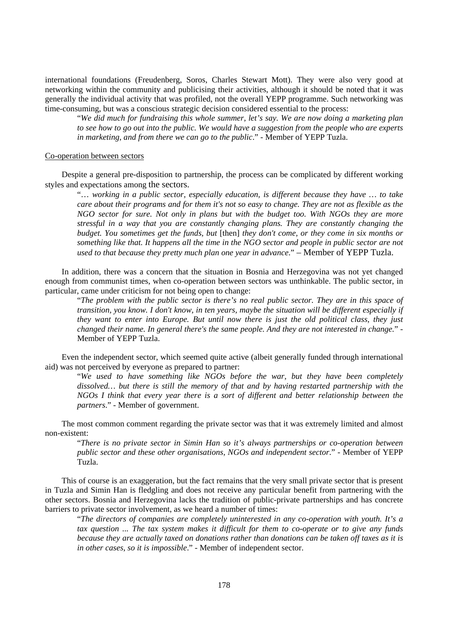international foundations (Freudenberg, Soros, Charles Stewart Mott). They were also very good at networking within the community and publicising their activities, although it should be noted that it was generally the individual activity that was profiled, not the overall YEPP programme. Such networking was time-consuming, but was a conscious strategic decision considered essential to the process:

"*We did much for fundraising this whole summer, let's say. We are now doing a marketing plan to see how to go out into the public. We would have a suggestion from the people who are experts in marketing, and from there we can go to the public*." - Member of YEPP Tuzla.

#### Co-operation between sectors

Despite a general pre-disposition to partnership, the process can be complicated by different working styles and expectations among the sectors.

"… *working in a public sector, especially education, is different because they have … to take care about their programs and for them it's not so easy to change. They are not as flexible as the NGO sector for sure. Not only in plans but with the budget too. With NGOs they are more stressful in a way that you are constantly changing plans. They are constantly changing the budget. You sometimes get the funds, but* [then] *they don't come, or they come in six months or something like that. It happens all the time in the NGO sector and people in public sector are not used to that because they pretty much plan one year in advance*." – Member of YEPP Tuzla.

In addition, there was a concern that the situation in Bosnia and Herzegovina was not yet changed enough from communist times, when co-operation between sectors was unthinkable. The public sector, in particular, came under criticism for not being open to change:

"*The problem with the public sector is there's no real public sector. They are in this space of transition, you know. I don't know, in ten years, maybe the situation will be different especially if they want to enter into Europe. But until now there is just the old political class, they just changed their name. In general there's the same people. And they are not interested in change.*" - Member of YEPP Tuzla.

Even the independent sector, which seemed quite active (albeit generally funded through international aid) was not perceived by everyone as prepared to partner:

"*We used to have something like NGOs before the war, but they have been completely dissolved… but there is still the memory of that and by having restarted partnership with the NGOs I think that every year there is a sort of different and better relationship between the partners*." - Member of government.

The most common comment regarding the private sector was that it was extremely limited and almost non-existent:

"*There is no private sector in Simin Han so it's always partnerships or co-operation between public sector and these other organisations, NGOs and independent sector*." - Member of YEPP Tuzla.

This of course is an exaggeration, but the fact remains that the very small private sector that is present in Tuzla and Simin Han is fledgling and does not receive any particular benefit from partnering with the other sectors. Bosnia and Herzegovina lacks the tradition of public-private partnerships and has concrete barriers to private sector involvement, as we heard a number of times:

"*The directors of companies are completely uninterested in any co-operation with youth. It's a tax question ... The tax system makes it difficult for them to co-operate or to give any funds because they are actually taxed on donations rather than donations can be taken off taxes as it is in other cases, so it is impossible*." - Member of independent sector.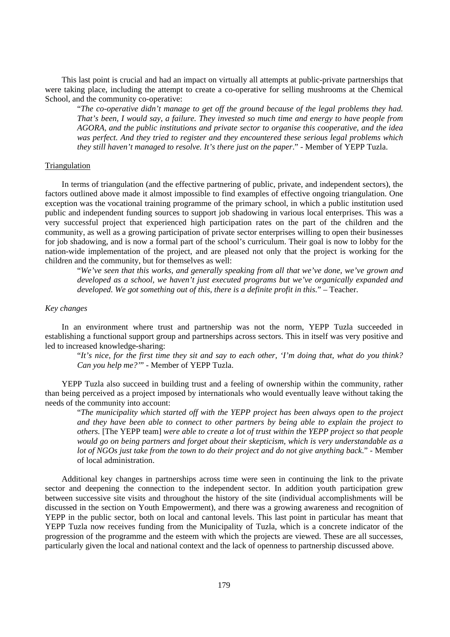This last point is crucial and had an impact on virtually all attempts at public-private partnerships that were taking place, including the attempt to create a co-operative for selling mushrooms at the Chemical School, and the community co-operative:

"*The co-operative didn't manage to get off the ground because of the legal problems they had. That's been, I would say, a failure. They invested so much time and energy to have people from AGORA, and the public institutions and private sector to organise this cooperative, and the idea was perfect. And they tried to register and they encountered these serious legal problems which they still haven't managed to resolve. It's there just on the paper*." - Member of YEPP Tuzla.

#### Triangulation

In terms of triangulation (and the effective partnering of public, private, and independent sectors), the factors outlined above made it almost impossible to find examples of effective ongoing triangulation. One exception was the vocational training programme of the primary school, in which a public institution used public and independent funding sources to support job shadowing in various local enterprises. This was a very successful project that experienced high participation rates on the part of the children and the community, as well as a growing participation of private sector enterprises willing to open their businesses for job shadowing, and is now a formal part of the school's curriculum. Their goal is now to lobby for the nation-wide implementation of the project, and are pleased not only that the project is working for the children and the community, but for themselves as well:

"*We've seen that this works, and generally speaking from all that we've done, we've grown and developed as a school, we haven't just executed programs but we've organically expanded and developed. We got something out of this, there is a definite profit in this.*" – Teacher.

## *Key changes*

In an environment where trust and partnership was not the norm, YEPP Tuzla succeeded in establishing a functional support group and partnerships across sectors. This in itself was very positive and led to increased knowledge-sharing:

"*It's nice, for the first time they sit and say to each other, 'I'm doing that, what do you think? Can you help me?'*" - Member of YEPP Tuzla.

YEPP Tuzla also succeed in building trust and a feeling of ownership within the community, rather than being perceived as a project imposed by internationals who would eventually leave without taking the needs of the community into account:

"*The municipality which started off with the YEPP project has been always open to the project and they have been able to connect to other partners by being able to explain the project to others.* [The YEPP team] *were able to create a lot of trust within the YEPP project so that people would go on being partners and forget about their skepticism, which is very understandable as a lot of NGOs just take from the town to do their project and do not give anything back*." - Member of local administration.

Additional key changes in partnerships across time were seen in continuing the link to the private sector and deepening the connection to the independent sector. In addition youth participation grew between successive site visits and throughout the history of the site (individual accomplishments will be discussed in the section on Youth Empowerment), and there was a growing awareness and recognition of YEPP in the public sector, both on local and cantonal levels. This last point in particular has meant that YEPP Tuzla now receives funding from the Municipality of Tuzla, which is a concrete indicator of the progression of the programme and the esteem with which the projects are viewed. These are all successes, particularly given the local and national context and the lack of openness to partnership discussed above.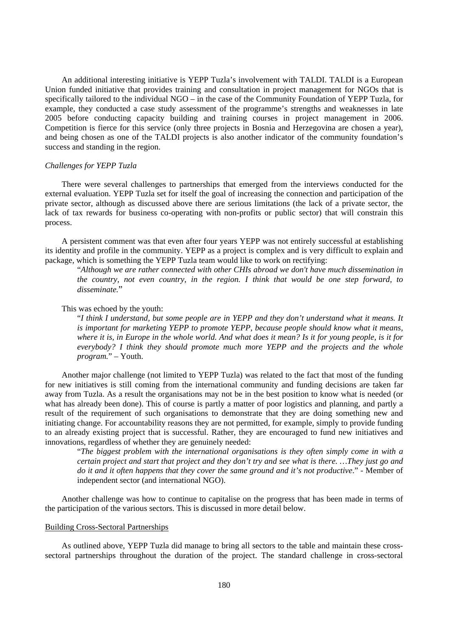An additional interesting initiative is YEPP Tuzla's involvement with TALDI. TALDI is a European Union funded initiative that provides training and consultation in project management for NGOs that is specifically tailored to the individual NGO – in the case of the Community Foundation of YEPP Tuzla, for example, they conducted a case study assessment of the programme's strengths and weaknesses in late 2005 before conducting capacity building and training courses in project management in 2006. Competition is fierce for this service (only three projects in Bosnia and Herzegovina are chosen a year), and being chosen as one of the TALDI projects is also another indicator of the community foundation's success and standing in the region.

#### *Challenges for YEPP Tuzla*

There were several challenges to partnerships that emerged from the interviews conducted for the external evaluation. YEPP Tuzla set for itself the goal of increasing the connection and participation of the private sector, although as discussed above there are serious limitations (the lack of a private sector, the lack of tax rewards for business co-operating with non-profits or public sector) that will constrain this process.

A persistent comment was that even after four years YEPP was not entirely successful at establishing its identity and profile in the community. YEPP as a project is complex and is very difficult to explain and package, which is something the YEPP Tuzla team would like to work on rectifying:

"*Although we are rather connected with other CHIs abroad we don't have much dissemination in the country, not even country, in the region. I think that would be one step forward, to disseminate.*"

## This was echoed by the youth:

"*I think I understand, but some people are in YEPP and they don't understand what it means. It is important for marketing YEPP to promote YEPP, because people should know what it means, where it is, in Europe in the whole world. And what does it mean? Is it for young people, is it for everybody? I think they should promote much more YEPP and the projects and the whole program.*" – Youth.

Another major challenge (not limited to YEPP Tuzla) was related to the fact that most of the funding for new initiatives is still coming from the international community and funding decisions are taken far away from Tuzla. As a result the organisations may not be in the best position to know what is needed (or what has already been done). This of course is partly a matter of poor logistics and planning, and partly a result of the requirement of such organisations to demonstrate that they are doing something new and initiating change. For accountability reasons they are not permitted, for example, simply to provide funding to an already existing project that is successful. Rather, they are encouraged to fund new initiatives and innovations, regardless of whether they are genuinely needed:

"*The biggest problem with the international organisations is they often simply come in with a certain project and start that project and they don't try and see what is there. …They just go and do it and it often happens that they cover the same ground and it's not productive*." - Member of independent sector (and international NGO).

Another challenge was how to continue to capitalise on the progress that has been made in terms of the participation of the various sectors. This is discussed in more detail below.

## Building Cross-Sectoral Partnerships

As outlined above, YEPP Tuzla did manage to bring all sectors to the table and maintain these crosssectoral partnerships throughout the duration of the project. The standard challenge in cross-sectoral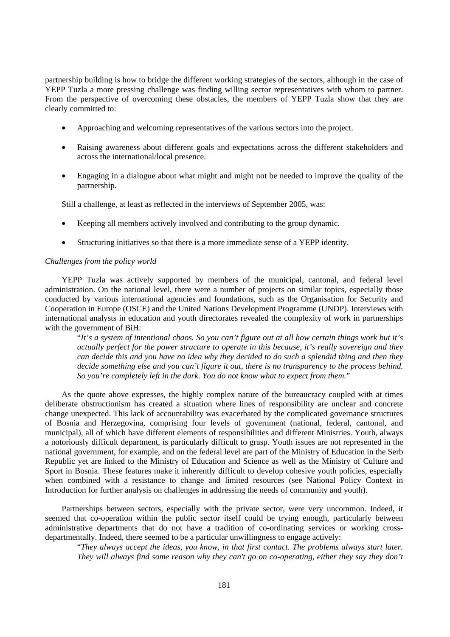partnership building is how to bridge the different working strategies of the sectors, although in the case of YEPP Tuzla a more pressing challenge was finding willing sector representatives with whom to partner. From the perspective of overcoming these obstacles, the members of YEPP Tuzla show that they are clearly committed to:

- Approaching and welcoming representatives of the various sectors into the project.
- Raising awareness about different goals and expectations across the different stakeholders and across the international/local presence.
- Engaging in a dialogue about what might and might not be needed to improve the quality of the partnership.

Still a challenge, at least as reflected in the interviews of September 2005, was:

- Keeping all members actively involved and contributing to the group dynamic.
- Structuring initiatives so that there is a more immediate sense of a YEPP identity.

## *Challenges from the policy world*

YEPP Tuzla was actively supported by members of the municipal, cantonal, and federal level administration. On the national level, there were a number of projects on similar topics, especially those conducted by various international agencies and foundations, such as the Organisation for Security and Cooperation in Europe (OSCE) and the United Nations Development Programme (UNDP). Interviews with international analysts in education and youth directorates revealed the complexity of work in partnerships with the government of BiH:

"*It's a system of intentional chaos. So you can't figure out at all how certain things work but it's actually perfect for the power structure to operate in this because, it's really sovereign and they can decide this and you have no idea why they decided to do such a splendid thing and then they decide something else and you can't figure it out, there is no transparency to the process behind. So you're completely left in the dark. You do not know what to expect from them.*"

As the quote above expresses, the highly complex nature of the bureaucracy coupled with at times deliberate obstructionism has created a situation where lines of responsibility are unclear and concrete change unexpected. This lack of accountability was exacerbated by the complicated governance structures of Bosnia and Herzegovina, comprising four levels of government (national, federal, cantonal, and municipal), all of which have different elements of responsibilities and different Ministries. Youth, always a notoriously difficult department, is particularly difficult to grasp. Youth issues are not represented in the national government, for example, and on the federal level are part of the Ministry of Education in the Serb Republic yet are linked to the Ministry of Education and Science as well as the Ministry of Culture and Sport in Bosnia. These features make it inherently difficult to develop cohesive youth policies, especially when combined with a resistance to change and limited resources (see National Policy Context in Introduction for further analysis on challenges in addressing the needs of community and youth).

Partnerships between sectors, especially with the private sector, were very uncommon. Indeed, it seemed that co-operation within the public sector itself could be trying enough, particularly between administrative departments that do not have a tradition of co-ordinating services or working crossdepartmentally. Indeed, there seemed to be a particular unwillingness to engage actively:

"*They always accept the ideas, you know, in that first contact. The problems always start later. They will always find some reason why they can't go on co-operating, either they say they don't*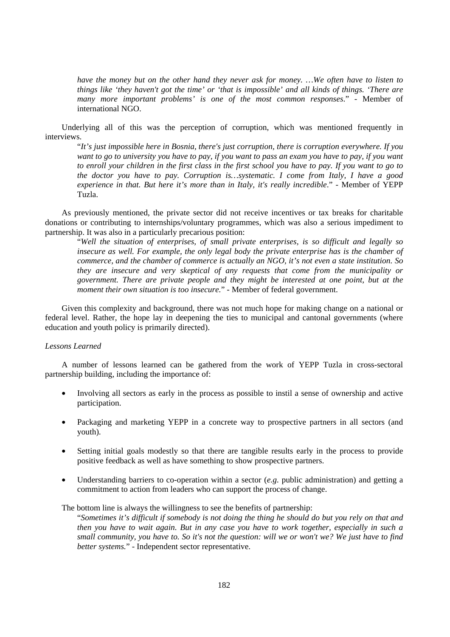*have the money but on the other hand they never ask for money. …We often have to listen to things like 'they haven't got the time' or 'that is impossible' and all kinds of things. 'There are many more important problems' is one of the most common responses*." - Member of international NGO.

Underlying all of this was the perception of corruption, which was mentioned frequently in interviews.

"*It's just impossible here in Bosnia, there's just corruption, there is corruption everywhere. If you want to go to university you have to pay, if you want to pass an exam you have to pay, if you want to enroll your children in the first class in the first school you have to pay. If you want to go to the doctor you have to pay. Corruption is…systematic. I come from Italy, I have a good experience in that. But here it's more than in Italy, it's really incredible*." - Member of YEPP Tuzla.

As previously mentioned, the private sector did not receive incentives or tax breaks for charitable donations or contributing to internships/voluntary programmes, which was also a serious impediment to partnership. It was also in a particularly precarious position:

"*Well the situation of enterprises, of small private enterprises, is so difficult and legally so insecure as well. For example, the only legal body the private enterprise has is the chamber of commerce, and the chamber of commerce is actually an NGO, it's not even a state institution. So they are insecure and very skeptical of any requests that come from the municipality or government. There are private people and they might be interested at one point, but at the moment their own situation is too insecure.*" - Member of federal government.

Given this complexity and background, there was not much hope for making change on a national or federal level. Rather, the hope lay in deepening the ties to municipal and cantonal governments (where education and youth policy is primarily directed).

## *Lessons Learned*

A number of lessons learned can be gathered from the work of YEPP Tuzla in cross-sectoral partnership building, including the importance of:

- Involving all sectors as early in the process as possible to instil a sense of ownership and active participation.
- Packaging and marketing YEPP in a concrete way to prospective partners in all sectors (and youth).
- Setting initial goals modestly so that there are tangible results early in the process to provide positive feedback as well as have something to show prospective partners.
- Understanding barriers to co-operation within a sector (*e.g.* public administration) and getting a commitment to action from leaders who can support the process of change.

The bottom line is always the willingness to see the benefits of partnership:

"*Sometimes it's difficult if somebody is not doing the thing he should do but you rely on that and then you have to wait again. But in any case you have to work together, especially in such a small community, you have to. So it's not the question: will we or won't we? We just have to find better systems.*" - Independent sector representative.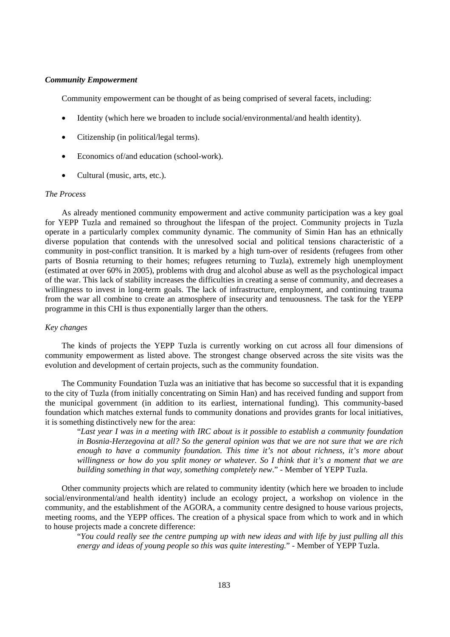### *Community Empowerment*

Community empowerment can be thought of as being comprised of several facets, including:

- Identity (which here we broaden to include social/environmental/and health identity).
- Citizenship (in political/legal terms).
- Economics of/and education (school-work).
- Cultural (music, arts, etc.).

## *The Process*

As already mentioned community empowerment and active community participation was a key goal for YEPP Tuzla and remained so throughout the lifespan of the project. Community projects in Tuzla operate in a particularly complex community dynamic. The community of Simin Han has an ethnically diverse population that contends with the unresolved social and political tensions characteristic of a community in post-conflict transition. It is marked by a high turn-over of residents (refugees from other parts of Bosnia returning to their homes; refugees returning to Tuzla), extremely high unemployment (estimated at over 60% in 2005), problems with drug and alcohol abuse as well as the psychological impact of the war. This lack of stability increases the difficulties in creating a sense of community, and decreases a willingness to invest in long-term goals. The lack of infrastructure, employment, and continuing trauma from the war all combine to create an atmosphere of insecurity and tenuousness. The task for the YEPP programme in this CHI is thus exponentially larger than the others.

## *Key changes*

The kinds of projects the YEPP Tuzla is currently working on cut across all four dimensions of community empowerment as listed above. The strongest change observed across the site visits was the evolution and development of certain projects, such as the community foundation.

The Community Foundation Tuzla was an initiative that has become so successful that it is expanding to the city of Tuzla (from initially concentrating on Simin Han) and has received funding and support from the municipal government (in addition to its earliest, international funding). This community-based foundation which matches external funds to community donations and provides grants for local initiatives, it is something distinctively new for the area:

"*Last year I was in a meeting with IRC about is it possible to establish a community foundation in Bosnia-Herzegovina at all? So the general opinion was that we are not sure that we are rich enough to have a community foundation. This time it's not about richness, it's more about willingness or how do you split money or whatever. So I think that it's a moment that we are building something in that way, something completely new*." - Member of YEPP Tuzla.

Other community projects which are related to community identity (which here we broaden to include social/environmental/and health identity) include an ecology project, a workshop on violence in the community, and the establishment of the AGORA, a community centre designed to house various projects, meeting rooms, and the YEPP offices. The creation of a physical space from which to work and in which to house projects made a concrete difference:

"*You could really see the centre pumping up with new ideas and with life by just pulling all this energy and ideas of young people so this was quite interesting.*" - Member of YEPP Tuzla.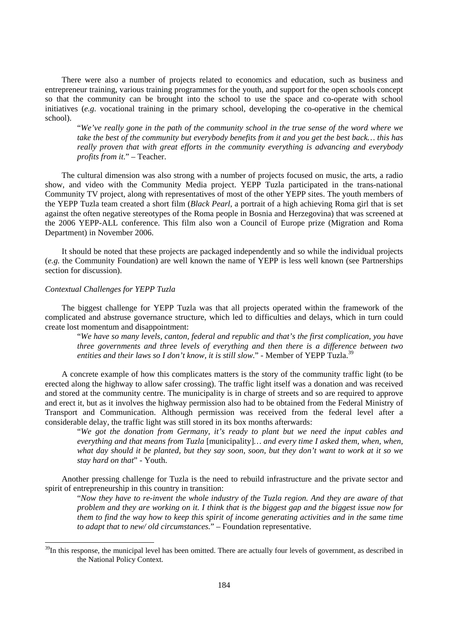There were also a number of projects related to economics and education, such as business and entrepreneur training, various training programmes for the youth, and support for the open schools concept so that the community can be brought into the school to use the space and co-operate with school initiatives (*e.g.* vocational training in the primary school, developing the co-operative in the chemical school).

"*We've really gone in the path of the community school in the true sense of the word where we take the best of the community but everybody benefits from it and you get the best back… this has really proven that with great efforts in the community everything is advancing and everybody profits from it*." – Teacher.

The cultural dimension was also strong with a number of projects focused on music, the arts, a radio show, and video with the Community Media project. YEPP Tuzla participated in the trans-national Community TV project, along with representatives of most of the other YEPP sites. The youth members of the YEPP Tuzla team created a short film (*Black Pearl*, a portrait of a high achieving Roma girl that is set against the often negative stereotypes of the Roma people in Bosnia and Herzegovina) that was screened at the 2006 YEPP-ALL conference. This film also won a Council of Europe prize (Migration and Roma Department) in November 2006.

It should be noted that these projects are packaged independently and so while the individual projects (*e.g.* the Community Foundation) are well known the name of YEPP is less well known (see Partnerships section for discussion).

### *Contextual Challenges for YEPP Tuzla*

 $\overline{a}$ 

The biggest challenge for YEPP Tuzla was that all projects operated within the framework of the complicated and abstruse governance structure, which led to difficulties and delays, which in turn could create lost momentum and disappointment:

"*We have so many levels, canton, federal and republic and that's the first complication, you have three governments and three levels of everything and then there is a difference between two*  entities and their laws so I don't know, it is still slow." - Member of YEPP Tuzla.<sup>39</sup>

A concrete example of how this complicates matters is the story of the community traffic light (to be erected along the highway to allow safer crossing). The traffic light itself was a donation and was received and stored at the community centre. The municipality is in charge of streets and so are required to approve and erect it, but as it involves the highway permission also had to be obtained from the Federal Ministry of Transport and Communication. Although permission was received from the federal level after a considerable delay, the traffic light was still stored in its box months afterwards:

"*We got the donation from Germany, it's ready to plant but we need the input cables and everything and that means from Tuzla* [municipality]*… and every time I asked them, when, when, what day should it be planted, but they say soon, soon, but they don't want to work at it so we stay hard on that*" - Youth.

Another pressing challenge for Tuzla is the need to rebuild infrastructure and the private sector and spirit of entrepreneurship in this country in transition:

"*Now they have to re-invent the whole industry of the Tuzla region. And they are aware of that problem and they are working on it. I think that is the biggest gap and the biggest issue now for them to find the way how to keep this spirit of income generating activities and in the same time to adapt that to new/ old circumstances.*" – Foundation representative.

 $39$ In this response, the municipal level has been omitted. There are actually four levels of government, as described in the National Policy Context.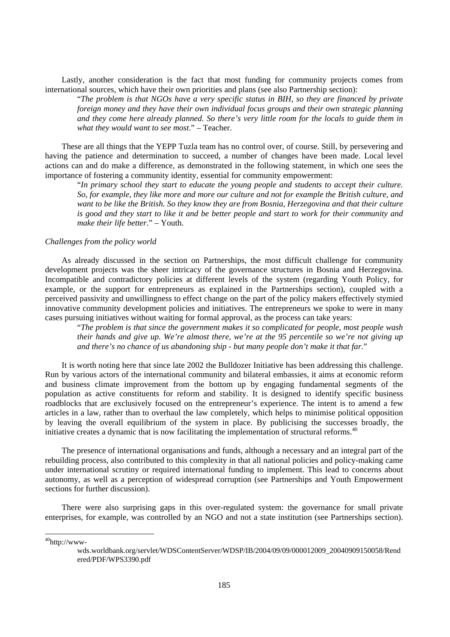Lastly, another consideration is the fact that most funding for community projects comes from international sources, which have their own priorities and plans (see also Partnership section):

"*The problem is that NGOs have a very specific status in BIH, so they are financed by private foreign money and they have their own individual focus groups and their own strategic planning and they come here already planned. So there's very little room for the locals to guide them in what they would want to see most*." – Teacher.

These are all things that the YEPP Tuzla team has no control over, of course. Still, by persevering and having the patience and determination to succeed, a number of changes have been made. Local level actions can and do make a difference, as demonstrated in the following statement, in which one sees the importance of fostering a community identity, essential for community empowerment:

"*In primary school they start to educate the young people and students to accept their culture. So, for example, they like more and more our culture and not for example the British culture, and want to be like the British. So they know they are from Bosnia, Herzegovina and that their culture is good and they start to like it and be better people and start to work for their community and make their life better.*" – Youth.

#### *Challenges from the policy world*

As already discussed in the section on Partnerships, the most difficult challenge for community development projects was the sheer intricacy of the governance structures in Bosnia and Herzegovina. Incompatible and contradictory policies at different levels of the system (regarding Youth Policy, for example, or the support for entrepreneurs as explained in the Partnerships section), coupled with a perceived passivity and unwillingness to effect change on the part of the policy makers effectively stymied innovative community development policies and initiatives. The entrepreneurs we spoke to were in many cases pursuing initiatives without waiting for formal approval, as the process can take years:

"*The problem is that since the government makes it so complicated for people, most people wash their hands and give up. We're almost there, we're at the 95 percentile so we're not giving up and there's no chance of us abandoning ship - but many people don't make it that far.*"

It is worth noting here that since late 2002 the Bulldozer Initiative has been addressing this challenge. Run by various actors of the international community and bilateral embassies, it aims at economic reform and business climate improvement from the bottom up by engaging fundamental segments of the population as active constituents for reform and stability. It is designed to identify specific business roadblocks that are exclusively focused on the entrepreneur's experience. The intent is to amend a few articles in a law, rather than to overhaul the law completely, which helps to minimise political opposition by leaving the overall equilibrium of the system in place. By publicising the successes broadly, the initiative creates a dynamic that is now facilitating the implementation of structural reforms.<sup>40</sup>

The presence of international organisations and funds, although a necessary and an integral part of the rebuilding process, also contributed to this complexity in that all national policies and policy-making came under international scrutiny or required international funding to implement. This lead to concerns about autonomy, as well as a perception of widespread corruption (see Partnerships and Youth Empowerment sections for further discussion).

There were also surprising gaps in this over-regulated system: the governance for small private enterprises, for example, was controlled by an NGO and not a state institution (see Partnerships section).

<sup>40</sup>http://www-

 $\overline{a}$ 

wds.worldbank.org/servlet/WDSContentServer/WDSP/IB/2004/09/09/000012009\_20040909150058/Rend ered/PDF/WPS3390.pdf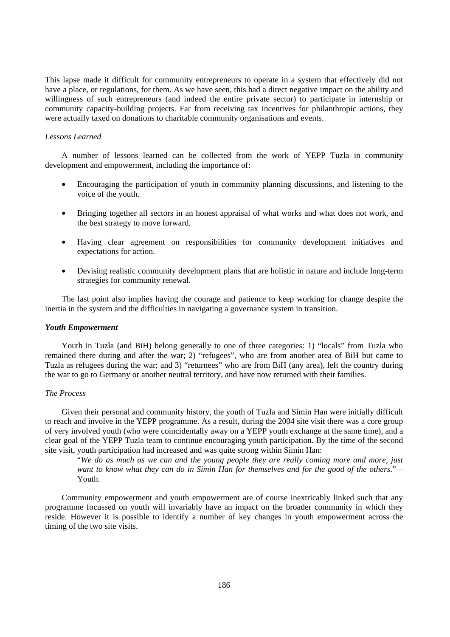This lapse made it difficult for community entrepreneurs to operate in a system that effectively did not have a place, or regulations, for them. As we have seen, this had a direct negative impact on the ability and willingness of such entrepreneurs (and indeed the entire private sector) to participate in internship or community capacity-building projects. Far from receiving tax incentives for philanthropic actions, they were actually taxed on donations to charitable community organisations and events.

#### *Lessons Learned*

A number of lessons learned can be collected from the work of YEPP Tuzla in community development and empowerment, including the importance of:

- Encouraging the participation of youth in community planning discussions, and listening to the voice of the youth.
- Bringing together all sectors in an honest appraisal of what works and what does not work, and the best strategy to move forward.
- Having clear agreement on responsibilities for community development initiatives and expectations for action.
- Devising realistic community development plans that are holistic in nature and include long-term strategies for community renewal.

The last point also implies having the courage and patience to keep working for change despite the inertia in the system and the difficulties in navigating a governance system in transition.

## *Youth Empowerment*

Youth in Tuzla (and BiH) belong generally to one of three categories: 1) "locals" from Tuzla who remained there during and after the war; 2) "refugees", who are from another area of BiH but came to Tuzla as refugees during the war; and 3) "returnees" who are from BiH (any area), left the country during the war to go to Germany or another neutral territory, and have now returned with their families.

## *The Process*

Given their personal and community history, the youth of Tuzla and Simin Han were initially difficult to reach and involve in the YEPP programme. As a result, during the 2004 site visit there was a core group of very involved youth (who were coincidentally away on a YEPP youth exchange at the same time), and a clear goal of the YEPP Tuzla team to continue encouraging youth participation. By the time of the second site visit, youth participation had increased and was quite strong within Simin Han:

"*We do as much as we can and the young people they are really coming more and more, just want to know what they can do in Simin Han for themselves and for the good of the others*." – Youth.

Community empowerment and youth empowerment are of course inextricably linked such that any programme focussed on youth will invariably have an impact on the broader community in which they reside. However it is possible to identify a number of key changes in youth empowerment across the timing of the two site visits.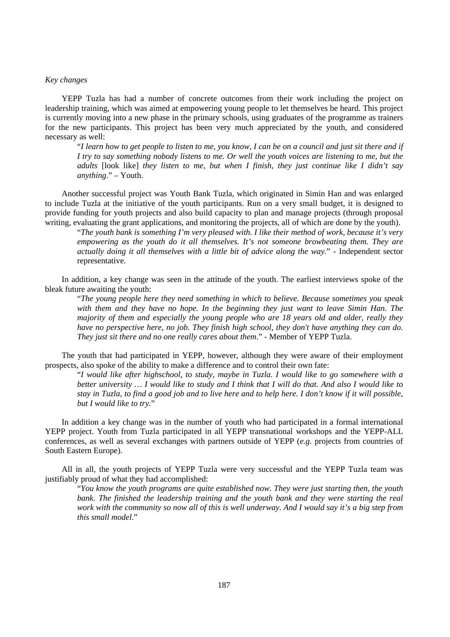## *Key changes*

YEPP Tuzla has had a number of concrete outcomes from their work including the project on leadership training, which was aimed at empowering young people to let themselves be heard. This project is currently moving into a new phase in the primary schools, using graduates of the programme as trainers for the new participants. This project has been very much appreciated by the youth, and considered necessary as well:

"*I learn how to get people to listen to me, you know, I can be on a council and just sit there and if I try to say something nobody listens to me. Or well the youth voices are listening to me, but the adults* [look like] *they listen to me, but when I finish, they just continue like I didn't say anything*." – Youth.

Another successful project was Youth Bank Tuzla, which originated in Simin Han and was enlarged to include Tuzla at the initiative of the youth participants. Run on a very small budget, it is designed to provide funding for youth projects and also build capacity to plan and manage projects (through proposal writing, evaluating the grant applications, and monitoring the projects, all of which are done by the youth).

"*The youth bank is something I'm very pleased with. I like their method of work, because it's very empowering as the youth do it all themselves. It's not someone browbeating them. They are actually doing it all themselves with a little bit of advice along the way.*" - Independent sector representative.

In addition, a key change was seen in the attitude of the youth. The earliest interviews spoke of the bleak future awaiting the youth:

"*The young people here they need something in which to believe. Because sometimes you speak with them and they have no hope. In the beginning they just want to leave Simin Han. The majority of them and especially the young people who are 18 years old and older, really they have no perspective here, no job. They finish high school, they don't have anything they can do. They just sit there and no one really cares about them*." - Member of YEPP Tuzla.

The youth that had participated in YEPP, however, although they were aware of their employment prospects, also spoke of the ability to make a difference and to control their own fate:

"*I would like after highschool, to study, maybe in Tuzla. I would like to go somewhere with a better university … I would like to study and I think that I will do that. And also I would like to stay in Tuzla, to find a good job and to live here and to help here. I don't know if it will possible, but I would like to try.*"

In addition a key change was in the number of youth who had participated in a formal international YEPP project. Youth from Tuzla participated in all YEPP transnational workshops and the YEPP-ALL conferences, as well as several exchanges with partners outside of YEPP (*e.g.* projects from countries of South Eastern Europe).

All in all, the youth projects of YEPP Tuzla were very successful and the YEPP Tuzla team was justifiably proud of what they had accomplished:

"*You know the youth programs are quite established now. They were just starting then, the youth bank. The finished the leadership training and the youth bank and they were starting the real work with the community so now all of this is well underway. And I would say it's a big step from this small model*."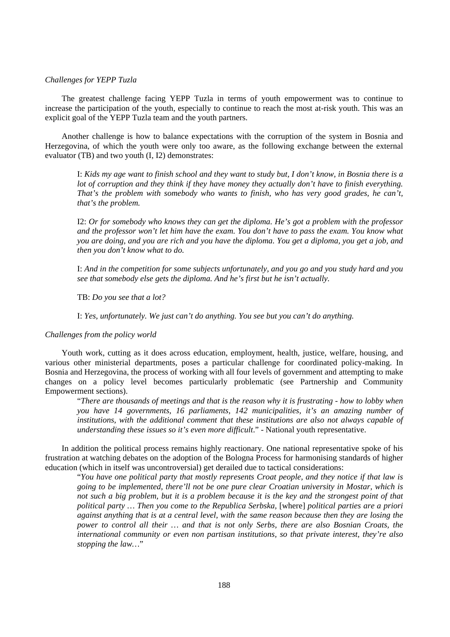### *Challenges for YEPP Tuzla*

The greatest challenge facing YEPP Tuzla in terms of youth empowerment was to continue to increase the participation of the youth, especially to continue to reach the most at-risk youth. This was an explicit goal of the YEPP Tuzla team and the youth partners.

Another challenge is how to balance expectations with the corruption of the system in Bosnia and Herzegovina, of which the youth were only too aware, as the following exchange between the external evaluator (TB) and two youth (I, I2) demonstrates:

I: *Kids my age want to finish school and they want to study but, I don't know, in Bosnia there is a lot of corruption and they think if they have money they actually don't have to finish everything. That's the problem with somebody who wants to finish, who has very good grades, he can't, that's the problem.*

I2: *Or for somebody who knows they can get the diploma. He's got a problem with the professor and the professor won't let him have the exam. You don't have to pass the exam. You know what you are doing, and you are rich and you have the diploma. You get a diploma, you get a job, and then you don't know what to do.*

I: *And in the competition for some subjects unfortunately, and you go and you study hard and you see that somebody else gets the diploma. And he's first but he isn't actually.*

TB: *Do you see that a lot?* 

I: *Yes, unfortunately. We just can't do anything. You see but you can't do anything.* 

#### *Challenges from the policy world*

Youth work, cutting as it does across education, employment, health, justice, welfare, housing, and various other ministerial departments, poses a particular challenge for coordinated policy-making. In Bosnia and Herzegovina, the process of working with all four levels of government and attempting to make changes on a policy level becomes particularly problematic (see Partnership and Community Empowerment sections).

"*There are thousands of meetings and that is the reason why it is frustrating - how to lobby when you have 14 governments, 16 parliaments, 142 municipalities, it's an amazing number of institutions, with the additional comment that these institutions are also not always capable of understanding these issues so it's even more difficult.*" - National youth representative.

In addition the political process remains highly reactionary. One national representative spoke of his frustration at watching debates on the adoption of the Bologna Process for harmonising standards of higher education (which in itself was uncontroversial) get derailed due to tactical considerations:

"*You have one political party that mostly represents Croat people, and they notice if that law is going to be implemented, there'll not be one pure clear Croatian university in Mostar, which is not such a big problem, but it is a problem because it is the key and the strongest point of that political party … Then you come to the Republica Serbska,* [where] *political parties are a priori against anything that is at a central level, with the same reason because then they are losing the power to control all their … and that is not only Serbs, there are also Bosnian Croats, the international community or even non partisan institutions, so that private interest, they're also stopping the law…*"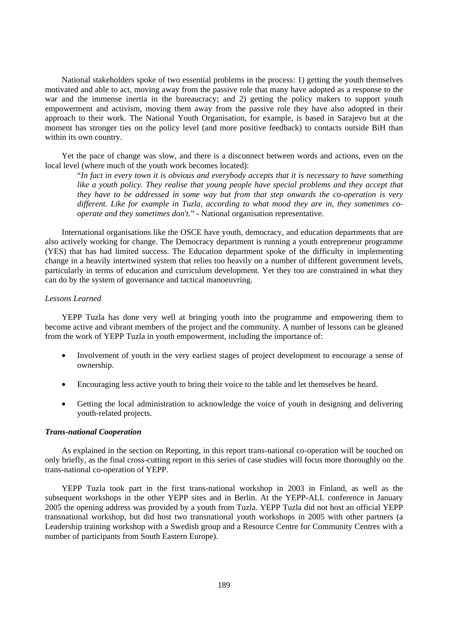National stakeholders spoke of two essential problems in the process: 1) getting the youth themselves motivated and able to act, moving away from the passive role that many have adopted as a response to the war and the immense inertia in the bureaucracy; and 2) getting the policy makers to support youth empowerment and activism, moving them away from the passive role they have also adopted in their approach to their work. The National Youth Organisation, for example, is based in Sarajevo but at the moment has stronger ties on the policy level (and more positive feedback) to contacts outside BiH than within its own country.

Yet the pace of change was slow, and there is a disconnect between words and actions, even on the local level (where much of the youth work becomes located):

"*In fact in every town it is obvious and everybody accepts that it is necessary to have something*  like a youth policy. They realise that young people have special problems and they accept that *they have to be addressed in some way but from that step onwards the co-operation is very different. Like for example in Tuzla, according to what mood they are in, they sometimes cooperate and they sometimes don't.*" - National organisation representative.

International organisations like the OSCE have youth, democracy, and education departments that are also actively working for change. The Democracy department is running a youth entrepreneur programme (YES) that has had limited success. The Education department spoke of the difficulty in implementing change in a heavily intertwined system that relies too heavily on a number of different government levels, particularly in terms of education and curriculum development. Yet they too are constrained in what they can do by the system of governance and tactical manoeuvring.

#### *Lessons Learned*

YEPP Tuzla has done very well at bringing youth into the programme and empowering them to become active and vibrant members of the project and the community. A number of lessons can be gleaned from the work of YEPP Tuzla in youth empowerment, including the importance of:

- Involvement of youth in the very earliest stages of project development to encourage a sense of ownership.
- Encouraging less active youth to bring their voice to the table and let themselves be heard.
- Getting the local administration to acknowledge the voice of youth in designing and delivering youth-related projects.

### *Trans-national Cooperation*

As explained in the section on Reporting, in this report trans-national co-operation will be touched on only briefly, as the final cross-cutting report in this series of case studies will focus more thoroughly on the trans-national co-operation of YEPP.

YEPP Tuzla took part in the first trans-national workshop in 2003 in Finland, as well as the subsequent workshops in the other YEPP sites and in Berlin. At the YEPP-ALL conference in January 2005 the opening address was provided by a youth from Tuzla. YEPP Tuzla did not host an official YEPP transnational workshop, but did host two transnational youth workshops in 2005 with other partners (a Leadership training workshop with a Swedish group and a Resource Centre for Community Centres with a number of participants from South Eastern Europe).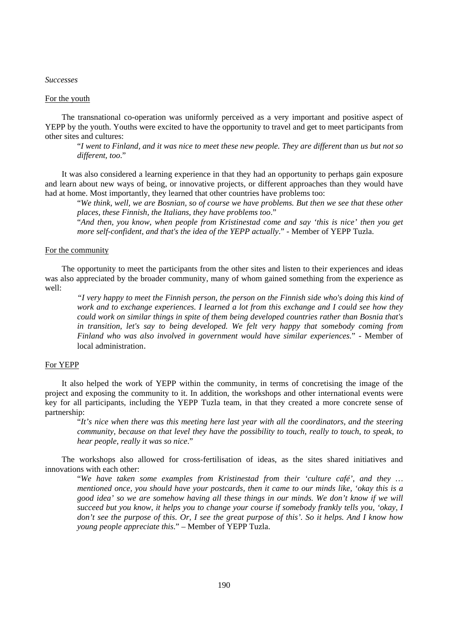#### *Successes*

## For the youth

The transnational co-operation was uniformly perceived as a very important and positive aspect of YEPP by the youth. Youths were excited to have the opportunity to travel and get to meet participants from other sites and cultures:

"*I went to Finland, and it was nice to meet these new people. They are different than us but not so different, too*."

It was also considered a learning experience in that they had an opportunity to perhaps gain exposure and learn about new ways of being, or innovative projects, or different approaches than they would have had at home. Most importantly, they learned that other countries have problems too:

"*We think, well, we are Bosnian, so of course we have problems. But then we see that these other places, these Finnish, the Italians, they have problems too*."

"*And then, you know, when people from Kristinestad come and say 'this is nice' then you get more self-confident, and that's the idea of the YEPP actually*." - Member of YEPP Tuzla.

#### For the community

The opportunity to meet the participants from the other sites and listen to their experiences and ideas was also appreciated by the broader community, many of whom gained something from the experience as well:

*"I very happy to meet the Finnish person, the person on the Finnish side who's doing this kind of work and to exchange experiences. I learned a lot from this exchange and I could see how they could work on similar things in spite of them being developed countries rather than Bosnia that's in transition, let's say to being developed. We felt very happy that somebody coming from Finland who was also involved in government would have similar experiences.*" - Member of local administration.

#### For YEPP

It also helped the work of YEPP within the community, in terms of concretising the image of the project and exposing the community to it. In addition, the workshops and other international events were key for all participants, including the YEPP Tuzla team, in that they created a more concrete sense of partnership:

"*It's nice when there was this meeting here last year with all the coordinators, and the steering community, because on that level they have the possibility to touch, really to touch, to speak, to hear people, really it was so nice*."

The workshops also allowed for cross-fertilisation of ideas, as the sites shared initiatives and innovations with each other:

"*We have taken some examples from Kristinestad from their 'culture café', and they … mentioned once, you should have your postcards, then it came to our minds like, 'okay this is a good idea' so we are somehow having all these things in our minds. We don't know if we will succeed but you know, it helps you to change your course if somebody frankly tells you, 'okay, I don't see the purpose of this. Or, I see the great purpose of this'. So it helps. And I know how young people appreciate this*." – Member of YEPP Tuzla.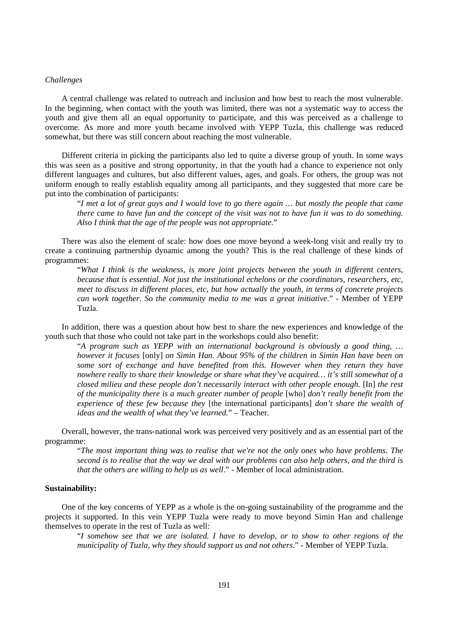## *Challenges*

A central challenge was related to outreach and inclusion and how best to reach the most vulnerable. In the beginning, when contact with the youth was limited, there was not a systematic way to access the youth and give them all an equal opportunity to participate, and this was perceived as a challenge to overcome. As more and more youth became involved with YEPP Tuzla, this challenge was reduced somewhat, but there was still concern about reaching the most vulnerable.

Different criteria in picking the participants also led to quite a diverse group of youth. In some ways this was seen as a positive and strong opportunity, in that the youth had a chance to experience not only different languages and cultures, but also different values, ages, and goals. For others, the group was not uniform enough to really establish equality among all participants, and they suggested that more care be put into the combination of participants:

"*I met a lot of great guys and I would love to go there again … but mostly the people that came there came to have fun and the concept of the visit was not to have fun it was to do something. Also I think that the age of the people was not appropriate.*"

There was also the element of scale: how does one move beyond a week-long visit and really try to create a continuing partnership dynamic among the youth? This is the real challenge of these kinds of programmes:

"*What I think is the weakness, is more joint projects between the youth in different centers, because that is essential. Not just the institutional echelons or the coordinators, researchers, etc, meet to discuss in different places, etc, but how actually the youth, in terms of concrete projects can work together. So the community media to me was a great initiative*." - Member of YEPP Tuzla.

In addition, there was a question about how best to share the new experiences and knowledge of the youth such that those who could not take part in the workshops could also benefit:

"*A program such as YEPP with an international background is obviously a good thing, … however it focuses* [only] *on Simin Han. About 95% of the children in Simin Han have been on some sort of exchange and have benefited from this. However when they return they have nowhere really to share their knowledge or share what they've acquired… it's still somewhat of a closed milieu and these people don't necessarily interact with other people enough.* [In] *the rest of the municipality there is a much greater number of people* [who] *don't really benefit from the experience of these few because they* [the international participants] *don't share the wealth of ideas and the wealth of what they've learned.*" – Teacher.

Overall, however, the trans-national work was perceived very positively and as an essential part of the programme:

"*The most important thing was to realise that we're not the only ones who have problems. The second is to realise that the way we deal with our problems can also help others, and the third is that the others are willing to help us as well*." - Member of local administration.

#### **Sustainability:**

One of the key concerns of YEPP as a whole is the on-going sustainability of the programme and the projects it supported. In this vein YEPP Tuzla were ready to move beyond Simin Han and challenge themselves to operate in the rest of Tuzla as well:

"*I somehow see that we are isolated. I have to develop, or to show to other regions of the municipality of Tuzla, why they should support us and not others*." - Member of YEPP Tuzla.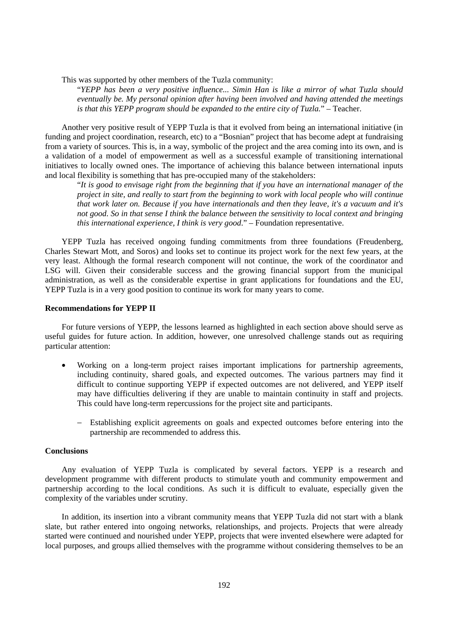This was supported by other members of the Tuzla community:

"*YEPP has been a very positive influence... Simin Han is like a mirror of what Tuzla should eventually be. My personal opinion after having been involved and having attended the meetings is that this YEPP program should be expanded to the entire city of Tuzla.*" – Teacher.

Another very positive result of YEPP Tuzla is that it evolved from being an international initiative (in funding and project coordination, research, etc) to a "Bosnian" project that has become adept at fundraising from a variety of sources. This is, in a way, symbolic of the project and the area coming into its own, and is a validation of a model of empowerment as well as a successful example of transitioning international initiatives to locally owned ones. The importance of achieving this balance between international inputs and local flexibility is something that has pre-occupied many of the stakeholders:

"*It is good to envisage right from the beginning that if you have an international manager of the project in site, and really to start from the beginning to work with local people who will continue that work later on. Because if you have internationals and then they leave, it's a vacuum and it's not good. So in that sense I think the balance between the sensitivity to local context and bringing this international experience, I think is very good*." – Foundation representative.

YEPP Tuzla has received ongoing funding commitments from three foundations (Freudenberg, Charles Stewart Mott, and Soros) and looks set to continue its project work for the next few years, at the very least. Although the formal research component will not continue, the work of the coordinator and LSG will. Given their considerable success and the growing financial support from the municipal administration, as well as the considerable expertise in grant applications for foundations and the EU, YEPP Tuzla is in a very good position to continue its work for many years to come.

#### **Recommendations for YEPP II**

For future versions of YEPP, the lessons learned as highlighted in each section above should serve as useful guides for future action. In addition, however, one unresolved challenge stands out as requiring particular attention:

- Working on a long-term project raises important implications for partnership agreements, including continuity, shared goals, and expected outcomes. The various partners may find it difficult to continue supporting YEPP if expected outcomes are not delivered, and YEPP itself may have difficulties delivering if they are unable to maintain continuity in staff and projects. This could have long-term repercussions for the project site and participants.
	- Establishing explicit agreements on goals and expected outcomes before entering into the partnership are recommended to address this.

## **Conclusions**

Any evaluation of YEPP Tuzla is complicated by several factors. YEPP is a research and development programme with different products to stimulate youth and community empowerment and partnership according to the local conditions. As such it is difficult to evaluate, especially given the complexity of the variables under scrutiny.

In addition, its insertion into a vibrant community means that YEPP Tuzla did not start with a blank slate, but rather entered into ongoing networks, relationships, and projects. Projects that were already started were continued and nourished under YEPP, projects that were invented elsewhere were adapted for local purposes, and groups allied themselves with the programme without considering themselves to be an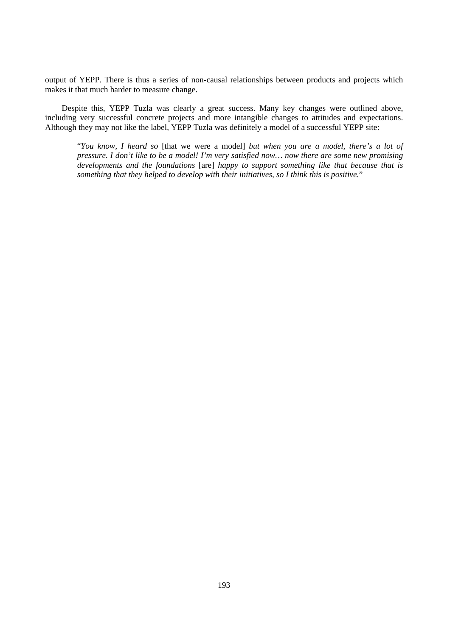output of YEPP. There is thus a series of non-causal relationships between products and projects which makes it that much harder to measure change.

Despite this, YEPP Tuzla was clearly a great success. Many key changes were outlined above, including very successful concrete projects and more intangible changes to attitudes and expectations. Although they may not like the label, YEPP Tuzla was definitely a model of a successful YEPP site:

"*You know, I heard so* [that we were a model] *but when you are a model, there's a lot of pressure. I don't like to be a model! I'm very satisfied now… now there are some new promising developments and the foundations* [are] *happy to support something like that because that is something that they helped to develop with their initiatives, so I think this is positive.*"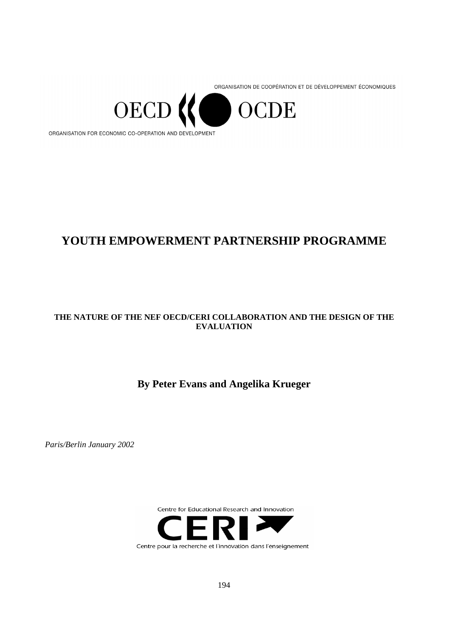ORGANISATION DE COOPÉRATION ET DE DÉVELOPPEMENT ÉCONOMIQUES



# **YOUTH EMPOWERMENT PARTNERSHIP PROGRAMME**

## **THE NATURE OF THE NEF OECD/CERI COLLABORATION AND THE DESIGN OF THE EVALUATION**

## **By Peter Evans and Angelika Krueger**

*Paris/Berlin January 2002* 



Centre pour la recherche et l'innovation dans l'enseignement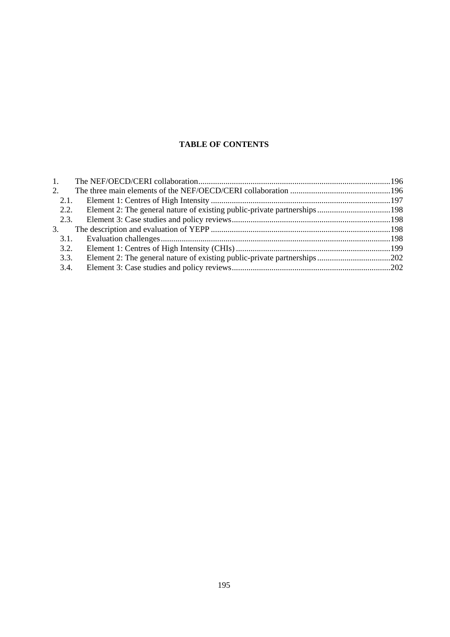## **TABLE OF CONTENTS**

| 1.   |  |
|------|--|
| 2.   |  |
| 2.1. |  |
| 2.2. |  |
| 2.3. |  |
| 3.   |  |
| 3.1. |  |
| 3.2. |  |
| 3.3. |  |
| 3.4. |  |
|      |  |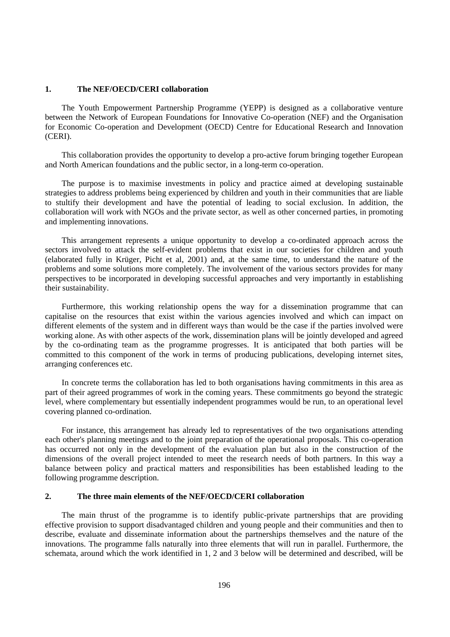#### **1. The NEF/OECD/CERI collaboration**

The Youth Empowerment Partnership Programme (YEPP) is designed as a collaborative venture between the Network of European Foundations for Innovative Co-operation (NEF) and the Organisation for Economic Co-operation and Development (OECD) Centre for Educational Research and Innovation (CERI).

This collaboration provides the opportunity to develop a pro-active forum bringing together European and North American foundations and the public sector, in a long-term co-operation.

The purpose is to maximise investments in policy and practice aimed at developing sustainable strategies to address problems being experienced by children and youth in their communities that are liable to stultify their development and have the potential of leading to social exclusion. In addition, the collaboration will work with NGOs and the private sector, as well as other concerned parties, in promoting and implementing innovations.

This arrangement represents a unique opportunity to develop a co-ordinated approach across the sectors involved to attack the self-evident problems that exist in our societies for children and youth (elaborated fully in Krüger, Picht et al, 2001) and, at the same time, to understand the nature of the problems and some solutions more completely. The involvement of the various sectors provides for many perspectives to be incorporated in developing successful approaches and very importantly in establishing their sustainability.

Furthermore, this working relationship opens the way for a dissemination programme that can capitalise on the resources that exist within the various agencies involved and which can impact on different elements of the system and in different ways than would be the case if the parties involved were working alone. As with other aspects of the work, dissemination plans will be jointly developed and agreed by the co-ordinating team as the programme progresses. It is anticipated that both parties will be committed to this component of the work in terms of producing publications, developing internet sites, arranging conferences etc.

In concrete terms the collaboration has led to both organisations having commitments in this area as part of their agreed programmes of work in the coming years. These commitments go beyond the strategic level, where complementary but essentially independent programmes would be run, to an operational level covering planned co-ordination.

For instance, this arrangement has already led to representatives of the two organisations attending each other's planning meetings and to the joint preparation of the operational proposals. This co-operation has occurred not only in the development of the evaluation plan but also in the construction of the dimensions of the overall project intended to meet the research needs of both partners. In this way a balance between policy and practical matters and responsibilities has been established leading to the following programme description.

## **2. The three main elements of the NEF/OECD/CERI collaboration**

The main thrust of the programme is to identify public-private partnerships that are providing effective provision to support disadvantaged children and young people and their communities and then to describe, evaluate and disseminate information about the partnerships themselves and the nature of the innovations. The programme falls naturally into three elements that will run in parallel. Furthermore, the schemata, around which the work identified in 1, 2 and 3 below will be determined and described, will be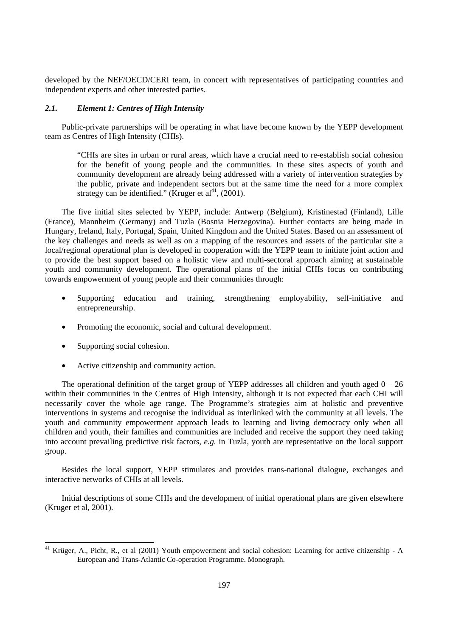developed by the NEF/OECD/CERI team, in concert with representatives of participating countries and independent experts and other interested parties.

#### *2.1. Element 1: Centres of High Intensity*

Public-private partnerships will be operating in what have become known by the YEPP development team as Centres of High Intensity (CHIs).

"CHIs are sites in urban or rural areas, which have a crucial need to re-establish social cohesion for the benefit of young people and the communities. In these sites aspects of youth and community development are already being addressed with a variety of intervention strategies by the public, private and independent sectors but at the same time the need for a more complex strategy can be identified." (Kruger et al<sup>41</sup>, (2001).

The five initial sites selected by YEPP, include: Antwerp (Belgium), Kristinestad (Finland), Lille (France), Mannheim (Germany) and Tuzla (Bosnia Herzegovina). Further contacts are being made in Hungary, Ireland, Italy, Portugal, Spain, United Kingdom and the United States. Based on an assessment of the key challenges and needs as well as on a mapping of the resources and assets of the particular site a local/regional operational plan is developed in cooperation with the YEPP team to initiate joint action and to provide the best support based on a holistic view and multi-sectoral approach aiming at sustainable youth and community development. The operational plans of the initial CHIs focus on contributing towards empowerment of young people and their communities through:

- Supporting education and training, strengthening employability, self-initiative and entrepreneurship.
- Promoting the economic, social and cultural development.
- Supporting social cohesion.

 $\overline{a}$ 

• Active citizenship and community action.

The operational definition of the target group of YEPP addresses all children and youth aged  $0 - 26$ within their communities in the Centres of High Intensity, although it is not expected that each CHI will necessarily cover the whole age range. The Programme's strategies aim at holistic and preventive interventions in systems and recognise the individual as interlinked with the community at all levels. The youth and community empowerment approach leads to learning and living democracy only when all children and youth, their families and communities are included and receive the support they need taking into account prevailing predictive risk factors, *e.g.* in Tuzla, youth are representative on the local support group.

Besides the local support, YEPP stimulates and provides trans-national dialogue, exchanges and interactive networks of CHIs at all levels.

Initial descriptions of some CHIs and the development of initial operational plans are given elsewhere (Kruger et al, 2001).

<sup>&</sup>lt;sup>41</sup> Krüger, A., Picht, R., et al (2001) Youth empowerment and social cohesion: Learning for active citizenship - A European and Trans-Atlantic Co-operation Programme. Monograph.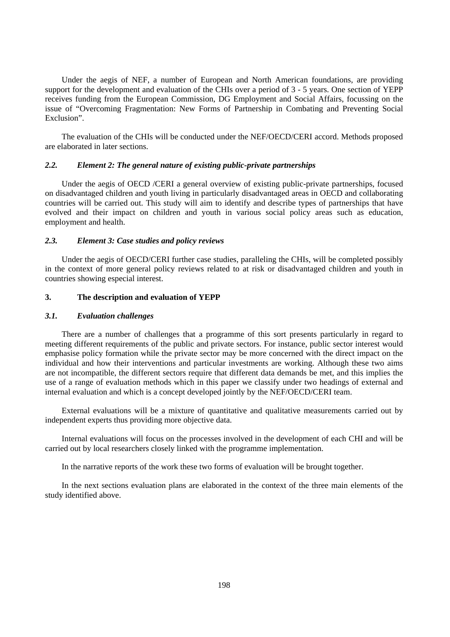Under the aegis of NEF, a number of European and North American foundations, are providing support for the development and evaluation of the CHIs over a period of 3 - 5 years. One section of YEPP receives funding from the European Commission, DG Employment and Social Affairs, focussing on the issue of "Overcoming Fragmentation: New Forms of Partnership in Combating and Preventing Social Exclusion".

The evaluation of the CHIs will be conducted under the NEF/OECD/CERI accord. Methods proposed are elaborated in later sections.

## *2.2. Element 2: The general nature of existing public-private partnerships*

Under the aegis of OECD /CERI a general overview of existing public-private partnerships, focused on disadvantaged children and youth living in particularly disadvantaged areas in OECD and collaborating countries will be carried out. This study will aim to identify and describe types of partnerships that have evolved and their impact on children and youth in various social policy areas such as education, employment and health.

#### *2.3. Element 3: Case studies and policy reviews*

Under the aegis of OECD/CERI further case studies, paralleling the CHIs, will be completed possibly in the context of more general policy reviews related to at risk or disadvantaged children and youth in countries showing especial interest.

## **3. The description and evaluation of YEPP**

#### *3.1. Evaluation challenges*

There are a number of challenges that a programme of this sort presents particularly in regard to meeting different requirements of the public and private sectors. For instance, public sector interest would emphasise policy formation while the private sector may be more concerned with the direct impact on the individual and how their interventions and particular investments are working. Although these two aims are not incompatible, the different sectors require that different data demands be met, and this implies the use of a range of evaluation methods which in this paper we classify under two headings of external and internal evaluation and which is a concept developed jointly by the NEF/OECD/CERI team.

External evaluations will be a mixture of quantitative and qualitative measurements carried out by independent experts thus providing more objective data.

Internal evaluations will focus on the processes involved in the development of each CHI and will be carried out by local researchers closely linked with the programme implementation.

In the narrative reports of the work these two forms of evaluation will be brought together.

In the next sections evaluation plans are elaborated in the context of the three main elements of the study identified above.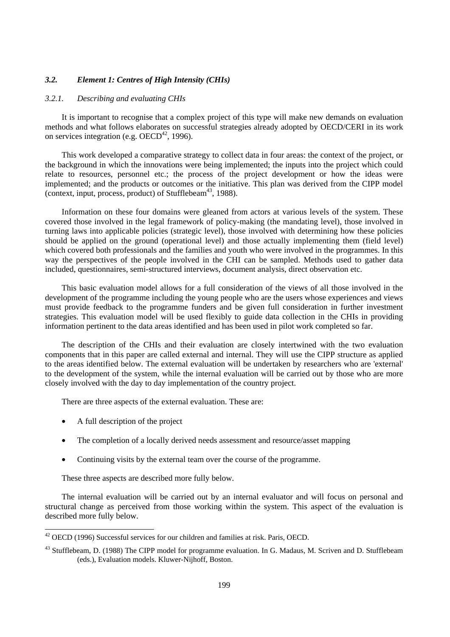## *3.2. Element 1: Centres of High Intensity (CHIs)*

## *3.2.1. Describing and evaluating CHIs*

It is important to recognise that a complex project of this type will make new demands on evaluation methods and what follows elaborates on successful strategies already adopted by OECD/CERI in its work on services integration (e.g.  $OECD^{42}$ , 1996).

This work developed a comparative strategy to collect data in four areas: the context of the project, or the background in which the innovations were being implemented; the inputs into the project which could relate to resources, personnel etc.; the process of the project development or how the ideas were implemented; and the products or outcomes or the initiative. This plan was derived from the CIPP model (context, input, process, product) of Stufflebeam<sup>43</sup>, 1988).

Information on these four domains were gleaned from actors at various levels of the system. These covered those involved in the legal framework of policy-making (the mandating level), those involved in turning laws into applicable policies (strategic level), those involved with determining how these policies should be applied on the ground (operational level) and those actually implementing them (field level) which covered both professionals and the families and youth who were involved in the programmes. In this way the perspectives of the people involved in the CHI can be sampled. Methods used to gather data included, questionnaires, semi-structured interviews, document analysis, direct observation etc.

This basic evaluation model allows for a full consideration of the views of all those involved in the development of the programme including the young people who are the users whose experiences and views must provide feedback to the programme funders and be given full consideration in further investment strategies. This evaluation model will be used flexibly to guide data collection in the CHIs in providing information pertinent to the data areas identified and has been used in pilot work completed so far.

The description of the CHIs and their evaluation are closely intertwined with the two evaluation components that in this paper are called external and internal. They will use the CIPP structure as applied to the areas identified below. The external evaluation will be undertaken by researchers who are 'external' to the development of the system, while the internal evaluation will be carried out by those who are more closely involved with the day to day implementation of the country project.

There are three aspects of the external evaluation. These are:

• A full description of the project

 $\overline{a}$ 

- The completion of a locally derived needs assessment and resource/asset mapping
- Continuing visits by the external team over the course of the programme.

These three aspects are described more fully below.

The internal evaluation will be carried out by an internal evaluator and will focus on personal and structural change as perceived from those working within the system. This aspect of the evaluation is described more fully below.

 $42$  OECD (1996) Successful services for our children and families at risk. Paris, OECD.

<sup>&</sup>lt;sup>43</sup> Stufflebeam. D. (1988) The CIPP model for programme evaluation. In G. Madaus, M. Scriven and D. Stufflebeam (eds.), Evaluation models. Kluwer-Nijhoff, Boston.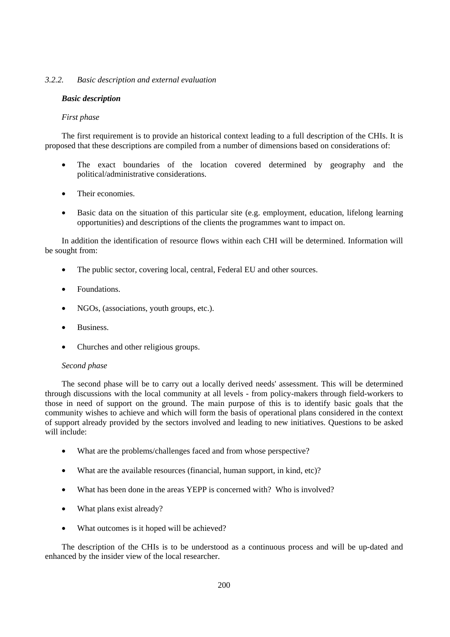## *3.2.2. Basic description and external evaluation*

### *Basic description*

### *First phase*

The first requirement is to provide an historical context leading to a full description of the CHIs. It is proposed that these descriptions are compiled from a number of dimensions based on considerations of:

- The exact boundaries of the location covered determined by geography and the political/administrative considerations.
- Their economies.
- Basic data on the situation of this particular site (e.g. employment, education, lifelong learning opportunities) and descriptions of the clients the programmes want to impact on.

In addition the identification of resource flows within each CHI will be determined. Information will be sought from:

- The public sector, covering local, central, Federal EU and other sources.
- Foundations.
- NGOs, (associations, youth groups, etc.).
- Business.
- Churches and other religious groups.

#### *Second phase*

The second phase will be to carry out a locally derived needs' assessment. This will be determined through discussions with the local community at all levels - from policy-makers through field-workers to those in need of support on the ground. The main purpose of this is to identify basic goals that the community wishes to achieve and which will form the basis of operational plans considered in the context of support already provided by the sectors involved and leading to new initiatives. Questions to be asked will include:

- What are the problems/challenges faced and from whose perspective?
- What are the available resources (financial, human support, in kind, etc)?
- What has been done in the areas YEPP is concerned with? Who is involved?
- What plans exist already?
- What outcomes is it hoped will be achieved?

The description of the CHIs is to be understood as a continuous process and will be up-dated and enhanced by the insider view of the local researcher.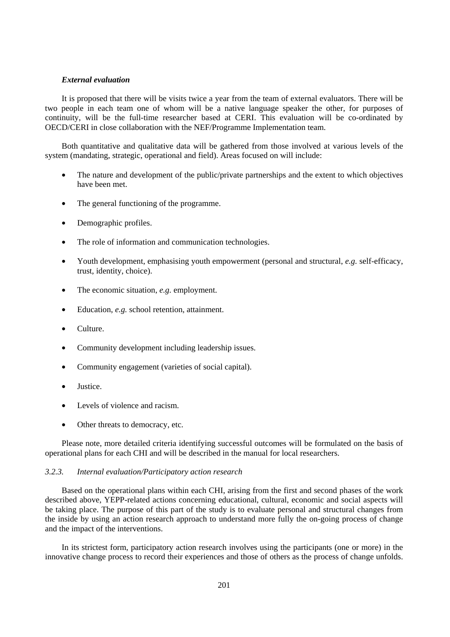## *External evaluation*

It is proposed that there will be visits twice a year from the team of external evaluators. There will be two people in each team one of whom will be a native language speaker the other, for purposes of continuity, will be the full-time researcher based at CERI. This evaluation will be co-ordinated by OECD/CERI in close collaboration with the NEF/Programme Implementation team.

Both quantitative and qualitative data will be gathered from those involved at various levels of the system (mandating, strategic, operational and field). Areas focused on will include:

- The nature and development of the public/private partnerships and the extent to which objectives have been met.
- The general functioning of the programme.
- Demographic profiles.
- The role of information and communication technologies.
- Youth development, emphasising youth empowerment (personal and structural, *e.g.* self-efficacy, trust, identity, choice).
- The economic situation, *e.g.* employment.
- Education, *e.g.* school retention, attainment.
- Culture.
- Community development including leadership issues.
- Community engagement (varieties of social capital).
- **Justice**
- Levels of violence and racism.
- Other threats to democracy, etc.

Please note, more detailed criteria identifying successful outcomes will be formulated on the basis of operational plans for each CHI and will be described in the manual for local researchers.

#### *3.2.3. Internal evaluation/Participatory action research*

Based on the operational plans within each CHI, arising from the first and second phases of the work described above, YEPP-related actions concerning educational, cultural, economic and social aspects will be taking place. The purpose of this part of the study is to evaluate personal and structural changes from the inside by using an action research approach to understand more fully the on-going process of change and the impact of the interventions.

In its strictest form, participatory action research involves using the participants (one or more) in the innovative change process to record their experiences and those of others as the process of change unfolds.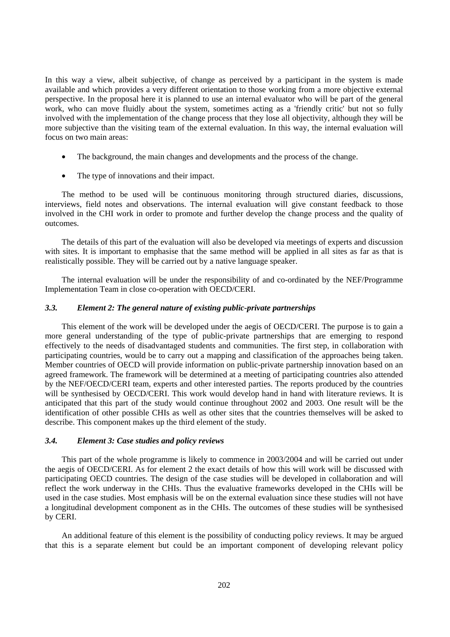In this way a view, albeit subjective, of change as perceived by a participant in the system is made available and which provides a very different orientation to those working from a more objective external perspective. In the proposal here it is planned to use an internal evaluator who will be part of the general work, who can move fluidly about the system, sometimes acting as a 'friendly critic' but not so fully involved with the implementation of the change process that they lose all objectivity, although they will be more subjective than the visiting team of the external evaluation. In this way, the internal evaluation will focus on two main areas:

- The background, the main changes and developments and the process of the change.
- The type of innovations and their impact.

The method to be used will be continuous monitoring through structured diaries, discussions, interviews, field notes and observations. The internal evaluation will give constant feedback to those involved in the CHI work in order to promote and further develop the change process and the quality of outcomes.

The details of this part of the evaluation will also be developed via meetings of experts and discussion with sites. It is important to emphasise that the same method will be applied in all sites as far as that is realistically possible. They will be carried out by a native language speaker.

The internal evaluation will be under the responsibility of and co-ordinated by the NEF/Programme Implementation Team in close co-operation with OECD/CERI.

### *3.3. Element 2: The general nature of existing public-private partnerships*

This element of the work will be developed under the aegis of OECD/CERI. The purpose is to gain a more general understanding of the type of public-private partnerships that are emerging to respond effectively to the needs of disadvantaged students and communities. The first step, in collaboration with participating countries, would be to carry out a mapping and classification of the approaches being taken. Member countries of OECD will provide information on public-private partnership innovation based on an agreed framework. The framework will be determined at a meeting of participating countries also attended by the NEF/OECD/CERI team, experts and other interested parties. The reports produced by the countries will be synthesised by OECD/CERI. This work would develop hand in hand with literature reviews. It is anticipated that this part of the study would continue throughout 2002 and 2003. One result will be the identification of other possible CHIs as well as other sites that the countries themselves will be asked to describe. This component makes up the third element of the study.

### *3.4. Element 3: Case studies and policy reviews*

This part of the whole programme is likely to commence in 2003/2004 and will be carried out under the aegis of OECD/CERI. As for element 2 the exact details of how this will work will be discussed with participating OECD countries. The design of the case studies will be developed in collaboration and will reflect the work underway in the CHIs. Thus the evaluative frameworks developed in the CHIs will be used in the case studies. Most emphasis will be on the external evaluation since these studies will not have a longitudinal development component as in the CHIs. The outcomes of these studies will be synthesised by CERI.

An additional feature of this element is the possibility of conducting policy reviews. It may be argued that this is a separate element but could be an important component of developing relevant policy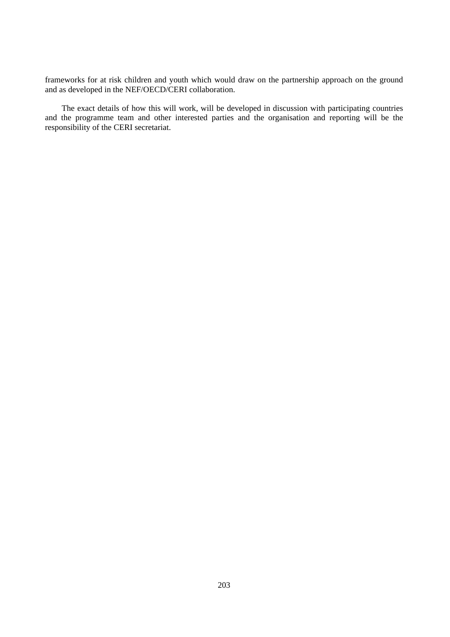frameworks for at risk children and youth which would draw on the partnership approach on the ground and as developed in the NEF/OECD/CERI collaboration.

The exact details of how this will work, will be developed in discussion with participating countries and the programme team and other interested parties and the organisation and reporting will be the responsibility of the CERI secretariat.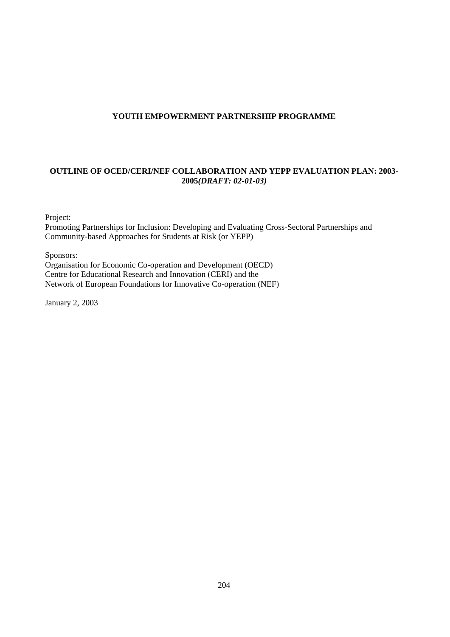## **YOUTH EMPOWERMENT PARTNERSHIP PROGRAMME**

## **OUTLINE OF OCED/CERI/NEF COLLABORATION AND YEPP EVALUATION PLAN: 2003- 2005***(DRAFT: 02-01-03)*

Project:

Promoting Partnerships for Inclusion: Developing and Evaluating Cross-Sectoral Partnerships and Community-based Approaches for Students at Risk (or YEPP)

Sponsors:

Organisation for Economic Co-operation and Development (OECD) Centre for Educational Research and Innovation (CERI) and the Network of European Foundations for Innovative Co-operation (NEF)

January 2, 2003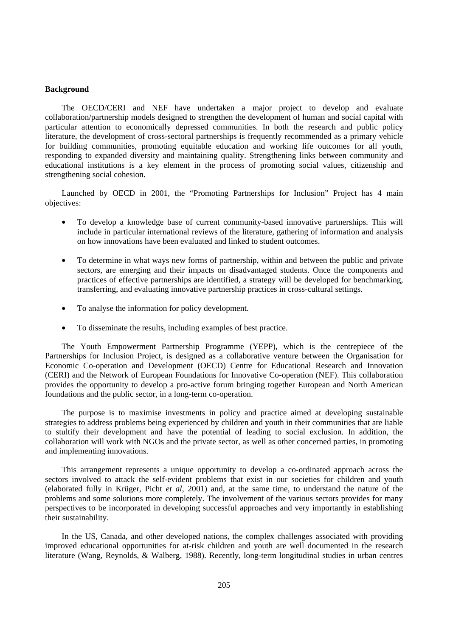#### **Background**

The OECD/CERI and NEF have undertaken a major project to develop and evaluate collaboration/partnership models designed to strengthen the development of human and social capital with particular attention to economically depressed communities. In both the research and public policy literature, the development of cross-sectoral partnerships is frequently recommended as a primary vehicle for building communities, promoting equitable education and working life outcomes for all youth, responding to expanded diversity and maintaining quality. Strengthening links between community and educational institutions is a key element in the process of promoting social values, citizenship and strengthening social cohesion.

Launched by OECD in 2001, the "Promoting Partnerships for Inclusion" Project has 4 main objectives:

- To develop a knowledge base of current community-based innovative partnerships. This will include in particular international reviews of the literature, gathering of information and analysis on how innovations have been evaluated and linked to student outcomes.
- To determine in what ways new forms of partnership, within and between the public and private sectors, are emerging and their impacts on disadvantaged students. Once the components and practices of effective partnerships are identified, a strategy will be developed for benchmarking, transferring, and evaluating innovative partnership practices in cross-cultural settings.
- To analyse the information for policy development.
- To disseminate the results, including examples of best practice.

The Youth Empowerment Partnership Programme (YEPP), which is the centrepiece of the Partnerships for Inclusion Project, is designed as a collaborative venture between the Organisation for Economic Co-operation and Development (OECD) Centre for Educational Research and Innovation (CERI) and the Network of European Foundations for Innovative Co-operation (NEF). This collaboration provides the opportunity to develop a pro-active forum bringing together European and North American foundations and the public sector, in a long-term co-operation.

The purpose is to maximise investments in policy and practice aimed at developing sustainable strategies to address problems being experienced by children and youth in their communities that are liable to stultify their development and have the potential of leading to social exclusion. In addition, the collaboration will work with NGOs and the private sector, as well as other concerned parties, in promoting and implementing innovations.

This arrangement represents a unique opportunity to develop a co-ordinated approach across the sectors involved to attack the self-evident problems that exist in our societies for children and youth (elaborated fully in Krüger, Picht *et al*, 2001) and, at the same time, to understand the nature of the problems and some solutions more completely. The involvement of the various sectors provides for many perspectives to be incorporated in developing successful approaches and very importantly in establishing their sustainability.

In the US, Canada, and other developed nations, the complex challenges associated with providing improved educational opportunities for at-risk children and youth are well documented in the research literature (Wang, Reynolds, & Walberg, 1988). Recently, long-term longitudinal studies in urban centres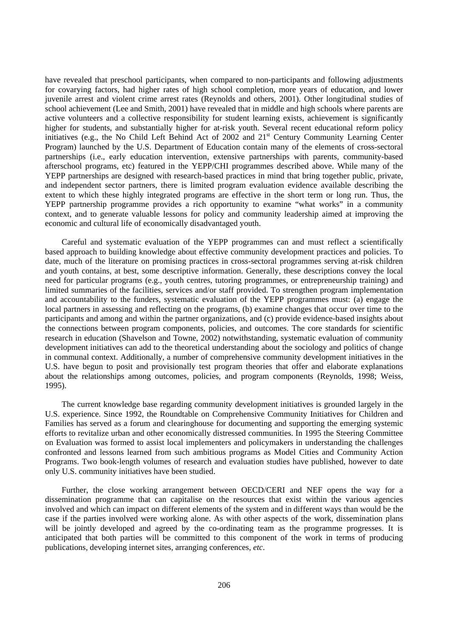have revealed that preschool participants, when compared to non-participants and following adjustments for covarying factors, had higher rates of high school completion, more years of education, and lower juvenile arrest and violent crime arrest rates (Reynolds and others, 2001). Other longitudinal studies of school achievement (Lee and Smith, 2001) have revealed that in middle and high schools where parents are active volunteers and a collective responsibility for student learning exists, achievement is significantly higher for students, and substantially higher for at-risk youth. Several recent educational reform policy initiatives (e.g., the No Child Left Behind Act of 2002 and 21<sup>st</sup> Century Community Learning Center Program) launched by the U.S. Department of Education contain many of the elements of cross-sectoral partnerships (i.e., early education intervention, extensive partnerships with parents, community-based afterschool programs, etc) featured in the YEPP/CHI programmes described above. While many of the YEPP partnerships are designed with research-based practices in mind that bring together public, private, and independent sector partners, there is limited program evaluation evidence available describing the extent to which these highly integrated programs are effective in the short term or long run. Thus, the YEPP partnership programme provides a rich opportunity to examine "what works" in a community context, and to generate valuable lessons for policy and community leadership aimed at improving the economic and cultural life of economically disadvantaged youth.

Careful and systematic evaluation of the YEPP programmes can and must reflect a scientifically based approach to building knowledge about effective community development practices and policies. To date, much of the literature on promising practices in cross-sectoral programmes serving at-risk children and youth contains, at best, some descriptive information. Generally, these descriptions convey the local need for particular programs (e.g., youth centres, tutoring programmes, or entrepreneurship training) and limited summaries of the facilities, services and/or staff provided. To strengthen program implementation and accountability to the funders, systematic evaluation of the YEPP programmes must: (a) engage the local partners in assessing and reflecting on the programs, (b) examine changes that occur over time to the participants and among and within the partner organizations, and (c) provide evidence-based insights about the connections between program components, policies, and outcomes. The core standards for scientific research in education (Shavelson and Towne, 2002) notwithstanding, systematic evaluation of community development initiatives can add to the theoretical understanding about the sociology and politics of change in communal context. Additionally, a number of comprehensive community development initiatives in the U.S. have begun to posit and provisionally test program theories that offer and elaborate explanations about the relationships among outcomes, policies, and program components (Reynolds, 1998; Weiss, 1995).

The current knowledge base regarding community development initiatives is grounded largely in the U.S. experience. Since 1992, the Roundtable on Comprehensive Community Initiatives for Children and Families has served as a forum and clearinghouse for documenting and supporting the emerging systemic efforts to revitalize urban and other economically distressed communities. In 1995 the Steering Committee on Evaluation was formed to assist local implementers and policymakers in understanding the challenges confronted and lessons learned from such ambitious programs as Model Cities and Community Action Programs. Two book-length volumes of research and evaluation studies have published, however to date only U.S. community initiatives have been studied.

Further, the close working arrangement between OECD/CERI and NEF opens the way for a dissemination programme that can capitalise on the resources that exist within the various agencies involved and which can impact on different elements of the system and in different ways than would be the case if the parties involved were working alone. As with other aspects of the work, dissemination plans will be jointly developed and agreed by the co-ordinating team as the programme progresses. It is anticipated that both parties will be committed to this component of the work in terms of producing publications, developing internet sites, arranging conferences, *etc*.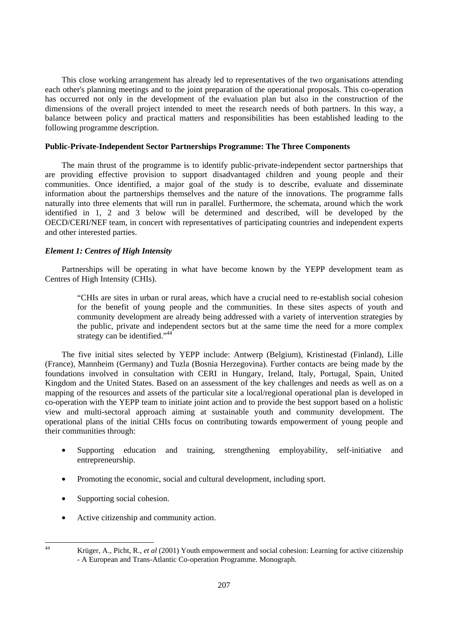This close working arrangement has already led to representatives of the two organisations attending each other's planning meetings and to the joint preparation of the operational proposals. This co-operation has occurred not only in the development of the evaluation plan but also in the construction of the dimensions of the overall project intended to meet the research needs of both partners. In this way, a balance between policy and practical matters and responsibilities has been established leading to the following programme description.

#### **Public-Private-Independent Sector Partnerships Programme: The Three Components**

The main thrust of the programme is to identify public-private-independent sector partnerships that are providing effective provision to support disadvantaged children and young people and their communities. Once identified, a major goal of the study is to describe, evaluate and disseminate information about the partnerships themselves and the nature of the innovations. The programme falls naturally into three elements that will run in parallel. Furthermore, the schemata, around which the work identified in 1, 2 and 3 below will be determined and described, will be developed by the OECD/CERI/NEF team, in concert with representatives of participating countries and independent experts and other interested parties.

## *Element 1: Centres of High Intensity*

Partnerships will be operating in what have become known by the YEPP development team as Centres of High Intensity (CHIs).

"CHIs are sites in urban or rural areas, which have a crucial need to re-establish social cohesion for the benefit of young people and the communities. In these sites aspects of youth and community development are already being addressed with a variety of intervention strategies by the public, private and independent sectors but at the same time the need for a more complex strategy can be identified."<sup>44</sup>

The five initial sites selected by YEPP include: Antwerp (Belgium), Kristinestad (Finland), Lille (France), Mannheim (Germany) and Tuzla (Bosnia Herzegovina). Further contacts are being made by the foundations involved in consultation with CERI in Hungary, Ireland, Italy, Portugal, Spain, United Kingdom and the United States. Based on an assessment of the key challenges and needs as well as on a mapping of the resources and assets of the particular site a local/regional operational plan is developed in co-operation with the YEPP team to initiate joint action and to provide the best support based on a holistic view and multi-sectoral approach aiming at sustainable youth and community development. The operational plans of the initial CHIs focus on contributing towards empowerment of young people and their communities through:

- Supporting education and training, strengthening employability, self-initiative and entrepreneurship.
- Promoting the economic, social and cultural development, including sport.
- Supporting social cohesion.
- Active citizenship and community action.

 $\overline{A}$ 

<sup>44</sup> Krüger, A., Picht, R., *et al* (2001) Youth empowerment and social cohesion: Learning for active citizenship - A European and Trans-Atlantic Co-operation Programme. Monograph.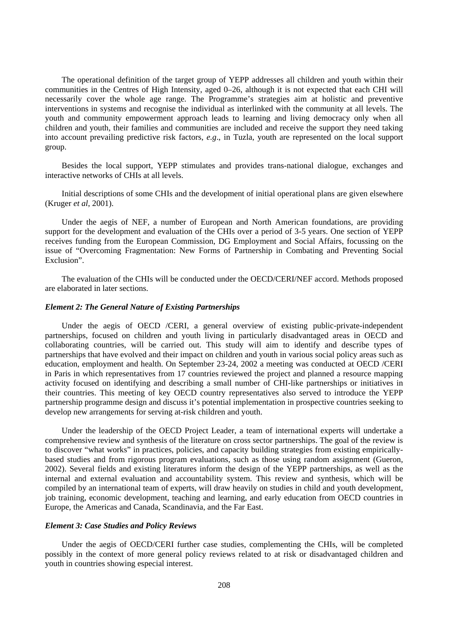The operational definition of the target group of YEPP addresses all children and youth within their communities in the Centres of High Intensity, aged 0–26, although it is not expected that each CHI will necessarily cover the whole age range. The Programme's strategies aim at holistic and preventive interventions in systems and recognise the individual as interlinked with the community at all levels. The youth and community empowerment approach leads to learning and living democracy only when all children and youth, their families and communities are included and receive the support they need taking into account prevailing predictive risk factors, *e.g*., in Tuzla, youth are represented on the local support group.

Besides the local support, YEPP stimulates and provides trans-national dialogue, exchanges and interactive networks of CHIs at all levels.

Initial descriptions of some CHIs and the development of initial operational plans are given elsewhere (Kruger *et al*, 2001).

Under the aegis of NEF, a number of European and North American foundations, are providing support for the development and evaluation of the CHIs over a period of 3-5 years. One section of YEPP receives funding from the European Commission, DG Employment and Social Affairs, focussing on the issue of "Overcoming Fragmentation: New Forms of Partnership in Combating and Preventing Social Exclusion".

The evaluation of the CHIs will be conducted under the OECD/CERI/NEF accord. Methods proposed are elaborated in later sections.

#### *Element 2: The General Nature of Existing Partnerships*

Under the aegis of OECD /CERI, a general overview of existing public-private-independent partnerships, focused on children and youth living in particularly disadvantaged areas in OECD and collaborating countries, will be carried out. This study will aim to identify and describe types of partnerships that have evolved and their impact on children and youth in various social policy areas such as education, employment and health. On September 23-24, 2002 a meeting was conducted at OECD /CERI in Paris in which representatives from 17 countries reviewed the project and planned a resource mapping activity focused on identifying and describing a small number of CHI-like partnerships or initiatives in their countries. This meeting of key OECD country representatives also served to introduce the YEPP partnership programme design and discuss it's potential implementation in prospective countries seeking to develop new arrangements for serving at-risk children and youth.

Under the leadership of the OECD Project Leader, a team of international experts will undertake a comprehensive review and synthesis of the literature on cross sector partnerships. The goal of the review is to discover "what works" in practices, policies, and capacity building strategies from existing empiricallybased studies and from rigorous program evaluations, such as those using random assignment (Gueron, 2002). Several fields and existing literatures inform the design of the YEPP partnerships, as well as the internal and external evaluation and accountability system. This review and synthesis, which will be compiled by an international team of experts, will draw heavily on studies in child and youth development, job training, economic development, teaching and learning, and early education from OECD countries in Europe, the Americas and Canada, Scandinavia, and the Far East.

#### *Element 3: Case Studies and Policy Reviews*

Under the aegis of OECD/CERI further case studies, complementing the CHIs, will be completed possibly in the context of more general policy reviews related to at risk or disadvantaged children and youth in countries showing especial interest.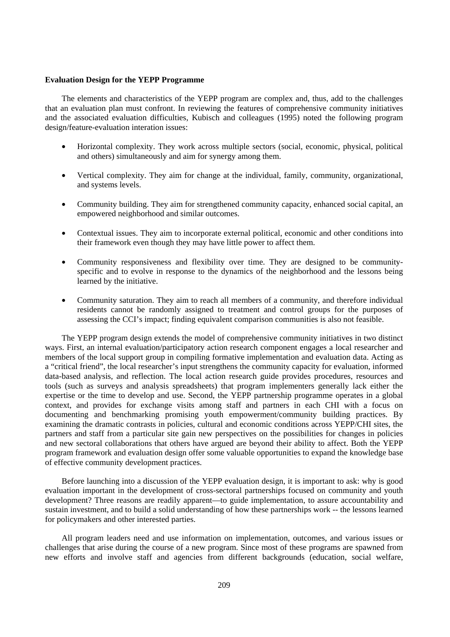#### **Evaluation Design for the YEPP Programme**

The elements and characteristics of the YEPP program are complex and, thus, add to the challenges that an evaluation plan must confront. In reviewing the features of comprehensive community initiatives and the associated evaluation difficulties, Kubisch and colleagues (1995) noted the following program design/feature-evaluation interation issues:

- Horizontal complexity. They work across multiple sectors (social, economic, physical, political and others) simultaneously and aim for synergy among them.
- Vertical complexity. They aim for change at the individual, family, community, organizational, and systems levels.
- Community building. They aim for strengthened community capacity, enhanced social capital, an empowered neighborhood and similar outcomes.
- Contextual issues. They aim to incorporate external political, economic and other conditions into their framework even though they may have little power to affect them.
- Community responsiveness and flexibility over time. They are designed to be communityspecific and to evolve in response to the dynamics of the neighborhood and the lessons being learned by the initiative.
- Community saturation. They aim to reach all members of a community, and therefore individual residents cannot be randomly assigned to treatment and control groups for the purposes of assessing the CCI's impact; finding equivalent comparison communities is also not feasible.

The YEPP program design extends the model of comprehensive community initiatives in two distinct ways. First, an internal evaluation/participatory action research component engages a local researcher and members of the local support group in compiling formative implementation and evaluation data. Acting as a "critical friend", the local researcher's input strengthens the community capacity for evaluation, informed data-based analysis, and reflection. The local action research guide provides procedures, resources and tools (such as surveys and analysis spreadsheets) that program implementers generally lack either the expertise or the time to develop and use. Second, the YEPP partnership programme operates in a global context, and provides for exchange visits among staff and partners in each CHI with a focus on documenting and benchmarking promising youth empowerment/community building practices. By examining the dramatic contrasts in policies, cultural and economic conditions across YEPP/CHI sites, the partners and staff from a particular site gain new perspectives on the possibilities for changes in policies and new sectoral collaborations that others have argued are beyond their ability to affect. Both the YEPP program framework and evaluation design offer some valuable opportunities to expand the knowledge base of effective community development practices.

Before launching into a discussion of the YEPP evaluation design, it is important to ask: why is good evaluation important in the development of cross-sectoral partnerships focused on community and youth development? Three reasons are readily apparent—to guide implementation, to assure accountability and sustain investment, and to build a solid understanding of how these partnerships work -- the lessons learned for policymakers and other interested parties.

All program leaders need and use information on implementation, outcomes, and various issues or challenges that arise during the course of a new program. Since most of these programs are spawned from new efforts and involve staff and agencies from different backgrounds (education, social welfare,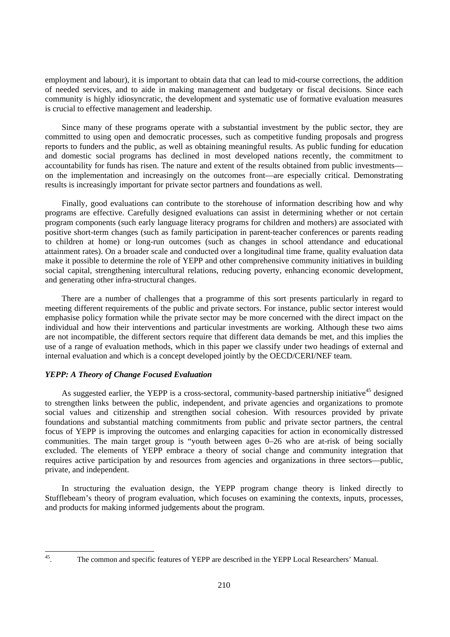employment and labour), it is important to obtain data that can lead to mid-course corrections, the addition of needed services, and to aide in making management and budgetary or fiscal decisions. Since each community is highly idiosyncratic, the development and systematic use of formative evaluation measures is crucial to effective management and leadership.

Since many of these programs operate with a substantial investment by the public sector, they are committed to using open and democratic processes, such as competitive funding proposals and progress reports to funders and the public, as well as obtaining meaningful results. As public funding for education and domestic social programs has declined in most developed nations recently, the commitment to accountability for funds has risen. The nature and extent of the results obtained from public investments on the implementation and increasingly on the outcomes front—are especially critical. Demonstrating results is increasingly important for private sector partners and foundations as well.

Finally, good evaluations can contribute to the storehouse of information describing how and why programs are effective. Carefully designed evaluations can assist in determining whether or not certain program components (such early language literacy programs for children and mothers) are associated with positive short-term changes (such as family participation in parent-teacher conferences or parents reading to children at home) or long-run outcomes (such as changes in school attendance and educational attainment rates). On a broader scale and conducted over a longitudinal time frame, quality evaluation data make it possible to determine the role of YEPP and other comprehensive community initiatives in building social capital, strengthening intercultural relations, reducing poverty, enhancing economic development, and generating other infra-structural changes.

There are a number of challenges that a programme of this sort presents particularly in regard to meeting different requirements of the public and private sectors. For instance, public sector interest would emphasise policy formation while the private sector may be more concerned with the direct impact on the individual and how their interventions and particular investments are working. Although these two aims are not incompatible, the different sectors require that different data demands be met, and this implies the use of a range of evaluation methods, which in this paper we classify under two headings of external and internal evaluation and which is a concept developed jointly by the OECD/CERI/NEF team.

## *YEPP: A Theory of Change Focused Evaluation*

As suggested earlier, the YEPP is a cross-sectoral, community-based partnership initiative<sup>45</sup> designed to strengthen links between the public, independent, and private agencies and organizations to promote social values and citizenship and strengthen social cohesion. With resources provided by private foundations and substantial matching commitments from public and private sector partners, the central focus of YEPP is improving the outcomes and enlarging capacities for action in economically distressed communities. The main target group is "youth between ages 0–26 who are at-risk of being socially excluded. The elements of YEPP embrace a theory of social change and community integration that requires active participation by and resources from agencies and organizations in three sectors—public, private, and independent.

In structuring the evaluation design, the YEPP program change theory is linked directly to Stufflebeam's theory of program evaluation, which focuses on examining the contexts, inputs, processes, and products for making informed judgements about the program.

 $45\,$ 

<sup>45.</sup> The common and specific features of YEPP are described in the YEPP Local Researchers' Manual.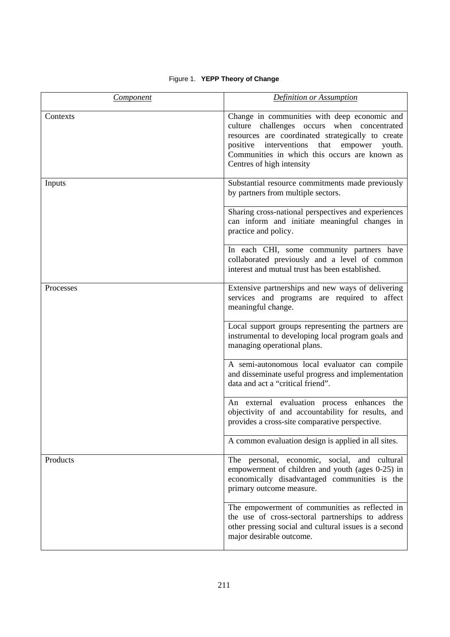## Figure 1. **YEPP Theory of Change**

| <b>Component</b> | <b>Definition or Assumption</b>                                                                                                                                                                                                                                                          |
|------------------|------------------------------------------------------------------------------------------------------------------------------------------------------------------------------------------------------------------------------------------------------------------------------------------|
| Contexts         | Change in communities with deep economic and<br>culture challenges occurs when concentrated<br>resources are coordinated strategically to create<br>interventions<br>positive<br>that<br>empower<br>youth.<br>Communities in which this occurs are known as<br>Centres of high intensity |
| Inputs           | Substantial resource commitments made previously<br>by partners from multiple sectors.                                                                                                                                                                                                   |
|                  | Sharing cross-national perspectives and experiences<br>can inform and initiate meaningful changes in<br>practice and policy.                                                                                                                                                             |
|                  | In each CHI, some community partners have<br>collaborated previously and a level of common<br>interest and mutual trust has been established.                                                                                                                                            |
| Processes        | Extensive partnerships and new ways of delivering<br>services and programs are required to affect<br>meaningful change.                                                                                                                                                                  |
|                  | Local support groups representing the partners are<br>instrumental to developing local program goals and<br>managing operational plans.                                                                                                                                                  |
|                  | A semi-autonomous local evaluator can compile<br>and disseminate useful progress and implementation<br>data and act a "critical friend".                                                                                                                                                 |
|                  | An external evaluation process enhances<br>the<br>objectivity of and accountability for results, and<br>provides a cross-site comparative perspective.                                                                                                                                   |
|                  | A common evaluation design is applied in all sites.                                                                                                                                                                                                                                      |
| Products         | The personal, economic, social, and cultural<br>empowerment of children and youth (ages 0-25) in<br>economically disadvantaged communities is the<br>primary outcome measure.                                                                                                            |
|                  | The empowerment of communities as reflected in<br>the use of cross-sectoral partnerships to address<br>other pressing social and cultural issues is a second<br>major desirable outcome.                                                                                                 |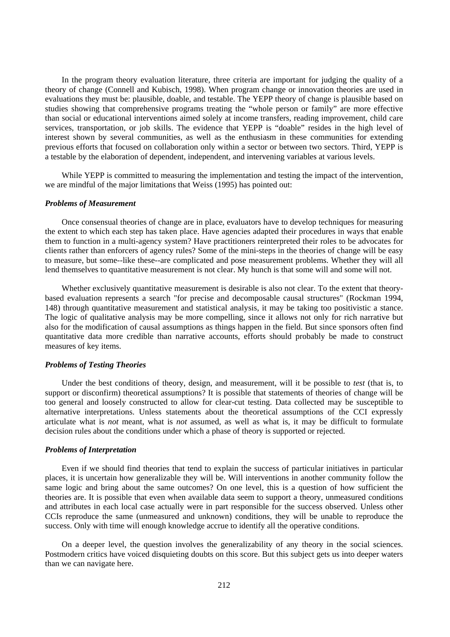In the program theory evaluation literature, three criteria are important for judging the quality of a theory of change (Connell and Kubisch, 1998). When program change or innovation theories are used in evaluations they must be: plausible, doable, and testable. The YEPP theory of change is plausible based on studies showing that comprehensive programs treating the "whole person or family" are more effective than social or educational interventions aimed solely at income transfers, reading improvement, child care services, transportation, or job skills. The evidence that YEPP is "doable" resides in the high level of interest shown by several communities, as well as the enthusiasm in these communities for extending previous efforts that focused on collaboration only within a sector or between two sectors. Third, YEPP is a testable by the elaboration of dependent, independent, and intervening variables at various levels.

While YEPP is committed to measuring the implementation and testing the impact of the intervention, we are mindful of the major limitations that Weiss (1995) has pointed out:

#### *Problems of Measurement*

Once consensual theories of change are in place, evaluators have to develop techniques for measuring the extent to which each step has taken place. Have agencies adapted their procedures in ways that enable them to function in a multi-agency system? Have practitioners reinterpreted their roles to be advocates for clients rather than enforcers of agency rules? Some of the mini-steps in the theories of change will be easy to measure, but some--like these--are complicated and pose measurement problems. Whether they will all lend themselves to quantitative measurement is not clear. My hunch is that some will and some will not.

Whether exclusively quantitative measurement is desirable is also not clear. To the extent that theorybased evaluation represents a search "for precise and decomposable causal structures" (Rockman 1994, 148) through quantitative measurement and statistical analysis, it may be taking too positivistic a stance. The logic of qualitative analysis may be more compelling, since it allows not only for rich narrative but also for the modification of causal assumptions as things happen in the field. But since sponsors often find quantitative data more credible than narrative accounts, efforts should probably be made to construct measures of key items.

#### *Problems of Testing Theories*

Under the best conditions of theory, design, and measurement, will it be possible to *test* (that is, to support or disconfirm) theoretical assumptions? It is possible that statements of theories of change will be too general and loosely constructed to allow for clear-cut testing. Data collected may be susceptible to alternative interpretations. Unless statements about the theoretical assumptions of the CCI expressly articulate what is *not* meant, what is *not* assumed, as well as what is, it may be difficult to formulate decision rules about the conditions under which a phase of theory is supported or rejected.

## *Problems of Interpretation*

Even if we should find theories that tend to explain the success of particular initiatives in particular places, it is uncertain how generalizable they will be. Will interventions in another community follow the same logic and bring about the same outcomes? On one level, this is a question of how sufficient the theories are. It is possible that even when available data seem to support a theory, unmeasured conditions and attributes in each local case actually were in part responsible for the success observed. Unless other CCIs reproduce the same (unmeasured and unknown) conditions, they will be unable to reproduce the success. Only with time will enough knowledge accrue to identify all the operative conditions.

On a deeper level, the question involves the generalizability of any theory in the social sciences. Postmodern critics have voiced disquieting doubts on this score. But this subject gets us into deeper waters than we can navigate here.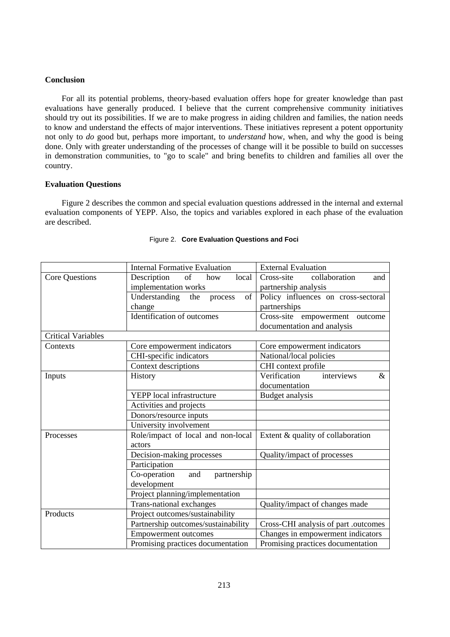## **Conclusion**

For all its potential problems, theory-based evaluation offers hope for greater knowledge than past evaluations have generally produced. I believe that the current comprehensive community initiatives should try out its possibilities. If we are to make progress in aiding children and families, the nation needs to know and understand the effects of major interventions. These initiatives represent a potent opportunity not only to *do* good but, perhaps more important, to *understand* how, when, and why the good is being done. Only with greater understanding of the processes of change will it be possible to build on successes in demonstration communities, to "go to scale" and bring benefits to children and families all over the country.

#### **Evaluation Questions**

Figure 2 describes the common and special evaluation questions addressed in the internal and external evaluation components of YEPP. Also, the topics and variables explored in each phase of the evaluation are described.

|                           | <b>Internal Formative Evaluation</b>  | <b>External Evaluation</b>           |  |  |  |
|---------------------------|---------------------------------------|--------------------------------------|--|--|--|
| Core Questions            | Description<br>of<br>how<br>local     | Cross-site<br>collaboration<br>and   |  |  |  |
|                           | implementation works                  | partnership analysis                 |  |  |  |
|                           | Understanding<br>the<br>of<br>process | Policy influences on cross-sectoral  |  |  |  |
|                           | change                                | partnerships                         |  |  |  |
|                           | Identification of outcomes            | Cross-site empowerment<br>outcome    |  |  |  |
|                           |                                       | documentation and analysis           |  |  |  |
| <b>Critical Variables</b> |                                       |                                      |  |  |  |
| Contexts                  | Core empowerment indicators           | Core empowerment indicators          |  |  |  |
|                           | CHI-specific indicators               | National/local policies              |  |  |  |
|                           | Context descriptions                  | CHI context profile                  |  |  |  |
| Inputs                    | History                               | Verification<br>interviews<br>$\&$   |  |  |  |
|                           |                                       | documentation                        |  |  |  |
|                           | YEPP local infrastructure             | Budget analysis                      |  |  |  |
|                           | Activities and projects               |                                      |  |  |  |
|                           | Donors/resource inputs                |                                      |  |  |  |
|                           | University involvement                |                                      |  |  |  |
| Processes                 | Role/impact of local and non-local    | Extent & quality of collaboration    |  |  |  |
|                           | actors                                |                                      |  |  |  |
|                           | Decision-making processes             | Quality/impact of processes          |  |  |  |
|                           | Participation                         |                                      |  |  |  |
|                           | Co-operation<br>partnership<br>and    |                                      |  |  |  |
|                           | development                           |                                      |  |  |  |
|                           | Project planning/implementation       |                                      |  |  |  |
|                           | <b>Trans-national exchanges</b>       | Quality/impact of changes made       |  |  |  |
| Products                  | Project outcomes/sustainability       |                                      |  |  |  |
|                           | Partnership outcomes/sustainability   | Cross-CHI analysis of part .outcomes |  |  |  |
|                           | <b>Empowerment outcomes</b>           | Changes in empowerment indicators    |  |  |  |
|                           | Promising practices documentation     | Promising practices documentation    |  |  |  |

#### Figure 2. **Core Evaluation Questions and Foci**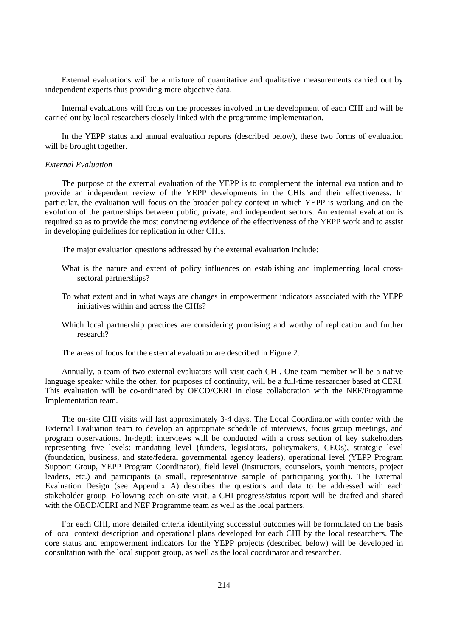External evaluations will be a mixture of quantitative and qualitative measurements carried out by independent experts thus providing more objective data.

Internal evaluations will focus on the processes involved in the development of each CHI and will be carried out by local researchers closely linked with the programme implementation.

In the YEPP status and annual evaluation reports (described below), these two forms of evaluation will be brought together.

## *External Evaluation*

The purpose of the external evaluation of the YEPP is to complement the internal evaluation and to provide an independent review of the YEPP developments in the CHIs and their effectiveness. In particular, the evaluation will focus on the broader policy context in which YEPP is working and on the evolution of the partnerships between public, private, and independent sectors. An external evaluation is required so as to provide the most convincing evidence of the effectiveness of the YEPP work and to assist in developing guidelines for replication in other CHIs.

The major evaluation questions addressed by the external evaluation include:

- What is the nature and extent of policy influences on establishing and implementing local crosssectoral partnerships?
- To what extent and in what ways are changes in empowerment indicators associated with the YEPP initiatives within and across the CHIs?
- Which local partnership practices are considering promising and worthy of replication and further research?
- The areas of focus for the external evaluation are described in Figure 2.

Annually, a team of two external evaluators will visit each CHI. One team member will be a native language speaker while the other, for purposes of continuity, will be a full-time researcher based at CERI. This evaluation will be co-ordinated by OECD/CERI in close collaboration with the NEF/Programme Implementation team.

The on-site CHI visits will last approximately 3-4 days. The Local Coordinator with confer with the External Evaluation team to develop an appropriate schedule of interviews, focus group meetings, and program observations. In-depth interviews will be conducted with a cross section of key stakeholders representing five levels: mandating level (funders, legislators, policymakers, CEOs), strategic level (foundation, business, and state/federal governmental agency leaders), operational level (YEPP Program Support Group, YEPP Program Coordinator), field level (instructors, counselors, youth mentors, project leaders, etc.) and participants (a small, representative sample of participating youth). The External Evaluation Design (see Appendix A) describes the questions and data to be addressed with each stakeholder group. Following each on-site visit, a CHI progress/status report will be drafted and shared with the OECD/CERI and NEF Programme team as well as the local partners.

For each CHI, more detailed criteria identifying successful outcomes will be formulated on the basis of local context description and operational plans developed for each CHI by the local researchers. The core status and empowerment indicators for the YEPP projects (described below) will be developed in consultation with the local support group, as well as the local coordinator and researcher.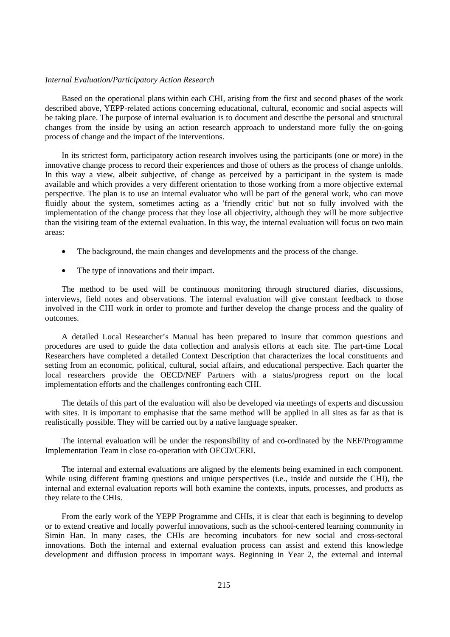#### *Internal Evaluation/Participatory Action Research*

Based on the operational plans within each CHI, arising from the first and second phases of the work described above, YEPP-related actions concerning educational, cultural, economic and social aspects will be taking place. The purpose of internal evaluation is to document and describe the personal and structural changes from the inside by using an action research approach to understand more fully the on-going process of change and the impact of the interventions.

In its strictest form, participatory action research involves using the participants (one or more) in the innovative change process to record their experiences and those of others as the process of change unfolds. In this way a view, albeit subjective, of change as perceived by a participant in the system is made available and which provides a very different orientation to those working from a more objective external perspective. The plan is to use an internal evaluator who will be part of the general work, who can move fluidly about the system, sometimes acting as a 'friendly critic' but not so fully involved with the implementation of the change process that they lose all objectivity, although they will be more subjective than the visiting team of the external evaluation. In this way, the internal evaluation will focus on two main areas:

- The background, the main changes and developments and the process of the change.
- The type of innovations and their impact.

The method to be used will be continuous monitoring through structured diaries, discussions, interviews, field notes and observations. The internal evaluation will give constant feedback to those involved in the CHI work in order to promote and further develop the change process and the quality of outcomes.

A detailed Local Researcher's Manual has been prepared to insure that common questions and procedures are used to guide the data collection and analysis efforts at each site. The part-time Local Researchers have completed a detailed Context Description that characterizes the local constituents and setting from an economic, political, cultural, social affairs, and educational perspective. Each quarter the local researchers provide the OECD/NEF Partners with a status/progress report on the local implementation efforts and the challenges confronting each CHI.

The details of this part of the evaluation will also be developed via meetings of experts and discussion with sites. It is important to emphasise that the same method will be applied in all sites as far as that is realistically possible. They will be carried out by a native language speaker.

The internal evaluation will be under the responsibility of and co-ordinated by the NEF/Programme Implementation Team in close co-operation with OECD/CERI.

The internal and external evaluations are aligned by the elements being examined in each component. While using different framing questions and unique perspectives (i.e., inside and outside the CHI), the internal and external evaluation reports will both examine the contexts, inputs, processes, and products as they relate to the CHIs.

From the early work of the YEPP Programme and CHIs, it is clear that each is beginning to develop or to extend creative and locally powerful innovations, such as the school-centered learning community in Simin Han. In many cases, the CHIs are becoming incubators for new social and cross-sectoral innovations. Both the internal and external evaluation process can assist and extend this knowledge development and diffusion process in important ways. Beginning in Year 2, the external and internal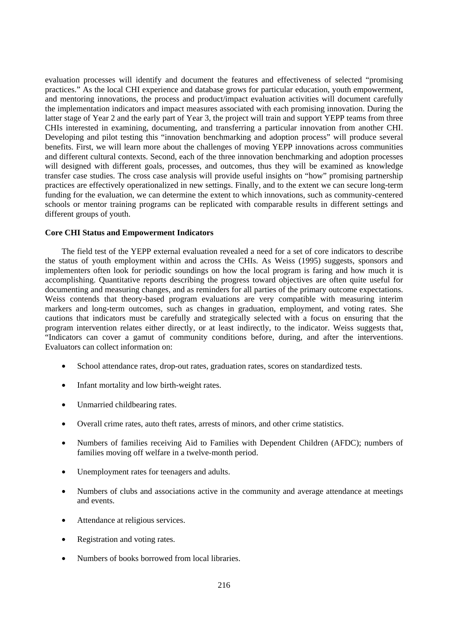evaluation processes will identify and document the features and effectiveness of selected "promising practices." As the local CHI experience and database grows for particular education, youth empowerment, and mentoring innovations, the process and product/impact evaluation activities will document carefully the implementation indicators and impact measures associated with each promising innovation. During the latter stage of Year 2 and the early part of Year 3, the project will train and support YEPP teams from three CHIs interested in examining, documenting, and transferring a particular innovation from another CHI. Developing and pilot testing this "innovation benchmarking and adoption process" will produce several benefits. First, we will learn more about the challenges of moving YEPP innovations across communities and different cultural contexts. Second, each of the three innovation benchmarking and adoption processes will designed with different goals, processes, and outcomes, thus they will be examined as knowledge transfer case studies. The cross case analysis will provide useful insights on "how" promising partnership practices are effectively operationalized in new settings. Finally, and to the extent we can secure long-term funding for the evaluation, we can determine the extent to which innovations, such as community-centered schools or mentor training programs can be replicated with comparable results in different settings and different groups of youth.

#### **Core CHI Status and Empowerment Indicators**

The field test of the YEPP external evaluation revealed a need for a set of core indicators to describe the status of youth employment within and across the CHIs. As Weiss (1995) suggests, sponsors and implementers often look for periodic soundings on how the local program is faring and how much it is accomplishing. Quantitative reports describing the progress toward objectives are often quite useful for documenting and measuring changes, and as reminders for all parties of the primary outcome expectations. Weiss contends that theory-based program evaluations are very compatible with measuring interim markers and long-term outcomes, such as changes in graduation, employment, and voting rates. She cautions that indicators must be carefully and strategically selected with a focus on ensuring that the program intervention relates either directly, or at least indirectly, to the indicator. Weiss suggests that, "Indicators can cover a gamut of community conditions before, during, and after the interventions. Evaluators can collect information on:

- School attendance rates, drop-out rates, graduation rates, scores on standardized tests.
- Infant mortality and low birth-weight rates.
- Unmarried childbearing rates.
- Overall crime rates, auto theft rates, arrests of minors, and other crime statistics.
- Numbers of families receiving Aid to Families with Dependent Children (AFDC); numbers of families moving off welfare in a twelve-month period.
- Unemployment rates for teenagers and adults.
- Numbers of clubs and associations active in the community and average attendance at meetings and events.
- Attendance at religious services.
- Registration and voting rates.
- Numbers of books borrowed from local libraries.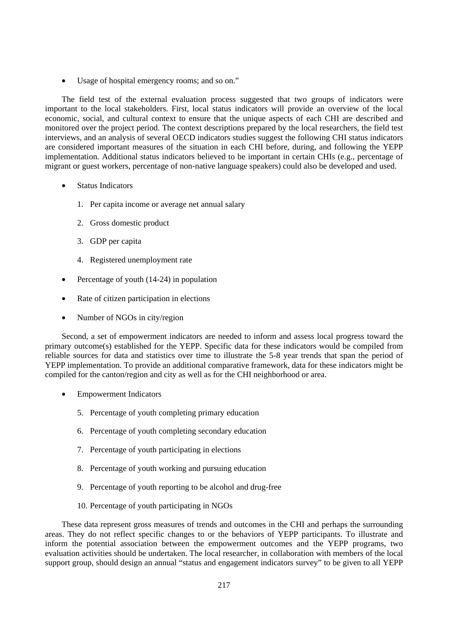• Usage of hospital emergency rooms; and so on."

The field test of the external evaluation process suggested that two groups of indicators were important to the local stakeholders. First, local status indicators will provide an overview of the local economic, social, and cultural context to ensure that the unique aspects of each CHI are described and monitored over the project period. The context descriptions prepared by the local researchers, the field test interviews, and an analysis of several OECD indicators studies suggest the following CHI status indicators are considered important measures of the situation in each CHI before, during, and following the YEPP implementation. Additional status indicators believed to be important in certain CHIs (e.g., percentage of migrant or guest workers, percentage of non-native language speakers) could also be developed and used.

- Status Indicators
	- 1. Per capita income or average net annual salary
	- 2. Gross domestic product
	- 3. GDP per capita
	- 4. Registered unemployment rate
- Percentage of youth (14-24) in population
- Rate of citizen participation in elections
- Number of NGOs in city/region

Second, a set of empowerment indicators are needed to inform and assess local progress toward the primary outcome(s) established for the YEPP. Specific data for these indicators would be compiled from reliable sources for data and statistics over time to illustrate the 5-8 year trends that span the period of YEPP implementation. To provide an additional comparative framework, data for these indicators might be compiled for the canton/region and city as well as for the CHI neighborhood or area.

- Empowerment Indicators
	- 5. Percentage of youth completing primary education
	- 6. Percentage of youth completing secondary education
	- 7. Percentage of youth participating in elections
	- 8. Percentage of youth working and pursuing education
	- 9. Percentage of youth reporting to be alcohol and drug-free
	- 10. Percentage of youth participating in NGOs

These data represent gross measures of trends and outcomes in the CHI and perhaps the surrounding areas. They do not reflect specific changes to or the behaviors of YEPP participants. To illustrate and inform the potential association between the empowerment outcomes and the YEPP programs, two evaluation activities should be undertaken. The local researcher, in collaboration with members of the local support group, should design an annual "status and engagement indicators survey" to be given to all YEPP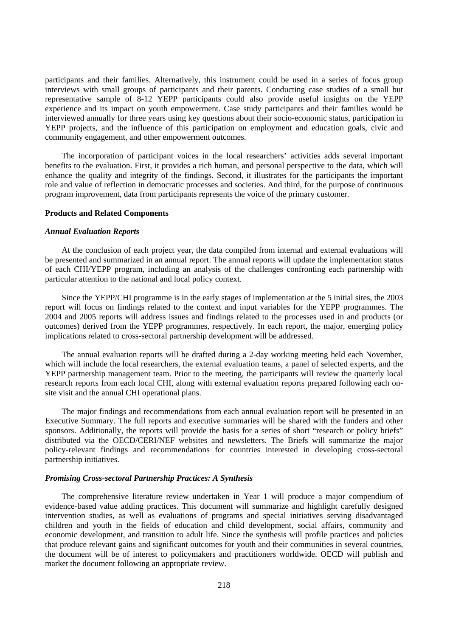participants and their families. Alternatively, this instrument could be used in a series of focus group interviews with small groups of participants and their parents. Conducting case studies of a small but representative sample of 8-12 YEPP participants could also provide useful insights on the YEPP experience and its impact on youth empowerment. Case study participants and their families would be interviewed annually for three years using key questions about their socio-economic status, participation in YEPP projects, and the influence of this participation on employment and education goals, civic and community engagement, and other empowerment outcomes.

The incorporation of participant voices in the local researchers' activities adds several important benefits to the evaluation. First, it provides a rich human, and personal perspective to the data, which will enhance the quality and integrity of the findings. Second, it illustrates for the participants the important role and value of reflection in democratic processes and societies. And third, for the purpose of continuous program improvement, data from participants represents the voice of the primary customer.

### **Products and Related Components**

#### *Annual Evaluation Reports*

At the conclusion of each project year, the data compiled from internal and external evaluations will be presented and summarized in an annual report. The annual reports will update the implementation status of each CHI/YEPP program, including an analysis of the challenges confronting each partnership with particular attention to the national and local policy context.

Since the YEPP/CHI programme is in the early stages of implementation at the 5 initial sites, the 2003 report will focus on findings related to the context and input variables for the YEPP programmes. The 2004 and 2005 reports will address issues and findings related to the processes used in and products (or outcomes) derived from the YEPP programmes, respectively. In each report, the major, emerging policy implications related to cross-sectoral partnership development will be addressed.

The annual evaluation reports will be drafted during a 2-day working meeting held each November, which will include the local researchers, the external evaluation teams, a panel of selected experts, and the YEPP partnership management team. Prior to the meeting, the participants will review the quarterly local research reports from each local CHI, along with external evaluation reports prepared following each onsite visit and the annual CHI operational plans.

The major findings and recommendations from each annual evaluation report will be presented in an Executive Summary. The full reports and executive summaries will be shared with the funders and other sponsors. Additionally, the reports will provide the basis for a series of short "research or policy briefs" distributed via the OECD/CERI/NEF websites and newsletters. The Briefs will summarize the major policy-relevant findings and recommendations for countries interested in developing cross-sectoral partnership initiatives.

### *Promising Cross-sectoral Partnership Practices: A Synthesis*

The comprehensive literature review undertaken in Year 1 will produce a major compendium of evidence-based value adding practices. This document will summarize and highlight carefully designed intervention studies, as well as evaluations of programs and special initiatives serving disadvantaged children and youth in the fields of education and child development, social affairs, community and economic development, and transition to adult life. Since the synthesis will profile practices and policies that produce relevant gains and significant outcomes for youth and their communities in several countries, the document will be of interest to policymakers and practitioners worldwide. OECD will publish and market the document following an appropriate review.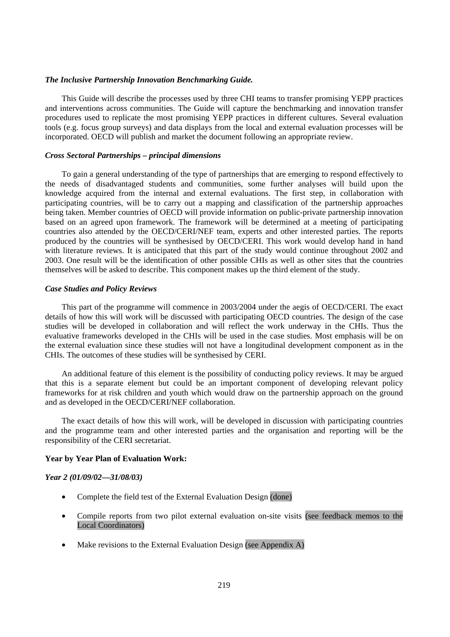### *The Inclusive Partnership Innovation Benchmarking Guide.*

This Guide will describe the processes used by three CHI teams to transfer promising YEPP practices and interventions across communities. The Guide will capture the benchmarking and innovation transfer procedures used to replicate the most promising YEPP practices in different cultures. Several evaluation tools (e.g. focus group surveys) and data displays from the local and external evaluation processes will be incorporated. OECD will publish and market the document following an appropriate review.

### *Cross Sectoral Partnerships – principal dimensions*

To gain a general understanding of the type of partnerships that are emerging to respond effectively to the needs of disadvantaged students and communities, some further analyses will build upon the knowledge acquired from the internal and external evaluations. The first step, in collaboration with participating countries, will be to carry out a mapping and classification of the partnership approaches being taken. Member countries of OECD will provide information on public-private partnership innovation based on an agreed upon framework. The framework will be determined at a meeting of participating countries also attended by the OECD/CERI/NEF team, experts and other interested parties. The reports produced by the countries will be synthesised by OECD/CERI. This work would develop hand in hand with literature reviews. It is anticipated that this part of the study would continue throughout 2002 and 2003. One result will be the identification of other possible CHIs as well as other sites that the countries themselves will be asked to describe. This component makes up the third element of the study.

### *Case Studies and Policy Reviews*

This part of the programme will commence in 2003/2004 under the aegis of OECD/CERI. The exact details of how this will work will be discussed with participating OECD countries. The design of the case studies will be developed in collaboration and will reflect the work underway in the CHIs. Thus the evaluative frameworks developed in the CHIs will be used in the case studies. Most emphasis will be on the external evaluation since these studies will not have a longitudinal development component as in the CHIs. The outcomes of these studies will be synthesised by CERI.

An additional feature of this element is the possibility of conducting policy reviews. It may be argued that this is a separate element but could be an important component of developing relevant policy frameworks for at risk children and youth which would draw on the partnership approach on the ground and as developed in the OECD/CERI/NEF collaboration.

The exact details of how this will work, will be developed in discussion with participating countries and the programme team and other interested parties and the organisation and reporting will be the responsibility of the CERI secretariat.

### **Year by Year Plan of Evaluation Work:**

### *Year 2 (01/09/02—31/08/03)*

- Complete the field test of the External Evaluation Design (done)
- Compile reports from two pilot external evaluation on-site visits (see feedback memos to the Local Coordinators)
- Make revisions to the External Evaluation Design (see Appendix A)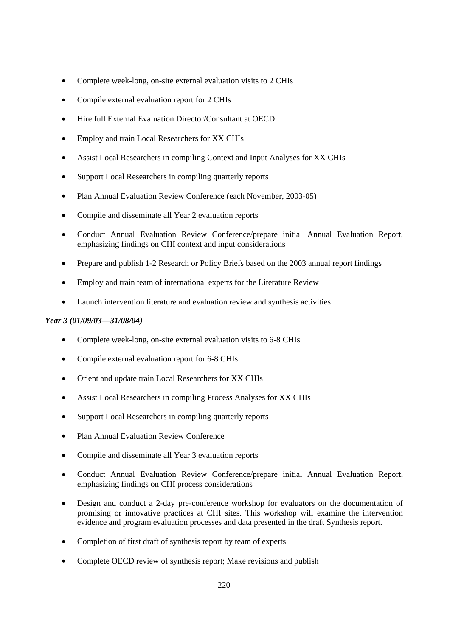- Complete week-long, on-site external evaluation visits to 2 CHIs
- Compile external evaluation report for 2 CHIs
- Hire full External Evaluation Director/Consultant at OECD
- Employ and train Local Researchers for XX CHIs
- Assist Local Researchers in compiling Context and Input Analyses for XX CHIs
- Support Local Researchers in compiling quarterly reports
- Plan Annual Evaluation Review Conference (each November, 2003-05)
- Compile and disseminate all Year 2 evaluation reports
- Conduct Annual Evaluation Review Conference/prepare initial Annual Evaluation Report, emphasizing findings on CHI context and input considerations
- Prepare and publish 1-2 Research or Policy Briefs based on the 2003 annual report findings
- Employ and train team of international experts for the Literature Review
- Launch intervention literature and evaluation review and synthesis activities

# *Year 3 (01/09/03—31/08/04)*

- Complete week-long, on-site external evaluation visits to 6-8 CHIs
- Compile external evaluation report for 6-8 CHIs
- Orient and update train Local Researchers for XX CHIs
- Assist Local Researchers in compiling Process Analyses for XX CHIs
- Support Local Researchers in compiling quarterly reports
- Plan Annual Evaluation Review Conference
- Compile and disseminate all Year 3 evaluation reports
- Conduct Annual Evaluation Review Conference/prepare initial Annual Evaluation Report, emphasizing findings on CHI process considerations
- Design and conduct a 2-day pre-conference workshop for evaluators on the documentation of promising or innovative practices at CHI sites. This workshop will examine the intervention evidence and program evaluation processes and data presented in the draft Synthesis report.
- Completion of first draft of synthesis report by team of experts
- Complete OECD review of synthesis report; Make revisions and publish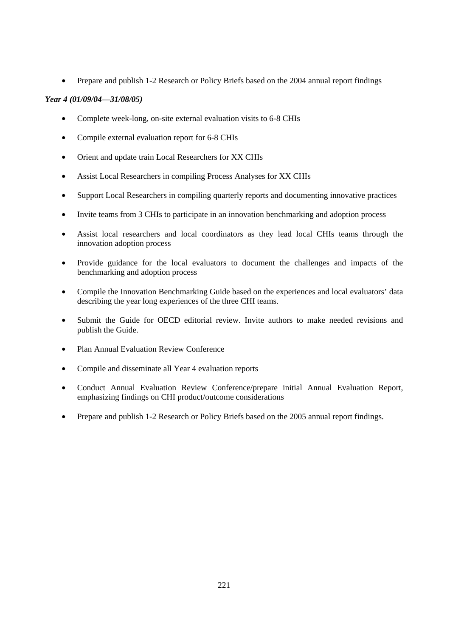• Prepare and publish 1-2 Research or Policy Briefs based on the 2004 annual report findings

# *Year 4 (01/09/04—31/08/05)*

- Complete week-long, on-site external evaluation visits to 6-8 CHIs
- Compile external evaluation report for 6-8 CHIs
- Orient and update train Local Researchers for XX CHIs
- Assist Local Researchers in compiling Process Analyses for XX CHIs
- Support Local Researchers in compiling quarterly reports and documenting innovative practices
- Invite teams from 3 CHIs to participate in an innovation benchmarking and adoption process
- Assist local researchers and local coordinators as they lead local CHIs teams through the innovation adoption process
- Provide guidance for the local evaluators to document the challenges and impacts of the benchmarking and adoption process
- Compile the Innovation Benchmarking Guide based on the experiences and local evaluators' data describing the year long experiences of the three CHI teams.
- Submit the Guide for OECD editorial review. Invite authors to make needed revisions and publish the Guide.
- Plan Annual Evaluation Review Conference
- Compile and disseminate all Year 4 evaluation reports
- Conduct Annual Evaluation Review Conference/prepare initial Annual Evaluation Report, emphasizing findings on CHI product/outcome considerations
- Prepare and publish 1-2 Research or Policy Briefs based on the 2005 annual report findings.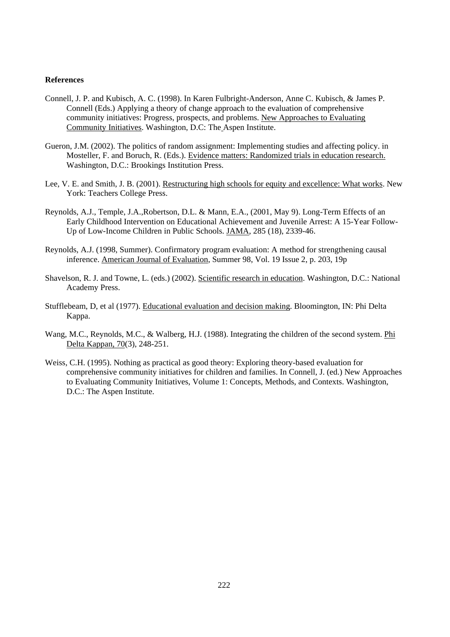### **References**

- Connell, J. P. and Kubisch, A. C. (1998). In Karen Fulbright-Anderson, Anne C. Kubisch, & James P. Connell (Eds.) Applying a theory of change approach to the evaluation of comprehensive community initiatives: Progress, prospects, and problems. New Approaches to Evaluating Community Initiatives. Washington, D.C: The Aspen Institute.
- Gueron, J.M. (2002). The politics of random assignment: Implementing studies and affecting policy. in Mosteller, F. and Boruch, R. (Eds.). Evidence matters: Randomized trials in education research. Washington, D.C.: Brookings Institution Press.
- Lee, V. E. and Smith, J. B. (2001). Restructuring high schools for equity and excellence: What works. New York: Teachers College Press.
- Reynolds, A.J., Temple, J.A.,Robertson, D.L. & Mann, E.A., (2001, May 9). Long-Term Effects of an Early Childhood Intervention on Educational Achievement and Juvenile Arrest: A 15-Year Follow-Up of Low-Income Children in Public Schools. JAMA, 285 (18), 2339-46.
- Reynolds, A.J. (1998, Summer). Confirmatory program evaluation: A method for strengthening causal inference. American Journal of Evaluation, Summer 98, Vol. 19 Issue 2, p. 203, 19p
- Shavelson, R. J. and Towne, L. (eds.) (2002). Scientific research in education. Washington, D.C.: National Academy Press.
- Stufflebeam, D, et al (1977). Educational evaluation and decision making. Bloomington, IN: Phi Delta Kappa.
- Wang, M.C., Reynolds, M.C., & Walberg, H.J. (1988). Integrating the children of the second system. Phi Delta Kappan, 70(3), 248-251.
- Weiss, C.H. (1995). Nothing as practical as good theory: Exploring theory-based evaluation for comprehensive community initiatives for children and families. In Connell, J. (ed.) New Approaches to Evaluating Community Initiatives, Volume 1: Concepts, Methods, and Contexts. Washington, D.C.: The Aspen Institute.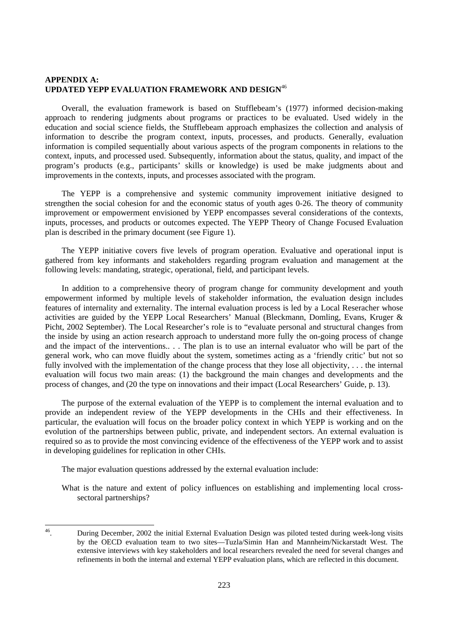# **APPENDIX A: UPDATED YEPP EVALUATION FRAMEWORK AND DESIGN**<sup>46</sup>

Overall, the evaluation framework is based on Stufflebeam's (1977) informed decision-making approach to rendering judgments about programs or practices to be evaluated. Used widely in the education and social science fields, the Stufflebeam approach emphasizes the collection and analysis of information to describe the program context, inputs, processes, and products. Generally, evaluation information is compiled sequentially about various aspects of the program components in relations to the context, inputs, and processed used. Subsequently, information about the status, quality, and impact of the program's products (e.g., participants' skills or knowledge) is used be make judgments about and improvements in the contexts, inputs, and processes associated with the program.

The YEPP is a comprehensive and systemic community improvement initiative designed to strengthen the social cohesion for and the economic status of youth ages 0-26. The theory of community improvement or empowerment envisioned by YEPP encompasses several considerations of the contexts, inputs, processes, and products or outcomes expected. The YEPP Theory of Change Focused Evaluation plan is described in the primary document (see Figure 1).

The YEPP initiative covers five levels of program operation. Evaluative and operational input is gathered from key informants and stakeholders regarding program evaluation and management at the following levels: mandating, strategic, operational, field, and participant levels.

In addition to a comprehensive theory of program change for community development and youth empowerment informed by multiple levels of stakeholder information, the evaluation design includes features of internality and externality. The internal evaluation process is led by a Local Reseracher whose activities are guided by the YEPP Local Researchers' Manual (Bleckmann, Domling, Evans, Kruger & Picht, 2002 September). The Local Researcher's role is to "evaluate personal and structural changes from the inside by using an action research approach to understand more fully the on-going process of change and the impact of the interventions.. . . The plan is to use an internal evaluator who will be part of the general work, who can move fluidly about the system, sometimes acting as a 'friendly critic' but not so fully involved with the implementation of the change process that they lose all objectivity, . . . the internal evaluation will focus two main areas: (1) the background the main changes and developments and the process of changes, and (20 the type on innovations and their impact (Local Researchers' Guide, p. 13).

The purpose of the external evaluation of the YEPP is to complement the internal evaluation and to provide an independent review of the YEPP developments in the CHIs and their effectiveness. In particular, the evaluation will focus on the broader policy context in which YEPP is working and on the evolution of the partnerships between public, private, and independent sectors. An external evaluation is required so as to provide the most convincing evidence of the effectiveness of the YEPP work and to assist in developing guidelines for replication in other CHIs.

The major evaluation questions addressed by the external evaluation include:

What is the nature and extent of policy influences on establishing and implementing local crosssectoral partnerships?

 $46\,$ 46. During December, 2002 the initial External Evaluation Design was piloted tested during week-long visits by the OECD evaluation team to two sites—Tuzla/Simin Han and Mannheim/Nickarstadt West. The extensive interviews with key stakeholders and local researchers revealed the need for several changes and refinements in both the internal and external YEPP evaluation plans, which are reflected in this document.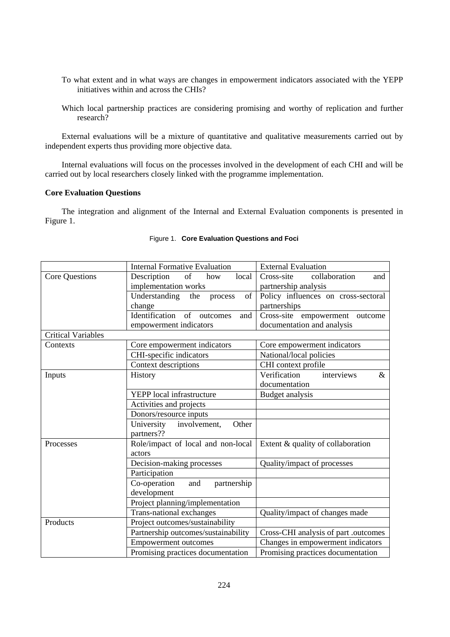- To what extent and in what ways are changes in empowerment indicators associated with the YEPP initiatives within and across the CHIs?
- Which local partnership practices are considering promising and worthy of replication and further research?

External evaluations will be a mixture of quantitative and qualitative measurements carried out by independent experts thus providing more objective data.

Internal evaluations will focus on the processes involved in the development of each CHI and will be carried out by local researchers closely linked with the programme implementation.

# **Core Evaluation Questions**

The integration and alignment of the Internal and External Evaluation components is presented in Figure 1.

|                           | <b>Internal Formative Evaluation</b>    | <b>External Evaluation</b>           |
|---------------------------|-----------------------------------------|--------------------------------------|
| Core Questions            | of<br>Description<br>local<br>how       | Cross-site<br>collaboration<br>and   |
|                           | implementation works                    | partnership analysis                 |
|                           | of<br>Understanding<br>the<br>process   | Policy influences on cross-sectoral  |
|                           | change                                  | partnerships                         |
|                           | Identification<br>of<br>and<br>outcomes | Cross-site empowerment outcome       |
|                           | empowerment indicators                  | documentation and analysis           |
| <b>Critical Variables</b> |                                         |                                      |
| Contexts                  | Core empowerment indicators             | Core empowerment indicators          |
|                           | CHI-specific indicators                 | National/local policies              |
|                           | Context descriptions                    | CHI context profile                  |
| Inputs                    | History                                 | interviews<br>Verification<br>$\&$   |
|                           |                                         | documentation                        |
|                           | <b>YEPP</b> local infrastructure        | Budget analysis                      |
|                           | Activities and projects                 |                                      |
|                           | Donors/resource inputs                  |                                      |
|                           | University<br>involvement,<br>Other     |                                      |
|                           | partners??                              |                                      |
| Processes                 | Role/impact of local and non-local      | Extent & quality of collaboration    |
|                           | actors                                  |                                      |
|                           | Decision-making processes               | Quality/impact of processes          |
|                           | Participation                           |                                      |
|                           | Co-operation<br>partnership<br>and      |                                      |
|                           | development                             |                                      |
|                           | Project planning/implementation         |                                      |
|                           | Trans-national exchanges                | Quality/impact of changes made       |
| Products                  | Project outcomes/sustainability         |                                      |
|                           | Partnership outcomes/sustainability     | Cross-CHI analysis of part .outcomes |
|                           | <b>Empowerment outcomes</b>             | Changes in empowerment indicators    |
|                           | Promising practices documentation       | Promising practices documentation    |

# Figure 1. **Core Evaluation Questions and Foci**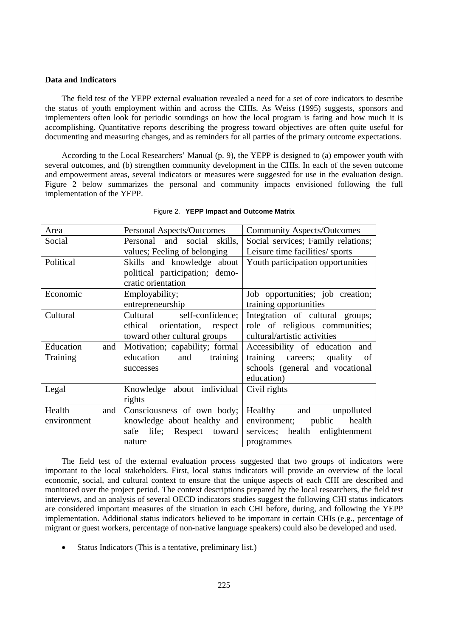# **Data and Indicators**

The field test of the YEPP external evaluation revealed a need for a set of core indicators to describe the status of youth employment within and across the CHIs. As Weiss (1995) suggests, sponsors and implementers often look for periodic soundings on how the local program is faring and how much it is accomplishing. Quantitative reports describing the progress toward objectives are often quite useful for documenting and measuring changes, and as reminders for all parties of the primary outcome expectations.

According to the Local Researchers' Manual (p. 9), the YEPP is designed to (a) empower youth with several outcomes, and (b) strengthen community development in the CHIs. In each of the seven outcome and empowerment areas, several indicators or measures were suggested for use in the evaluation design. Figure 2 below summarizes the personal and community impacts envisioned following the full implementation of the YEPP.

| Area             | Personal Aspects/Outcomes      | <b>Community Aspects/Outcomes</b>  |  |
|------------------|--------------------------------|------------------------------------|--|
| Social           | Personal and social skills,    | Social services; Family relations; |  |
|                  | values; Feeling of belonging   | Leisure time facilities/ sports    |  |
| Political        | Skills and knowledge about     | Youth participation opportunities  |  |
|                  | political participation; demo- |                                    |  |
|                  | cratic orientation             |                                    |  |
| Economic         | Employability;                 | Job opportunities; job creation;   |  |
|                  | entrepreneurship               | training opportunities             |  |
| Cultural         | Cultural self-confidence;      | Integration of cultural groups;    |  |
|                  | ethical orientation, respect   | role of religious communities;     |  |
|                  | toward other cultural groups   | cultural/artistic activities       |  |
| Education<br>and | Motivation; capability; formal | Accessibility of education and     |  |
| Training         | education<br>and<br>training   | training careers; quality of       |  |
|                  | successes                      | schools (general and vocational    |  |
|                  |                                | education)                         |  |
| Legal            | Knowledge about individual     | Civil rights                       |  |
|                  | rights                         |                                    |  |
| Health<br>and    | Consciousness of own body;     | Healthy and unpolluted             |  |
| environment      | knowledge about healthy and    | environment; public<br>health      |  |
|                  | safe life; Respect toward      | services; health enlightenment     |  |
|                  | nature                         | programmes                         |  |

#### Figure 2. **YEPP Impact and Outcome Matrix**

The field test of the external evaluation process suggested that two groups of indicators were important to the local stakeholders. First, local status indicators will provide an overview of the local economic, social, and cultural context to ensure that the unique aspects of each CHI are described and monitored over the project period. The context descriptions prepared by the local researchers, the field test interviews, and an analysis of several OECD indicators studies suggest the following CHI status indicators are considered important measures of the situation in each CHI before, during, and following the YEPP implementation. Additional status indicators believed to be important in certain CHIs (e.g., percentage of migrant or guest workers, percentage of non-native language speakers) could also be developed and used.

• Status Indicators (This is a tentative, preliminary list.)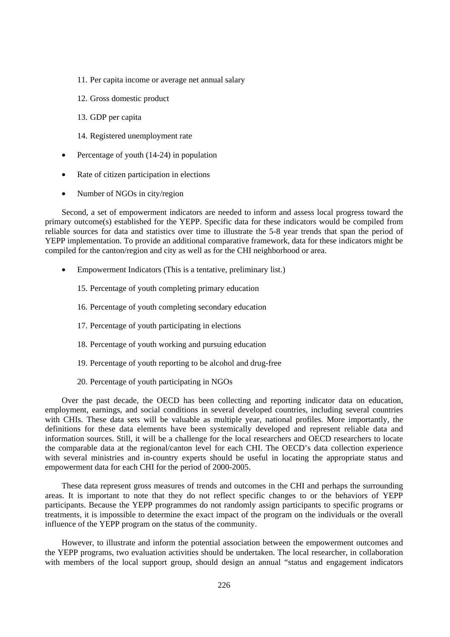- 11. Per capita income or average net annual salary
- 12. Gross domestic product
- 13. GDP per capita
- 14. Registered unemployment rate
- Percentage of youth (14-24) in population
- Rate of citizen participation in elections
- Number of NGOs in city/region

Second, a set of empowerment indicators are needed to inform and assess local progress toward the primary outcome(s) established for the YEPP. Specific data for these indicators would be compiled from reliable sources for data and statistics over time to illustrate the 5-8 year trends that span the period of YEPP implementation. To provide an additional comparative framework, data for these indicators might be compiled for the canton/region and city as well as for the CHI neighborhood or area.

- Empowerment Indicators (This is a tentative, preliminary list.)
	- 15. Percentage of youth completing primary education
	- 16. Percentage of youth completing secondary education
	- 17. Percentage of youth participating in elections
	- 18. Percentage of youth working and pursuing education
	- 19. Percentage of youth reporting to be alcohol and drug-free
	- 20. Percentage of youth participating in NGOs

Over the past decade, the OECD has been collecting and reporting indicator data on education, employment, earnings, and social conditions in several developed countries, including several countries with CHIs. These data sets will be valuable as multiple year, national profiles. More importantly, the definitions for these data elements have been systemically developed and represent reliable data and information sources. Still, it will be a challenge for the local researchers and OECD researchers to locate the comparable data at the regional/canton level for each CHI. The OECD's data collection experience with several ministries and in-country experts should be useful in locating the appropriate status and empowerment data for each CHI for the period of 2000-2005.

These data represent gross measures of trends and outcomes in the CHI and perhaps the surrounding areas. It is important to note that they do not reflect specific changes to or the behaviors of YEPP participants. Because the YEPP programmes do not randomly assign participants to specific programs or treatments, it is impossible to determine the exact impact of the program on the individuals or the overall influence of the YEPP program on the status of the community.

However, to illustrate and inform the potential association between the empowerment outcomes and the YEPP programs, two evaluation activities should be undertaken. The local researcher, in collaboration with members of the local support group, should design an annual "status and engagement indicators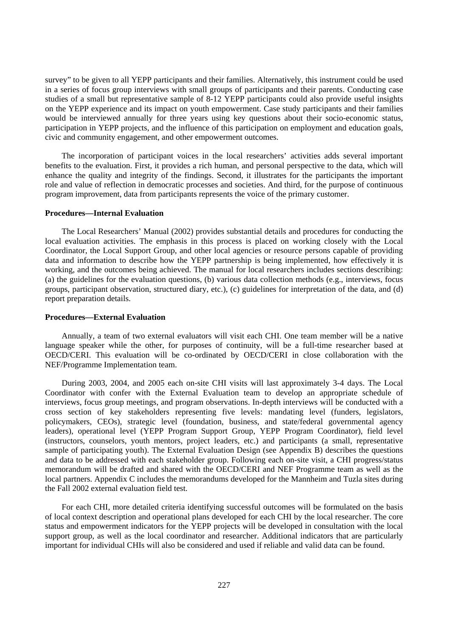survey" to be given to all YEPP participants and their families. Alternatively, this instrument could be used in a series of focus group interviews with small groups of participants and their parents. Conducting case studies of a small but representative sample of 8-12 YEPP participants could also provide useful insights on the YEPP experience and its impact on youth empowerment. Case study participants and their families would be interviewed annually for three years using key questions about their socio-economic status, participation in YEPP projects, and the influence of this participation on employment and education goals, civic and community engagement, and other empowerment outcomes.

The incorporation of participant voices in the local researchers' activities adds several important benefits to the evaluation. First, it provides a rich human, and personal perspective to the data, which will enhance the quality and integrity of the findings. Second, it illustrates for the participants the important role and value of reflection in democratic processes and societies. And third, for the purpose of continuous program improvement, data from participants represents the voice of the primary customer.

# **Procedures—Internal Evaluation**

The Local Researchers' Manual (2002) provides substantial details and procedures for conducting the local evaluation activities. The emphasis in this process is placed on working closely with the Local Coordinator, the Local Support Group, and other local agencies or resource persons capable of providing data and information to describe how the YEPP partnership is being implemented, how effectively it is working, and the outcomes being achieved. The manual for local researchers includes sections describing: (a) the guidelines for the evaluation questions, (b) various data collection methods (e.g., interviews, focus groups, participant observation, structured diary, etc.), (c) guidelines for interpretation of the data, and (d) report preparation details.

### **Procedures—External Evaluation**

Annually, a team of two external evaluators will visit each CHI. One team member will be a native language speaker while the other, for purposes of continuity, will be a full-time researcher based at OECD/CERI. This evaluation will be co-ordinated by OECD/CERI in close collaboration with the NEF/Programme Implementation team.

During 2003, 2004, and 2005 each on-site CHI visits will last approximately 3-4 days. The Local Coordinator with confer with the External Evaluation team to develop an appropriate schedule of interviews, focus group meetings, and program observations. In-depth interviews will be conducted with a cross section of key stakeholders representing five levels: mandating level (funders, legislators, policymakers, CEOs), strategic level (foundation, business, and state/federal governmental agency leaders), operational level (YEPP Program Support Group, YEPP Program Coordinator), field level (instructors, counselors, youth mentors, project leaders, etc.) and participants (a small, representative sample of participating youth). The External Evaluation Design (see Appendix B) describes the questions and data to be addressed with each stakeholder group. Following each on-site visit, a CHI progress/status memorandum will be drafted and shared with the OECD/CERI and NEF Programme team as well as the local partners. Appendix C includes the memorandums developed for the Mannheim and Tuzla sites during the Fall 2002 external evaluation field test.

For each CHI, more detailed criteria identifying successful outcomes will be formulated on the basis of local context description and operational plans developed for each CHI by the local researcher. The core status and empowerment indicators for the YEPP projects will be developed in consultation with the local support group, as well as the local coordinator and researcher. Additional indicators that are particularly important for individual CHIs will also be considered and used if reliable and valid data can be found.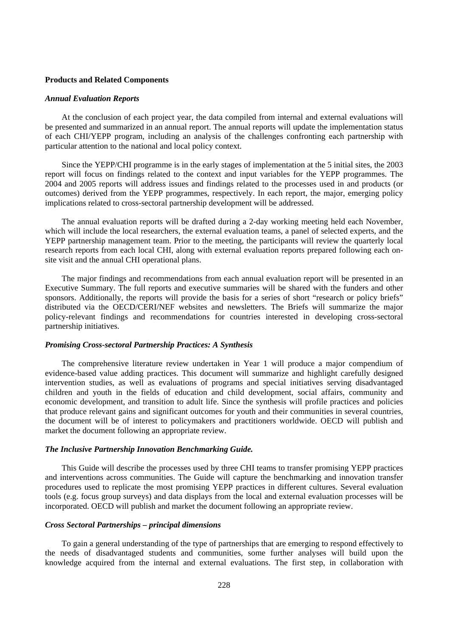### **Products and Related Components**

### *Annual Evaluation Reports*

At the conclusion of each project year, the data compiled from internal and external evaluations will be presented and summarized in an annual report. The annual reports will update the implementation status of each CHI/YEPP program, including an analysis of the challenges confronting each partnership with particular attention to the national and local policy context.

Since the YEPP/CHI programme is in the early stages of implementation at the 5 initial sites, the 2003 report will focus on findings related to the context and input variables for the YEPP programmes. The 2004 and 2005 reports will address issues and findings related to the processes used in and products (or outcomes) derived from the YEPP programmes, respectively. In each report, the major, emerging policy implications related to cross-sectoral partnership development will be addressed.

The annual evaluation reports will be drafted during a 2-day working meeting held each November, which will include the local researchers, the external evaluation teams, a panel of selected experts, and the YEPP partnership management team. Prior to the meeting, the participants will review the quarterly local research reports from each local CHI, along with external evaluation reports prepared following each onsite visit and the annual CHI operational plans.

The major findings and recommendations from each annual evaluation report will be presented in an Executive Summary. The full reports and executive summaries will be shared with the funders and other sponsors. Additionally, the reports will provide the basis for a series of short "research or policy briefs" distributed via the OECD/CERI/NEF websites and newsletters. The Briefs will summarize the major policy-relevant findings and recommendations for countries interested in developing cross-sectoral partnership initiatives.

### *Promising Cross-sectoral Partnership Practices: A Synthesis*

The comprehensive literature review undertaken in Year 1 will produce a major compendium of evidence-based value adding practices. This document will summarize and highlight carefully designed intervention studies, as well as evaluations of programs and special initiatives serving disadvantaged children and youth in the fields of education and child development, social affairs, community and economic development, and transition to adult life. Since the synthesis will profile practices and policies that produce relevant gains and significant outcomes for youth and their communities in several countries, the document will be of interest to policymakers and practitioners worldwide. OECD will publish and market the document following an appropriate review.

#### *The Inclusive Partnership Innovation Benchmarking Guide.*

This Guide will describe the processes used by three CHI teams to transfer promising YEPP practices and interventions across communities. The Guide will capture the benchmarking and innovation transfer procedures used to replicate the most promising YEPP practices in different cultures. Several evaluation tools (e.g. focus group surveys) and data displays from the local and external evaluation processes will be incorporated. OECD will publish and market the document following an appropriate review.

# *Cross Sectoral Partnerships – principal dimensions*

To gain a general understanding of the type of partnerships that are emerging to respond effectively to the needs of disadvantaged students and communities, some further analyses will build upon the knowledge acquired from the internal and external evaluations. The first step, in collaboration with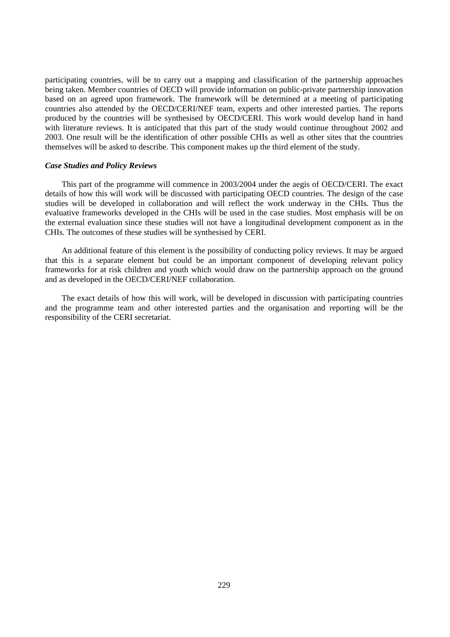participating countries, will be to carry out a mapping and classification of the partnership approaches being taken. Member countries of OECD will provide information on public-private partnership innovation based on an agreed upon framework. The framework will be determined at a meeting of participating countries also attended by the OECD/CERI/NEF team, experts and other interested parties. The reports produced by the countries will be synthesised by OECD/CERI. This work would develop hand in hand with literature reviews. It is anticipated that this part of the study would continue throughout 2002 and 2003. One result will be the identification of other possible CHIs as well as other sites that the countries themselves will be asked to describe. This component makes up the third element of the study.

#### *Case Studies and Policy Reviews*

This part of the programme will commence in 2003/2004 under the aegis of OECD/CERI. The exact details of how this will work will be discussed with participating OECD countries. The design of the case studies will be developed in collaboration and will reflect the work underway in the CHIs. Thus the evaluative frameworks developed in the CHIs will be used in the case studies. Most emphasis will be on the external evaluation since these studies will not have a longitudinal development component as in the CHIs. The outcomes of these studies will be synthesised by CERI.

An additional feature of this element is the possibility of conducting policy reviews. It may be argued that this is a separate element but could be an important component of developing relevant policy frameworks for at risk children and youth which would draw on the partnership approach on the ground and as developed in the OECD/CERI/NEF collaboration.

The exact details of how this will work, will be developed in discussion with participating countries and the programme team and other interested parties and the organisation and reporting will be the responsibility of the CERI secretariat.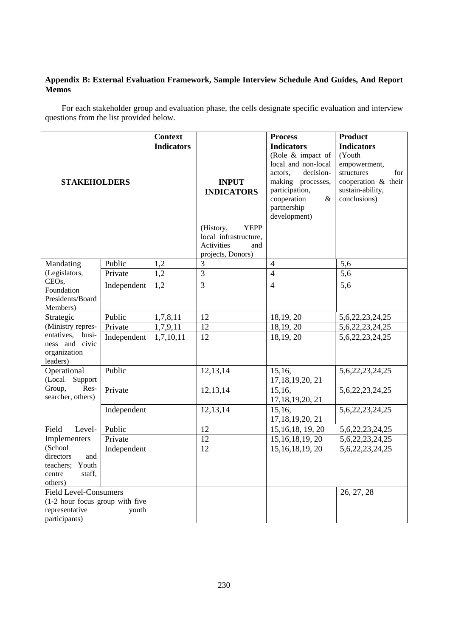# **Appendix B: External Evaluation Framework, Sample Interview Schedule And Guides, And Report Memos**

For each stakeholder group and evaluation phase, the cells designate specific evaluation and interview questions from the list provided below.

| <b>STAKEHOLDERS</b>                                                                                |             | <b>Context</b><br><b>Indicators</b> | <b>INPUT</b><br><b>INDICATORS</b>                                                                  | <b>Process</b><br><b>Indicators</b><br>(Role $&$ impact of<br>local and non-local<br>decision-<br>actors.<br>making processes,<br>participation,<br>cooperation<br>&<br>partnership | <b>Product</b><br><b>Indicators</b><br>(Youth<br>empowerment,<br>structures<br>for<br>cooperation & their<br>sustain-ability,<br>conclusions) |
|----------------------------------------------------------------------------------------------------|-------------|-------------------------------------|----------------------------------------------------------------------------------------------------|-------------------------------------------------------------------------------------------------------------------------------------------------------------------------------------|-----------------------------------------------------------------------------------------------------------------------------------------------|
|                                                                                                    |             |                                     | (History,<br><b>YEPP</b><br>local infrastructure,<br><b>Activities</b><br>and<br>projects, Donors) | development)                                                                                                                                                                        |                                                                                                                                               |
| Mandating                                                                                          | Public      | 1,2                                 | $\mathfrak{Z}$                                                                                     | $\overline{4}$                                                                                                                                                                      | 5,6                                                                                                                                           |
| (Legislators,                                                                                      | Private     | 1,2                                 | $\overline{3}$                                                                                     | $\overline{4}$                                                                                                                                                                      | 5,6                                                                                                                                           |
| CEO <sub>s</sub> ,<br>Foundation<br>Presidents/Board<br>Members)                                   | Independent | 1,2                                 | $\overline{3}$                                                                                     | $\overline{4}$                                                                                                                                                                      | 5,6                                                                                                                                           |
| Strategic                                                                                          | Public      | 1,7,8,11                            | 12                                                                                                 | 18,19,20                                                                                                                                                                            | 5, 6, 22, 23, 24, 25                                                                                                                          |
| (Ministry repres-                                                                                  | Private     | 1,7,9,11                            | 12                                                                                                 | 18,19,20                                                                                                                                                                            | 5,6,22,23,24,25                                                                                                                               |
| entatives,<br>busi-<br>ness and civic<br>organization<br>leaders)                                  | Independent | 1,7,10,11                           | 12                                                                                                 | 18,19, 20                                                                                                                                                                           | 5,6,22,23,24,25                                                                                                                               |
| Operational<br>(Local Support                                                                      | Public      |                                     | 12, 13, 14                                                                                         | 15,16,<br>17, 18, 19, 20, 21                                                                                                                                                        | 5,6,22,23,24,25                                                                                                                               |
| Group,<br>Res-<br>searcher, others)                                                                | Private     |                                     | 12, 13, 14                                                                                         | 15,16,<br>17, 18, 19, 20, 21                                                                                                                                                        | 5, 6, 22, 23, 24, 25                                                                                                                          |
|                                                                                                    | Independent |                                     | 12,13,14                                                                                           | 15,16,<br>17, 18, 19, 20, 21                                                                                                                                                        | 5,6,22,23,24,25                                                                                                                               |
| Field<br>Level-                                                                                    | Public      |                                     | 12                                                                                                 | 15, 16, 18, 19, 20                                                                                                                                                                  | 5, 6, 22, 23, 24, 25                                                                                                                          |
| Implementers                                                                                       | Private     |                                     | 12                                                                                                 | 15, 16, 18, 19, 20                                                                                                                                                                  | 5,6,22,23,24,25                                                                                                                               |
| (School<br>directors<br>and<br>teachers; Youth<br>staff,<br>centre<br>others)                      | Independent |                                     | 12                                                                                                 | 15, 16, 18, 19, 20                                                                                                                                                                  | 5,6,22,23,24,25                                                                                                                               |
| <b>Field Level-Consumers</b><br>(1-2 hour focus group with five<br>representative<br>participants) | youth       |                                     |                                                                                                    |                                                                                                                                                                                     | 26, 27, 28                                                                                                                                    |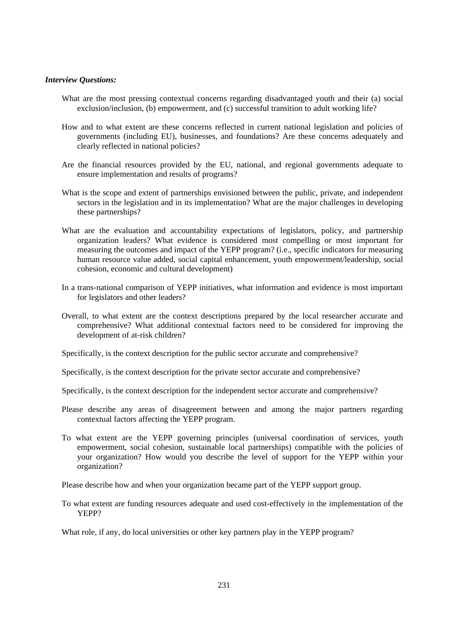# *Interview Questions:*

- What are the most pressing contextual concerns regarding disadvantaged youth and their (a) social exclusion/inclusion, (b) empowerment, and (c) successful transition to adult working life?
- How and to what extent are these concerns reflected in current national legislation and policies of governments (including EU), businesses, and foundations? Are these concerns adequately and clearly reflected in national policies?
- Are the financial resources provided by the EU, national, and regional governments adequate to ensure implementation and results of programs?
- What is the scope and extent of partnerships envisioned between the public, private, and independent sectors in the legislation and in its implementation? What are the major challenges in developing these partnerships?
- What are the evaluation and accountability expectations of legislators, policy, and partnership organization leaders? What evidence is considered most compelling or most important for measuring the outcomes and impact of the YEPP program? (i.e., specific indicators for measuring human resource value added, social capital enhancement, youth empowerment/leadership, social cohesion, economic and cultural development)
- In a trans-national comparison of YEPP initiatives, what information and evidence is most important for legislators and other leaders?
- Overall, to what extent are the context descriptions prepared by the local researcher accurate and comprehensive? What additional contextual factors need to be considered for improving the development of at-risk children?
- Specifically, is the context description for the public sector accurate and comprehensive?
- Specifically, is the context description for the private sector accurate and comprehensive?
- Specifically, is the context description for the independent sector accurate and comprehensive?
- Please describe any areas of disagreement between and among the major partners regarding contextual factors affecting the YEPP program.
- To what extent are the YEPP governing principles (universal coordination of services, youth empowerment, social cohesion, sustainable local partnerships) compatible with the policies of your organization? How would you describe the level of support for the YEPP within your organization?

Please describe how and when your organization became part of the YEPP support group.

To what extent are funding resources adequate and used cost-effectively in the implementation of the YEPP?

What role, if any, do local universities or other key partners play in the YEPP program?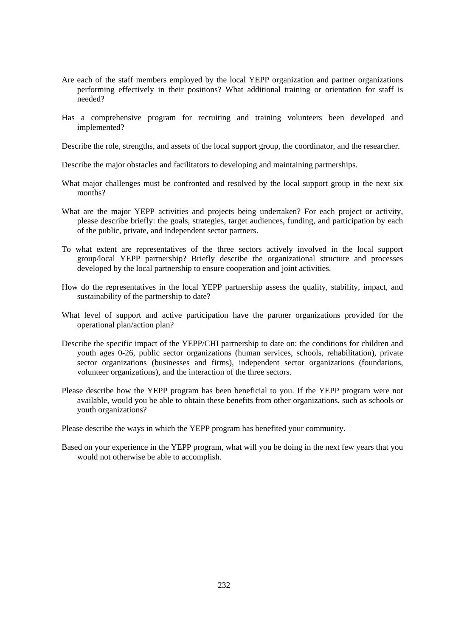- Are each of the staff members employed by the local YEPP organization and partner organizations performing effectively in their positions? What additional training or orientation for staff is needed?
- Has a comprehensive program for recruiting and training volunteers been developed and implemented?

Describe the role, strengths, and assets of the local support group, the coordinator, and the researcher.

Describe the major obstacles and facilitators to developing and maintaining partnerships.

- What major challenges must be confronted and resolved by the local support group in the next six months?
- What are the major YEPP activities and projects being undertaken? For each project or activity, please describe briefly: the goals, strategies, target audiences, funding, and participation by each of the public, private, and independent sector partners.
- To what extent are representatives of the three sectors actively involved in the local support group/local YEPP partnership? Briefly describe the organizational structure and processes developed by the local partnership to ensure cooperation and joint activities.
- How do the representatives in the local YEPP partnership assess the quality, stability, impact, and sustainability of the partnership to date?
- What level of support and active participation have the partner organizations provided for the operational plan/action plan?
- Describe the specific impact of the YEPP/CHI partnership to date on: the conditions for children and youth ages 0-26, public sector organizations (human services, schools, rehabilitation), private sector organizations (businesses and firms), independent sector organizations (foundations, volunteer organizations), and the interaction of the three sectors.
- Please describe how the YEPP program has been beneficial to you. If the YEPP program were not available, would you be able to obtain these benefits from other organizations, such as schools or youth organizations?

Please describe the ways in which the YEPP program has benefited your community.

Based on your experience in the YEPP program, what will you be doing in the next few years that you would not otherwise be able to accomplish.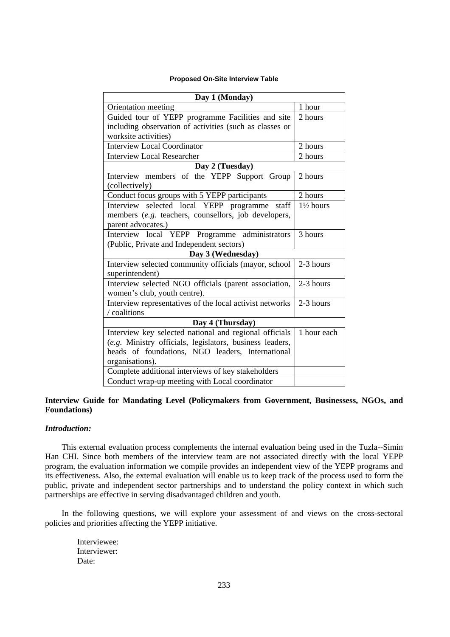# **Proposed On-Site Interview Table**

| Day 1 (Monday)                                           |                      |  |
|----------------------------------------------------------|----------------------|--|
| Orientation meeting                                      | 1 hour               |  |
| Guided tour of YEPP programme Facilities and site        | 2 hours              |  |
| including observation of activities (such as classes or  |                      |  |
| worksite activities)                                     |                      |  |
| <b>Interview Local Coordinator</b>                       | 2 hours              |  |
| <b>Interview Local Researcher</b>                        | 2 hours              |  |
| Day 2 (Tuesday)                                          |                      |  |
| Interview members of the YEPP Support Group              | 2 hours              |  |
| (collectively)                                           |                      |  |
| Conduct focus groups with 5 YEPP participants            | 2 hours              |  |
| Interview selected local YEPP programme<br>staff         | $1\frac{1}{2}$ hours |  |
| members (e.g. teachers, counsellors, job developers,     |                      |  |
| parent advocates.)                                       |                      |  |
| Interview local YEPP Programme administrators            | 3 hours              |  |
| (Public, Private and Independent sectors)                |                      |  |
| Day 3 (Wednesday)                                        |                      |  |
| Interview selected community officials (mayor, school    | 2-3 hours            |  |
| superintendent)                                          |                      |  |
| Interview selected NGO officials (parent association,    | 2-3 hours            |  |
| women's club, youth centre).                             |                      |  |
| Interview representatives of the local activist networks | 2-3 hours            |  |
| / coalitions                                             |                      |  |
| Day 4 (Thursday)                                         |                      |  |
| Interview key selected national and regional officials   | 1 hour each          |  |
| (e.g. Ministry officials, legislators, business leaders, |                      |  |
| heads of foundations, NGO leaders, International         |                      |  |
| organisations).                                          |                      |  |
| Complete additional interviews of key stakeholders       |                      |  |
| Conduct wrap-up meeting with Local coordinator           |                      |  |

# **Interview Guide for Mandating Level (Policymakers from Government, Businessess, NGOs, and Foundations)**

# *Introduction:*

This external evaluation process complements the internal evaluation being used in the Tuzla--Simin Han CHI. Since both members of the interview team are not associated directly with the local YEPP program, the evaluation information we compile provides an independent view of the YEPP programs and its effectiveness. Also, the external evaluation will enable us to keep track of the process used to form the public, private and independent sector partnerships and to understand the policy context in which such partnerships are effective in serving disadvantaged children and youth.

In the following questions, we will explore your assessment of and views on the cross-sectoral policies and priorities affecting the YEPP initiative.

Interviewee: Interviewer: Date: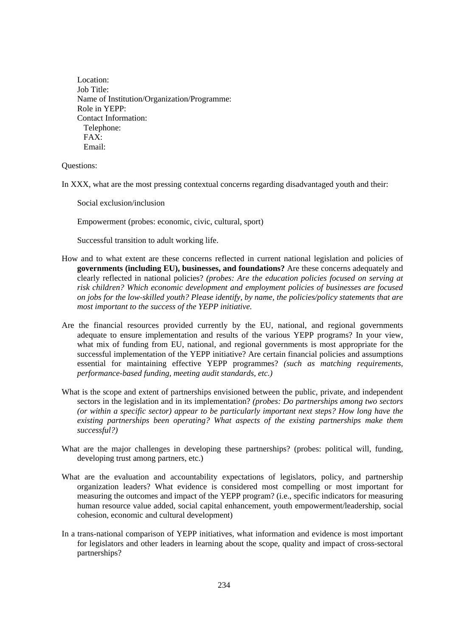Location: Job Title: Name of Institution/Organization/Programme: Role in YEPP: Contact Information: Telephone: FAX: Email:

Questions:

In XXX, what are the most pressing contextual concerns regarding disadvantaged youth and their:

Social exclusion/inclusion

Empowerment (probes: economic, civic, cultural, sport)

Successful transition to adult working life.

- How and to what extent are these concerns reflected in current national legislation and policies of **governments (including EU), businesses, and foundations?** Are these concerns adequately and clearly reflected in national policies? *(probes: Are the education policies focused on serving at risk children? Which economic development and employment policies of businesses are focused on jobs for the low-skilled youth? Please identify, by name, the policies/policy statements that are most important to the success of the YEPP initiative.*
- Are the financial resources provided currently by the EU, national, and regional governments adequate to ensure implementation and results of the various YEPP programs? In your view, what mix of funding from EU, national, and regional governments is most appropriate for the successful implementation of the YEPP initiative? Are certain financial policies and assumptions essential for maintaining effective YEPP programmes? *(such as matching requirements, performance-based funding, meeting audit standards, etc.)*
- What is the scope and extent of partnerships envisioned between the public, private, and independent sectors in the legislation and in its implementation? *(probes: Do partnerships among two sectors (or within a specific sector) appear to be particularly important next steps? How long have the existing partnerships been operating? What aspects of the existing partnerships make them successful?)*
- What are the major challenges in developing these partnerships? (probes: political will, funding, developing trust among partners, etc.)
- What are the evaluation and accountability expectations of legislators, policy, and partnership organization leaders? What evidence is considered most compelling or most important for measuring the outcomes and impact of the YEPP program? (i.e., specific indicators for measuring human resource value added, social capital enhancement, youth empowerment/leadership, social cohesion, economic and cultural development)
- In a trans-national comparison of YEPP initiatives, what information and evidence is most important for legislators and other leaders in learning about the scope, quality and impact of cross-sectoral partnerships?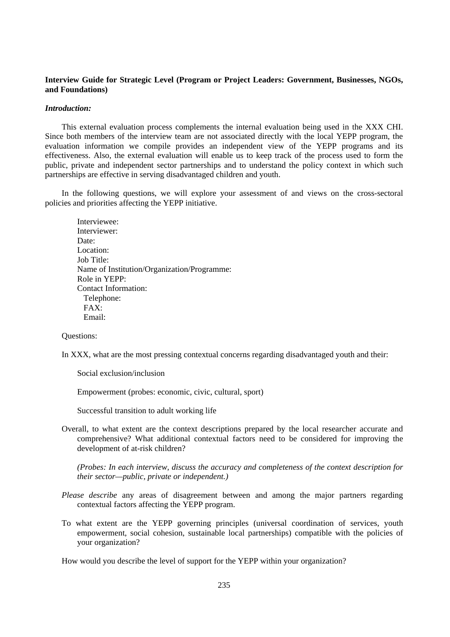# **Interview Guide for Strategic Level (Program or Project Leaders: Government, Businesses, NGOs, and Foundations)**

### *Introduction:*

This external evaluation process complements the internal evaluation being used in the XXX CHI. Since both members of the interview team are not associated directly with the local YEPP program, the evaluation information we compile provides an independent view of the YEPP programs and its effectiveness. Also, the external evaluation will enable us to keep track of the process used to form the public, private and independent sector partnerships and to understand the policy context in which such partnerships are effective in serving disadvantaged children and youth.

In the following questions, we will explore your assessment of and views on the cross-sectoral policies and priorities affecting the YEPP initiative.

Interviewee: Interviewer: Date: Location: Job Title: Name of Institution/Organization/Programme: Role in YEPP: Contact Information: Telephone: FAX: Email:

# Questions:

In XXX, what are the most pressing contextual concerns regarding disadvantaged youth and their:

Social exclusion/inclusion

Empowerment (probes: economic, civic, cultural, sport)

Successful transition to adult working life

Overall, to what extent are the context descriptions prepared by the local researcher accurate and comprehensive? What additional contextual factors need to be considered for improving the development of at-risk children?

*(Probes: In each interview, discuss the accuracy and completeness of the context description for their sector—public, private or independent.)* 

- *Please describe* any areas of disagreement between and among the major partners regarding contextual factors affecting the YEPP program.
- To what extent are the YEPP governing principles (universal coordination of services, youth empowerment, social cohesion, sustainable local partnerships) compatible with the policies of your organization?

How would you describe the level of support for the YEPP within your organization?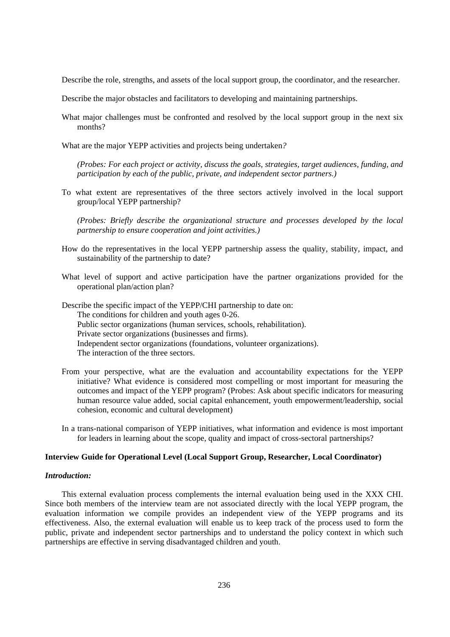Describe the role, strengths, and assets of the local support group, the coordinator, and the researcher.

Describe the major obstacles and facilitators to developing and maintaining partnerships.

- What major challenges must be confronted and resolved by the local support group in the next six months?
- What are the major YEPP activities and projects being undertaken*?*

*(Probes: For each project or activity, discuss the goals, strategies, target audiences, funding, and participation by each of the public, private, and independent sector partners.)* 

To what extent are representatives of the three sectors actively involved in the local support group/local YEPP partnership?

*(Probes: Briefly describe the organizational structure and processes developed by the local partnership to ensure cooperation and joint activities.)* 

- How do the representatives in the local YEPP partnership assess the quality, stability, impact, and sustainability of the partnership to date?
- What level of support and active participation have the partner organizations provided for the operational plan/action plan?

Describe the specific impact of the YEPP/CHI partnership to date on: The conditions for children and youth ages 0-26. Public sector organizations (human services, schools, rehabilitation). Private sector organizations (businesses and firms). Independent sector organizations (foundations, volunteer organizations). The interaction of the three sectors.

- From your perspective, what are the evaluation and accountability expectations for the YEPP initiative? What evidence is considered most compelling or most important for measuring the outcomes and impact of the YEPP program? (Probes: Ask about specific indicators for measuring human resource value added, social capital enhancement, youth empowerment/leadership, social cohesion, economic and cultural development)
- In a trans-national comparison of YEPP initiatives, what information and evidence is most important for leaders in learning about the scope, quality and impact of cross-sectoral partnerships?

### **Interview Guide for Operational Level (Local Support Group, Researcher, Local Coordinator)**

# *Introduction:*

This external evaluation process complements the internal evaluation being used in the XXX CHI. Since both members of the interview team are not associated directly with the local YEPP program, the evaluation information we compile provides an independent view of the YEPP programs and its effectiveness. Also, the external evaluation will enable us to keep track of the process used to form the public, private and independent sector partnerships and to understand the policy context in which such partnerships are effective in serving disadvantaged children and youth.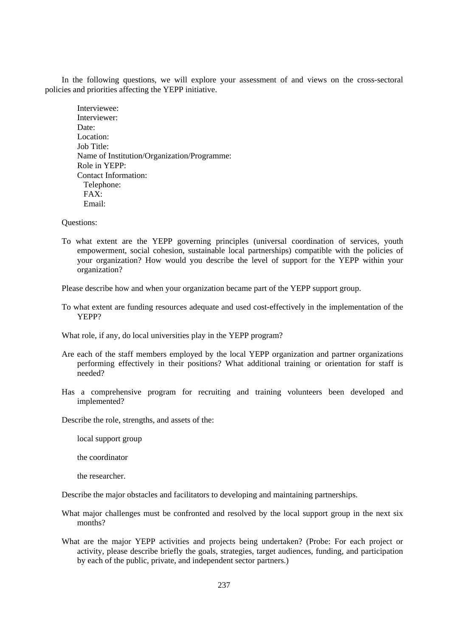In the following questions, we will explore your assessment of and views on the cross-sectoral policies and priorities affecting the YEPP initiative.

Interviewee: Interviewer: Date: Location: Job Title: Name of Institution/Organization/Programme: Role in YEPP: Contact Information: Telephone: FAX: Email:

Questions:

To what extent are the YEPP governing principles (universal coordination of services, youth empowerment, social cohesion, sustainable local partnerships) compatible with the policies of your organization? How would you describe the level of support for the YEPP within your organization?

Please describe how and when your organization became part of the YEPP support group.

To what extent are funding resources adequate and used cost-effectively in the implementation of the YEPP?

What role, if any, do local universities play in the YEPP program?

- Are each of the staff members employed by the local YEPP organization and partner organizations performing effectively in their positions? What additional training or orientation for staff is needed?
- Has a comprehensive program for recruiting and training volunteers been developed and implemented?

Describe the role, strengths, and assets of the:

local support group

the coordinator

the researcher.

Describe the major obstacles and facilitators to developing and maintaining partnerships.

- What major challenges must be confronted and resolved by the local support group in the next six months?
- What are the major YEPP activities and projects being undertaken? (Probe: For each project or activity, please describe briefly the goals, strategies, target audiences, funding, and participation by each of the public, private, and independent sector partners.)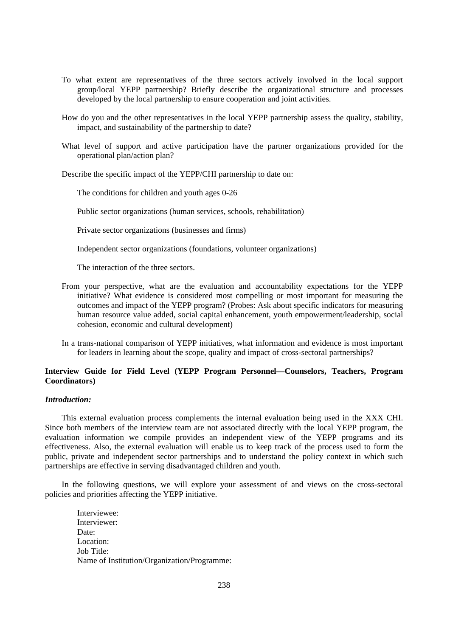- To what extent are representatives of the three sectors actively involved in the local support group/local YEPP partnership? Briefly describe the organizational structure and processes developed by the local partnership to ensure cooperation and joint activities.
- How do you and the other representatives in the local YEPP partnership assess the quality, stability, impact, and sustainability of the partnership to date?
- What level of support and active participation have the partner organizations provided for the operational plan/action plan?

Describe the specific impact of the YEPP/CHI partnership to date on:

The conditions for children and youth ages 0-26

Public sector organizations (human services, schools, rehabilitation)

Private sector organizations (businesses and firms)

Independent sector organizations (foundations, volunteer organizations)

The interaction of the three sectors.

- From your perspective, what are the evaluation and accountability expectations for the YEPP initiative? What evidence is considered most compelling or most important for measuring the outcomes and impact of the YEPP program? (Probes: Ask about specific indicators for measuring human resource value added, social capital enhancement, youth empowerment/leadership, social cohesion, economic and cultural development)
- In a trans-national comparison of YEPP initiatives, what information and evidence is most important for leaders in learning about the scope, quality and impact of cross-sectoral partnerships?

# **Interview Guide for Field Level (YEPP Program Personnel—Counselors, Teachers, Program Coordinators)**

## *Introduction:*

This external evaluation process complements the internal evaluation being used in the XXX CHI. Since both members of the interview team are not associated directly with the local YEPP program, the evaluation information we compile provides an independent view of the YEPP programs and its effectiveness. Also, the external evaluation will enable us to keep track of the process used to form the public, private and independent sector partnerships and to understand the policy context in which such partnerships are effective in serving disadvantaged children and youth.

In the following questions, we will explore your assessment of and views on the cross-sectoral policies and priorities affecting the YEPP initiative.

Interviewee: Interviewer: Date: Location: Job Title: Name of Institution/Organization/Programme: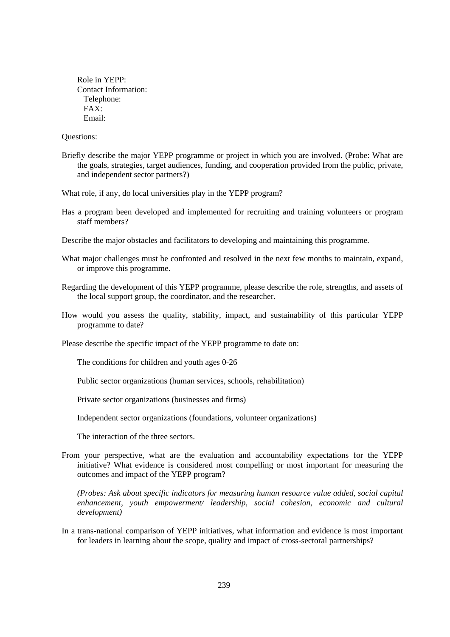Role in YEPP: Contact Information: Telephone: FAX: Email:

Questions:

Briefly describe the major YEPP programme or project in which you are involved. (Probe: What are the goals, strategies, target audiences, funding, and cooperation provided from the public, private, and independent sector partners?)

What role, if any, do local universities play in the YEPP program?

Has a program been developed and implemented for recruiting and training volunteers or program staff members?

Describe the major obstacles and facilitators to developing and maintaining this programme.

What major challenges must be confronted and resolved in the next few months to maintain, expand, or improve this programme.

- Regarding the development of this YEPP programme, please describe the role, strengths, and assets of the local support group, the coordinator, and the researcher.
- How would you assess the quality, stability, impact, and sustainability of this particular YEPP programme to date?

Please describe the specific impact of the YEPP programme to date on:

The conditions for children and youth ages 0-26

Public sector organizations (human services, schools, rehabilitation)

Private sector organizations (businesses and firms)

Independent sector organizations (foundations, volunteer organizations)

The interaction of the three sectors.

From your perspective, what are the evaluation and accountability expectations for the YEPP initiative? What evidence is considered most compelling or most important for measuring the outcomes and impact of the YEPP program?

*(Probes: Ask about specific indicators for measuring human resource value added, social capital enhancement, youth empowerment/ leadership, social cohesion, economic and cultural development)* 

In a trans-national comparison of YEPP initiatives, what information and evidence is most important for leaders in learning about the scope, quality and impact of cross-sectoral partnerships?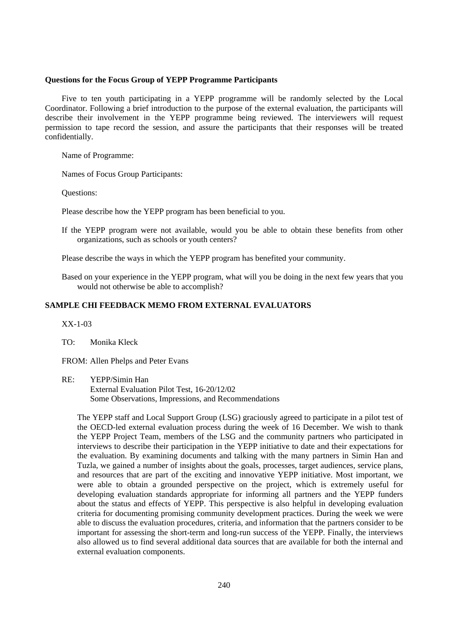### **Questions for the Focus Group of YEPP Programme Participants**

Five to ten youth participating in a YEPP programme will be randomly selected by the Local Coordinator. Following a brief introduction to the purpose of the external evaluation, the participants will describe their involvement in the YEPP programme being reviewed. The interviewers will request permission to tape record the session, and assure the participants that their responses will be treated confidentially.

Name of Programme:

Names of Focus Group Participants:

Questions:

Please describe how the YEPP program has been beneficial to you.

If the YEPP program were not available, would you be able to obtain these benefits from other organizations, such as schools or youth centers?

Please describe the ways in which the YEPP program has benefited your community.

Based on your experience in the YEPP program, what will you be doing in the next few years that you would not otherwise be able to accomplish?

# **SAMPLE CHI FEEDBACK MEMO FROM EXTERNAL EVALUATORS**

XX-1-03

TO: Monika Kleck

FROM: Allen Phelps and Peter Evans

RE: YEPP/Simin Han External Evaluation Pilot Test, 16-20/12/02 Some Observations, Impressions, and Recommendations

The YEPP staff and Local Support Group (LSG) graciously agreed to participate in a pilot test of the OECD-led external evaluation process during the week of 16 December. We wish to thank the YEPP Project Team, members of the LSG and the community partners who participated in interviews to describe their participation in the YEPP initiative to date and their expectations for the evaluation. By examining documents and talking with the many partners in Simin Han and Tuzla, we gained a number of insights about the goals, processes, target audiences, service plans, and resources that are part of the exciting and innovative YEPP initiative. Most important, we were able to obtain a grounded perspective on the project, which is extremely useful for developing evaluation standards appropriate for informing all partners and the YEPP funders about the status and effects of YEPP. This perspective is also helpful in developing evaluation criteria for documenting promising community development practices. During the week we were able to discuss the evaluation procedures, criteria, and information that the partners consider to be important for assessing the short-term and long-run success of the YEPP. Finally, the interviews also allowed us to find several additional data sources that are available for both the internal and external evaluation components.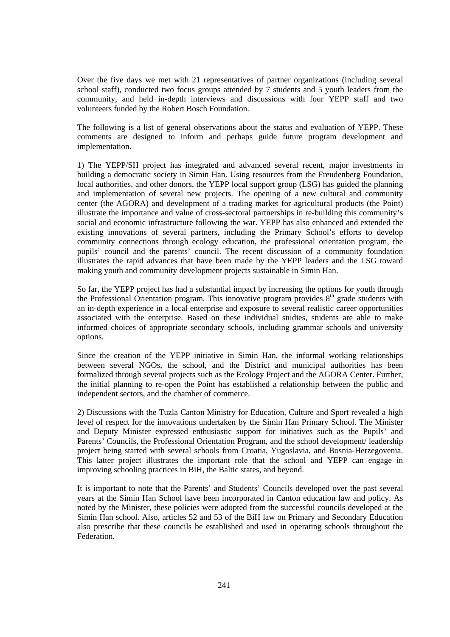Over the five days we met with 21 representatives of partner organizations (including several school staff), conducted two focus groups attended by 7 students and 5 youth leaders from the community, and held in-depth interviews and discussions with four YEPP staff and two volunteers funded by the Robert Bosch Foundation.

The following is a list of general observations about the status and evaluation of YEPP. These comments are designed to inform and perhaps guide future program development and implementation.

1) The YEPP/SH project has integrated and advanced several recent, major investments in building a democratic society in Simin Han. Using resources from the Freudenberg Foundation, local authorities, and other donors, the YEPP local support group (LSG) has guided the planning and implementation of several new projects. The opening of a new cultural and community center (the AGORA) and development of a trading market for agricultural products (the Point) illustrate the importance and value of cross-sectoral partnerships in re-building this community's social and economic infrastructure following the war. YEPP has also enhanced and extended the existing innovations of several partners, including the Primary School's efforts to develop community connections through ecology education, the professional orientation program, the pupils' council and the parents' council. The recent discussion of a community foundation illustrates the rapid advances that have been made by the YEPP leaders and the LSG toward making youth and community development projects sustainable in Simin Han.

So far, the YEPP project has had a substantial impact by increasing the options for youth through the Professional Orientation program. This innovative program provides  $8<sup>th</sup>$  grade students with an in-depth experience in a local enterprise and exposure to several realistic career opportunities associated with the enterprise. Based on these individual studies, students are able to make informed choices of appropriate secondary schools, including grammar schools and university options.

Since the creation of the YEPP initiative in Simin Han, the informal working relationships between several NGOs, the school, and the District and municipal authorities has been formalized through several projects such as the Ecology Project and the AGORA Center. Further, the initial planning to re-open the Point has established a relationship between the public and independent sectors, and the chamber of commerce.

2) Discussions with the Tuzla Canton Ministry for Education, Culture and Sport revealed a high level of respect for the innovations undertaken by the Simin Han Primary School. The Minister and Deputy Minister expressed enthusiastic support for initiatives such as the Pupils' and Parents' Councils, the Professional Orientation Program, and the school development/ leadership project being started with several schools from Croatia, Yugoslavia, and Bosnia-Herzegovenia. This latter project illustrates the important role that the school and YEPP can engage in improving schooling practices in BiH, the Baltic states, and beyond.

It is important to note that the Parents' and Students' Councils developed over the past several years at the Simin Han School have been incorporated in Canton education law and policy. As noted by the Minister, these policies were adopted from the successful councils developed at the Simin Han school. Also, articles 52 and 53 of the BiH law on Primary and Secondary Education also prescribe that these councils be established and used in operating schools throughout the **Federation**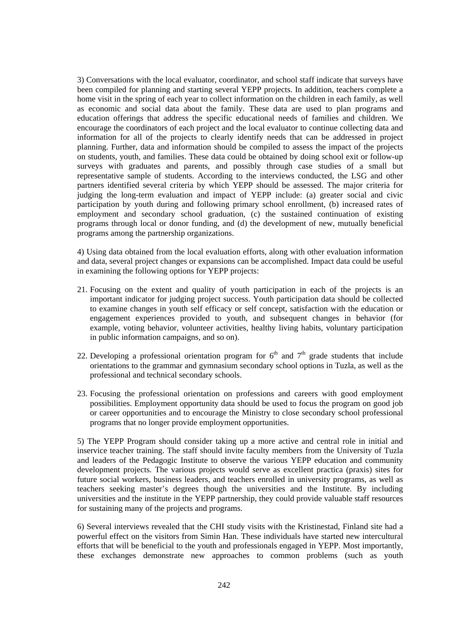3) Conversations with the local evaluator, coordinator, and school staff indicate that surveys have been compiled for planning and starting several YEPP projects. In addition, teachers complete a home visit in the spring of each year to collect information on the children in each family, as well as economic and social data about the family. These data are used to plan programs and education offerings that address the specific educational needs of families and children. We encourage the coordinators of each project and the local evaluator to continue collecting data and information for all of the projects to clearly identify needs that can be addressed in project planning. Further, data and information should be compiled to assess the impact of the projects on students, youth, and families. These data could be obtained by doing school exit or follow-up surveys with graduates and parents, and possibly through case studies of a small but representative sample of students. According to the interviews conducted, the LSG and other partners identified several criteria by which YEPP should be assessed. The major criteria for judging the long-term evaluation and impact of YEPP include: (a) greater social and civic participation by youth during and following primary school enrollment, (b) increased rates of employment and secondary school graduation, (c) the sustained continuation of existing programs through local or donor funding, and (d) the development of new, mutually beneficial programs among the partnership organizations.

4) Using data obtained from the local evaluation efforts, along with other evaluation information and data, several project changes or expansions can be accomplished. Impact data could be useful in examining the following options for YEPP projects:

- 21. Focusing on the extent and quality of youth participation in each of the projects is an important indicator for judging project success. Youth participation data should be collected to examine changes in youth self efficacy or self concept, satisfaction with the education or engagement experiences provided to youth, and subsequent changes in behavior (for example, voting behavior, volunteer activities, healthy living habits, voluntary participation in public information campaigns, and so on).
- 22. Developing a professional orientation program for  $6<sup>th</sup>$  and  $7<sup>th</sup>$  grade students that include orientations to the grammar and gymnasium secondary school options in Tuzla, as well as the professional and technical secondary schools.
- 23. Focusing the professional orientation on professions and careers with good employment possibilities. Employment opportunity data should be used to focus the program on good job or career opportunities and to encourage the Ministry to close secondary school professional programs that no longer provide employment opportunities.

5) The YEPP Program should consider taking up a more active and central role in initial and inservice teacher training. The staff should invite faculty members from the University of Tuzla and leaders of the Pedagogic Institute to observe the various YEPP education and community development projects. The various projects would serve as excellent practica (praxis) sites for future social workers, business leaders, and teachers enrolled in university programs, as well as teachers seeking master's degrees though the universities and the Institute. By including universities and the institute in the YEPP partnership, they could provide valuable staff resources for sustaining many of the projects and programs.

6) Several interviews revealed that the CHI study visits with the Kristinestad, Finland site had a powerful effect on the visitors from Simin Han. These individuals have started new intercultural efforts that will be beneficial to the youth and professionals engaged in YEPP. Most importantly, these exchanges demonstrate new approaches to common problems (such as youth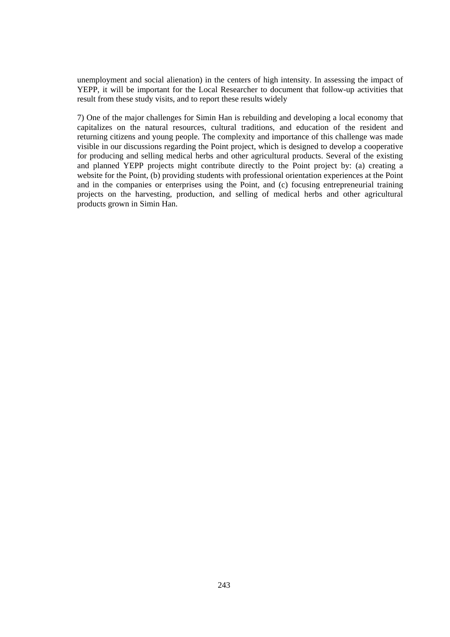unemployment and social alienation) in the centers of high intensity. In assessing the impact of YEPP, it will be important for the Local Researcher to document that follow-up activities that result from these study visits, and to report these results widely

7) One of the major challenges for Simin Han is rebuilding and developing a local economy that capitalizes on the natural resources, cultural traditions, and education of the resident and returning citizens and young people. The complexity and importance of this challenge was made visible in our discussions regarding the Point project, which is designed to develop a cooperative for producing and selling medical herbs and other agricultural products. Several of the existing and planned YEPP projects might contribute directly to the Point project by: (a) creating a website for the Point, (b) providing students with professional orientation experiences at the Point and in the companies or enterprises using the Point, and (c) focusing entrepreneurial training projects on the harvesting, production, and selling of medical herbs and other agricultural products grown in Simin Han.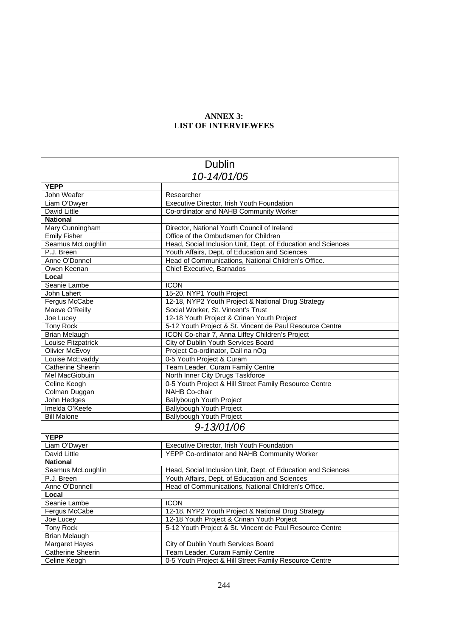# **ANNEX 3: LIST OF INTERVIEWEES**

| <b>Dublin</b>                              |                                                                                          |  |
|--------------------------------------------|------------------------------------------------------------------------------------------|--|
| 10-14/01/05                                |                                                                                          |  |
| <b>YEPP</b>                                |                                                                                          |  |
| John Weafer                                | Researcher                                                                               |  |
| Liam O'Dwyer                               | Executive Director, Irish Youth Foundation                                               |  |
| David Little                               | Co-ordinator and NAHB Community Worker                                                   |  |
| <b>National</b>                            |                                                                                          |  |
| Mary Cunningham                            | Director, National Youth Council of Ireland                                              |  |
| <b>Emily Fisher</b>                        | Office of the Ombudsmen for Children                                                     |  |
| Seamus McLoughlin                          | Head, Social Inclusion Unit, Dept. of Education and Sciences                             |  |
| P.J. Breen                                 | Youth Affairs, Dept. of Education and Sciences                                           |  |
| Anne O'Donnel                              | Head of Communications, National Children's Office.                                      |  |
| Owen Keenan                                | Chief Executive, Barnados                                                                |  |
| Local                                      |                                                                                          |  |
| Seanie Lambe                               | <b>ICON</b>                                                                              |  |
| John Lahert                                | 15-20, NYP1 Youth Project                                                                |  |
| Fergus McCabe                              |                                                                                          |  |
| Maeve O'Reilly                             | 12-18, NYP2 Youth Project & National Drug Strategy<br>Social Worker, St. Vincent's Trust |  |
|                                            | 12-18 Youth Project & Crinan Youth Project                                               |  |
| Joe Lucey<br><b>Tony Rock</b>              | 5-12 Youth Project & St. Vincent de Paul Resource Centre                                 |  |
|                                            |                                                                                          |  |
| <b>Brian Melaugh</b>                       | ICON Co-chair 7, Anna Liffey Children's Project                                          |  |
| Louise Fitzpatrick                         | City of Dublin Youth Services Board                                                      |  |
| Olivier McEvoy                             | Project Co-ordinator, Dail na nOg                                                        |  |
| Louise McEvaddy                            | 0-5 Youth Project & Curam<br>Team Leader, Curam Family Centre                            |  |
| <b>Catherine Sheerin</b><br>Mel MacGiobuin |                                                                                          |  |
|                                            | North Inner City Drugs Taskforce                                                         |  |
| Celine Keogh                               | 0-5 Youth Project & Hill Street Family Resource Centre<br>NAHB Co-chair                  |  |
| Colman Duggan                              |                                                                                          |  |
| John Hedges                                | Ballybough Youth Project                                                                 |  |
| Imelda O'Keefe                             | Ballybough Youth Project                                                                 |  |
| <b>Bill Malone</b>                         | Ballybough Youth Project                                                                 |  |
| 9-13/01/06                                 |                                                                                          |  |
| <b>YEPP</b>                                |                                                                                          |  |
| Liam O'Dwyer                               | Executive Director, Irish Youth Foundation                                               |  |
| David Little                               | YEPP Co-ordinator and NAHB Community Worker                                              |  |
| <b>National</b>                            |                                                                                          |  |
| Seamus McLoughlin                          | Head, Social Inclusion Unit, Dept. of Education and Sciences                             |  |
| P.J. Breen                                 | Youth Affairs, Dept. of Education and Sciences                                           |  |
| Anne O'Donnell                             | Head of Communications, National Children's Office.                                      |  |
| Local                                      |                                                                                          |  |
| Seanie Lambe                               | <b>ICON</b>                                                                              |  |
| Fergus McCabe                              | 12-18, NYP2 Youth Project & National Drug Strategy                                       |  |
| Joe Lucey                                  | 12-18 Youth Project & Crinan Youth Porject                                               |  |
| Tony Rock                                  | 5-12 Youth Project & St. Vincent de Paul Resource Centre                                 |  |
| <b>Brian Melaugh</b>                       |                                                                                          |  |
| <b>Margaret Hayes</b>                      | City of Dublin Youth Services Board                                                      |  |
| <b>Catherine Sheerin</b>                   | Team Leader, Curam Family Centre                                                         |  |
| Celine Keogh                               | 0-5 Youth Project & Hill Street Family Resource Centre                                   |  |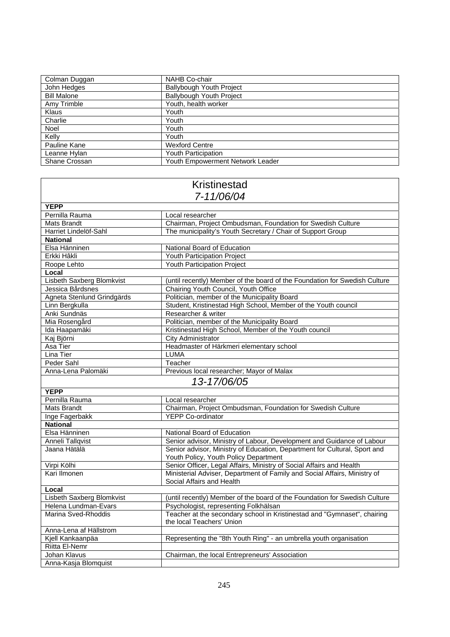| Colman Duggan      | NAHB Co-chair                    |
|--------------------|----------------------------------|
| John Hedges        | <b>Ballybough Youth Project</b>  |
| <b>Bill Malone</b> | Ballybough Youth Project         |
| Amy Trimble        | Youth, health worker             |
| Klaus              | Youth                            |
| Charlie            | Youth                            |
| Noel               | Youth                            |
| Kelly              | Youth                            |
| Pauline Kane       | <b>Wexford Centre</b>            |
| Leanne Hylan       | Youth Participation              |
| Shane Crossan      | Youth Empowerment Network Leader |

Г

٦

| <b>Kristinestad</b>        |                                                                            |  |
|----------------------------|----------------------------------------------------------------------------|--|
| 7-11/06/04                 |                                                                            |  |
| <b>YEPP</b>                |                                                                            |  |
| Pernilla Rauma             | Local researcher                                                           |  |
| Mats Brandt                | Chairman, Project Ombudsman, Foundation for Swedish Culture                |  |
| Harriet Lindelöf-Sahl      | The municipality's Youth Secretary / Chair of Support Group                |  |
| <b>National</b>            |                                                                            |  |
| Elsa Hänninen              | National Board of Education                                                |  |
| Erkki Hâkli                | Youth Participation Project                                                |  |
| Roope Lehto                | <b>Youth Participation Project</b>                                         |  |
| Local                      |                                                                            |  |
| Lisbeth Saxberg Blomkvist  | (until recently) Member of the board of the Foundation for Swedish Culture |  |
| Jessica Bårdsnes           | Chairing Youth Council, Youth Office                                       |  |
| Agneta Stenlund Grindgärds | Politician, member of the Municipality Board                               |  |
| Linn Bergkulla             | Student, Kristinestad High School, Member of the Youth council             |  |
| Anki Sundnäs               | Researcher & writer                                                        |  |
| Mia Rosengård              | Politician, member of the Municipality Board                               |  |
| Ida Haapamäki              | Kristinestad High School, Member of the Youth council                      |  |
| Kaj Björni                 | <b>City Administrator</b>                                                  |  |
| Asa Tier                   | Headmaster of Härkmeri elementary school                                   |  |
| Lina Tier                  | <b>LUMA</b>                                                                |  |
| Peder Sahl                 | Teacher                                                                    |  |
| Anna-Lena Palomäki         | Previous local researcher; Mayor of Malax                                  |  |
|                            | 13-17/06/05                                                                |  |
| <b>YEPP</b>                |                                                                            |  |
| Pernilla Rauma             | Local researcher                                                           |  |
| Mats Brandt                | Chairman, Project Ombudsman, Foundation for Swedish Culture                |  |
| Inge Fagerbakk             | <b>YEPP Co-ordinator</b>                                                   |  |
| <b>National</b>            |                                                                            |  |
| Elsa Hänninen              | National Board of Education                                                |  |
| Anneli Tallqvist           | Senior advisor, Ministry of Labour, Development and Guidance of Labour     |  |
| Jaana Hätälä               | Senior advisor, Ministry of Education, Department for Cultural, Sport and  |  |
|                            | Youth Policy, Youth Policy Department                                      |  |
| Virpi Kölhi                | Senior Officer, Legal Affairs, Ministry of Social Affairs and Health       |  |
| Kari Ilmonen               | Ministerial Adviser, Department of Family and Social Affairs, Ministry of  |  |
|                            | Social Affairs and Health                                                  |  |
| Local                      |                                                                            |  |
| Lisbeth Saxberg Blomkvist  | (until recently) Member of the board of the Foundation for Swedish Culture |  |
| Helena Lundman-Evars       | Psychologist, representing Folkhälsan                                      |  |
| Marina Sved-Rhoddis        | Teacher at the secondary school in Kristinestad and "Gymnaset", chairing   |  |
|                            | the local Teachers' Union                                                  |  |
| Anna-Lena af Hällstrom     |                                                                            |  |
| Kjell Kankaanpäa           | Representing the "8th Youth Ring" - an umbrella youth organisation         |  |
| <b>Riitta El-Nemr</b>      |                                                                            |  |
| Johan Klavus               | Chairman, the local Entrepreneurs' Association                             |  |
| Anna-Kasja Blomquist       |                                                                            |  |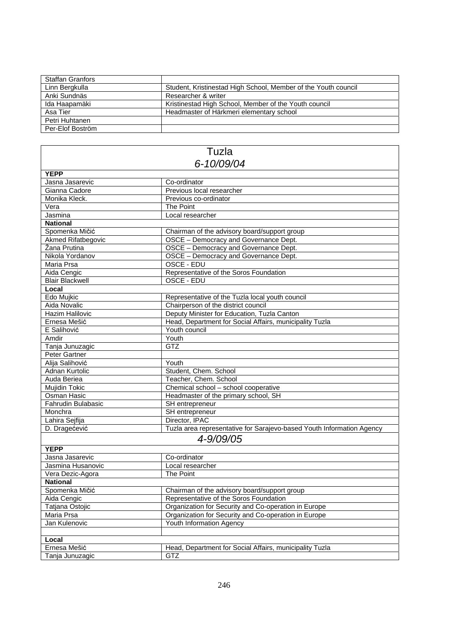| <b>Staffan Granfors</b> |                                                                |
|-------------------------|----------------------------------------------------------------|
| Linn Bergkulla          | Student, Kristinestad High School, Member of the Youth council |
| Anki Sundnäs            | Researcher & writer                                            |
| Ida Haapamäki           | Kristinestad High School, Member of the Youth council          |
| Asa Tier                | Headmaster of Härkmeri elementary school                       |
| Petri Huhtanen          |                                                                |
| Per-Elof Boström        |                                                                |

| Tuzla                     |                                                                       |  |
|---------------------------|-----------------------------------------------------------------------|--|
| 6-10/09/04                |                                                                       |  |
| <b>YEPP</b>               |                                                                       |  |
| Jasna Jasarevic           | Co-ordinator                                                          |  |
| Gianna Cadore             | Previous local researcher                                             |  |
| Monika Kleck.             | Previous co-ordinator                                                 |  |
| Vera                      | The Point                                                             |  |
| Jasmina                   | Local researcher                                                      |  |
| <b>National</b>           |                                                                       |  |
| Spomenka Mičić            | Chairman of the advisory board/support group                          |  |
| <b>Akmed Rifatbegovic</b> | OSCE - Democracy and Governance Dept.                                 |  |
| Žana Prutina              | OSCE - Democracy and Governance Dept.                                 |  |
| Nikola Yordanov           | OSCE - Democracy and Governance Dept.                                 |  |
| Maria Prsa                | OSCE - EDU                                                            |  |
| Aida Cengic               | Representative of the Soros Foundation                                |  |
| <b>Blair Blackwell</b>    | OSCE - EDU                                                            |  |
| Local                     |                                                                       |  |
| Edo Mujkic                | Representative of the Tuzla local youth council                       |  |
| Aida Novalic              | Chairperson of the district council                                   |  |
| Hazim Halilovic           | Deputy Minister for Education, Tuzla Canton                           |  |
| Ernesa Mešić              | Head, Department for Social Affairs, municipality Tuzla               |  |
| E Salihović               | Youth council                                                         |  |
| Amdir                     | Youth                                                                 |  |
| Tanja Junuzagic           | <b>GTZ</b>                                                            |  |
| Peter Gartner             |                                                                       |  |
| Alija Salihović           | Youth                                                                 |  |
| Adnan Kurtolic            | Student, Chem. School                                                 |  |
| Auda Beriea               | Teacher, Chem. School                                                 |  |
| Mujidin Tokic             | Chemical school - school cooperative                                  |  |
| Osman Hasic               | Headmaster of the primary school, SH                                  |  |
| <b>Fahrudin Bulabasic</b> | SH entrepreneur                                                       |  |
| Monchra                   | SH entrepreneur                                                       |  |
| Lahira Sejfija            | Director, IPAC                                                        |  |
| D. Dragećević             | Tuzla area representative for Sarajevo-based Youth Information Agency |  |
| 4-9/09/05                 |                                                                       |  |
| <b>YEPP</b>               |                                                                       |  |
| Jasna Jasarevic           | Co-ordinator                                                          |  |
| Jasmina Husanovic         | Local researcher                                                      |  |
| Vera Dezic-Agora          | The Point                                                             |  |
| <b>National</b>           |                                                                       |  |
| Spomenka Mičić            | Chairman of the advisory board/support group                          |  |
| Aida Cengic               | Representative of the Soros Foundation                                |  |
| Tatjana Ostojic           | Organization for Security and Co-operation in Europe                  |  |
| Maria Prsa                | Organization for Security and Co-operation in Europe                  |  |
| Jan Kulenovic             | Youth Information Agency                                              |  |
|                           |                                                                       |  |
| Local                     |                                                                       |  |
| Ernesa Mešić              | Head, Department for Social Affairs, municipality Tuzla               |  |
| Tanja Junuzagic           | GTZ                                                                   |  |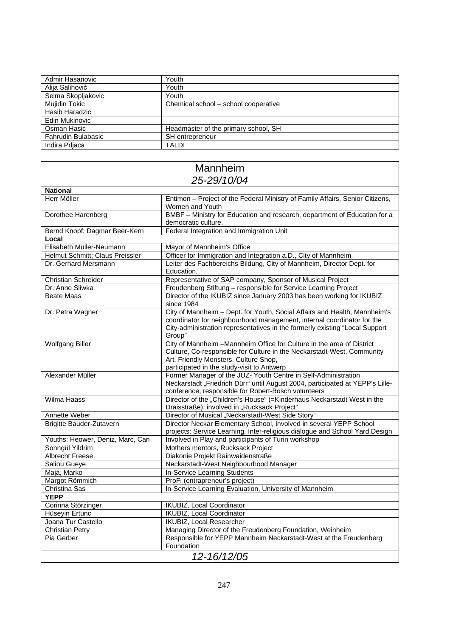| Admir Hasanovic    | Youth                                |
|--------------------|--------------------------------------|
| Alija Salihović    | Youth                                |
| Selma Skopljakovic | Youth                                |
| Mujidin Tokic      | Chemical school - school cooperative |
| Hasib Haradzic     |                                      |
| Edin Mukinovic     |                                      |
| Osman Hasic        | Headmaster of the primary school, SH |
| Fahrudin Bulabasic | SH entrepreneur                      |
| Indira Prliaca     | <b>TALDI</b>                         |

# Mannheim *25-29/10/04*

| <b>National</b>                  |                                                                                     |  |
|----------------------------------|-------------------------------------------------------------------------------------|--|
| Herr Möller                      | Entimon - Project of the Federal Ministry of Family Affairs, Senior Citizens,       |  |
|                                  | Women and Youth                                                                     |  |
| Dorothee Harenberg               | BMBF - Ministry for Education and research, department of Education for a           |  |
|                                  | democratic culture.                                                                 |  |
| Bernd Knopf; Dagmar Beer-Kern    | Federal Integration and Immigration Unit                                            |  |
| Local                            |                                                                                     |  |
| Elisabeth Müller-Neumann         | Mayor of Mannheim's Office                                                          |  |
| Helmut Schmitt; Claus Preissler  | Officer for Immigration and Integration a.D., City of Mannheim                      |  |
| Dr. Gerhard Mersmann             | Leiter des Fachbereichs Bildung, City of Mannheim, Director Dept. for<br>Education, |  |
| <b>Christian Schreider</b>       | Representative of SAP company, Sponsor of Musical Project                           |  |
| Dr. Anne Sliwka                  | Freudenberg Stiftung - responsible for Service Learning Project                     |  |
| Beate Maas                       | Director of the IKUBIZ since January 2003 has been working for IKUBIZ               |  |
|                                  | since 1984                                                                          |  |
| Dr. Petra Wagner                 | City of Mannheim - Dept. for Youth, Social Affairs and Health, Mannheim's           |  |
|                                  | coordinator for neighbourhood management, internal coordinator for the              |  |
|                                  | City-administration representatives in the formerly existing "Local Support         |  |
|                                  | Group"                                                                              |  |
| <b>Wolfgang Biller</b>           | City of Mannheim - Mannheim Office for Culture in the area of District              |  |
|                                  | Culture, Co-responsible for Culture in the Neckarstadt-West, Community              |  |
|                                  | Art, Friendly Monsters, Culture Shop,                                               |  |
|                                  | participated in the study-visit to Antwerp                                          |  |
| Alexander Müller                 | Former Manager of the JUZ- Youth Centre in Self-Administration                      |  |
|                                  | Neckarstadt "Friedrich Dürr" until August 2004, participated at YEPP's Lille-       |  |
|                                  | conference, responsible for Robert-Bosch volunteers                                 |  |
| <b>Wilma Haass</b>               | Director of the "Children's House" (=Kinderhaus Neckarstadt West in the             |  |
|                                  | Draisstraße), involved in "Rucksack Project"                                        |  |
| Annette Weber                    | Director of Musical "Neckarstadt-West Side Story"                                   |  |
| <b>Brigitte Bauder-Zutavern</b>  | Director Neckar Elementary School, involved in several YEPP School                  |  |
|                                  | projects: Service Learning, Inter-religious dialogue and School Yard Design         |  |
| Youths: Heower, Deniz, Marc, Can | Involved in Play and participants of Turin workshop                                 |  |
| Sonngül Yildrim                  | Mothers mentors, Rucksack Project                                                   |  |
| <b>Albrecht Freese</b>           | Diakonie Projekt Rainwaidenstraße                                                   |  |
| <b>Saliou Gueye</b>              | Neckarstadt-West Neighbourhood Manager                                              |  |
| Maja, Marko                      | In-Service Learning Students                                                        |  |
| Margot Römmich                   | ProFi (entrapreneur's project)                                                      |  |
| Christina Sas                    | In-Service Learning Evaluation, University of Mannheim                              |  |
| <b>YEPP</b>                      |                                                                                     |  |
| Corinna Störzinger               | IKUBIZ, Local Coordinator                                                           |  |
| Hüseyin Ertunc                   | <b>IKUBIZ, Local Coordinator</b>                                                    |  |
| Joana Tur Castello               | <b>IKUBIZ, Local Researcher</b>                                                     |  |
| <b>Christian Petry</b>           | Managing Director of the Freudenberg Foundation, Weinheim                           |  |
| Pia Gerber                       | Responsible for YEPP Mannheim Neckarstadt-West at the Freudenberg<br>Foundation     |  |
| 12-16/12/05                      |                                                                                     |  |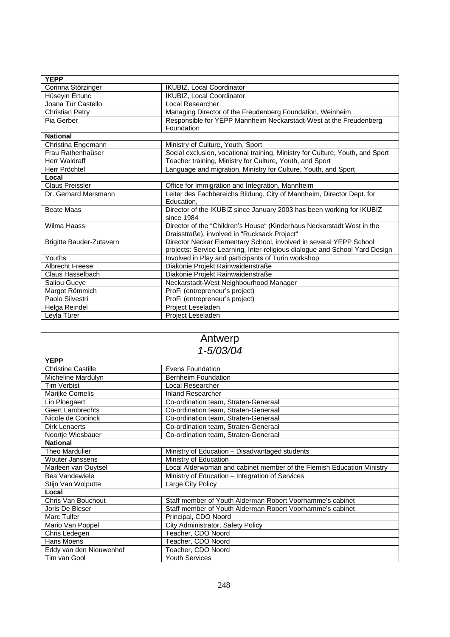| <b>YEPP</b>                     |                                                                                 |
|---------------------------------|---------------------------------------------------------------------------------|
| Corinna Störzinger              | <b>IKUBIZ, Local Coordinator</b>                                                |
| Hüseyin Ertunc                  | IKUBIZ, Local Coordinator                                                       |
| Joana Tur Castello              | Local Researcher                                                                |
| <b>Christian Petry</b>          | Managing Director of the Freudenberg Foundation, Weinheim                       |
| Pia Gerber                      | Responsible for YEPP Mannheim Neckarstadt-West at the Freudenberg<br>Foundation |
| <b>National</b>                 |                                                                                 |
| Christina Engemann              | Ministry of Culture, Youth, Sport                                               |
| Frau Rathenhaüser               | Social exclusion, vocational training, Ministry for Culture, Youth, and Sport   |
| Herr Waldraff                   | Teacher training, Ministry for Culture, Youth, and Sport                        |
| Herr Pröchtel                   | Language and migration, Ministry for Culture, Youth, and Sport                  |
| Local                           |                                                                                 |
| Claus Preissler                 | Office for Immigration and Integration, Mannheim                                |
| Dr. Gerhard Mersmann            | Leiter des Fachbereichs Bildung, City of Mannheim, Director Dept. for           |
|                                 | Education.                                                                      |
| <b>Beate Maas</b>               | Director of the IKUBIZ since January 2003 has been working for IKUBIZ           |
|                                 | since 1984                                                                      |
| Wilma Haass                     | Director of the "Children's House" (Kinderhaus Neckarstadt West in the          |
|                                 | Draisstraße), involved in "Rucksack Project"                                    |
| <b>Brigitte Bauder-Zutavern</b> | Director Neckar Elementary School, involved in several YEPP School              |
|                                 | projects: Service Learning, Inter-religious dialogue and School Yard Design     |
| Youths                          | Involved in Play and participants of Turin workshop                             |
| <b>Albrecht Freese</b>          | Diakonie Projekt Rainwaidenstraße                                               |
| Claus Hasselbach                | Diakonie Projekt Rainwaidenstraße                                               |
| Saliou Gueye                    | Neckarstadt-West Neighbourhood Manager                                          |
| Margot Römmich                  | ProFi (entrepreneur's project)                                                  |
| Paolo Silvestri                 | ProFi (entrepreneur's project)                                                  |
| Helga Reindel                   | Project Leseladen                                                               |
| Leyla Türer                     | Project Leseladen                                                               |

| Antwerp                   |                                                                       |  |
|---------------------------|-----------------------------------------------------------------------|--|
|                           | 1-5/03/04                                                             |  |
| <b>YEPP</b>               |                                                                       |  |
| <b>Christine Castille</b> | Evens Foundation                                                      |  |
| Micheline Mardulyn        | <b>Bernheim Foundation</b>                                            |  |
| <b>Tim Verbist</b>        | Local Researcher                                                      |  |
| Marijke Cornelis          | <b>Inland Researcher</b>                                              |  |
| Lin Ploegaert             | Co-ordination team, Straten-Generaal                                  |  |
| <b>Geert Lambrechts</b>   | Co-ordination team, Straten-Generaal                                  |  |
| Nicole de Coninck         | Co-ordination team, Straten-Generaal                                  |  |
| Dirk Lenaerts             | Co-ordination team, Straten-Generaal                                  |  |
| Noortje Wiesbauer         | Co-ordination team, Straten-Generaal                                  |  |
| <b>National</b>           |                                                                       |  |
| Theo Mardulier            | Ministry of Education - Disadvantaged students                        |  |
| <b>Wouter Janssens</b>    | Ministry of Education                                                 |  |
| Marleen van Ouytsel       | Local Alderwoman and cabinet member of the Flemish Education Ministry |  |
| Bea Vandewiele            | Ministry of Education - Integration of Services                       |  |
| Stijn Van Wolputte        | Large City Policy                                                     |  |
| Local                     |                                                                       |  |
| Chris Van Bouchout        | Staff member of Youth Alderman Robert Voorhamme's cabinet             |  |
| Joris De Bleser           | Staff member of Youth Alderman Robert Voorhamme's cabinet             |  |
| Marc Tulfer               | Principal, CDO Noord                                                  |  |
| Mario Van Poppel          | City Administrator, Safety Policy                                     |  |
| Chris Ledegen             | Teacher, CDO Noord                                                    |  |
| Hans Moens                | Teacher, CDO Noord                                                    |  |
| Eddy van den Nieuwenhof   | Teacher, CDO Noord                                                    |  |
| Tim van Gool              | <b>Youth Services</b>                                                 |  |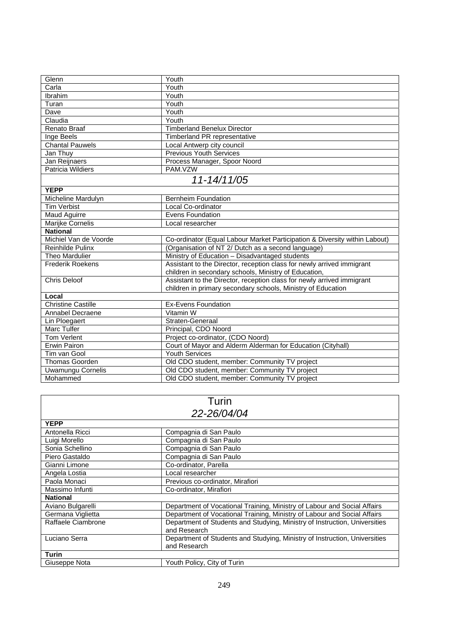| Glenn                     | Youth                                                                      |  |
|---------------------------|----------------------------------------------------------------------------|--|
| Carla                     | Youth                                                                      |  |
| Ibrahim                   | Youth                                                                      |  |
| Turan                     | Youth                                                                      |  |
| Dave                      | Youth                                                                      |  |
| Claudia                   | Youth                                                                      |  |
| Renato Braaf              | <b>Timberland Benelux Director</b>                                         |  |
| Inge Beels                | Timberland PR representative                                               |  |
| <b>Chantal Pauwels</b>    | Local Antwerp city council                                                 |  |
| Jan Thuy                  | <b>Previous Youth Services</b>                                             |  |
| Jan Reijnaers             | Process Manager, Spoor Noord                                               |  |
| Patricia Wildiers         | PAM.VZW                                                                    |  |
| 11-14/11/05               |                                                                            |  |
| <b>YEPP</b>               |                                                                            |  |
| Micheline Mardulyn        | <b>Bernheim Foundation</b>                                                 |  |
| <b>Tim Verbist</b>        | Local Co-ordinator                                                         |  |
| <b>Maud Aguirre</b>       | Evens Foundation                                                           |  |
| Marijke Cornelis          | Local researcher                                                           |  |
| <b>National</b>           |                                                                            |  |
| Michiel Van de Voorde     | Co-ordinator (Equal Labour Market Participation & Diversity within Labout) |  |
| Reinhilde Pulinx          | (Organisation of NT 2/ Dutch as a second language)                         |  |
| <b>Theo Mardulier</b>     | Ministry of Education - Disadvantaged students                             |  |
| <b>Frederik Roekens</b>   | Assistant to the Director, reception class for newly arrived immigrant     |  |
|                           | children in secondary schools, Ministry of Education,                      |  |
| <b>Chris Deloof</b>       | Assistant to the Director, reception class for newly arrived immigrant     |  |
|                           | children in primary secondary schools, Ministry of Education               |  |
| Local                     |                                                                            |  |
| <b>Christine Castille</b> | <b>Ex-Evens Foundation</b>                                                 |  |
| Annabel Decraene          | Vitamin W                                                                  |  |
| Lin Ploegaert             | Straten-Generaal                                                           |  |
| Marc Tulfer               | Principal, CDO Noord                                                       |  |
| <b>Tom Verlent</b>        | Project co-ordinator, (CDO Noord)                                          |  |
| Erwin Pairon              | Court of Mayor and Alderm Alderman for Education (Cityhall)                |  |
| Tim van Gool              | <b>Youth Services</b>                                                      |  |
| <b>Thomas Goorden</b>     | Old CDO student, member: Community TV project                              |  |
| Uwamungu Cornelis         | Old CDO student, member: Community TV project                              |  |
| Mohammed                  | Old CDO student, member: Community TV project                              |  |

| Turin              |                                                                                            |  |
|--------------------|--------------------------------------------------------------------------------------------|--|
|                    | 22-26/04/04                                                                                |  |
| <b>YEPP</b>        |                                                                                            |  |
| Antonella Ricci    | Compagnia di San Paulo                                                                     |  |
| Luigi Morello      | Compagnia di San Paulo                                                                     |  |
| Sonia Schellino    | Compagnia di San Paulo                                                                     |  |
| Piero Gastaldo     | Compagnia di San Paulo                                                                     |  |
| Gianni Limone      | Co-ordinator, Parella                                                                      |  |
| Angela Lostia      | Local researcher                                                                           |  |
| Paola Monaci       | Previous co-ordinator, Mirafiori                                                           |  |
| Massimo Infunti    | Co-ordinator, Mirafiori                                                                    |  |
| <b>National</b>    |                                                                                            |  |
| Aviano Bulgarelli  | Department of Vocational Training, Ministry of Labour and Social Affairs                   |  |
| Germana Viglietta  | Department of Vocational Training, Ministry of Labour and Social Affairs                   |  |
| Raffaele Ciambrone | Department of Students and Studying, Ministry of Instruction, Universities<br>and Research |  |
| Luciano Serra      | Department of Students and Studying, Ministry of Instruction, Universities<br>and Research |  |
| <b>Turin</b>       |                                                                                            |  |
| Giuseppe Nota      | Youth Policy, City of Turin                                                                |  |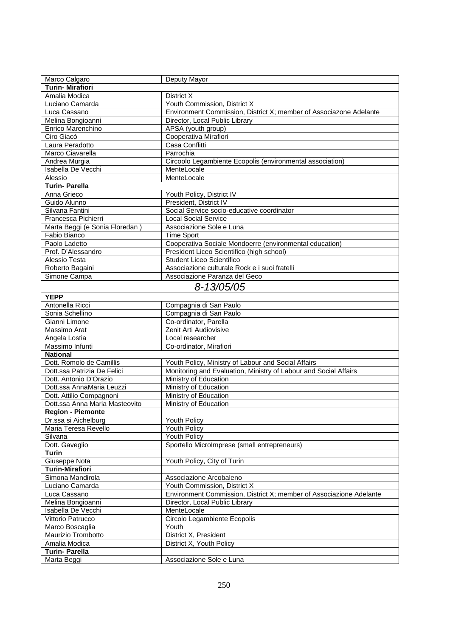| Marco Calgaro                           | Deputy Mayor                                                        |
|-----------------------------------------|---------------------------------------------------------------------|
| <b>Turin-Mirafiori</b>                  |                                                                     |
| Amalia Modica                           | District X                                                          |
| Luciano Camarda                         | Youth Commission, District X                                        |
| Luca Cassano                            | Environment Commission, District X; member of Associazone Adelante  |
| Melina Bongioanni                       | Director, Local Public Library                                      |
| Enrico Marenchino                       | APSA (youth group)                                                  |
| Ciro Giacò                              | Cooperativa Mirafiori                                               |
| Laura Peradotto                         | Casa Conflitti                                                      |
| Marco Ciavarella                        | Parrochia                                                           |
| Andrea Murgia                           | Circoolo Legambiente Ecopolis (environmental association)           |
| Isabella De Vecchi                      | MenteLocale                                                         |
| Alessio                                 | MenteLocale                                                         |
| <b>Turin-Parella</b>                    |                                                                     |
| Anna Grieco                             | Youth Policy, District IV                                           |
| Guido Alunno                            | President, District IV                                              |
| Silvana Fantini                         | Social Service socio-educative coordinator                          |
| Francesca Pichierri                     | <b>Local Social Service</b>                                         |
| Marta Beggi (e Sonia Floredan)          | Associazione Sole e Luna                                            |
| Fabio Bianco                            | <b>Time Sport</b>                                                   |
| Paolo Ladetto                           | Cooperativa Sociale Mondoerre (environmental education)             |
| Prof. D'Alessandro                      | President Liceo Scientifico (high school)                           |
| Alessio Testa                           | Student Liceo Scientifico                                           |
| Roberto Bagaini                         | Associazione culturale Rock e i suoi fratelli                       |
| Simone Campa                            | Associazione Paranza del Geco                                       |
|                                         | 8-13/05/05                                                          |
|                                         |                                                                     |
| <b>YEPP</b>                             |                                                                     |
| Antonella Ricci                         | Compagnia di San Paulo                                              |
| Sonia Schellino                         | Compagnia di San Paulo                                              |
| Gianni Limone                           | Co-ordinator, Parella                                               |
| Massimo Arat                            | Zenit Arti Audiovisive                                              |
| Angela Lostia                           | Local researcher                                                    |
| Massimo Infunti                         | Co-ordinator, Mirafiori                                             |
| <b>National</b>                         |                                                                     |
| Dott. Romolo de Camillis                | Youth Policy, Ministry of Labour and Social Affairs                 |
| Dott.ssa Patrizia De Felici             | Monitoring and Evaluation, Ministry of Labour and Social Affairs    |
| Dott. Antonio D'Orazio                  | Ministry of Education                                               |
| Dott.ssa AnnaMaria Leuzzi               | Ministry of Education                                               |
| Dott. Attilio Compagnoni                | Ministry of Education                                               |
| Dott.ssa Anna Maria Masteovito          | Ministry of Education                                               |
| <b>Region - Piemonte</b>                |                                                                     |
| Dr.ssa si Aichelburg                    | Youth Policy                                                        |
| Maria Teresa Revello                    | Youth Policy                                                        |
| Silvana                                 | Youth Policy                                                        |
| Dott. Gaveglio                          | Sportello MicroImprese (small entrepreneurs)                        |
| <b>Turin</b>                            |                                                                     |
| Giuseppe Nota<br><b>Turin-Mirafiori</b> | Youth Policy, City of Turin                                         |
| Simona Mandirola                        |                                                                     |
| Luciano Camarda                         | Associazione Arcobaleno<br>Youth Commission, District X             |
| Luca Cassano                            | Environment Commission, District X; member of Associazione Adelante |
| Melina Bongioanni                       | Director, Local Public Library                                      |
| Isabella De Vecchi                      | MenteLocale                                                         |
| Vittorio Patrucco                       | Circolo Legambiente Ecopolis                                        |
| Marco Boscaglia                         | Youth                                                               |
| Maurizio Trombotto                      | District X, President                                               |
| Amalia Modica                           | District X, Youth Policy                                            |
| <b>Turin-Parella</b>                    |                                                                     |
| Marta Beggi                             | Associazione Sole e Luna                                            |
|                                         |                                                                     |